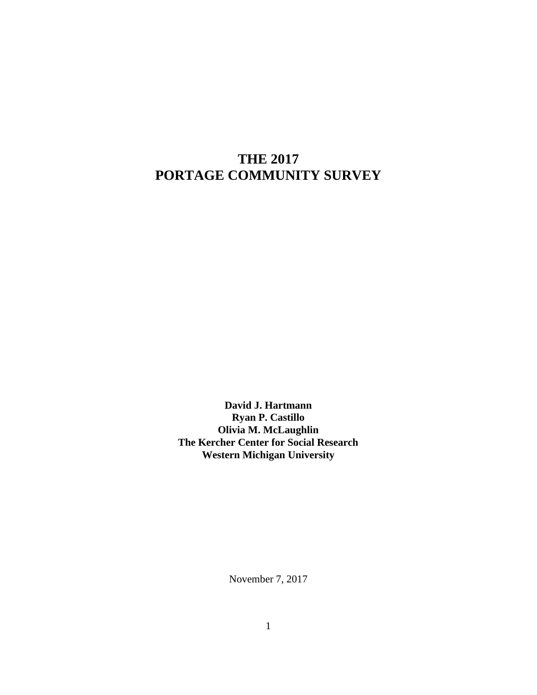# **THE 2017 PORTAGE COMMUNITY SURVEY**

**David J. Hartmann Ryan P. Castillo Olivia M. McLaughlin The Kercher Center for Social Research Western Michigan University**

November 7, 2017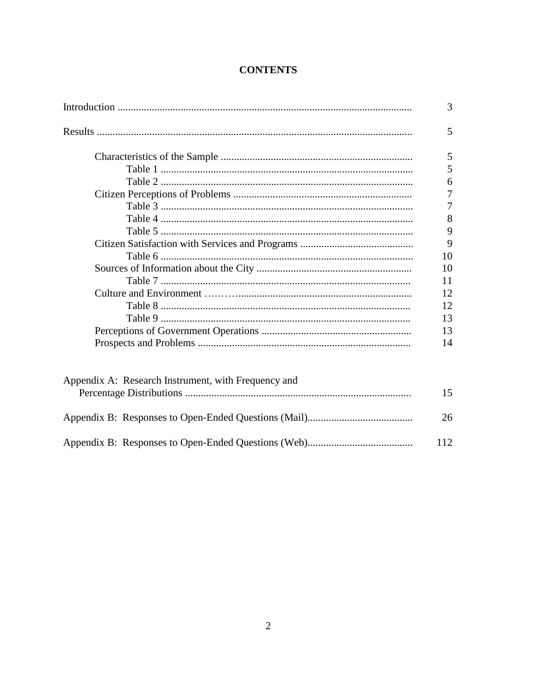## **CONTENTS**

|                                                     | 3              |
|-----------------------------------------------------|----------------|
|                                                     | 5              |
|                                                     | 5              |
|                                                     | 5              |
|                                                     | 6              |
|                                                     | $\overline{7}$ |
|                                                     | $\overline{7}$ |
|                                                     | 8              |
|                                                     | 9              |
|                                                     | 9              |
|                                                     | 10             |
|                                                     | 10             |
|                                                     | 11             |
|                                                     | 12             |
|                                                     | 12             |
|                                                     | 13             |
|                                                     | 13             |
|                                                     | 14             |
| Appendix A: Research Instrument, with Frequency and |                |
|                                                     | 15             |
|                                                     | 26             |
|                                                     | 112            |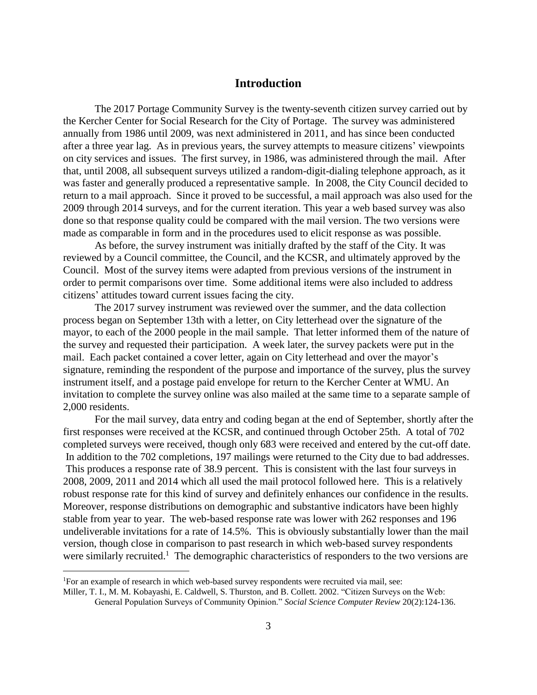## **Introduction**

The 2017 Portage Community Survey is the twenty-seventh citizen survey carried out by the Kercher Center for Social Research for the City of Portage. The survey was administered annually from 1986 until 2009, was next administered in 2011, and has since been conducted after a three year lag. As in previous years, the survey attempts to measure citizens' viewpoints on city services and issues. The first survey, in 1986, was administered through the mail. After that, until 2008, all subsequent surveys utilized a random-digit-dialing telephone approach, as it was faster and generally produced a representative sample. In 2008, the City Council decided to return to a mail approach. Since it proved to be successful, a mail approach was also used for the 2009 through 2014 surveys, and for the current iteration. This year a web based survey was also done so that response quality could be compared with the mail version. The two versions were made as comparable in form and in the procedures used to elicit response as was possible.

As before, the survey instrument was initially drafted by the staff of the City. It was reviewed by a Council committee, the Council, and the KCSR, and ultimately approved by the Council. Most of the survey items were adapted from previous versions of the instrument in order to permit comparisons over time. Some additional items were also included to address citizens' attitudes toward current issues facing the city.

The 2017 survey instrument was reviewed over the summer, and the data collection process began on September 13th with a letter, on City letterhead over the signature of the mayor, to each of the 2000 people in the mail sample. That letter informed them of the nature of the survey and requested their participation. A week later, the survey packets were put in the mail. Each packet contained a cover letter, again on City letterhead and over the mayor's signature, reminding the respondent of the purpose and importance of the survey, plus the survey instrument itself, and a postage paid envelope for return to the Kercher Center at WMU. An invitation to complete the survey online was also mailed at the same time to a separate sample of 2,000 residents.

For the mail survey, data entry and coding began at the end of September, shortly after the first responses were received at the KCSR, and continued through October 25th. A total of 702 completed surveys were received, though only 683 were received and entered by the cut-off date. In addition to the 702 completions, 197 mailings were returned to the City due to bad addresses. This produces a response rate of 38.9 percent. This is consistent with the last four surveys in 2008, 2009, 2011 and 2014 which all used the mail protocol followed here. This is a relatively robust response rate for this kind of survey and definitely enhances our confidence in the results. Moreover, response distributions on demographic and substantive indicators have been highly stable from year to year. The web-based response rate was lower with 262 responses and 196 undeliverable invitations for a rate of 14.5%. This is obviously substantially lower than the mail version, though close in comparison to past research in which web-based survey respondents were similarly recruited.<sup>1</sup> The demographic characteristics of responders to the two versions are

 $\overline{a}$ 

<sup>1</sup>For an example of research in which web-based survey respondents were recruited via mail, see:

Miller, T. I., M. M. Kobayashi, E. Caldwell, S. Thurston, and B. Collett. 2002. "Citizen Surveys on the Web: General Population Surveys of Community Opinion." *Social Science Computer Review* 20(2):124-136.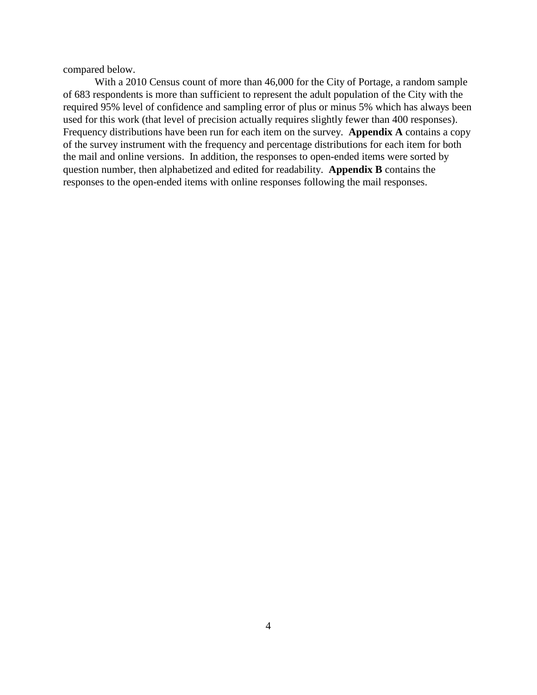compared below.

With a 2010 Census count of more than 46,000 for the City of Portage, a random sample of 683 respondents is more than sufficient to represent the adult population of the City with the required 95% level of confidence and sampling error of plus or minus 5% which has always been used for this work (that level of precision actually requires slightly fewer than 400 responses). Frequency distributions have been run for each item on the survey. **Appendix A** contains a copy of the survey instrument with the frequency and percentage distributions for each item for both the mail and online versions. In addition, the responses to open-ended items were sorted by question number, then alphabetized and edited for readability. **Appendix B** contains the responses to the open-ended items with online responses following the mail responses.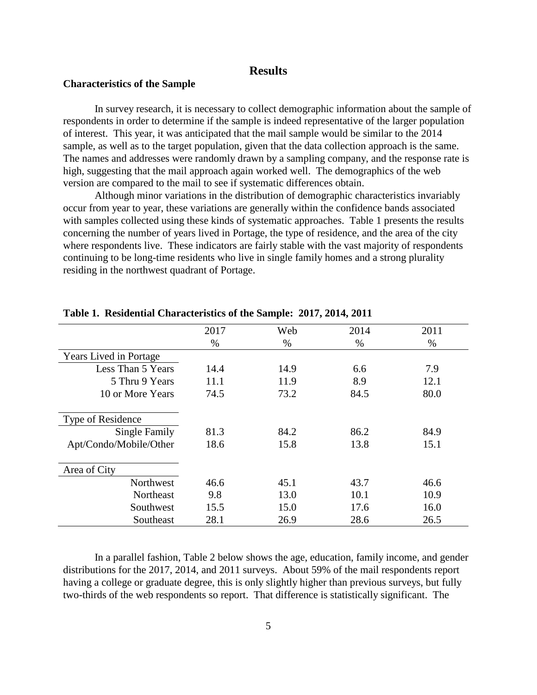## **Results**

#### **Characteristics of the Sample**

In survey research, it is necessary to collect demographic information about the sample of respondents in order to determine if the sample is indeed representative of the larger population of interest. This year, it was anticipated that the mail sample would be similar to the 2014 sample, as well as to the target population, given that the data collection approach is the same. The names and addresses were randomly drawn by a sampling company, and the response rate is high, suggesting that the mail approach again worked well. The demographics of the web version are compared to the mail to see if systematic differences obtain.

Although minor variations in the distribution of demographic characteristics invariably occur from year to year, these variations are generally within the confidence bands associated with samples collected using these kinds of systematic approaches. Table 1 presents the results concerning the number of years lived in Portage, the type of residence, and the area of the city where respondents live. These indicators are fairly stable with the vast majority of respondents continuing to be long-time residents who live in single family homes and a strong plurality residing in the northwest quadrant of Portage.

|                        | 2017 | Web  | 2014 | 2011 |
|------------------------|------|------|------|------|
|                        | $\%$ | $\%$ | $\%$ | $\%$ |
| Years Lived in Portage |      |      |      |      |
| Less Than 5 Years      | 14.4 | 14.9 | 6.6  | 7.9  |
| 5 Thru 9 Years         | 11.1 | 11.9 | 8.9  | 12.1 |
| 10 or More Years       | 74.5 | 73.2 | 84.5 | 80.0 |
|                        |      |      |      |      |
| Type of Residence      |      |      |      |      |
| Single Family          | 81.3 | 84.2 | 86.2 | 84.9 |
| Apt/Condo/Mobile/Other | 18.6 | 15.8 | 13.8 | 15.1 |
|                        |      |      |      |      |
| Area of City           |      |      |      |      |
| Northwest              | 46.6 | 45.1 | 43.7 | 46.6 |
| Northeast              | 9.8  | 13.0 | 10.1 | 10.9 |
| Southwest              | 15.5 | 15.0 | 17.6 | 16.0 |
| Southeast              | 28.1 | 26.9 | 28.6 | 26.5 |

#### **Table 1. Residential Characteristics of the Sample: 2017, 2014, 2011**

In a parallel fashion, Table 2 below shows the age, education, family income, and gender distributions for the 2017, 2014, and 2011 surveys. About 59% of the mail respondents report having a college or graduate degree, this is only slightly higher than previous surveys, but fully two-thirds of the web respondents so report. That difference is statistically significant. The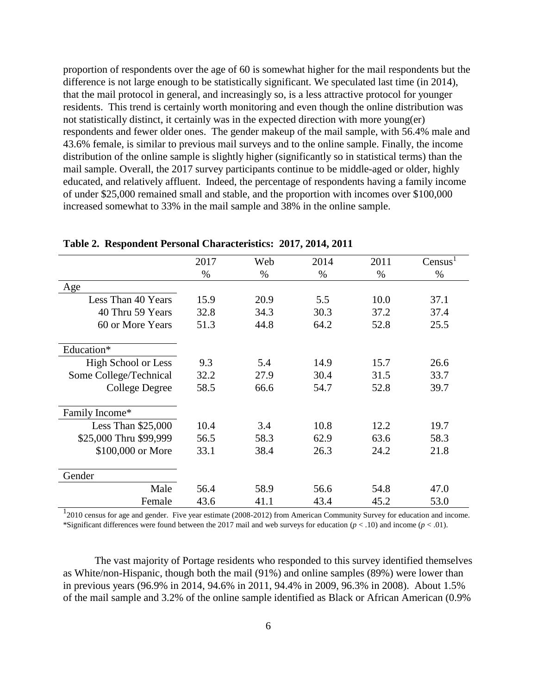proportion of respondents over the age of 60 is somewhat higher for the mail respondents but the difference is not large enough to be statistically significant. We speculated last time (in 2014), that the mail protocol in general, and increasingly so, is a less attractive protocol for younger residents. This trend is certainly worth monitoring and even though the online distribution was not statistically distinct, it certainly was in the expected direction with more young(er) respondents and fewer older ones. The gender makeup of the mail sample, with 56.4% male and 43.6% female, is similar to previous mail surveys and to the online sample. Finally, the income distribution of the online sample is slightly higher (significantly so in statistical terms) than the mail sample. Overall, the 2017 survey participants continue to be middle-aged or older, highly educated, and relatively affluent. Indeed, the percentage of respondents having a family income of under \$25,000 remained small and stable, and the proportion with incomes over \$100,000 increased somewhat to 33% in the mail sample and 38% in the online sample.

|                        | 2017 | Web  | 2014 | 2011 | Census <sup>1</sup> |
|------------------------|------|------|------|------|---------------------|
|                        | $\%$ | $\%$ | $\%$ | $\%$ | $\%$                |
| Age                    |      |      |      |      |                     |
| Less Than 40 Years     | 15.9 | 20.9 | 5.5  | 10.0 | 37.1                |
| 40 Thru 59 Years       | 32.8 | 34.3 | 30.3 | 37.2 | 37.4                |
| 60 or More Years       | 51.3 | 44.8 | 64.2 | 52.8 | 25.5                |
| Education*             |      |      |      |      |                     |
| High School or Less    | 9.3  | 5.4  | 14.9 | 15.7 | 26.6                |
| Some College/Technical | 32.2 | 27.9 | 30.4 | 31.5 | 33.7                |
| <b>College Degree</b>  | 58.5 | 66.6 | 54.7 | 52.8 | 39.7                |
| Family Income*         |      |      |      |      |                     |
| Less Than $$25,000$    | 10.4 | 3.4  | 10.8 | 12.2 | 19.7                |
| \$25,000 Thru \$99,999 | 56.5 | 58.3 | 62.9 | 63.6 | 58.3                |
| \$100,000 or More      | 33.1 | 38.4 | 26.3 | 24.2 | 21.8                |
| Gender                 |      |      |      |      |                     |
| Male                   | 56.4 | 58.9 | 56.6 | 54.8 | 47.0                |
| Female                 | 43.6 | 41.1 | 43.4 | 45.2 | 53.0                |

#### **Table 2. Respondent Personal Characteristics: 2017, 2014, 2011**

 $12010$  census for age and gender. Five year estimate (2008-2012) from American Community Survey for education and income. \*Significant differences were found between the 2017 mail and web surveys for education  $(p < .10)$  and income  $(p < .01)$ .

The vast majority of Portage residents who responded to this survey identified themselves as White/non-Hispanic, though both the mail (91%) and online samples (89%) were lower than in previous years (96.9% in 2014, 94.6% in 2011, 94.4% in 2009, 96.3% in 2008). About 1.5% of the mail sample and 3.2% of the online sample identified as Black or African American (0.9%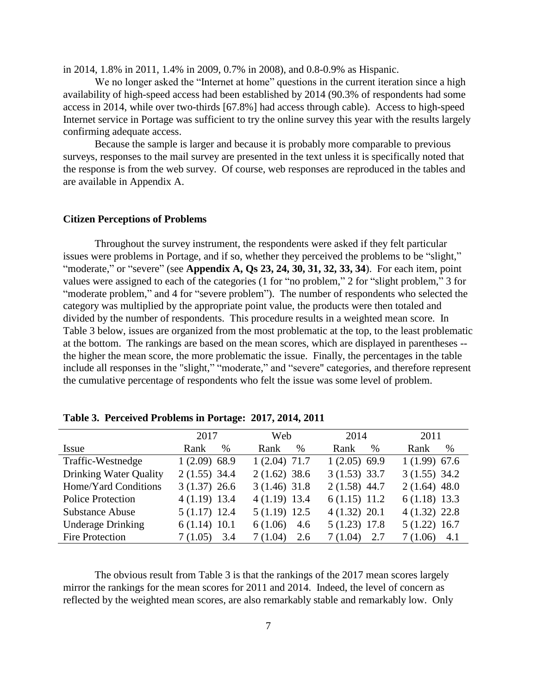in 2014, 1.8% in 2011, 1.4% in 2009, 0.7% in 2008), and 0.8-0.9% as Hispanic.

We no longer asked the "Internet at home" questions in the current iteration since a high availability of high-speed access had been established by 2014 (90.3% of respondents had some access in 2014, while over two-thirds [67.8%] had access through cable). Access to high-speed Internet service in Portage was sufficient to try the online survey this year with the results largely confirming adequate access.

Because the sample is larger and because it is probably more comparable to previous surveys, responses to the mail survey are presented in the text unless it is specifically noted that the response is from the web survey. Of course, web responses are reproduced in the tables and are available in Appendix A.

#### **Citizen Perceptions of Problems**

Throughout the survey instrument, the respondents were asked if they felt particular issues were problems in Portage, and if so, whether they perceived the problems to be "slight," "moderate," or "severe" (see **Appendix A, Qs 23, 24, 30, 31, 32, 33, 34**). For each item, point values were assigned to each of the categories (1 for "no problem," 2 for "slight problem," 3 for "moderate problem," and 4 for "severe problem"). The number of respondents who selected the category was multiplied by the appropriate point value, the products were then totaled and divided by the number of respondents. This procedure results in a weighted mean score. In Table 3 below, issues are organized from the most problematic at the top, to the least problematic at the bottom. The rankings are based on the mean scores, which are displayed in parentheses - the higher the mean score, the more problematic the issue. Finally, the percentages in the table include all responses in the "slight," "moderate," and "severe" categories, and therefore represent the cumulative percentage of respondents who felt the issue was some level of problem.

|                               | 2017           | Web            | 2014           | 2011           |
|-------------------------------|----------------|----------------|----------------|----------------|
| <i>Issue</i>                  | Rank<br>%      | Rank<br>%      | Rank<br>%      | Rank<br>$\%$   |
| Traffic-Westnedge             | $1(2.09)$ 68.9 | $1(2.04)$ 71.7 | $1(2.05)$ 69.9 | $1(1.99)$ 67.6 |
| <b>Drinking Water Quality</b> | $2(1.55)$ 34.4 | $2(1.62)$ 38.6 | $3(1.53)$ 33.7 | $3(1.55)$ 34.2 |
| Home/Yard Conditions          | $3(1.37)$ 26.6 | $3(1.46)$ 31.8 | $2(1.58)$ 44.7 | $2(1.64)$ 48.0 |
| <b>Police Protection</b>      | $4(1.19)$ 13.4 | $4(1.19)$ 13.4 | $6(1.15)$ 11.2 | $6(1.18)$ 13.3 |
| <b>Substance Abuse</b>        | $5(1.17)$ 12.4 | $5(1.19)$ 12.5 | $4(1.32)$ 20.1 | $4(1.32)$ 22.8 |
| <b>Underage Drinking</b>      | $6(1.14)$ 10.1 | 6(1.06)<br>4.6 | $5(1.23)$ 17.8 | $5(1.22)$ 16.7 |
| <b>Fire Protection</b>        | $7(1.05)$ 3.4  | 7(1.04)<br>2.6 | $7(1.04)$ 2.7  | $7(1.06)$ 4.1  |

**Table 3. Perceived Problems in Portage: 2017, 2014, 2011** 

The obvious result from Table 3 is that the rankings of the 2017 mean scores largely mirror the rankings for the mean scores for 2011 and 2014. Indeed, the level of concern as reflected by the weighted mean scores, are also remarkably stable and remarkably low. Only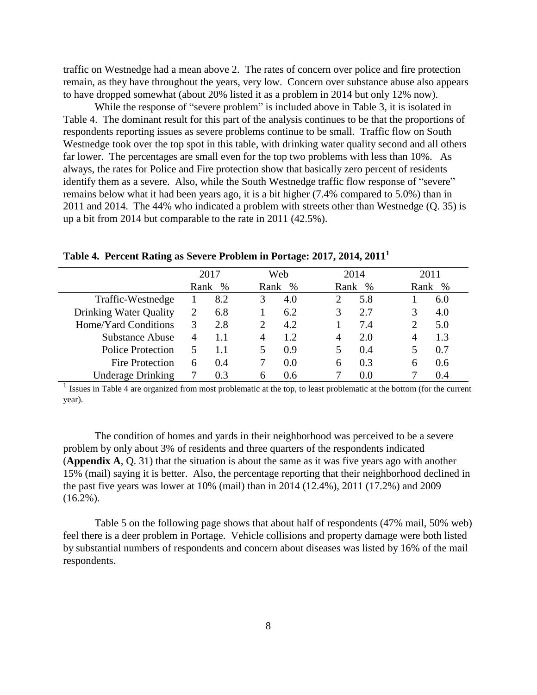traffic on Westnedge had a mean above 2. The rates of concern over police and fire protection remain, as they have throughout the years, very low. Concern over substance abuse also appears to have dropped somewhat (about 20% listed it as a problem in 2014 but only 12% now).

While the response of "severe problem" is included above in Table 3, it is isolated in Table 4. The dominant result for this part of the analysis continues to be that the proportions of respondents reporting issues as severe problems continue to be small. Traffic flow on South Westnedge took over the top spot in this table, with drinking water quality second and all others far lower. The percentages are small even for the top two problems with less than 10%. As always, the rates for Police and Fire protection show that basically zero percent of residents identify them as a severe. Also, while the South Westnedge traffic flow response of "severe" remains below what it had been years ago, it is a bit higher (7.4% compared to 5.0%) than in 2011 and 2014. The 44% who indicated a problem with streets other than Westnedge (Q. 35) is up a bit from 2014 but comparable to the rate in 2011 (42.5%).

|                          | 2017         |     | Web |        |   | 2014         |   | 2011   |
|--------------------------|--------------|-----|-----|--------|---|--------------|---|--------|
|                          | Rank<br>$\%$ |     |     | Rank % |   | Rank<br>$\%$ |   | Rank % |
| Traffic-Westnedge        |              | 8.2 | 3   | 4.0    |   | 5.8          |   | 6.0    |
| Drinking Water Quality   | 2            | 6.8 |     | 6.2    |   | 2.7          |   | 4.0    |
| Home/Yard Conditions     | 3            | 2.8 | 2   | 4.2    |   | 7.4          |   | 5.0    |
| Substance Abuse          | 4            | 1.1 | 4   | 1.2    | 4 | 2.0          | 4 | 1.3    |
| <b>Police Protection</b> | 5            | 1.1 |     | 0.9    |   | 0.4          |   | 0.7    |
| Fire Protection          | <sub>6</sub> | 0.4 |     | 0.0    | 6 | 0.3          | h | 0.6    |
| <b>Underage Drinking</b> |              | 0.3 | h   | 0.6    |   | 0.0          |   | 0.4    |

**Table 4. Percent Rating as Severe Problem in Portage: 2017, 2014, 2011<sup>1</sup>**

 $<sup>1</sup>$  Issues in Table 4 are organized from most problematic at the top, to least problematic at the bottom (for the current</sup> year).

The condition of homes and yards in their neighborhood was perceived to be a severe problem by only about 3% of residents and three quarters of the respondents indicated (**Appendix A**, Q. 31) that the situation is about the same as it was five years ago with another 15% (mail) saying it is better. Also, the percentage reporting that their neighborhood declined in the past five years was lower at 10% (mail) than in 2014 (12.4%), 2011 (17.2%) and 2009  $(16.2\%)$ .

Table 5 on the following page shows that about half of respondents (47% mail, 50% web) feel there is a deer problem in Portage. Vehicle collisions and property damage were both listed by substantial numbers of respondents and concern about diseases was listed by 16% of the mail respondents.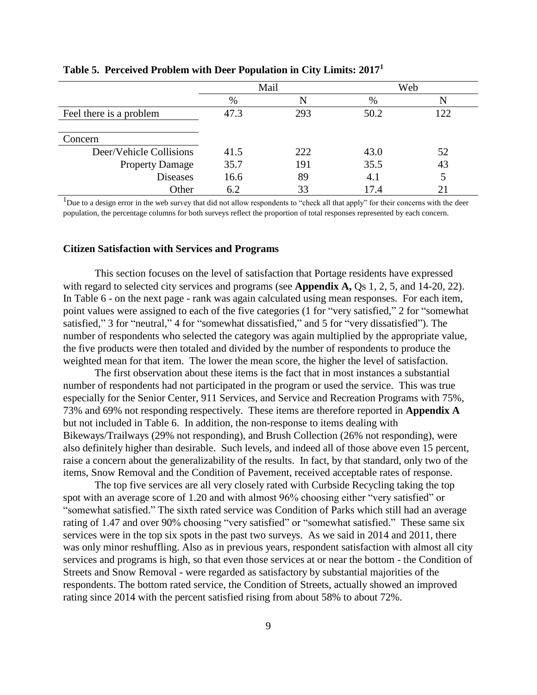|                         |      | Mail | Web  |     |
|-------------------------|------|------|------|-----|
|                         | %    | N    | $\%$ | N   |
| Feel there is a problem | 47.3 | 293  | 50.2 | 122 |
|                         |      |      |      |     |
| Concern                 |      |      |      |     |
| Deer/Vehicle Collisions | 41.5 | 222  | 43.0 | 52  |
| <b>Property Damage</b>  | 35.7 | 191  | 35.5 | 43  |
| <b>Diseases</b>         | 16.6 | 89   | 4.1  |     |
| Other                   | 6.2  | 33   | 17.4 | 21  |

#### **Table 5. Perceived Problem with Deer Population in City Limits: 2017<sup>1</sup>**

 $1$ Due to a design error in the web survey that did not allow respondents to "check all that apply" for their concerns with the deer population, the percentage columns for both surveys reflect the proportion of total responses represented by each concern.

#### **Citizen Satisfaction with Services and Programs**

This section focuses on the level of satisfaction that Portage residents have expressed with regard to selected city services and programs (see **Appendix A, Qs** 1, 2, 5, and 14-20, 22). In Table 6 - on the next page - rank was again calculated using mean responses. For each item, point values were assigned to each of the five categories (1 for "very satisfied," 2 for "somewhat satisfied," 3 for "neutral," 4 for "somewhat dissatisfied," and 5 for "very dissatisfied"). The number of respondents who selected the category was again multiplied by the appropriate value, the five products were then totaled and divided by the number of respondents to produce the weighted mean for that item. The lower the mean score, the higher the level of satisfaction.

The first observation about these items is the fact that in most instances a substantial number of respondents had not participated in the program or used the service. This was true especially for the Senior Center, 911 Services, and Service and Recreation Programs with 75%, 73% and 69% not responding respectively. These items are therefore reported in **Appendix A** but not included in Table 6. In addition, the non-response to items dealing with Bikeways/Trailways (29% not responding), and Brush Collection (26% not responding), were also definitely higher than desirable. Such levels, and indeed all of those above even 15 percent, raise a concern about the generalizability of the results. In fact, by that standard, only two of the items, Snow Removal and the Condition of Pavement, received acceptable rates of response.

The top five services are all very closely rated with Curbside Recycling taking the top spot with an average score of 1.20 and with almost 96% choosing either "very satisfied" or "somewhat satisfied." The sixth rated service was Condition of Parks which still had an average rating of 1.47 and over 90% choosing "very satisfied" or "somewhat satisfied." These same six services were in the top six spots in the past two surveys. As we said in 2014 and 2011, there was only minor reshuffling. Also as in previous years, respondent satisfaction with almost all city services and programs is high, so that even those services at or near the bottom - the Condition of Streets and Snow Removal - were regarded as satisfactory by substantial majorities of the respondents. The bottom rated service, the Condition of Streets, actually showed an improved rating since 2014 with the percent satisfied rising from about 58% to about 72%.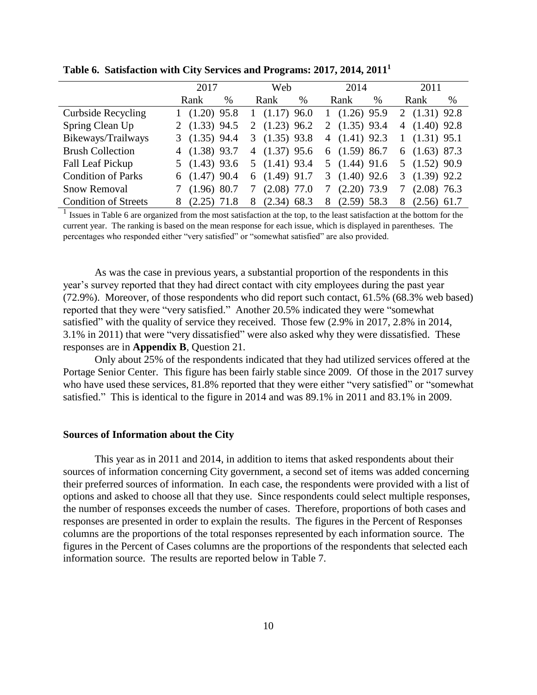|                             | 2017           |   | Web                |   | 2014            |      | 2011               |   |
|-----------------------------|----------------|---|--------------------|---|-----------------|------|--------------------|---|
|                             | Rank           | % | Rank               | % | Rank            | $\%$ | Rank               | % |
| <b>Curbside Recycling</b>   | $1(1.20)$ 95.8 |   | $1(1.17)$ 96.0     |   | $1(1.26)$ 95.9  |      | $2(1.31)$ 92.8     |   |
| Spring Clean Up             | $2(1.33)$ 94.5 |   | $2(1.23)$ 96.2     |   | $2(1.35)$ 93.4  |      | $4(1.40)$ 92.8     |   |
| Bikeways/Trailways          | $3(1.35)$ 94.4 |   | $3(1.35)$ 93.8     |   | 4 $(1.41)$ 92.3 |      | $(1.31)$ 95.1<br>1 |   |
| <b>Brush Collection</b>     | $4(1.38)$ 93.7 |   | 4 $(1.37)$ 95.6    |   | 6(1.59)86.7     |      | 6(1.63)87.3        |   |
| Fall Leaf Pickup            | $5(1.43)$ 93.6 |   | $5(1.41)$ 93.4     |   | $5(1.44)$ 91.6  |      | $5(1.52)$ 90.9     |   |
| <b>Condition of Parks</b>   | $6(1.47)$ 90.4 |   | $6(1.49)$ 91.7     |   | $3(1.40)$ 92.6  |      | $3(1.39)$ 92.2     |   |
| Snow Removal                | 7(1.96)80.7    |   | $7(2.08)$ 77.0     |   | $7(2.20)$ 73.9  |      | $(2.08)$ 76.3<br>7 |   |
| <b>Condition of Streets</b> | $8(2.25)$ 71.8 |   | $(2.34)$ 68.3<br>8 |   | 8 (2.59) 58.3   |      | $(2.56)$ 61.7<br>8 |   |

**Table 6. Satisfaction with City Services and Programs: 2017, 2014, 2011<sup>1</sup>**

 $<sup>1</sup>$  Issues in Table 6 are organized from the most satisfaction at the top, to the least satisfaction at the bottom for the</sup> current year. The ranking is based on the mean response for each issue, which is displayed in parentheses. The percentages who responded either "very satisfied" or "somewhat satisfied" are also provided.

As was the case in previous years, a substantial proportion of the respondents in this year's survey reported that they had direct contact with city employees during the past year (72.9%). Moreover, of those respondents who did report such contact, 61.5% (68.3% web based) reported that they were "very satisfied." Another 20.5% indicated they were "somewhat satisfied" with the quality of service they received. Those few (2.9% in 2017, 2.8% in 2014, 3.1% in 2011) that were "very dissatisfied" were also asked why they were dissatisfied. These responses are in **Appendix B**, Question 21.

Only about 25% of the respondents indicated that they had utilized services offered at the Portage Senior Center. This figure has been fairly stable since 2009. Of those in the 2017 survey who have used these services, 81.8% reported that they were either "very satisfied" or "somewhat satisfied." This is identical to the figure in 2014 and was 89.1% in 2011 and 83.1% in 2009.

## **Sources of Information about the City**

This year as in 2011 and 2014, in addition to items that asked respondents about their sources of information concerning City government, a second set of items was added concerning their preferred sources of information. In each case, the respondents were provided with a list of options and asked to choose all that they use. Since respondents could select multiple responses, the number of responses exceeds the number of cases. Therefore, proportions of both cases and responses are presented in order to explain the results. The figures in the Percent of Responses columns are the proportions of the total responses represented by each information source. The figures in the Percent of Cases columns are the proportions of the respondents that selected each information source. The results are reported below in Table 7.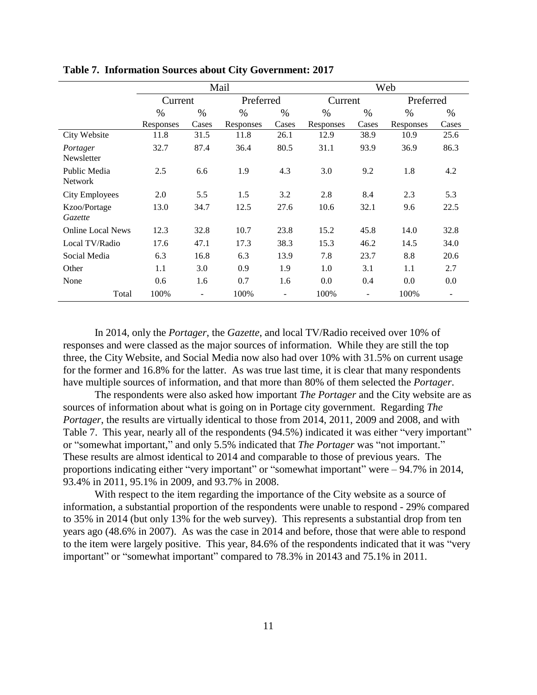|                                |           | Mail       | Web       |                          |           |                |           |                          |  |
|--------------------------------|-----------|------------|-----------|--------------------------|-----------|----------------|-----------|--------------------------|--|
|                                | Current   |            | Preferred |                          | Current   |                | Preferred |                          |  |
|                                | $\%$      | $\%$       | $\%$      | $\%$                     | $\%$      | $\%$           | $\%$      | $\%$                     |  |
|                                | Responses | Cases      | Responses | Cases                    | Responses | Cases          | Responses | Cases                    |  |
| City Website                   | 11.8      | 31.5       | 11.8      | 26.1                     | 12.9      | 38.9           | 10.9      | 25.6                     |  |
| Portager<br>Newsletter         | 32.7      | 87.4       | 36.4      | 80.5                     | 31.1      | 93.9           | 36.9      | 86.3                     |  |
| Public Media<br><b>Network</b> | 2.5       | 1.9<br>6.6 |           | 4.3                      |           | 3.0<br>9.2     |           | 4.2                      |  |
| <b>City Employees</b>          | 2.0       | 5.5        | 1.5       | 3.2                      | 2.8       | 8.4            | 2.3       | 5.3                      |  |
| Kzoo/Portage<br>Gazette        | 13.0      | 34.7       | 12.5      | 27.6                     | 10.6      | 32.1           | 9.6       | 22.5                     |  |
| <b>Online Local News</b>       | 12.3      | 32.8       | 10.7      | 23.8                     | 15.2      | 45.8           | 14.0      | 32.8                     |  |
| Local TV/Radio                 | 17.6      | 47.1       | 17.3      | 38.3                     | 15.3      | 46.2           | 14.5      | 34.0                     |  |
| Social Media                   | 6.3       | 16.8       | 6.3       | 13.9                     | 7.8       | 23.7           | 8.8       | 20.6                     |  |
| Other                          | 1.1       | 3.0        | 0.9       | 1.9                      | 1.0       | 3.1            | 1.1       | 2.7                      |  |
| None                           | 0.6       | 1.6        | 0.7       | 1.6                      | 0.0       | 0.4            | 0.0       | 0.0                      |  |
| Total                          | 100%      | ۰          | 100%      | $\overline{\phantom{a}}$ | 100%      | $\overline{a}$ | 100%      | $\overline{\phantom{a}}$ |  |

**Table 7. Information Sources about City Government: 2017**

In 2014, only the *Portager*, the *Gazette*, and local TV/Radio received over 10% of responses and were classed as the major sources of information. While they are still the top three, the City Website, and Social Media now also had over 10% with 31.5% on current usage for the former and 16.8% for the latter. As was true last time, it is clear that many respondents have multiple sources of information, and that more than 80% of them selected the *Portager*.

The respondents were also asked how important *The Portager* and the City website are as sources of information about what is going on in Portage city government. Regarding *The Portager*, the results are virtually identical to those from 2014, 2011, 2009 and 2008, and with Table 7. This year, nearly all of the respondents (94.5%) indicated it was either "very important" or "somewhat important," and only 5.5% indicated that *The Portager* was "not important." These results are almost identical to 2014 and comparable to those of previous years. The proportions indicating either "very important" or "somewhat important" were – 94.7% in 2014, 93.4% in 2011, 95.1% in 2009, and 93.7% in 2008.

With respect to the item regarding the importance of the City website as a source of information, a substantial proportion of the respondents were unable to respond - 29% compared to 35% in 2014 (but only 13% for the web survey). This represents a substantial drop from ten years ago (48.6% in 2007). As was the case in 2014 and before, those that were able to respond to the item were largely positive. This year, 84.6% of the respondents indicated that it was "very important" or "somewhat important" compared to 78.3% in 20143 and 75.1% in 2011.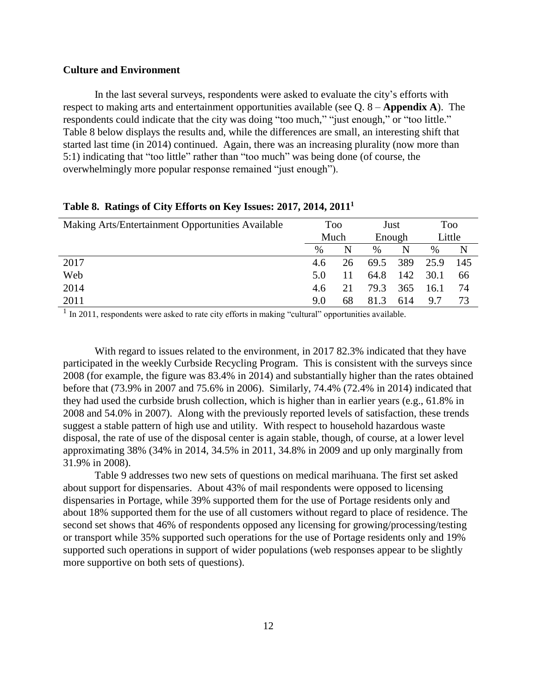#### **Culture and Environment**

In the last several surveys, respondents were asked to evaluate the city's efforts with respect to making arts and entertainment opportunities available (see Q. 8 – **Appendix A**). The respondents could indicate that the city was doing "too much," "just enough," or "too little." Table 8 below displays the results and, while the differences are small, an interesting shift that started last time (in 2014) continued. Again, there was an increasing plurality (now more than 5:1) indicating that "too little" rather than "too much" was being done (of course, the overwhelmingly more popular response remained "just enough").

| Making Arts/Entertainment Opportunities Available | <b>Too</b> |    | Just   |     | Too    |     |
|---------------------------------------------------|------------|----|--------|-----|--------|-----|
|                                                   | Much       |    | Enough |     | Little |     |
|                                                   | $\%$       | N  | %      | N   | $\%$   | N   |
| 2017                                              | 4.6        | 26 | 69.5   | 389 | 25.9   | 145 |
| Web                                               | 5.0        | 11 | 64.8   | 142 | 30.1   | 66  |
| 2014                                              | 4.6        | 21 | 79.3   | 365 | 16.1   | 74  |
| 2011                                              | 9.0        | 68 | 81.3   | 614 | 9.7    | 73  |

#### **Table 8. Ratings of City Efforts on Key Issues: 2017, 2014, 2011<sup>1</sup>**

 $<sup>1</sup>$  In 2011, respondents were asked to rate city efforts in making "cultural" opportunities available.</sup>

With regard to issues related to the environment, in 2017 82.3% indicated that they have participated in the weekly Curbside Recycling Program. This is consistent with the surveys since 2008 (for example, the figure was 83.4% in 2014) and substantially higher than the rates obtained before that (73.9% in 2007 and 75.6% in 2006). Similarly, 74.4% (72.4% in 2014) indicated that they had used the curbside brush collection, which is higher than in earlier years (e.g., 61.8% in 2008 and 54.0% in 2007). Along with the previously reported levels of satisfaction, these trends suggest a stable pattern of high use and utility. With respect to household hazardous waste disposal, the rate of use of the disposal center is again stable, though, of course, at a lower level approximating 38% (34% in 2014, 34.5% in 2011, 34.8% in 2009 and up only marginally from 31.9% in 2008).

Table 9 addresses two new sets of questions on medical marihuana. The first set asked about support for dispensaries. About 43% of mail respondents were opposed to licensing dispensaries in Portage, while 39% supported them for the use of Portage residents only and about 18% supported them for the use of all customers without regard to place of residence. The second set shows that 46% of respondents opposed any licensing for growing/processing/testing or transport while 35% supported such operations for the use of Portage residents only and 19% supported such operations in support of wider populations (web responses appear to be slightly more supportive on both sets of questions).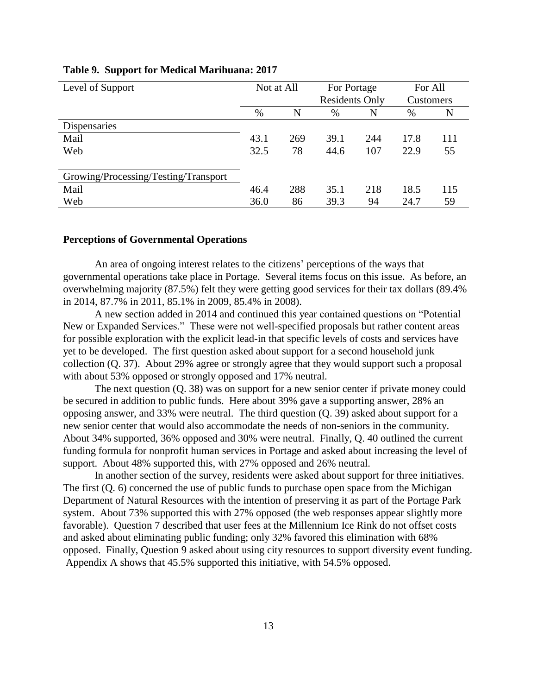| Level of Support                     | Not at All            |     | For Portage |     | For All |     |
|--------------------------------------|-----------------------|-----|-------------|-----|---------|-----|
|                                      | <b>Residents Only</b> |     | Customers   |     |         |     |
|                                      | $\%$                  | N   | %           | N   | $\%$    | N   |
| Dispensaries                         |                       |     |             |     |         |     |
| Mail                                 | 43.1                  | 269 | 39.1        | 244 | 17.8    | 111 |
| Web                                  | 32.5                  | 78  | 44.6        | 107 | 22.9    | 55  |
|                                      |                       |     |             |     |         |     |
| Growing/Processing/Testing/Transport |                       |     |             |     |         |     |
| Mail                                 | 46.4                  | 288 | 35.1        | 218 | 18.5    | 115 |
| Web                                  | 36.0                  | 86  | 39.3        | 94  | 24.7    | 59  |

#### **Table 9. Support for Medical Marihuana: 2017**

#### **Perceptions of Governmental Operations**

An area of ongoing interest relates to the citizens' perceptions of the ways that governmental operations take place in Portage. Several items focus on this issue. As before, an overwhelming majority (87.5%) felt they were getting good services for their tax dollars (89.4% in 2014, 87.7% in 2011, 85.1% in 2009, 85.4% in 2008).

A new section added in 2014 and continued this year contained questions on "Potential New or Expanded Services." These were not well-specified proposals but rather content areas for possible exploration with the explicit lead-in that specific levels of costs and services have yet to be developed. The first question asked about support for a second household junk collection (Q. 37). About 29% agree or strongly agree that they would support such a proposal with about 53% opposed or strongly opposed and 17% neutral.

The next question (Q. 38) was on support for a new senior center if private money could be secured in addition to public funds. Here about 39% gave a supporting answer, 28% an opposing answer, and 33% were neutral. The third question (Q. 39) asked about support for a new senior center that would also accommodate the needs of non-seniors in the community. About 34% supported, 36% opposed and 30% were neutral. Finally, Q. 40 outlined the current funding formula for nonprofit human services in Portage and asked about increasing the level of support. About 48% supported this, with 27% opposed and 26% neutral.

In another section of the survey, residents were asked about support for three initiatives. The first (Q. 6) concerned the use of public funds to purchase open space from the Michigan Department of Natural Resources with the intention of preserving it as part of the Portage Park system. About 73% supported this with 27% opposed (the web responses appear slightly more favorable). Question 7 described that user fees at the Millennium Ice Rink do not offset costs and asked about eliminating public funding; only 32% favored this elimination with 68% opposed. Finally, Question 9 asked about using city resources to support diversity event funding. Appendix A shows that 45.5% supported this initiative, with 54.5% opposed.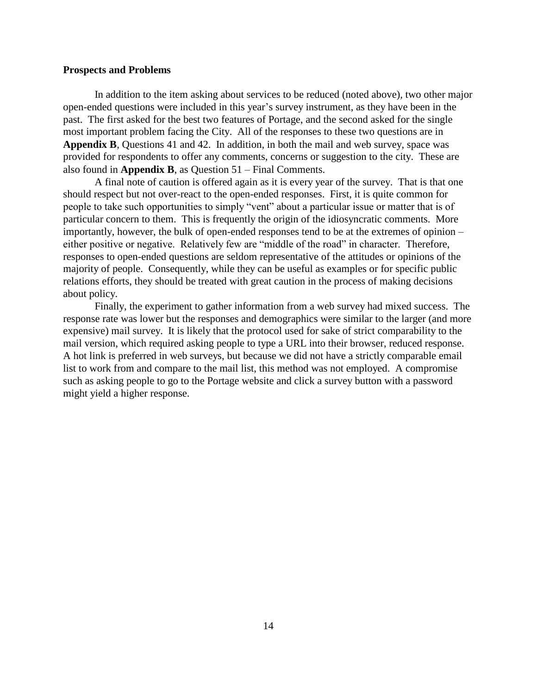#### **Prospects and Problems**

In addition to the item asking about services to be reduced (noted above), two other major open-ended questions were included in this year's survey instrument, as they have been in the past. The first asked for the best two features of Portage, and the second asked for the single most important problem facing the City. All of the responses to these two questions are in **Appendix B**, Questions 41 and 42. In addition, in both the mail and web survey, space was provided for respondents to offer any comments, concerns or suggestion to the city. These are also found in **Appendix B**, as Question 51 – Final Comments.

A final note of caution is offered again as it is every year of the survey. That is that one should respect but not over-react to the open-ended responses. First, it is quite common for people to take such opportunities to simply "vent" about a particular issue or matter that is of particular concern to them. This is frequently the origin of the idiosyncratic comments. More importantly, however, the bulk of open-ended responses tend to be at the extremes of opinion – either positive or negative. Relatively few are "middle of the road" in character. Therefore, responses to open-ended questions are seldom representative of the attitudes or opinions of the majority of people. Consequently, while they can be useful as examples or for specific public relations efforts, they should be treated with great caution in the process of making decisions about policy.

Finally, the experiment to gather information from a web survey had mixed success. The response rate was lower but the responses and demographics were similar to the larger (and more expensive) mail survey. It is likely that the protocol used for sake of strict comparability to the mail version, which required asking people to type a URL into their browser, reduced response. A hot link is preferred in web surveys, but because we did not have a strictly comparable email list to work from and compare to the mail list, this method was not employed. A compromise such as asking people to go to the Portage website and click a survey button with a password might yield a higher response.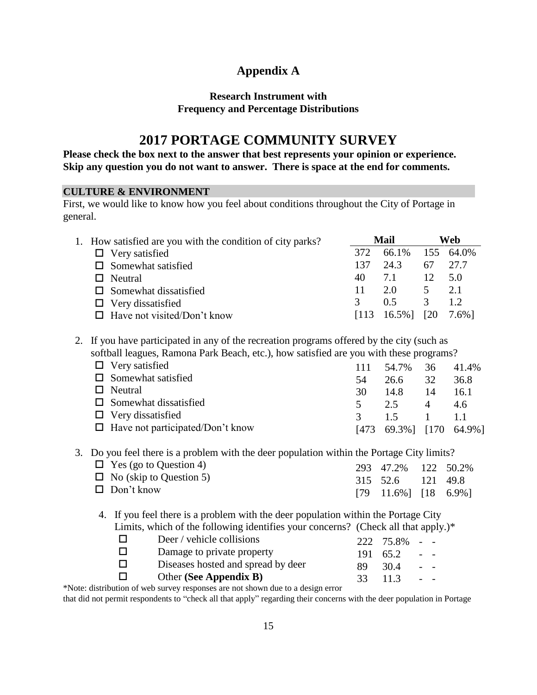## **Appendix A**

## **Research Instrument with Frequency and Percentage Distributions**

## **2017 PORTAGE COMMUNITY SURVEY**

**Please check the box next to the answer that best represents your opinion or experience. Skip any question you do not want to answer. There is space at the end for comments.**

#### **CULTURE & ENVIRONMENT**

First, we would like to know how you feel about conditions throughout the City of Portage in general.

| 1. How satisfied are you with the condition of city parks? |     | Mail   | Web           |           |
|------------------------------------------------------------|-----|--------|---------------|-----------|
| $\Box$ Very satisfied                                      | 372 | 66.1%  |               | 155 64.0% |
| $\Box$ Somewhat satisfied                                  | 137 | 24.3   | 67            | 27.7      |
| $\Box$ Neutral                                             | 40  | 7.1    | 12            | .5.O      |
| $\Box$ Somewhat dissatisfied                               | 11  | 2.0    | 5             | 2.1       |
| $\Box$ Very dissatisfied                                   | 3   | 0.5    | $\mathcal{R}$ | 12        |
| $\Box$ Have not visited/Don't know                         |     | 16.5%] | 120           | 7.6%1     |

2. If you have participated in any of the recreation programs offered by the city (such as softball leagues, Ramona Park Beach, etc.), how satisfied are you with these programs?

| $\Box$ Very satisfied                   | 111           | 54.7% 36 41.4%                      |           |       |
|-----------------------------------------|---------------|-------------------------------------|-----------|-------|
| $\Box$ Somewhat satisfied               | 54            | 26.6                                | 32        | 36.8  |
| $\Box$ Neutral                          | 30            | 14.8                                | 14        | -16.1 |
| $\Box$ Somewhat dissatisfied            |               | 2.5                                 | 4         | 4.6   |
| $\Box$ Very dissatisfied                | $\mathcal{R}$ | 1.5                                 | $-1 - 11$ |       |
| $\Box$ Have not participated/Don't know |               | $[473 \t 69.3\%]$ $[170 \t 64.9\%]$ |           |       |

#### 3. Do you feel there is a problem with the deer population within the Portage City limits?

| $\Box$ Yes (go to Question 4)  | 293 47.2% 122 50.2%            |  |
|--------------------------------|--------------------------------|--|
| $\Box$ No (skip to Question 5) | 315 52.6 121 49.8              |  |
| $\Box$ Don't know              | $[79 \t11.6\%]$ $[18 \t6.9\%]$ |  |

4. If you feel there is a problem with the deer population within the Portage City Limits, which of the following identifies your concerns? (Check all that apply.)\*

| $\perp$      | Deer / vehicle collisions          |     | $222 \t 75.8\%$ - - |                          |  |
|--------------|------------------------------------|-----|---------------------|--------------------------|--|
| $\mathsf{L}$ | Damage to private property         |     | 191 65.2            | <b>Contract Contract</b> |  |
| LΙ           | Diseases hosted and spread by deer | 89. | -30.4               | $\sim$ $ \sim$           |  |
|              | Other (See Appendix B)             | 33. | 11.3                | $\sim$ $ \sim$           |  |

\*Note: distribution of web survey responses are not shown due to a design error

that did not permit respondents to "check all that apply" regarding their concerns with the deer population in Portage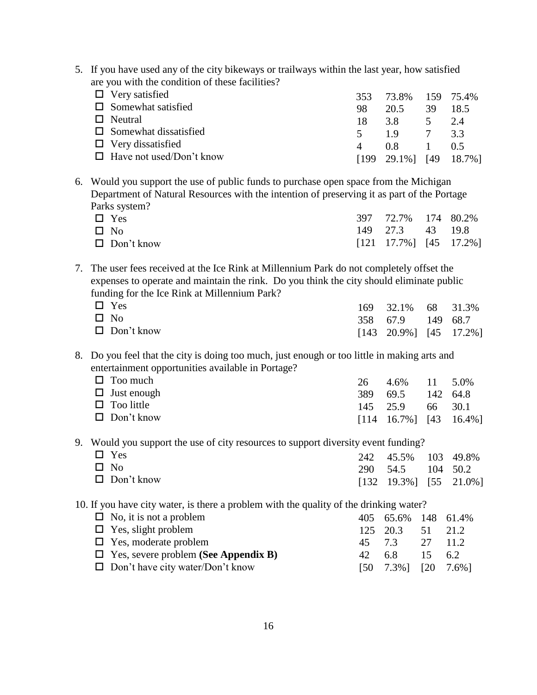| 5. If you have used any of the city bikeways or trailways within the last year, how satisfied |                                                                                            |                |        |            |        |  |  |
|-----------------------------------------------------------------------------------------------|--------------------------------------------------------------------------------------------|----------------|--------|------------|--------|--|--|
|                                                                                               | are you with the condition of these facilities?                                            |                |        |            |        |  |  |
|                                                                                               | $\Box$ Very satisfied                                                                      | 353            | 73.8%  | 159        | 75.4%  |  |  |
|                                                                                               | $\Box$ Somewhat satisfied                                                                  | 98             | 20.5   | 39         | 18.5   |  |  |
|                                                                                               | Neutral                                                                                    | 18             | 3.8    | 5          | 2.4    |  |  |
|                                                                                               | $\Box$ Somewhat dissatisfied                                                               | 5              | 1.9    | 7          | 3.3    |  |  |
|                                                                                               | $\Box$ Very dissatisfied                                                                   | $\overline{4}$ | 0.8    |            | 0.5    |  |  |
|                                                                                               | $\Box$ Have not used/Don't know                                                            | [199]          | 29.1%] | [49]       | 18.7%] |  |  |
| 6.                                                                                            | Would you support the use of public funds to purchase open space from the Michigan         |                |        |            |        |  |  |
|                                                                                               | Department of Natural Resources with the intention of preserving it as part of the Portage |                |        |            |        |  |  |
|                                                                                               | Parks system?                                                                              |                |        |            |        |  |  |
|                                                                                               | $\square$ Yes                                                                              | 397            | 72.7%  | 174        | 80.2%  |  |  |
|                                                                                               | $\Box$ No                                                                                  | 149            | 273    | $\Delta$ 3 | 10 R   |  |  |

| $\square$ No      | 149 27.3 43 19.8                 |  |
|-------------------|----------------------------------|--|
| $\Box$ Don't know | $[121 \t17.7\%]$ $[45 \t17.2\%]$ |  |

7. The user fees received at the Ice Rink at Millennium Park do not completely offset the expenses to operate and maintain the rink. Do you think the city should eliminate public funding for the Ice Rink at Millennium Park?

| $\Box$ Yes        | 169 32.1% 68 31.3%               |  |
|-------------------|----------------------------------|--|
| $\Box$ No         | 358 67.9 149 68.7                |  |
| $\Box$ Don't know | $[143 \t20.9\%]$ $[45 \t17.2\%]$ |  |

8. Do you feel that the city is doing too much, just enough or too little in making arts and entertainment opportunities available in Portage?

| $\Box$ Too much    | 26 | 4.6% 11 5.0%                     |  |
|--------------------|----|----------------------------------|--|
| $\Box$ Just enough |    | 389 69.5 142 64.8                |  |
| $\Box$ Too little  |    | 145 25.9 66 30.1                 |  |
| $\Box$ Don't know  |    | $[114 \t16.7\%]$ $[43 \t16.4\%]$ |  |

9. Would you support the use of city resources to support diversity event funding?

| $\Box$ Yes        | 242 45.5% 103 49.8%                                                                      |  |
|-------------------|------------------------------------------------------------------------------------------|--|
| $\square$ No      | 290 54.5 104 50.2                                                                        |  |
| $\Box$ Don't know | $\begin{bmatrix} 132 & 19.3\% \end{bmatrix}$ $\begin{bmatrix} 55 & 21.0\% \end{bmatrix}$ |  |

10. If you have city water, is there a problem with the quality of the drinking water?

| $\Box$ No, it is not a problem              | 405 65.6% 148 61.4%                                                                   |  |
|---------------------------------------------|---------------------------------------------------------------------------------------|--|
| $\Box$ Yes, slight problem                  | 125 20.3 51 21.2                                                                      |  |
| $\Box$ Yes, moderate problem                | 45 7.3 27 11.2                                                                        |  |
| $\Box$ Yes, severe problem (See Appendix B) | 42 6.8 15 6.2                                                                         |  |
| $\Box$ Don't have city water/Don't know     | $\begin{bmatrix} 50 & 7.3\% \end{bmatrix}$ $\begin{bmatrix} 20 & 7.6\% \end{bmatrix}$ |  |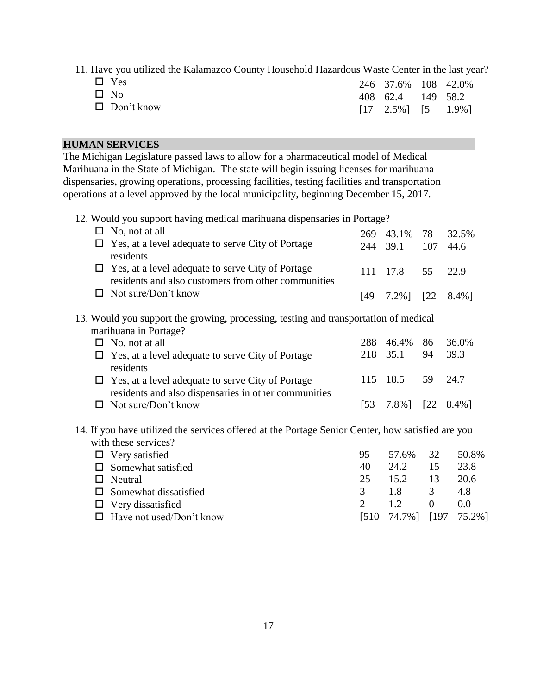| 11. Have you utilized the Kalamazoo County Household Hazardous Waste Center in the last year? |  |  |  |
|-----------------------------------------------------------------------------------------------|--|--|--|
|-----------------------------------------------------------------------------------------------|--|--|--|

| $\square$ Yes     | 246 37.6% 108 42.0%                                                                  |  |
|-------------------|--------------------------------------------------------------------------------------|--|
| $\square$ No      | 408 62.4 149 58.2                                                                    |  |
| $\Box$ Don't know | $\begin{bmatrix} 17 & 2.5\% \end{bmatrix}$ $\begin{bmatrix} 5 & 1.9\% \end{bmatrix}$ |  |

## **HUMAN SERVICES**

The Michigan Legislature passed laws to allow for a pharmaceutical model of Medical Marihuana in the State of Michigan. The state will begin issuing licenses for marihuana dispensaries, growing operations, processing facilities, testing facilities and transportation operations at a level approved by the local municipality, beginning December 15, 2017.

12. Would you support having medical marihuana dispensaries in Portage?

| $\Box$ | No, not at all                                                                                                            | 269             | 43.1%     | 78          | 32.5%         |
|--------|---------------------------------------------------------------------------------------------------------------------------|-----------------|-----------|-------------|---------------|
| Ц      | Yes, at a level adequate to serve City of Portage<br>residents                                                            | 244             | 39.1      | 107         | 44.6          |
| ш      | Yes, at a level adequate to serve City of Portage<br>residents and also customers from other communities                  | 111             | 17.8      | 55          | 22.9          |
| Ц      | Not sure/Don't know                                                                                                       | [49             | $7.2\%$ ] | $\sqrt{22}$ | 8.4%]         |
|        | 13. Would you support the growing, processing, testing and transportation of medical                                      |                 |           |             |               |
|        | marihuana in Portage?                                                                                                     |                 |           |             |               |
|        | $\Box$ No, not at all                                                                                                     | 288             | 46.4%     | 86          | 36.0%         |
| Ц      | Yes, at a level adequate to serve City of Portage<br>residents                                                            | 218             | 35.1      | 94          | 39.3          |
| ш      | Yes, at a level adequate to serve City of Portage<br>residents and also dispensaries in other communities                 |                 | 115 18.5  | 59          | 24.7          |
| $\Box$ | Not sure/Don't know                                                                                                       | $\overline{53}$ | 7.8%]     | $\sqrt{22}$ | 8.4%]         |
|        | 14. If you have utilized the services offered at the Portage Senior Center, how satisfied are you<br>with these services? |                 |           |             |               |
| Ц      | Very satisfied                                                                                                            | 95              | 57.6%     | 32          | 50.8%         |
| Ц      | Somewhat satisfied                                                                                                        | 40              | 24.2      | 15          | 23.8          |
| ⊔      | Neutral                                                                                                                   | 25              | 15.2      | 13          | 20.6          |
|        | Somewhat dissatisfied                                                                                                     | 3               | 1.8       | 3           | 4.8           |
|        |                                                                                                                           |                 | $\sim$    | $\sim$      | $\sim$ $\sim$ |

 $\Box$  Very dissatisfied  $\Box$  Have not used/Don't know 2 1.2 0 0.0 [510 74.7%] [197 75.2%]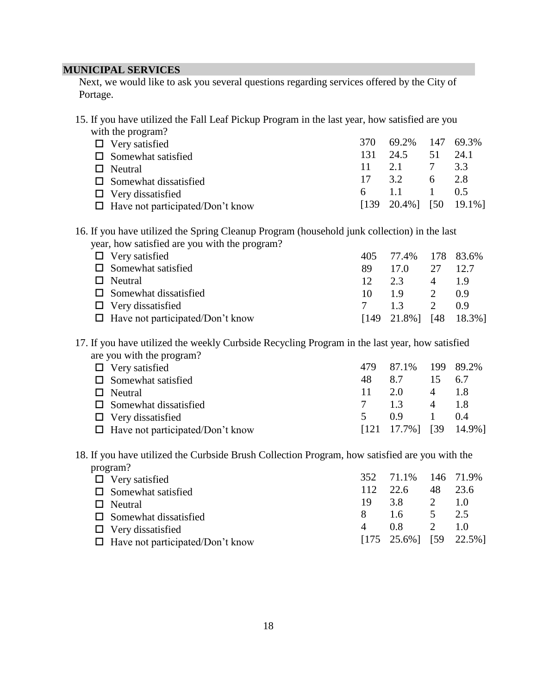### **MUNICIPAL SERVICES**

Next, we would like to ask you several questions regarding services offered by the City of Portage.

15. If you have utilized the Fall Leaf Pickup Program in the last year, how satisfied are you with the program?

| $\Box$ Very satisfied                   | 370 69.2% 147 69.3%              |  |
|-----------------------------------------|----------------------------------|--|
| $\Box$ Somewhat satisfied               | 131 24.5 51 24.1                 |  |
| $\Box$ Neutral                          | $11 \quad 2.1 \quad 7 \quad 3.3$ |  |
| $\Box$ Somewhat dissatisfied            | 17 3.2 6 2.8                     |  |
| $\Box$ Very dissatisfied                | 6 1.1 1 0.5                      |  |
| $\Box$ Have not participated/Don't know | $[139 \t20.4\%]$ $[50 \t19.1\%]$ |  |

16. If you have utilized the Spring Cleanup Program (household junk collection) in the last year, how satisfied are you with the program?

| $\Box$ Very satisfied                   |                 | 405 77.4% 178 83.6%              |                |         |
|-----------------------------------------|-----------------|----------------------------------|----------------|---------|
| $\Box$ Somewhat satisfied               |                 | 89 17.0                          |                | 27 12.7 |
| $\Box$ Neutral                          | 12 <sup>7</sup> | 2.3                              | $\overline{4}$ | -19     |
| $\Box$ Somewhat dissatisfied            |                 | $10 \t 1.9$                      | 2              | 0.9     |
| $\Box$ Very dissatisfied                |                 | 1.3                              | $\mathcal{D}$  | -0.9    |
| $\Box$ Have not participated/Don't know |                 | $[149 \t21.8\%]$ $[48 \t18.3\%]$ |                |         |

17. If you have utilized the weekly Curbside Recycling Program in the last year, how satisfied are you with the program?

| $\Box$ Very satisfied                   |        | 479 87.1% 199 89.2%              |                |     |
|-----------------------------------------|--------|----------------------------------|----------------|-----|
| $\Box$ Somewhat satisfied               | 48.    | 8.7                              | 15 6.7         |     |
| $\Box$ Neutral                          | 11     | 2.0                              | $\overline{4}$ | 1.8 |
| $\Box$ Somewhat dissatisfied            |        | 1.3                              | $\overline{4}$ | 1 X |
| $\Box$ Very dissatisfied                | $\sim$ | 0.9                              | $\sim$ 1       | 0.4 |
| $\Box$ Have not participated/Don't know |        | $[121 \t17.7\%]$ $[39 \t14.9\%]$ |                |     |

18. If you have utilized the Curbside Brush Collection Program, how satisfied are you with the program?

| $\Box$ Very satisfied                   |     | 352 71.1% 146 71.9%              |         |
|-----------------------------------------|-----|----------------------------------|---------|
| $\Box$ Somewhat satisfied               |     | 112 22.6                         | 48 23.6 |
| $\Box$ Neutral                          | 19. | 3.8 2 1.0                        |         |
| $\Box$ Somewhat dissatisfied            | 8   | 1.6 $5 \t 2.5$                   |         |
| $\Box$ Very dissatisfied                | 4   | $0.8$ 2 1.0                      |         |
| $\Box$ Have not participated/Don't know |     | $[175 \t25.6\%]$ $[59 \t22.5\%]$ |         |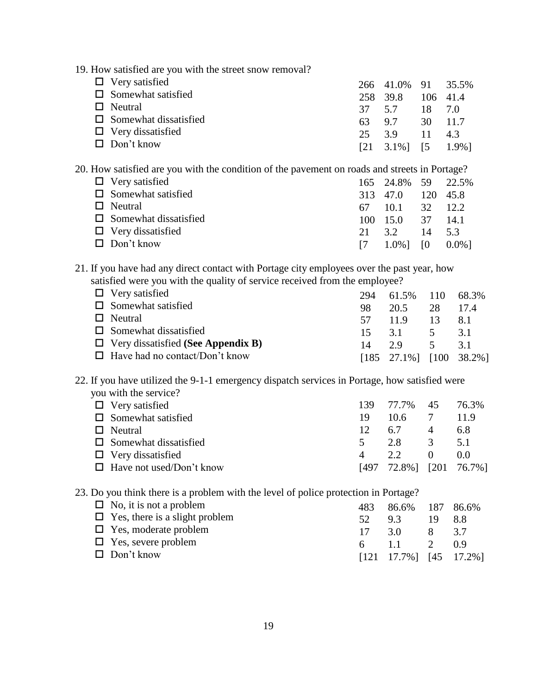| 19. How satisfied are you with the street snow removal?                                       |                   |           |                     |           |
|-----------------------------------------------------------------------------------------------|-------------------|-----------|---------------------|-----------|
| $\Box$ Very satisfied                                                                         | 266               | 41.0%     | 91                  | 35.5%     |
| $\square$ Somewhat satisfied                                                                  | 258               | 39.8      | 106                 | 41.4      |
| $\Box$ Neutral                                                                                | 37                | 5.7       | 18                  | 7.0       |
| Somewhat dissatisfied<br>$\Box$                                                               | 63                | 9.7       | 30                  | 11.7      |
| Very dissatisfied<br>$\Box$                                                                   | 25                | 3.9       | 11                  | 4.3       |
| Don't know<br>□                                                                               | [21]              | $3.1\%$ ] | $\left[5\right]$    | $1.9\%$ ] |
|                                                                                               |                   |           |                     |           |
| 20. How satisfied are you with the condition of the pavement on roads and streets in Portage? |                   |           |                     |           |
| $\Box$ Very satisfied                                                                         | 165               | 24.8%     | 59                  | 22.5%     |
| Somewhat satisfied<br>$\Box$                                                                  | 313               | 47.0      | 120                 | 45.8      |
| $\Box$ Neutral                                                                                | 67                | 10.1      | 32                  | 12.2      |
| Somewhat dissatisfied<br>$\Box$                                                               | 100               | 15.0      | 37                  | 14.1      |
| Very dissatisfied<br>$\Box$                                                                   | 21                | 3.2       | 14                  | 5.3       |
| $\Box$ Don't know                                                                             | $\lceil 7 \rceil$ | $1.0\%$ ] | [0]                 | $0.0\%$ ] |
|                                                                                               |                   |           |                     |           |
| 21. If you have had any direct contact with Portage city employees over the past year, how    |                   |           |                     |           |
| satisfied were you with the quality of service received from the employee?                    |                   |           |                     |           |
| Very satisfied<br>$\Box$                                                                      | 294               | 61.5%     | 110                 | 68.3%     |
| $\Box$ Somewhat satisfied                                                                     | 98                | 20.5      | 28                  | 17.4      |
| $\Box$ Neutral                                                                                | 57                | 11.9      | 13                  | 8.1       |
| Somewhat dissatisfied<br>$\Box$                                                               | 15                | 3.1       | 5 <sup>5</sup>      | 3.1       |
| $\Box$ Very dissatisfied (See Appendix B)                                                     | 14                | 2.9       | 5                   | 3.1       |
| Have had no contact/Don't know<br>$\Box$                                                      | $[185$            | 27.1%]    | $[100$              | 38.2%]    |
| 22. If you have utilized the 9-1-1 emergency dispatch services in Portage, how satisfied were |                   |           |                     |           |
| you with the service?                                                                         |                   |           |                     |           |
| Very satisfied<br>$\Box$                                                                      | 139               | 77.7%     | 45                  | 76.3%     |
| $\Box$ Somewhat satisfied                                                                     | 19                | 10.6      | 7                   | 11.9      |
| Neutral<br>$\Box$                                                                             | 12                | 6.7       | $\overline{4}$      | 6.8       |
| Somewhat dissatisfied<br>□                                                                    | 5                 | 2.8       | $\mathfrak{Z}$      | 5.1       |
| Very dissatisfied                                                                             | $\overline{4}$    | 2.2       | $\boldsymbol{0}$    | 0.0       |
| Have not used/Don't know                                                                      | [497]             | 72.8%]    | $\lceil 201 \rceil$ | 76.7%]    |
|                                                                                               |                   |           |                     |           |
| 23. Do you think there is a problem with the level of police protection in Portage?           |                   |           |                     |           |
| $\Box$ No, it is not a problem                                                                | 483               | 86.6%     | 187                 | 86.6%     |
| Yes, there is a slight problem                                                                | 52                | 9.3       | 19                  | 8.8       |
| Yes, moderate problem<br>$\Box$                                                               | 17                | 3.0       | 8                   | 3.7       |
| Yes, severe problem<br>ப                                                                      | 6                 | 1.1       | $\overline{2}$      | 0.9       |
| Don't know                                                                                    | $[121$            | 17.7%]    | $[45$               | 17.2%]    |
|                                                                                               |                   |           |                     |           |
|                                                                                               |                   |           |                     |           |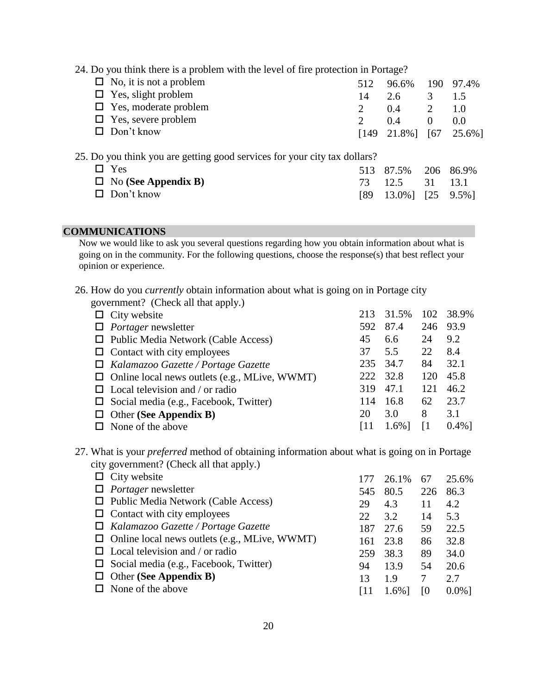24. Do you think there is a problem with the level of fire protection in Portage?

| $\Box$ No, it is not a problem                                            | 512   | 96.6%  |             | 190 97.4% |  |  |  |
|---------------------------------------------------------------------------|-------|--------|-------------|-----------|--|--|--|
| $\Box$ Yes, slight problem                                                | 14    | 2.6    | 3           | 1.5       |  |  |  |
| $\Box$ Yes, moderate problem                                              | 2     | 0.4    | 2           | 1.0       |  |  |  |
| $\Box$ Yes, severe problem                                                | 2     | 0.4    | $\Omega$    | 0.0       |  |  |  |
| $\Box$ Don't know                                                         | [149] | 21.8%] | [67]        | 25.6%]    |  |  |  |
| 25. Do you think you are getting good services for your city tax dollars? |       |        |             |           |  |  |  |
| $\Box$ Yes                                                                | 513   | 87.5%  | 206         | 86.9%     |  |  |  |
| $\Box$ No (See Appendix B)                                                | 73    | 12.5   | 31          | 13.1      |  |  |  |
| $\Box$ Don't know                                                         | [89   | 13.0%] | $\sqrt{25}$ | 9.5%]     |  |  |  |
|                                                                           |       |        |             |           |  |  |  |

#### **COMMUNICATIONS**

Now we would like to ask you several questions regarding how you obtain information about what is going on in the community. For the following questions, choose the response(s) that best reflect your opinion or experience.

26. How do you *currently* obtain information about what is going on in Portage city

government? (Check all that apply.)

| $\Box$ City website                                  | 213  | 31.5%    | 102 | 38.9%     |
|------------------------------------------------------|------|----------|-----|-----------|
| $\Box$ <i>Portager</i> newsletter                    | 592  | 87.4     | 246 | 93.9      |
| $\Box$ Public Media Network (Cable Access)           | 45   | 6.6      | 24  | 9.2       |
| $\Box$ Contact with city employees                   | 37   | 5.5      | 22  | 8.4       |
| $\Box$ Kalamazoo Gazette / Portage Gazette           | 235  | 34.7     | 84  | 32.1      |
| $\Box$ Online local news outlets (e.g., MLive, WWMT) |      | 222 32.8 | 120 | 45.8      |
| $\Box$ Local television and / or radio               | 319  | 47.1     | 121 | 46.2      |
| $\Box$ Social media (e.g., Facebook, Twitter)        | 114  | 16.8     | 62  | 23.7      |
| $\Box$ Other (See Appendix B)                        | 20   | 3.0      | 8   | 3.1       |
| $\Box$ None of the above                             | [11] | $1.6\%$  |     | $0.4\%$ ] |

27. What is your *preferred* method of obtaining information about what is going on in Portage city government? (Check all that apply.)

| $\Box$ City website                                  |     | 26.1%   | 67  | 25.6%     |
|------------------------------------------------------|-----|---------|-----|-----------|
| $\Box$ <i>Portager</i> newsletter                    | 545 | 80.5    | 226 | 86.3      |
| $\Box$ Public Media Network (Cable Access)           | 29  | 4.3     | 11  | 4.2       |
| $\Box$ Contact with city employees                   | 22  | 3.2     | 14  | 5.3       |
| $\Box$ Kalamazoo Gazette / Portage Gazette           | 187 | 27.6    | 59  | 22.5      |
| $\Box$ Online local news outlets (e.g., MLive, WWMT) | 161 | 23.8    | 86  | 32.8      |
| $\Box$ Local television and / or radio               | 259 | 38.3    | 89  | 34.0      |
| $\square$ Social media (e.g., Facebook, Twitter)     | 94  | 13.9    | 54  | 20.6      |
| $\Box$ Other (See Appendix B)                        | 13  | 1.9     |     | 2.7       |
| $\Box$ None of the above                             |     | $1.6\%$ |     | $0.0\%$ ] |
|                                                      |     |         |     |           |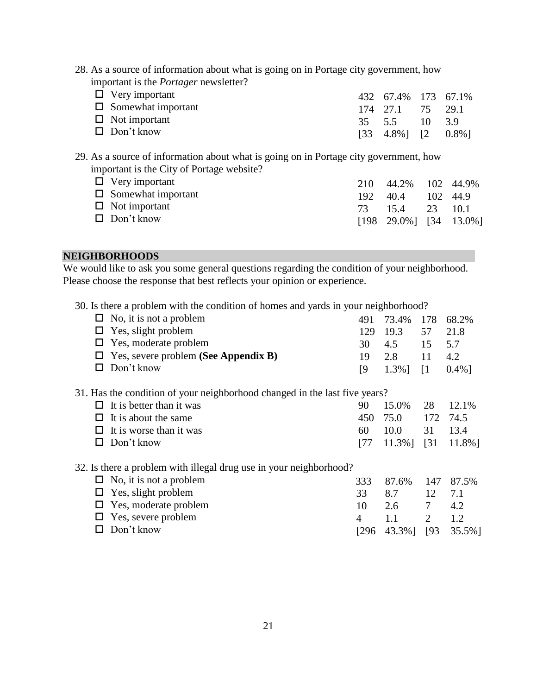28. As a source of information about what is going on in Portage city government, how important is the *Portager* newsletter?

| $\Box$ Very important     | 432 67.4% 173 67.1%                                                                  |  |
|---------------------------|--------------------------------------------------------------------------------------|--|
| $\Box$ Somewhat important | 174 27.1 75 29.1                                                                     |  |
| $\Box$ Not important      | 35 5.5 10 3.9                                                                        |  |
| $\Box$ Don't know         | $\begin{bmatrix} 33 & 4.8\% \end{bmatrix}$ $\begin{bmatrix} 2 & 0.8\% \end{bmatrix}$ |  |

29. As a source of information about what is going on in Portage city government, how important is the City of Portage website?

| 210 44.2% 102 44.9%              |
|----------------------------------|
| 192 40.4 102 44.9                |
| 73 15.4 23 10.1                  |
| $[198 \t29.0\%]$ $[34 \t13.0\%]$ |
|                                  |

## **NEIGHBORHOODS**

We would like to ask you some general questions regarding the condition of your neighborhood. Please choose the response that best reflects your opinion or experience.

30. Is there a problem with the condition of homes and yards in your neighborhood?

|              | $\Box$ No, it is not a problem                                             | 491            | 73.4%     | 178               | 68.2%     |
|--------------|----------------------------------------------------------------------------|----------------|-----------|-------------------|-----------|
| ш            | Yes, slight problem                                                        | 129            | 19.3      | 57                | 21.8      |
| ⊔            | Yes, moderate problem                                                      | 30             | 4.5       | 15                | 5.7       |
| Ц            | Yes, severe problem (See Appendix B)                                       | 19             | 2.8       | 11                | 4.2       |
| $\mathbf{L}$ | Don't know                                                                 | [9             | $1.3\%$ ] | $\lceil 1 \rceil$ | $0.4\%$ ] |
|              | 31. Has the condition of your neighborhood changed in the last five years? |                |           |                   |           |
| LΙ           | It is better than it was                                                   | 90             | 15.0%     | 28                | 12.1%     |
| Ц            | It is about the same                                                       | 450            | 75.0      | 172               | 74.5      |
| ш            | It is worse than it was                                                    | 60             | 10.0      | 31                | 13.4      |
| ш            | Don't know                                                                 | [77]           | 11.3%]    | $\sqrt{31}$       | 11.8%]    |
|              | 32. Is there a problem with illegal drug use in your neighborhood?         |                |           |                   |           |
|              | $\Box$ No, it is not a problem                                             | 333            | 87.6%     | 147               | 87.5%     |
| Ц            | Yes, slight problem                                                        | 33             | 8.7       | 12                | 7.1       |
| Ц            | Yes, moderate problem                                                      | 10             | 2.6       | $7\phantom{.0}$   | 4.2       |
| Ц            | Yes, severe problem                                                        | $\overline{4}$ | 1.1       | 2                 | 1.2       |
|              | Don't know                                                                 | [296]          | 43.3%]    | [93]              | 35.5%]    |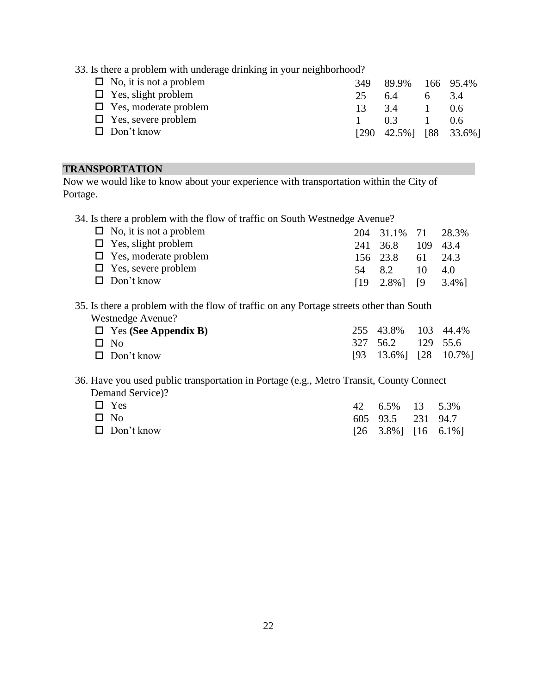33. Is there a problem with underage drinking in your neighborhood?

| $\Box$ No, it is not a problem |                   | 349 89.9% 166 95.4%                |          |      |
|--------------------------------|-------------------|------------------------------------|----------|------|
| $\Box$ Yes, slight problem     | 25                | 6.4                                | 6        | 3.4  |
| $\Box$ Yes, moderate problem   | 13                | 3.4                                |          | 0.6  |
| $\Box$ Yes, severe problem     | $\sim$ 1.0 $\sim$ | 03                                 | $\sim$ 1 | -0.6 |
| $\Box$ Don't know              |                   | $[290 \t 42.5\%]$ $[88 \t 33.6\%]$ |          |      |
|                                |                   |                                    |          |      |

## **TRANSPORTATION**

Now we would like to know about your experience with transportation within the City of Portage.

34. Is there a problem with the flow of traffic on South Westnedge Avenue?

| $\Box$ No, it is not a problem |        | 204 31.1% 71 28.3%                                                                   |                |  |
|--------------------------------|--------|--------------------------------------------------------------------------------------|----------------|--|
| $\Box$ Yes, slight problem     |        | 241 36.8 109 43.4                                                                    |                |  |
| $\Box$ Yes, moderate problem   |        | 156 23.8 61 24.3                                                                     |                |  |
| $\Box$ Yes, severe problem     | 54 8.2 |                                                                                      | $10 \quad 4.0$ |  |
| $\Box$ Don't know              |        | $\begin{bmatrix} 19 & 2.8\% \end{bmatrix}$ $\begin{bmatrix} 9 & 3.4\% \end{bmatrix}$ |                |  |

35. Is there a problem with the flow of traffic on any Portage streets other than South Westnedge Avenue?

| $\Box$ Yes (See Appendix B) | 255 43.8% 103 44.4%             |  |
|-----------------------------|---------------------------------|--|
| $\Box$ No                   | 327 56.2 129 55.6               |  |
| $\Box$ Don't know           | $[93 \t13.6\%]$ $[28 \t10.7\%]$ |  |

36. Have you used public transportation in Portage (e.g., Metro Transit, County Connect Demand Service)?

| $\Box$ Yes        | 42 6.5% 13 5.3%                                                                       |  |
|-------------------|---------------------------------------------------------------------------------------|--|
| $\Box$ No         | 605 93.5 231 94.7                                                                     |  |
| $\Box$ Don't know | $\begin{bmatrix} 26 & 3.8\% \end{bmatrix}$ $\begin{bmatrix} 16 & 6.1\% \end{bmatrix}$ |  |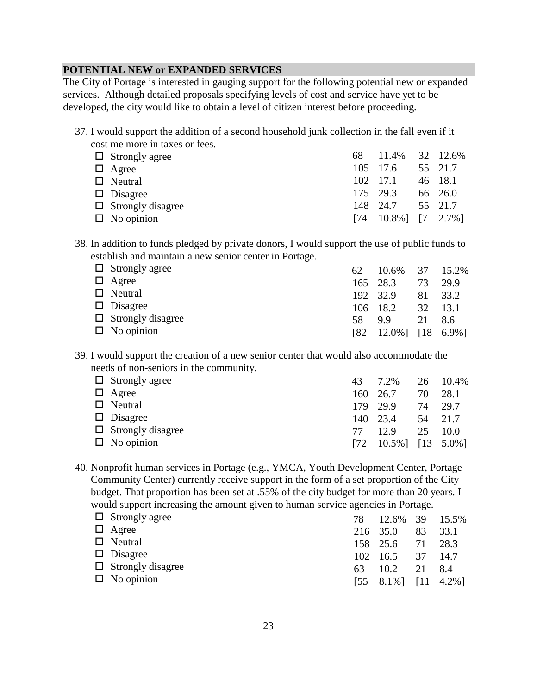#### **POTENTIAL NEW or EXPANDED SERVICES**

The City of Portage is interested in gauging support for the following potential new or expanded services. Although detailed proposals specifying levels of cost and service have yet to be developed, the city would like to obtain a level of citizen interest before proceeding.

37. I would support the addition of a second household junk collection in the fall even if it cost me more in taxes or fees.

| $\Box$ Strongly agree    | 68.  | 11.4% 32 12.6%      |         |
|--------------------------|------|---------------------|---------|
| $\Box$ Agree             |      | 105 17.6            | 55 21.7 |
| $\Box$ Neutral           |      | 102 17.1            | 46 18.1 |
| $\Box$ Disagree          |      | 175 29.3            | 66 26.0 |
| $\Box$ Strongly disagree |      | 148 24.7            | 55 21.7 |
| $\Box$ No opinion        | [74] | $10.8\%$ ] [7 2.7%] |         |

38. In addition to funds pledged by private donors, I would support the use of public funds to establish and maintain a new senior center in Portage.

| $\Box$ Strongly agree    | 62   | 10.6% 37 15.2% |        |                    |
|--------------------------|------|----------------|--------|--------------------|
| $\Box$ Agree             |      | 165 28.3       | 73     | 29.9               |
| $\Box$ Neutral           |      | 192 32.9       | 81     | 33.2               |
| $\Box$ Disagree          |      | 106 18.2       | 32     | -13.1              |
| $\Box$ Strongly disagree | 58   | 99             | 21 8.6 |                    |
| $\Box$ No opinion        | [82] | 12.0%]         |        | $[18 \quad 6.9\%]$ |

39. I would support the creation of a new senior center that would also accommodate the needs of non-seniors in the community.

| $\Box$ Strongly agree    | 43  | 7.2%       | 26 | 10.4%                                      |
|--------------------------|-----|------------|----|--------------------------------------------|
| $\Box$ Agree             | 160 | 26.7       | 70 | 28.1                                       |
| $\Box$ Neutral           | 179 | 29.9       | 74 | 29.7                                       |
| $\Box$ Disagree          | 140 | 23.4       | 54 | 21.7                                       |
| $\Box$ Strongly disagree | 77  | 12.9       | 25 | 10.0                                       |
| $\Box$ No opinion        | 172 | $10.5\%$ ] |    | $\begin{bmatrix} 13 & 5.0\% \end{bmatrix}$ |

40. Nonprofit human services in Portage (e.g., YMCA, Youth Development Center, Portage Community Center) currently receive support in the form of a set proportion of the City budget. That proportion has been set at .55% of the city budget for more than 20 years. I would support increasing the amount given to human service agencies in Portage.

| $\Box$ Strongly agree    |    | 78 12.6% 39 15.5%                         |        |         |
|--------------------------|----|-------------------------------------------|--------|---------|
| $\Box$ Agree             |    | 216 35.0                                  |        | 83 33.1 |
| $\Box$ Neutral           |    | 158 25.6 71 28.3                          |        |         |
| $\Box$ Disagree          |    | 102 16.5 37 14.7                          |        |         |
| $\Box$ Strongly disagree | 63 | 10.2                                      | 21 8.4 |         |
| $\Box$ No opinion        |    | $[55 \quad 8.1\%] \quad [11 \quad 4.2\%]$ |        |         |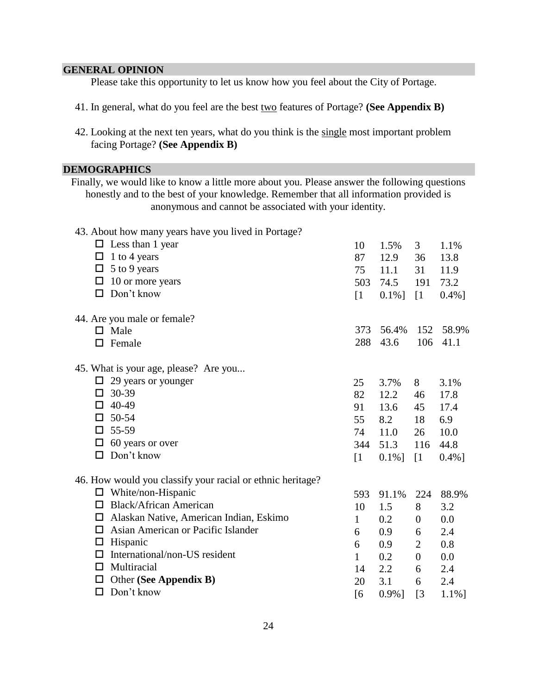## **GENERAL OPINION**

Please take this opportunity to let us know how you feel about the City of Portage.

- 41. In general, what do you feel are the best two features of Portage? **(See Appendix B)**
- 42. Looking at the next ten years, what do you think is the single most important problem facing Portage? **(See Appendix B)**

## **DEMOGRAPHICS**

Finally, we would like to know a little more about you. Please answer the following questions honestly and to the best of your knowledge. Remember that all information provided is anonymous and cannot be associated with your identity.

43. About how many years have you lived in Portage?

| $\Box$ | Less than 1 year                                           | 10                | 1.5%      | 3                 | 1.1%      |
|--------|------------------------------------------------------------|-------------------|-----------|-------------------|-----------|
| □      | 1 to 4 years                                               | 87                | 12.9      | 36                | 13.8      |
| □      | 5 to 9 years                                               | 75                | 11.1      | 31                | 11.9      |
| □      | 10 or more years                                           | 503               | 74.5      | 191               | 73.2      |
| ◻      | Don't know                                                 | $\lceil 1 \rceil$ | $0.1\%$ ] | $\lceil 1 \rceil$ | $0.4\%$ ] |
|        |                                                            |                   |           |                   |           |
|        | 44. Are you male or female?                                |                   |           |                   |           |
|        | $\Box$ Male                                                | 373               | 56.4%     | 152               | 58.9%     |
| ◻      | Female                                                     | 288               | 43.6      | 106               | 41.1      |
|        |                                                            |                   |           |                   |           |
|        | 45. What is your age, please? Are you                      |                   |           |                   |           |
|        | $\Box$ 29 years or younger                                 | 25                | 3.7%      | 8                 | 3.1%      |
| ◻      | 30-39                                                      | 82                | 12.2      | 46                | 17.8      |
| $\Box$ | 40-49                                                      | 91                | 13.6      | 45                | 17.4      |
| ◻      | 50-54                                                      | 55                | 8.2       | 18                | 6.9       |
| $\Box$ | 55-59                                                      | 74                | 11.0      | 26                | 10.0      |
| $\Box$ | 60 years or over                                           | 344               | 51.3      | 116               | 44.8      |
| ◻      | Don't know                                                 | [1]               | $0.1\%$ ] | $\lceil 1 \rceil$ | $0.4\%$ ] |
|        | 46. How would you classify your racial or ethnic heritage? |                   |           |                   |           |
| ப      | White/non-Hispanic                                         | 593               | 91.1%     | 224               | 88.9%     |
| □      | <b>Black/African American</b>                              | 10                | 1.5       | 8                 | 3.2       |
| $\Box$ | Alaskan Native, American Indian, Eskimo                    | $\mathbf{1}$      | 0.2       | $\boldsymbol{0}$  | 0.0       |
| ◻      | Asian American or Pacific Islander                         | 6                 | 0.9       | 6                 | 2.4       |
| □      | Hispanic                                                   | 6                 | 0.9       | $\overline{2}$    | 0.8       |
| □      | International/non-US resident                              | $\mathbf{1}$      | 0.2       | $\boldsymbol{0}$  | 0.0       |
| $\Box$ | Multiracial                                                | 14                | 2.2       | 6                 | 2.4       |
| □      | Other (See Appendix B)                                     | 20                | 3.1       | 6                 | 2.4       |
| ◻      | Don't know                                                 | [6]               | $0.9\%$ ] | $\overline{3}$    | $1.1\%$ ] |
|        |                                                            |                   |           |                   |           |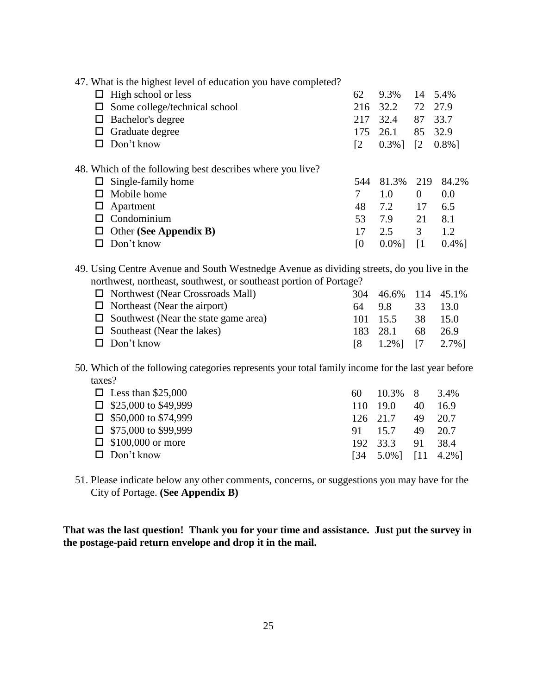| High school or less<br>62<br>9.3%<br>5.4%<br>14<br>ப<br>Some college/technical school<br>32.2<br>27.9<br>72<br>216<br>ப<br>Bachelor's degree<br>33.7<br>217<br>32.4<br>87<br>ப<br>Graduate degree<br>175<br>32.9<br>26.1<br>85<br>ப<br>Don't know<br>$\lceil 2 \rceil$<br>$0.8\%$ ]<br>$0.3\%$ ]<br>$\sqrt{2}$<br>48. Which of the following best describes where you live?<br>Single-family home<br>219<br>81.3%<br>84.2%<br>544<br>ப<br>Mobile home<br>7<br>1.0<br>0.0<br>$\theta$<br>ப<br>48<br>7.2<br>Apartment<br>17<br>6.5<br>◻<br>Condominium<br>53<br>7.9<br>21<br>8.1<br>ΙI<br>3<br>Other (See Appendix B)<br>17<br>2.5<br>1.2<br>ப<br>Don't know<br>[0]<br>$0.0\%$ ]<br>$0.4\%$ ]<br>П<br>$\lceil 1 \rceil$<br>49. Using Centre Avenue and South Westnedge Avenue as dividing streets, do you live in the<br>northwest, northeast, southwest, or southeast portion of Portage?<br>Northwest (Near Crossroads Mall)<br>45.1%<br>304<br>46.6%<br>114<br>□ |   | 47. What is the highest level of education you have completed? |    |     |    |      |
|-------------------------------------------------------------------------------------------------------------------------------------------------------------------------------------------------------------------------------------------------------------------------------------------------------------------------------------------------------------------------------------------------------------------------------------------------------------------------------------------------------------------------------------------------------------------------------------------------------------------------------------------------------------------------------------------------------------------------------------------------------------------------------------------------------------------------------------------------------------------------------------------------------------------------------------------------------------------|---|----------------------------------------------------------------|----|-----|----|------|
|                                                                                                                                                                                                                                                                                                                                                                                                                                                                                                                                                                                                                                                                                                                                                                                                                                                                                                                                                                   |   |                                                                |    |     |    |      |
|                                                                                                                                                                                                                                                                                                                                                                                                                                                                                                                                                                                                                                                                                                                                                                                                                                                                                                                                                                   |   |                                                                |    |     |    |      |
|                                                                                                                                                                                                                                                                                                                                                                                                                                                                                                                                                                                                                                                                                                                                                                                                                                                                                                                                                                   |   |                                                                |    |     |    |      |
|                                                                                                                                                                                                                                                                                                                                                                                                                                                                                                                                                                                                                                                                                                                                                                                                                                                                                                                                                                   |   |                                                                |    |     |    |      |
|                                                                                                                                                                                                                                                                                                                                                                                                                                                                                                                                                                                                                                                                                                                                                                                                                                                                                                                                                                   |   |                                                                |    |     |    |      |
|                                                                                                                                                                                                                                                                                                                                                                                                                                                                                                                                                                                                                                                                                                                                                                                                                                                                                                                                                                   |   |                                                                |    |     |    |      |
|                                                                                                                                                                                                                                                                                                                                                                                                                                                                                                                                                                                                                                                                                                                                                                                                                                                                                                                                                                   |   |                                                                |    |     |    |      |
|                                                                                                                                                                                                                                                                                                                                                                                                                                                                                                                                                                                                                                                                                                                                                                                                                                                                                                                                                                   |   |                                                                |    |     |    |      |
|                                                                                                                                                                                                                                                                                                                                                                                                                                                                                                                                                                                                                                                                                                                                                                                                                                                                                                                                                                   |   |                                                                |    |     |    |      |
|                                                                                                                                                                                                                                                                                                                                                                                                                                                                                                                                                                                                                                                                                                                                                                                                                                                                                                                                                                   |   |                                                                |    |     |    |      |
|                                                                                                                                                                                                                                                                                                                                                                                                                                                                                                                                                                                                                                                                                                                                                                                                                                                                                                                                                                   |   |                                                                |    |     |    |      |
|                                                                                                                                                                                                                                                                                                                                                                                                                                                                                                                                                                                                                                                                                                                                                                                                                                                                                                                                                                   |   |                                                                |    |     |    |      |
|                                                                                                                                                                                                                                                                                                                                                                                                                                                                                                                                                                                                                                                                                                                                                                                                                                                                                                                                                                   |   |                                                                |    |     |    |      |
|                                                                                                                                                                                                                                                                                                                                                                                                                                                                                                                                                                                                                                                                                                                                                                                                                                                                                                                                                                   |   |                                                                |    |     |    |      |
|                                                                                                                                                                                                                                                                                                                                                                                                                                                                                                                                                                                                                                                                                                                                                                                                                                                                                                                                                                   | ப | Northeast (Near the airport)                                   | 64 | 9.8 | 33 | 13.0 |
| Southwest (Near the state game area)<br>101<br>38<br>15.5<br>15.0                                                                                                                                                                                                                                                                                                                                                                                                                                                                                                                                                                                                                                                                                                                                                                                                                                                                                                 |   |                                                                |    |     |    |      |

 $\Box$  Don't know 50. Which of the following categories represents your total family income for the last year before [8 1.2%] [7 2.7%]

183 28.1 68 26.9

 $\square$  Southeast (Near the lakes)

taxes?  $\Box$  Less than \$25,000  $60 \t 10.306 \t 8.3406$ 

| $\Box$ Less than \$25,000   | $60 \quad 10.3\% \quad 8 \quad 3.4\%$                                                 |    |         |
|-----------------------------|---------------------------------------------------------------------------------------|----|---------|
| $\Box$ \$25,000 to \$49,999 | 110 19.0                                                                              | 40 | - 16.9  |
| $\Box$ \$50,000 to \$74,999 | 126 21.7                                                                              |    | 49 20.7 |
| $\Box$ \$75,000 to \$99,999 | 91 15.7                                                                               |    | 49 20.7 |
| $\Box$ \$100,000 or more    | 192 33.3 91 38.4                                                                      |    |         |
| $\Box$ Don't know           | $\begin{bmatrix} 34 & 5.0\% \end{bmatrix}$ $\begin{bmatrix} 11 & 4.2\% \end{bmatrix}$ |    |         |

51. Please indicate below any other comments, concerns, or suggestions you may have for the City of Portage. **(See Appendix B)**

**That was the last question! Thank you for your time and assistance. Just put the survey in the postage-paid return envelope and drop it in the mail.**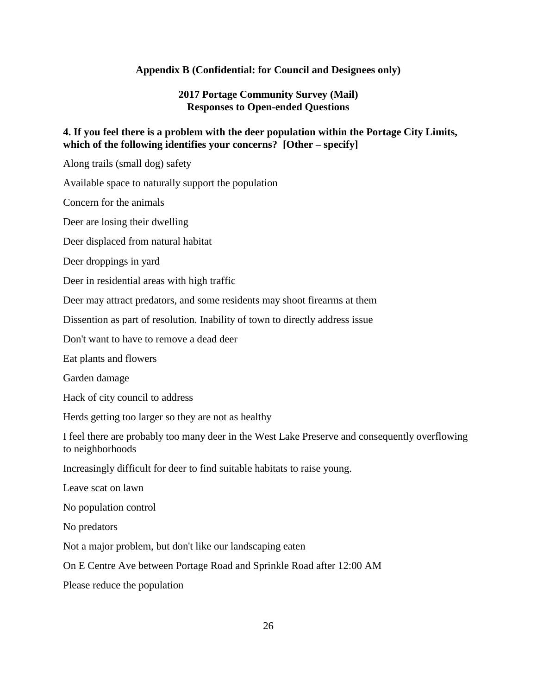## **Appendix B (Confidential: for Council and Designees only)**

## **2017 Portage Community Survey (Mail) Responses to Open-ended Questions**

## **4. If you feel there is a problem with the deer population within the Portage City Limits, which of the following identifies your concerns? [Other – specify]**

Along trails (small dog) safety

Available space to naturally support the population

Concern for the animals

Deer are losing their dwelling

Deer displaced from natural habitat

Deer droppings in yard

Deer in residential areas with high traffic

Deer may attract predators, and some residents may shoot firearms at them

Dissention as part of resolution. Inability of town to directly address issue

Don't want to have to remove a dead deer

Eat plants and flowers

Garden damage

Hack of city council to address

Herds getting too larger so they are not as healthy

I feel there are probably too many deer in the West Lake Preserve and consequently overflowing to neighborhoods

Increasingly difficult for deer to find suitable habitats to raise young.

Leave scat on lawn

No population control

No predators

Not a major problem, but don't like our landscaping eaten

On E Centre Ave between Portage Road and Sprinkle Road after 12:00 AM

Please reduce the population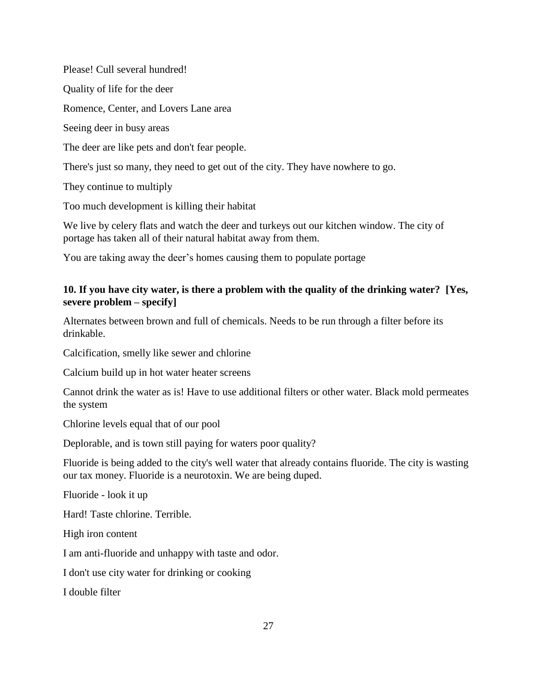Please! Cull several hundred! Quality of life for the deer Romence, Center, and Lovers Lane area Seeing deer in busy areas The deer are like pets and don't fear people. There's just so many, they need to get out of the city. They have nowhere to go. They continue to multiply Too much development is killing their habitat We live by celery flats and watch the deer and turkeys out our kitchen window. The city of portage has taken all of their natural habitat away from them.

You are taking away the deer's homes causing them to populate portage

## **10. If you have city water, is there a problem with the quality of the drinking water? [Yes, severe problem – specify]**

Alternates between brown and full of chemicals. Needs to be run through a filter before its drinkable.

Calcification, smelly like sewer and chlorine

Calcium build up in hot water heater screens

Cannot drink the water as is! Have to use additional filters or other water. Black mold permeates the system

Chlorine levels equal that of our pool

Deplorable, and is town still paying for waters poor quality?

Fluoride is being added to the city's well water that already contains fluoride. The city is wasting our tax money. Fluoride is a neurotoxin. We are being duped.

Fluoride - look it up

Hard! Taste chlorine. Terrible.

High iron content

I am anti-fluoride and unhappy with taste and odor.

I don't use city water for drinking or cooking

I double filter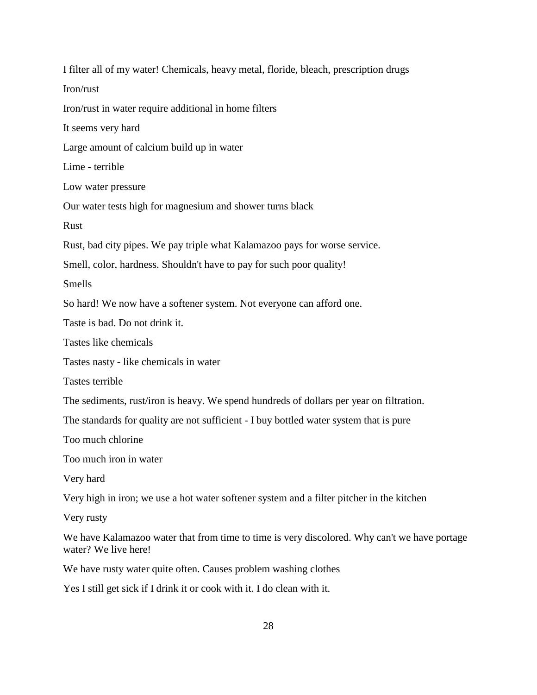I filter all of my water! Chemicals, heavy metal, floride, bleach, prescription drugs Iron/rust Iron/rust in water require additional in home filters It seems very hard Large amount of calcium build up in water Lime - terrible Low water pressure Our water tests high for magnesium and shower turns black Rust Rust, bad city pipes. We pay triple what Kalamazoo pays for worse service. Smell, color, hardness. Shouldn't have to pay for such poor quality! Smells So hard! We now have a softener system. Not everyone can afford one. Taste is bad. Do not drink it. Tastes like chemicals Tastes nasty - like chemicals in water Tastes terrible The sediments, rust/iron is heavy. We spend hundreds of dollars per year on filtration. The standards for quality are not sufficient - I buy bottled water system that is pure Too much chlorine Too much iron in water Very hard Very high in iron; we use a hot water softener system and a filter pitcher in the kitchen Very rusty We have Kalamazoo water that from time to time is very discolored. Why can't we have portage water? We live here! We have rusty water quite often. Causes problem washing clothes

Yes I still get sick if I drink it or cook with it. I do clean with it.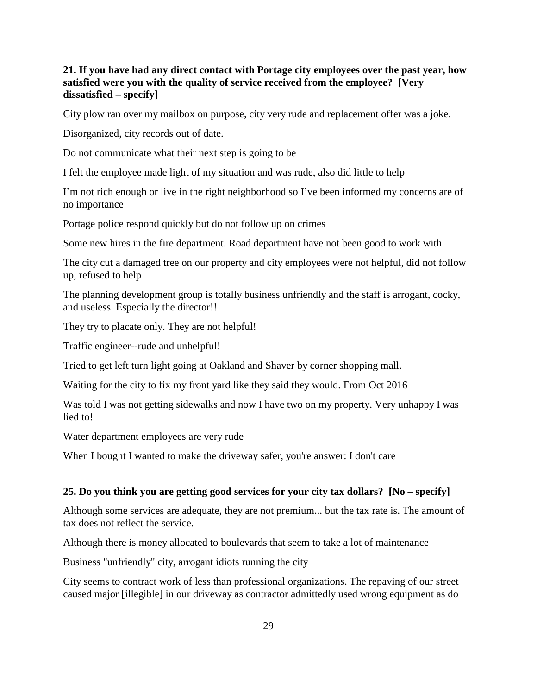## **21. If you have had any direct contact with Portage city employees over the past year, how satisfied were you with the quality of service received from the employee? [Very dissatisfied – specify]**

City plow ran over my mailbox on purpose, city very rude and replacement offer was a joke.

Disorganized, city records out of date.

Do not communicate what their next step is going to be

I felt the employee made light of my situation and was rude, also did little to help

I'm not rich enough or live in the right neighborhood so I've been informed my concerns are of no importance

Portage police respond quickly but do not follow up on crimes

Some new hires in the fire department. Road department have not been good to work with.

The city cut a damaged tree on our property and city employees were not helpful, did not follow up, refused to help

The planning development group is totally business unfriendly and the staff is arrogant, cocky, and useless. Especially the director!!

They try to placate only. They are not helpful!

Traffic engineer--rude and unhelpful!

Tried to get left turn light going at Oakland and Shaver by corner shopping mall.

Waiting for the city to fix my front yard like they said they would. From Oct 2016

Was told I was not getting sidewalks and now I have two on my property. Very unhappy I was lied to!

Water department employees are very rude

When I bought I wanted to make the driveway safer, you're answer: I don't care

#### **25. Do you think you are getting good services for your city tax dollars? [No – specify]**

Although some services are adequate, they are not premium... but the tax rate is. The amount of tax does not reflect the service.

Although there is money allocated to boulevards that seem to take a lot of maintenance

Business "unfriendly" city, arrogant idiots running the city

City seems to contract work of less than professional organizations. The repaving of our street caused major [illegible] in our driveway as contractor admittedly used wrong equipment as do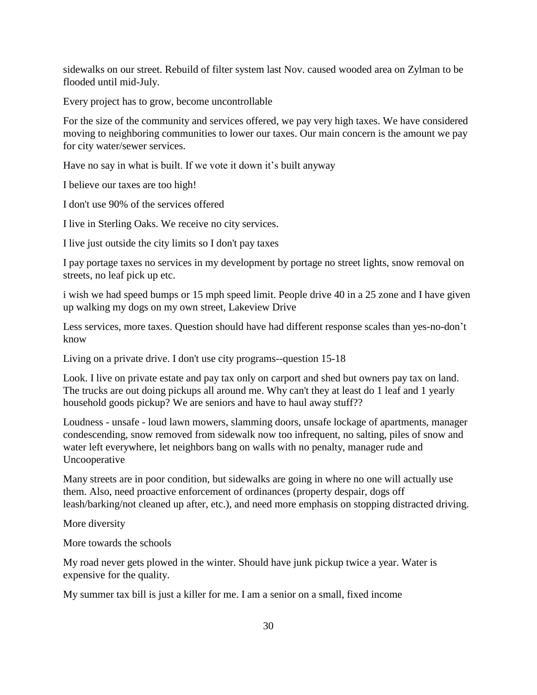sidewalks on our street. Rebuild of filter system last Nov. caused wooded area on Zylman to be flooded until mid-July.

Every project has to grow, become uncontrollable

For the size of the community and services offered, we pay very high taxes. We have considered moving to neighboring communities to lower our taxes. Our main concern is the amount we pay for city water/sewer services.

Have no say in what is built. If we vote it down it's built anyway

I believe our taxes are too high!

I don't use 90% of the services offered

I live in Sterling Oaks. We receive no city services.

I live just outside the city limits so I don't pay taxes

I pay portage taxes no services in my development by portage no street lights, snow removal on streets, no leaf pick up etc.

i wish we had speed bumps or 15 mph speed limit. People drive 40 in a 25 zone and I have given up walking my dogs on my own street, Lakeview Drive

Less services, more taxes. Question should have had different response scales than yes-no-don't know

Living on a private drive. I don't use city programs--question 15-18

Look. I live on private estate and pay tax only on carport and shed but owners pay tax on land. The trucks are out doing pickups all around me. Why can't they at least do 1 leaf and 1 yearly household goods pickup? We are seniors and have to haul away stuff??

Loudness - unsafe - loud lawn mowers, slamming doors, unsafe lockage of apartments, manager condescending, snow removed from sidewalk now too infrequent, no salting, piles of snow and water left everywhere, let neighbors bang on walls with no penalty, manager rude and Uncooperative

Many streets are in poor condition, but sidewalks are going in where no one will actually use them. Also, need proactive enforcement of ordinances (property despair, dogs off leash/barking/not cleaned up after, etc.), and need more emphasis on stopping distracted driving.

More diversity

More towards the schools

My road never gets plowed in the winter. Should have junk pickup twice a year. Water is expensive for the quality.

My summer tax bill is just a killer for me. I am a senior on a small, fixed income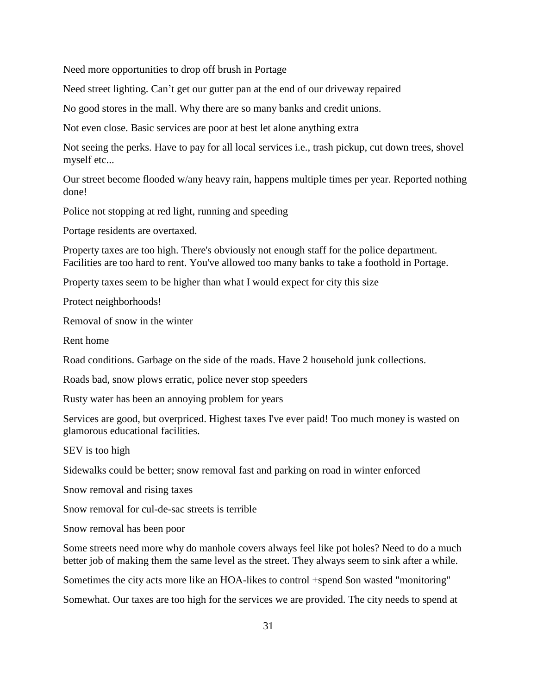Need more opportunities to drop off brush in Portage

Need street lighting. Can't get our gutter pan at the end of our driveway repaired

No good stores in the mall. Why there are so many banks and credit unions.

Not even close. Basic services are poor at best let alone anything extra

Not seeing the perks. Have to pay for all local services i.e., trash pickup, cut down trees, shovel myself etc...

Our street become flooded w/any heavy rain, happens multiple times per year. Reported nothing done!

Police not stopping at red light, running and speeding

Portage residents are overtaxed.

Property taxes are too high. There's obviously not enough staff for the police department. Facilities are too hard to rent. You've allowed too many banks to take a foothold in Portage.

Property taxes seem to be higher than what I would expect for city this size

Protect neighborhoods!

Removal of snow in the winter

Rent home

Road conditions. Garbage on the side of the roads. Have 2 household junk collections.

Roads bad, snow plows erratic, police never stop speeders

Rusty water has been an annoying problem for years

Services are good, but overpriced. Highest taxes I've ever paid! Too much money is wasted on glamorous educational facilities.

SEV is too high

Sidewalks could be better; snow removal fast and parking on road in winter enforced

Snow removal and rising taxes

Snow removal for cul-de-sac streets is terrible

Snow removal has been poor

Some streets need more why do manhole covers always feel like pot holes? Need to do a much better job of making them the same level as the street. They always seem to sink after a while.

Sometimes the city acts more like an HOA-likes to control +spend \$on wasted "monitoring"

Somewhat. Our taxes are too high for the services we are provided. The city needs to spend at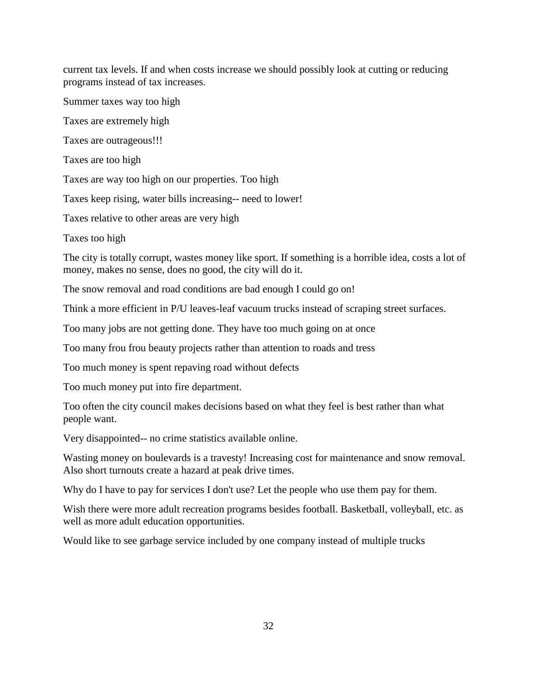current tax levels. If and when costs increase we should possibly look at cutting or reducing programs instead of tax increases.

Summer taxes way too high

Taxes are extremely high

Taxes are outrageous!!!

Taxes are too high

Taxes are way too high on our properties. Too high

Taxes keep rising, water bills increasing-- need to lower!

Taxes relative to other areas are very high

Taxes too high

The city is totally corrupt, wastes money like sport. If something is a horrible idea, costs a lot of money, makes no sense, does no good, the city will do it.

The snow removal and road conditions are bad enough I could go on!

Think a more efficient in P/U leaves-leaf vacuum trucks instead of scraping street surfaces.

Too many jobs are not getting done. They have too much going on at once

Too many frou frou beauty projects rather than attention to roads and tress

Too much money is spent repaving road without defects

Too much money put into fire department.

Too often the city council makes decisions based on what they feel is best rather than what people want.

Very disappointed-- no crime statistics available online.

Wasting money on boulevards is a travesty! Increasing cost for maintenance and snow removal. Also short turnouts create a hazard at peak drive times.

Why do I have to pay for services I don't use? Let the people who use them pay for them.

Wish there were more adult recreation programs besides football. Basketball, volleyball, etc. as well as more adult education opportunities.

Would like to see garbage service included by one company instead of multiple trucks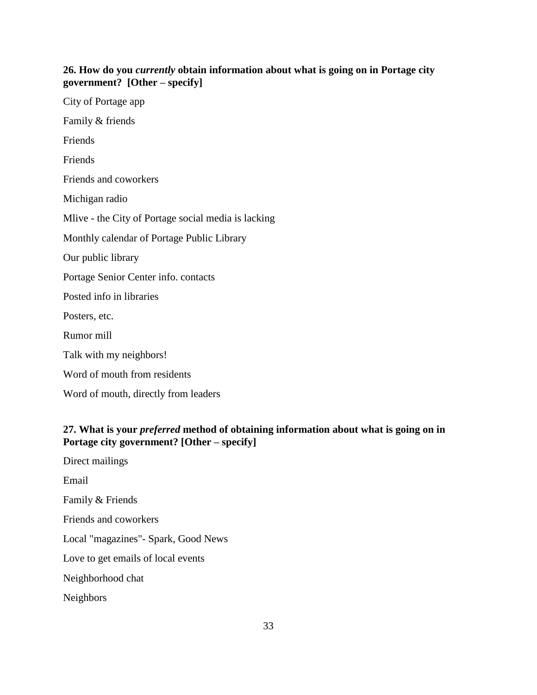## **26. How do you** *currently* **obtain information about what is going on in Portage city government? [Other – specify]**

City of Portage app

Family & friends

Friends

Friends

Friends and coworkers

Michigan radio

Mlive - the City of Portage social media is lacking

Monthly calendar of Portage Public Library

Our public library

Portage Senior Center info. contacts

Posted info in libraries

Posters, etc.

Rumor mill

Talk with my neighbors!

Word of mouth from residents

Word of mouth, directly from leaders

## **27. What is your** *preferred* **method of obtaining information about what is going on in Portage city government? [Other – specify]**

Direct mailings Email Family & Friends Friends and coworkers Local "magazines"- Spark, Good News Love to get emails of local events Neighborhood chat Neighbors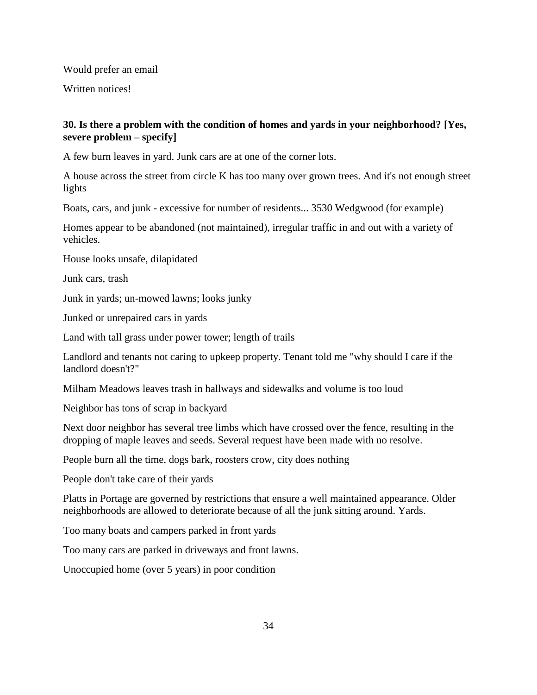Would prefer an email

Written notices!

## **30. Is there a problem with the condition of homes and yards in your neighborhood? [Yes, severe problem – specify]**

A few burn leaves in yard. Junk cars are at one of the corner lots.

A house across the street from circle K has too many over grown trees. And it's not enough street lights

Boats, cars, and junk - excessive for number of residents... 3530 Wedgwood (for example)

Homes appear to be abandoned (not maintained), irregular traffic in and out with a variety of vehicles.

House looks unsafe, dilapidated

Junk cars, trash

Junk in yards; un-mowed lawns; looks junky

Junked or unrepaired cars in yards

Land with tall grass under power tower; length of trails

Landlord and tenants not caring to upkeep property. Tenant told me "why should I care if the landlord doesn't?"

Milham Meadows leaves trash in hallways and sidewalks and volume is too loud

Neighbor has tons of scrap in backyard

Next door neighbor has several tree limbs which have crossed over the fence, resulting in the dropping of maple leaves and seeds. Several request have been made with no resolve.

People burn all the time, dogs bark, roosters crow, city does nothing

People don't take care of their yards

Platts in Portage are governed by restrictions that ensure a well maintained appearance. Older neighborhoods are allowed to deteriorate because of all the junk sitting around. Yards.

Too many boats and campers parked in front yards

Too many cars are parked in driveways and front lawns.

Unoccupied home (over 5 years) in poor condition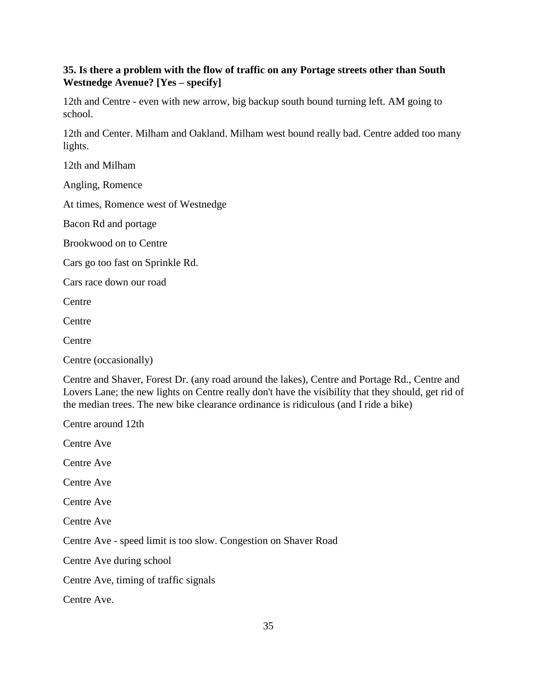## **35. Is there a problem with the flow of traffic on any Portage streets other than South Westnedge Avenue? [Yes – specify]**

12th and Centre - even with new arrow, big backup south bound turning left. AM going to school.

12th and Center. Milham and Oakland. Milham west bound really bad. Centre added too many lights.

12th and Milham

Angling, Romence

At times, Romence west of Westnedge

Bacon Rd and portage

Brookwood on to Centre

Cars go too fast on Sprinkle Rd.

Cars race down our road

**Centre** 

Centre

Centre

Centre (occasionally)

Centre and Shaver, Forest Dr. (any road around the lakes), Centre and Portage Rd., Centre and Lovers Lane; the new lights on Centre really don't have the visibility that they should, get rid of the median trees. The new bike clearance ordinance is ridiculous (and I ride a bike)

Centre around 12th Centre Ave Centre Ave Centre Ave Centre Ave Centre Ave Centre Ave - speed limit is too slow. Congestion on Shaver Road Centre Ave during school Centre Ave, timing of traffic signals Centre Ave.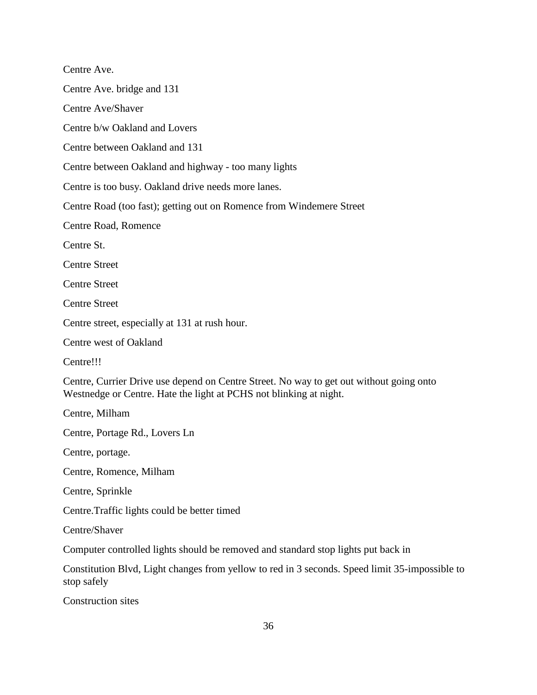Centre Ave.

Centre Ave. bridge and 131

Centre Ave/Shaver

Centre b/w Oakland and Lovers

Centre between Oakland and 131

Centre between Oakland and highway - too many lights

Centre is too busy. Oakland drive needs more lanes.

Centre Road (too fast); getting out on Romence from Windemere Street

Centre Road, Romence

Centre St.

Centre Street

Centre Street

Centre Street

Centre street, especially at 131 at rush hour.

Centre west of Oakland

Centre!!!

Centre, Currier Drive use depend on Centre Street. No way to get out without going onto Westnedge or Centre. Hate the light at PCHS not blinking at night.

Centre, Milham

Centre, Portage Rd., Lovers Ln

Centre, portage.

Centre, Romence, Milham

Centre, Sprinkle

Centre.Traffic lights could be better timed

Centre/Shaver

Computer controlled lights should be removed and standard stop lights put back in

Constitution Blvd, Light changes from yellow to red in 3 seconds. Speed limit 35-impossible to stop safely

Construction sites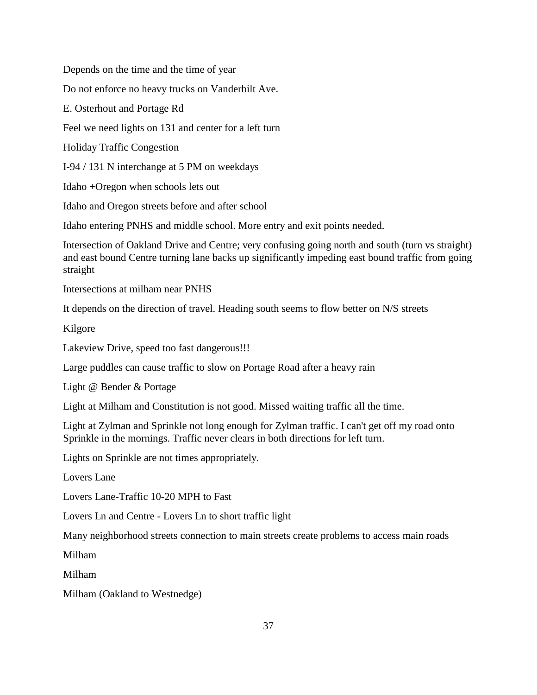Depends on the time and the time of year

Do not enforce no heavy trucks on Vanderbilt Ave.

E. Osterhout and Portage Rd

Feel we need lights on 131 and center for a left turn

Holiday Traffic Congestion

I-94 / 131 N interchange at 5 PM on weekdays

Idaho +Oregon when schools lets out

Idaho and Oregon streets before and after school

Idaho entering PNHS and middle school. More entry and exit points needed.

Intersection of Oakland Drive and Centre; very confusing going north and south (turn vs straight) and east bound Centre turning lane backs up significantly impeding east bound traffic from going straight

Intersections at milham near PNHS

It depends on the direction of travel. Heading south seems to flow better on N/S streets

Kilgore

Lakeview Drive, speed too fast dangerous!!!

Large puddles can cause traffic to slow on Portage Road after a heavy rain

Light @ Bender & Portage

Light at Milham and Constitution is not good. Missed waiting traffic all the time.

Light at Zylman and Sprinkle not long enough for Zylman traffic. I can't get off my road onto Sprinkle in the mornings. Traffic never clears in both directions for left turn.

Lights on Sprinkle are not times appropriately.

Lovers Lane

Lovers Lane-Traffic 10-20 MPH to Fast

Lovers Ln and Centre - Lovers Ln to short traffic light

Many neighborhood streets connection to main streets create problems to access main roads

Milham

Milham

Milham (Oakland to Westnedge)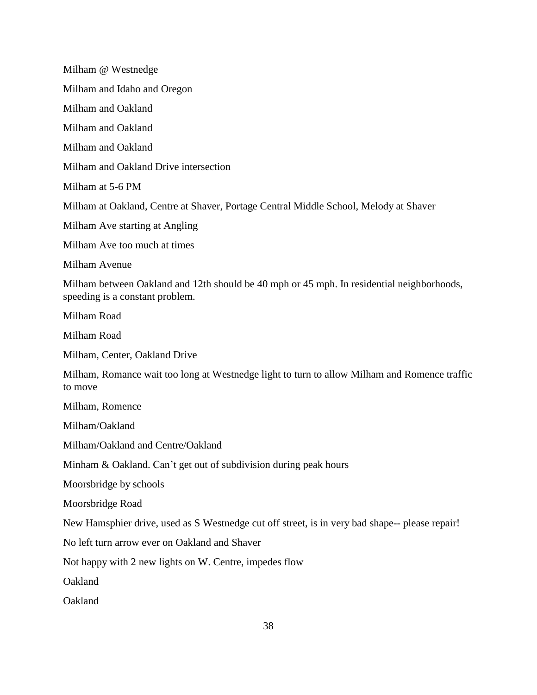Milham @ Westnedge

Milham and Idaho and Oregon

Milham and Oakland

Milham and Oakland

Milham and Oakland

Milham and Oakland Drive intersection

Milham at 5-6 PM

Milham at Oakland, Centre at Shaver, Portage Central Middle School, Melody at Shaver

Milham Ave starting at Angling

Milham Ave too much at times

Milham Avenue

Milham between Oakland and 12th should be 40 mph or 45 mph. In residential neighborhoods, speeding is a constant problem.

Milham Road

Milham Road

Milham, Center, Oakland Drive

Milham, Romance wait too long at Westnedge light to turn to allow Milham and Romence traffic to move

Milham, Romence

Milham/Oakland

Milham/Oakland and Centre/Oakland

Minham & Oakland. Can't get out of subdivision during peak hours

Moorsbridge by schools

Moorsbridge Road

New Hamsphier drive, used as S Westnedge cut off street, is in very bad shape-- please repair!

No left turn arrow ever on Oakland and Shaver

Not happy with 2 new lights on W. Centre, impedes flow

Oakland

Oakland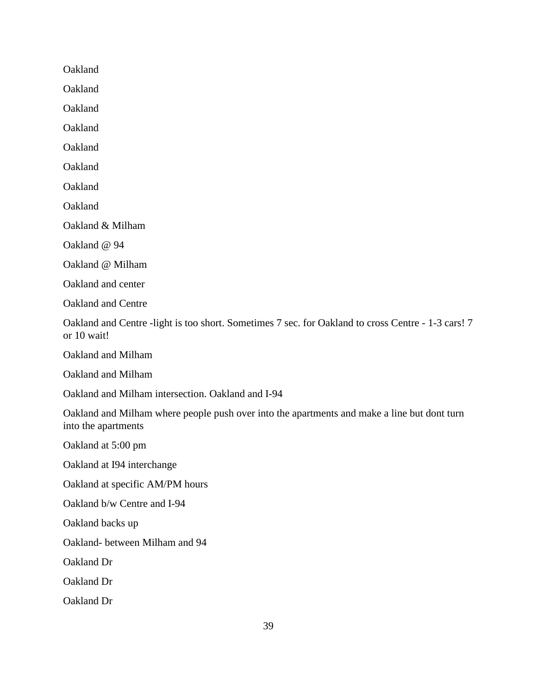Oakland

Oakland

Oakland

Oakland

Oakland

Oakland

Oakland

Oakland

Oakland & Milham

Oakland @ 94

Oakland @ Milham

Oakland and center

Oakland and Centre

Oakland and Centre -light is too short. Sometimes 7 sec. for Oakland to cross Centre - 1-3 cars! 7 or 10 wait!

Oakland and Milham

Oakland and Milham

Oakland and Milham intersection. Oakland and I-94

Oakland and Milham where people push over into the apartments and make a line but dont turn into the apartments

Oakland at 5:00 pm

Oakland at I94 interchange

Oakland at specific AM/PM hours

Oakland b/w Centre and I-94

Oakland backs up

Oakland- between Milham and 94

Oakland Dr

Oakland Dr

Oakland Dr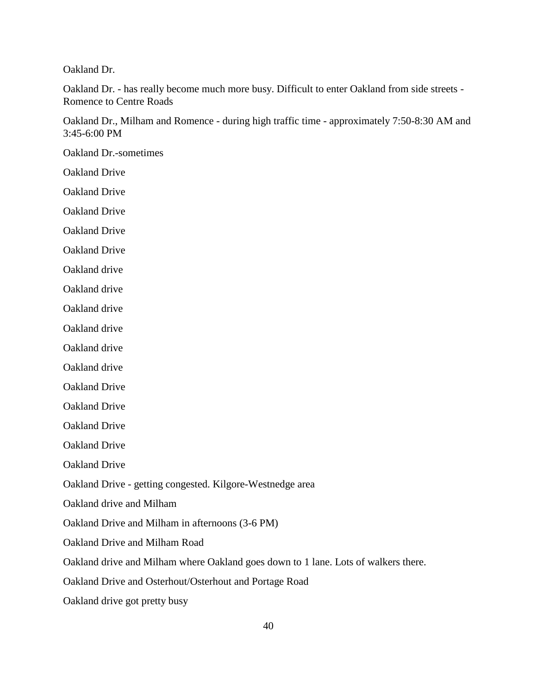Oakland Dr.

Oakland Dr. - has really become much more busy. Difficult to enter Oakland from side streets - Romence to Centre Roads

Oakland Dr., Milham and Romence - during high traffic time - approximately 7:50-8:30 AM and 3:45-6:00 PM

Oakland Dr.-sometimes

Oakland Drive

Oakland Drive

Oakland Drive

Oakland Drive

Oakland Drive

Oakland drive

Oakland drive

Oakland drive

Oakland drive

Oakland drive

Oakland drive

Oakland Drive

Oakland Drive

Oakland Drive

Oakland Drive

Oakland Drive

Oakland Drive - getting congested. Kilgore-Westnedge area

Oakland drive and Milham

Oakland Drive and Milham in afternoons (3-6 PM)

Oakland Drive and Milham Road

Oakland drive and Milham where Oakland goes down to 1 lane. Lots of walkers there.

Oakland Drive and Osterhout/Osterhout and Portage Road

Oakland drive got pretty busy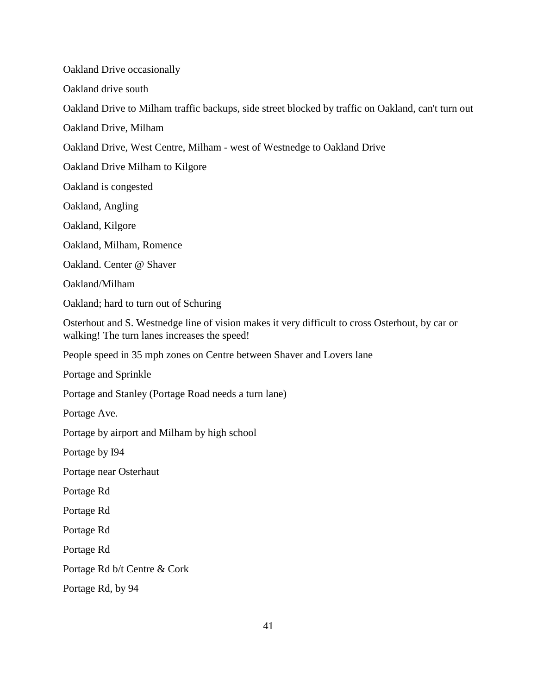Oakland Drive occasionally

Oakland drive south

Oakland Drive to Milham traffic backups, side street blocked by traffic on Oakland, can't turn out

Oakland Drive, Milham

Oakland Drive, West Centre, Milham - west of Westnedge to Oakland Drive

Oakland Drive Milham to Kilgore

Oakland is congested

Oakland, Angling

Oakland, Kilgore

Oakland, Milham, Romence

Oakland. Center @ Shaver

Oakland/Milham

Oakland; hard to turn out of Schuring

Osterhout and S. Westnedge line of vision makes it very difficult to cross Osterhout, by car or walking! The turn lanes increases the speed!

People speed in 35 mph zones on Centre between Shaver and Lovers lane

Portage and Sprinkle

Portage and Stanley (Portage Road needs a turn lane)

Portage Ave.

Portage by airport and Milham by high school

Portage by I94

Portage near Osterhaut

Portage Rd

Portage Rd

Portage Rd

Portage Rd

Portage Rd b/t Centre & Cork

Portage Rd, by 94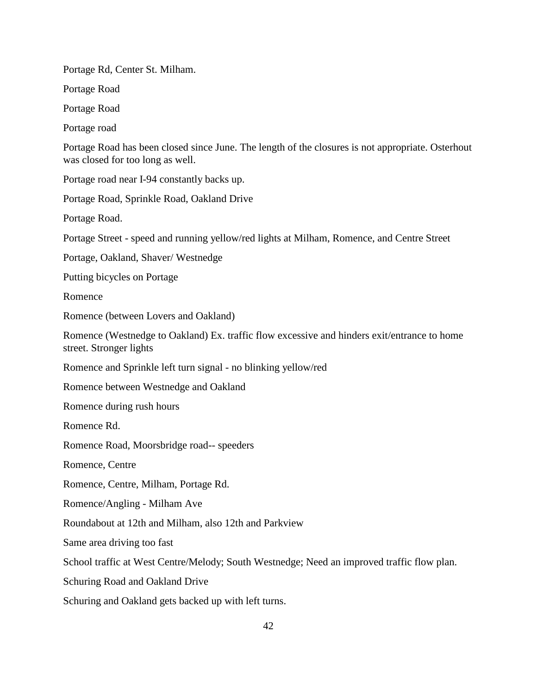Portage Rd, Center St. Milham.

Portage Road

Portage Road

Portage road

Portage Road has been closed since June. The length of the closures is not appropriate. Osterhout was closed for too long as well.

Portage road near I-94 constantly backs up.

Portage Road, Sprinkle Road, Oakland Drive

Portage Road.

Portage Street - speed and running yellow/red lights at Milham, Romence, and Centre Street

Portage, Oakland, Shaver/ Westnedge

Putting bicycles on Portage

Romence

Romence (between Lovers and Oakland)

Romence (Westnedge to Oakland) Ex. traffic flow excessive and hinders exit/entrance to home street. Stronger lights

Romence and Sprinkle left turn signal - no blinking yellow/red

Romence between Westnedge and Oakland

Romence during rush hours

Romence Rd.

Romence Road, Moorsbridge road-- speeders

Romence, Centre

Romence, Centre, Milham, Portage Rd.

Romence/Angling - Milham Ave

Roundabout at 12th and Milham, also 12th and Parkview

Same area driving too fast

School traffic at West Centre/Melody; South Westnedge; Need an improved traffic flow plan.

Schuring Road and Oakland Drive

Schuring and Oakland gets backed up with left turns.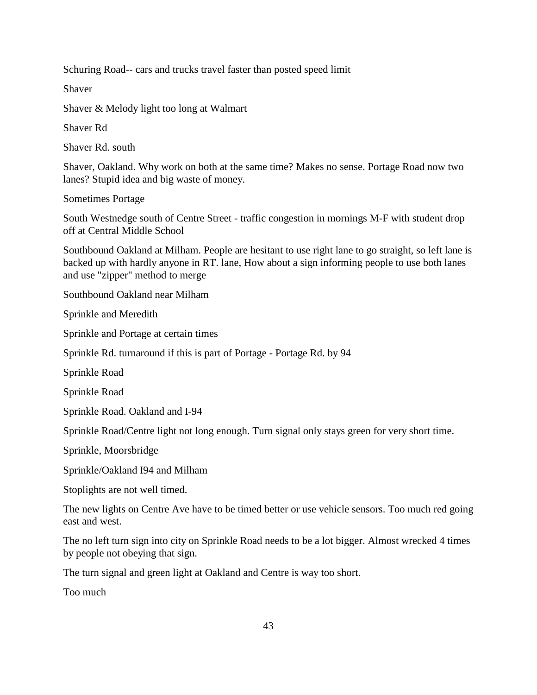Schuring Road-- cars and trucks travel faster than posted speed limit

Shaver

Shaver & Melody light too long at Walmart

Shaver Rd

Shaver Rd. south

Shaver, Oakland. Why work on both at the same time? Makes no sense. Portage Road now two lanes? Stupid idea and big waste of money.

Sometimes Portage

South Westnedge south of Centre Street - traffic congestion in mornings M-F with student drop off at Central Middle School

Southbound Oakland at Milham. People are hesitant to use right lane to go straight, so left lane is backed up with hardly anyone in RT. lane, How about a sign informing people to use both lanes and use "zipper" method to merge

Southbound Oakland near Milham

Sprinkle and Meredith

Sprinkle and Portage at certain times

Sprinkle Rd. turnaround if this is part of Portage - Portage Rd. by 94

Sprinkle Road

Sprinkle Road

Sprinkle Road. Oakland and I-94

Sprinkle Road/Centre light not long enough. Turn signal only stays green for very short time.

Sprinkle, Moorsbridge

Sprinkle/Oakland I94 and Milham

Stoplights are not well timed.

The new lights on Centre Ave have to be timed better or use vehicle sensors. Too much red going east and west.

The no left turn sign into city on Sprinkle Road needs to be a lot bigger. Almost wrecked 4 times by people not obeying that sign.

The turn signal and green light at Oakland and Centre is way too short.

Too much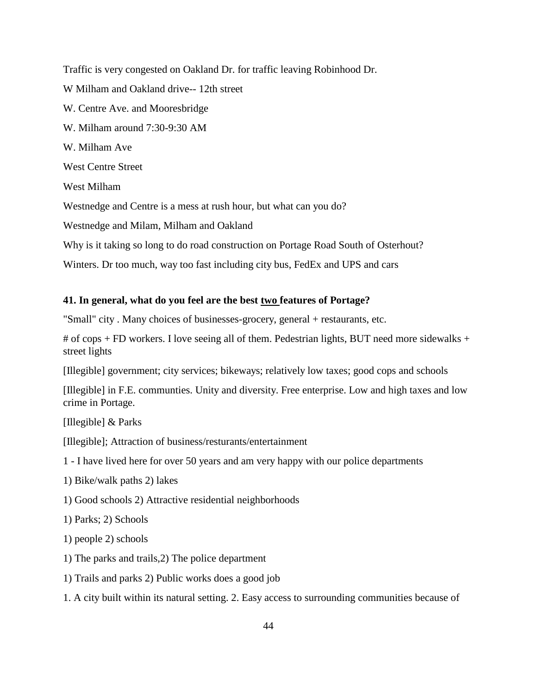Traffic is very congested on Oakland Dr. for traffic leaving Robinhood Dr. W Milham and Oakland drive-- 12th street W. Centre Ave. and Mooresbridge W. Milham around 7:30-9:30 AM W. Milham Ave West Centre Street West Milham Westnedge and Centre is a mess at rush hour, but what can you do?

Westnedge and Milam, Milham and Oakland

Why is it taking so long to do road construction on Portage Road South of Osterhout?

Winters. Dr too much, way too fast including city bus, FedEx and UPS and cars

## **41. In general, what do you feel are the best two features of Portage?**

"Small" city . Many choices of businesses-grocery, general + restaurants, etc.

# of cops + FD workers. I love seeing all of them. Pedestrian lights, BUT need more sidewalks + street lights

[Illegible] government; city services; bikeways; relatively low taxes; good cops and schools

[Illegible] in F.E. communties. Unity and diversity. Free enterprise. Low and high taxes and low crime in Portage.

[Illegible] & Parks

[Illegible]; Attraction of business/resturants/entertainment

1 - I have lived here for over 50 years and am very happy with our police departments

1) Bike/walk paths 2) lakes

1) Good schools 2) Attractive residential neighborhoods

1) Parks; 2) Schools

1) people 2) schools

1) The parks and trails,2) The police department

1) Trails and parks 2) Public works does a good job

1. A city built within its natural setting. 2. Easy access to surrounding communities because of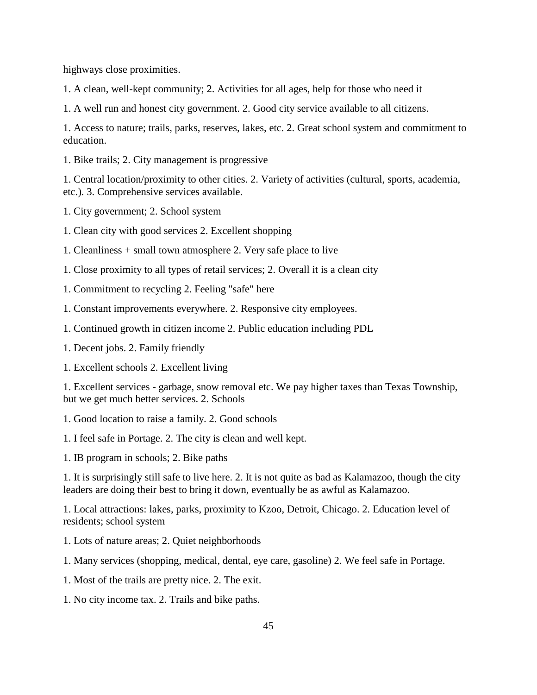highways close proximities.

1. A clean, well-kept community; 2. Activities for all ages, help for those who need it

1. A well run and honest city government. 2. Good city service available to all citizens.

1. Access to nature; trails, parks, reserves, lakes, etc. 2. Great school system and commitment to education.

1. Bike trails; 2. City management is progressive

1. Central location/proximity to other cities. 2. Variety of activities (cultural, sports, academia, etc.). 3. Comprehensive services available.

1. City government; 2. School system

1. Clean city with good services 2. Excellent shopping

1. Cleanliness + small town atmosphere 2. Very safe place to live

1. Close proximity to all types of retail services; 2. Overall it is a clean city

1. Commitment to recycling 2. Feeling "safe" here

1. Constant improvements everywhere. 2. Responsive city employees.

1. Continued growth in citizen income 2. Public education including PDL

1. Decent jobs. 2. Family friendly

1. Excellent schools 2. Excellent living

1. Excellent services - garbage, snow removal etc. We pay higher taxes than Texas Township, but we get much better services. 2. Schools

1. Good location to raise a family. 2. Good schools

1. I feel safe in Portage. 2. The city is clean and well kept.

1. IB program in schools; 2. Bike paths

1. It is surprisingly still safe to live here. 2. It is not quite as bad as Kalamazoo, though the city leaders are doing their best to bring it down, eventually be as awful as Kalamazoo.

1. Local attractions: lakes, parks, proximity to Kzoo, Detroit, Chicago. 2. Education level of residents; school system

1. Lots of nature areas; 2. Quiet neighborhoods

1. Many services (shopping, medical, dental, eye care, gasoline) 2. We feel safe in Portage.

1. Most of the trails are pretty nice. 2. The exit.

1. No city income tax. 2. Trails and bike paths.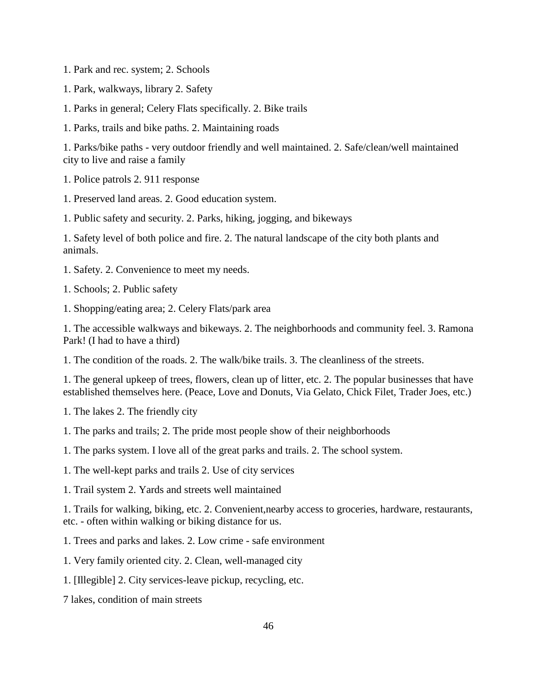1. Park and rec. system; 2. Schools

1. Park, walkways, library 2. Safety

1. Parks in general; Celery Flats specifically. 2. Bike trails

1. Parks, trails and bike paths. 2. Maintaining roads

1. Parks/bike paths - very outdoor friendly and well maintained. 2. Safe/clean/well maintained city to live and raise a family

1. Police patrols 2. 911 response

1. Preserved land areas. 2. Good education system.

1. Public safety and security. 2. Parks, hiking, jogging, and bikeways

1. Safety level of both police and fire. 2. The natural landscape of the city both plants and animals.

1. Safety. 2. Convenience to meet my needs.

1. Schools; 2. Public safety

1. Shopping/eating area; 2. Celery Flats/park area

1. The accessible walkways and bikeways. 2. The neighborhoods and community feel. 3. Ramona Park! (I had to have a third)

1. The condition of the roads. 2. The walk/bike trails. 3. The cleanliness of the streets.

1. The general upkeep of trees, flowers, clean up of litter, etc. 2. The popular businesses that have established themselves here. (Peace, Love and Donuts, Via Gelato, Chick Filet, Trader Joes, etc.)

1. The lakes 2. The friendly city

1. The parks and trails; 2. The pride most people show of their neighborhoods

1. The parks system. I love all of the great parks and trails. 2. The school system.

1. The well-kept parks and trails 2. Use of city services

1. Trail system 2. Yards and streets well maintained

1. Trails for walking, biking, etc. 2. Convenient,nearby access to groceries, hardware, restaurants, etc. - often within walking or biking distance for us.

1. Trees and parks and lakes. 2. Low crime - safe environment

1. Very family oriented city. 2. Clean, well-managed city

1. [Illegible] 2. City services-leave pickup, recycling, etc.

7 lakes, condition of main streets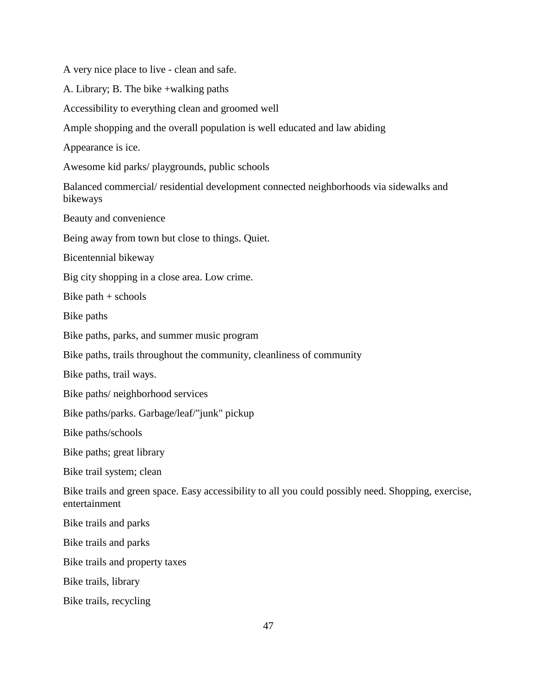A very nice place to live - clean and safe.

A. Library; B. The bike +walking paths

Accessibility to everything clean and groomed well

Ample shopping and the overall population is well educated and law abiding

Appearance is ice.

Awesome kid parks/ playgrounds, public schools

Balanced commercial/ residential development connected neighborhoods via sidewalks and bikeways

Beauty and convenience

Being away from town but close to things. Quiet.

Bicentennial bikeway

Big city shopping in a close area. Low crime.

Bike path + schools

Bike paths

Bike paths, parks, and summer music program

Bike paths, trails throughout the community, cleanliness of community

Bike paths, trail ways.

Bike paths/ neighborhood services

Bike paths/parks. Garbage/leaf/"junk" pickup

Bike paths/schools

Bike paths; great library

Bike trail system; clean

Bike trails and green space. Easy accessibility to all you could possibly need. Shopping, exercise, entertainment

Bike trails and parks

Bike trails and parks

Bike trails and property taxes

Bike trails, library

Bike trails, recycling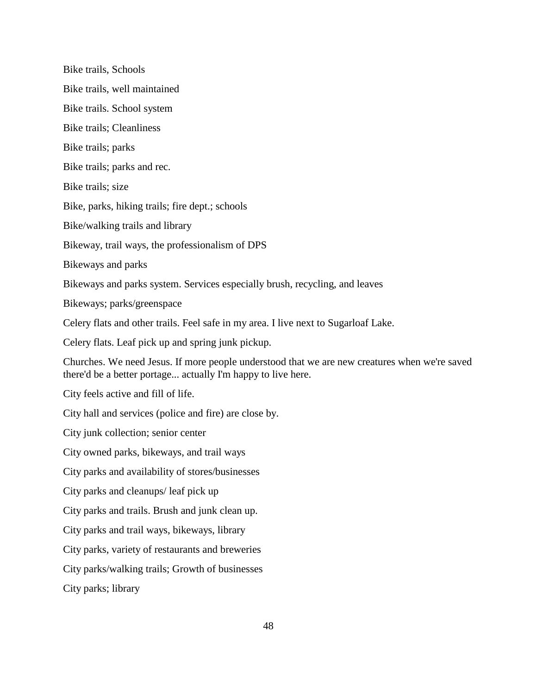Bike trails, Schools

Bike trails, well maintained

Bike trails. School system

Bike trails; Cleanliness

Bike trails; parks

Bike trails; parks and rec.

Bike trails; size

Bike, parks, hiking trails; fire dept.; schools

Bike/walking trails and library

Bikeway, trail ways, the professionalism of DPS

Bikeways and parks

Bikeways and parks system. Services especially brush, recycling, and leaves

Bikeways; parks/greenspace

Celery flats and other trails. Feel safe in my area. I live next to Sugarloaf Lake.

Celery flats. Leaf pick up and spring junk pickup.

Churches. We need Jesus. If more people understood that we are new creatures when we're saved there'd be a better portage... actually I'm happy to live here.

City feels active and fill of life.

City hall and services (police and fire) are close by.

City junk collection; senior center

City owned parks, bikeways, and trail ways

City parks and availability of stores/businesses

City parks and cleanups/ leaf pick up

City parks and trails. Brush and junk clean up.

City parks and trail ways, bikeways, library

City parks, variety of restaurants and breweries

City parks/walking trails; Growth of businesses

City parks; library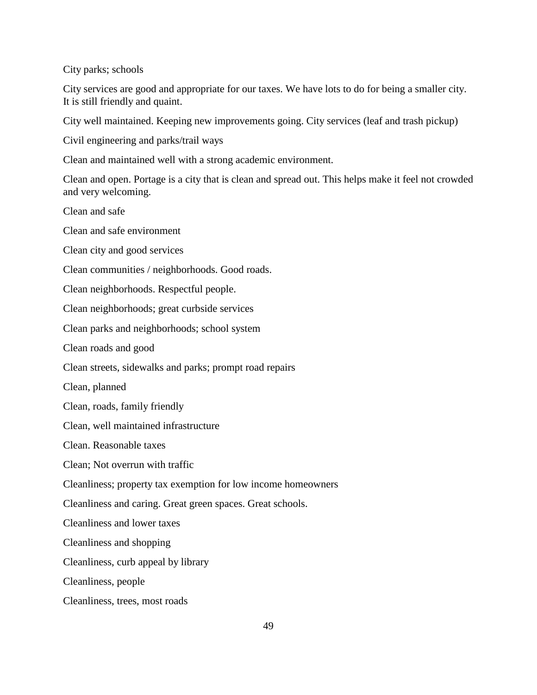City parks; schools

City services are good and appropriate for our taxes. We have lots to do for being a smaller city. It is still friendly and quaint.

City well maintained. Keeping new improvements going. City services (leaf and trash pickup)

Civil engineering and parks/trail ways

Clean and maintained well with a strong academic environment.

Clean and open. Portage is a city that is clean and spread out. This helps make it feel not crowded and very welcoming.

Clean and safe

Clean and safe environment

Clean city and good services

Clean communities / neighborhoods. Good roads.

Clean neighborhoods. Respectful people.

Clean neighborhoods; great curbside services

Clean parks and neighborhoods; school system

Clean roads and good

Clean streets, sidewalks and parks; prompt road repairs

Clean, planned

Clean, roads, family friendly

Clean, well maintained infrastructure

Clean. Reasonable taxes

Clean; Not overrun with traffic

Cleanliness; property tax exemption for low income homeowners

Cleanliness and caring. Great green spaces. Great schools.

Cleanliness and lower taxes

Cleanliness and shopping

Cleanliness, curb appeal by library

Cleanliness, people

Cleanliness, trees, most roads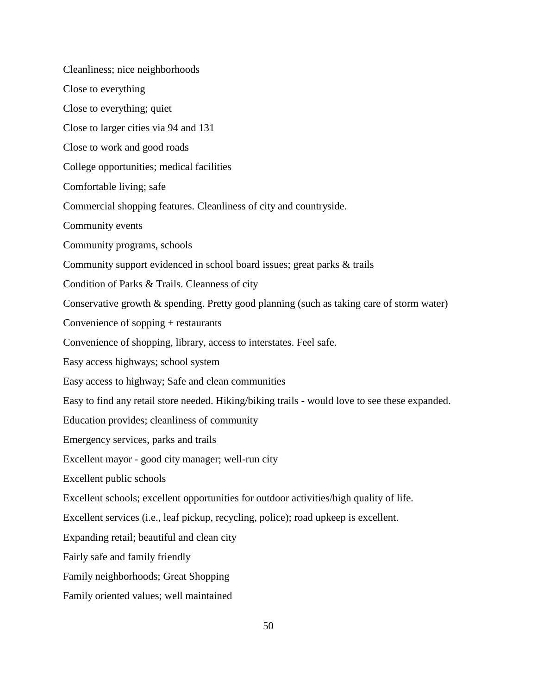Cleanliness; nice neighborhoods Close to everything Close to everything; quiet Close to larger cities via 94 and 131 Close to work and good roads College opportunities; medical facilities Comfortable living; safe Commercial shopping features. Cleanliness of city and countryside. Community events Community programs, schools Community support evidenced in school board issues; great parks & trails Condition of Parks & Trails. Cleanness of city Conservative growth & spending. Pretty good planning (such as taking care of storm water) Convenience of sopping + restaurants Convenience of shopping, library, access to interstates. Feel safe. Easy access highways; school system Easy access to highway; Safe and clean communities Easy to find any retail store needed. Hiking/biking trails - would love to see these expanded. Education provides; cleanliness of community Emergency services, parks and trails Excellent mayor - good city manager; well-run city Excellent public schools Excellent schools; excellent opportunities for outdoor activities/high quality of life. Excellent services (i.e., leaf pickup, recycling, police); road upkeep is excellent. Expanding retail; beautiful and clean city Fairly safe and family friendly Family neighborhoods; Great Shopping Family oriented values; well maintained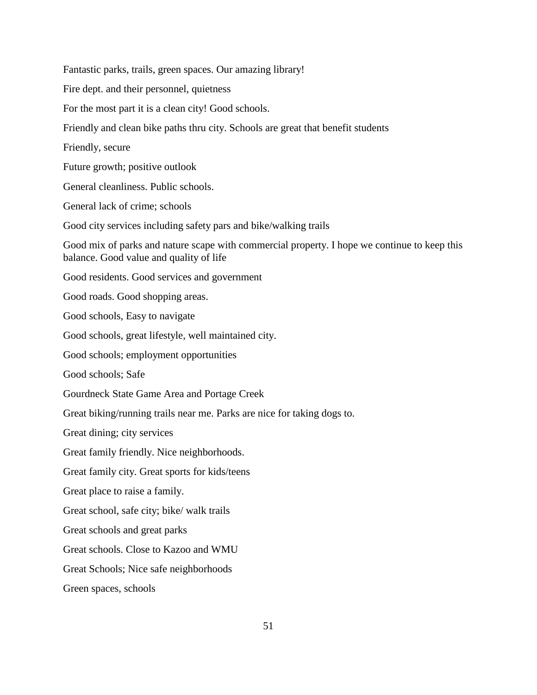Fantastic parks, trails, green spaces. Our amazing library! Fire dept. and their personnel, quietness For the most part it is a clean city! Good schools. Friendly and clean bike paths thru city. Schools are great that benefit students Friendly, secure Future growth; positive outlook General cleanliness. Public schools. General lack of crime; schools Good city services including safety pars and bike/walking trails Good mix of parks and nature scape with commercial property. I hope we continue to keep this balance. Good value and quality of life Good residents. Good services and government Good roads. Good shopping areas. Good schools, Easy to navigate Good schools, great lifestyle, well maintained city. Good schools; employment opportunities Good schools; Safe Gourdneck State Game Area and Portage Creek Great biking/running trails near me. Parks are nice for taking dogs to. Great dining; city services Great family friendly. Nice neighborhoods. Great family city. Great sports for kids/teens Great place to raise a family. Great school, safe city; bike/ walk trails Great schools and great parks Great schools. Close to Kazoo and WMU Great Schools; Nice safe neighborhoods Green spaces, schools

51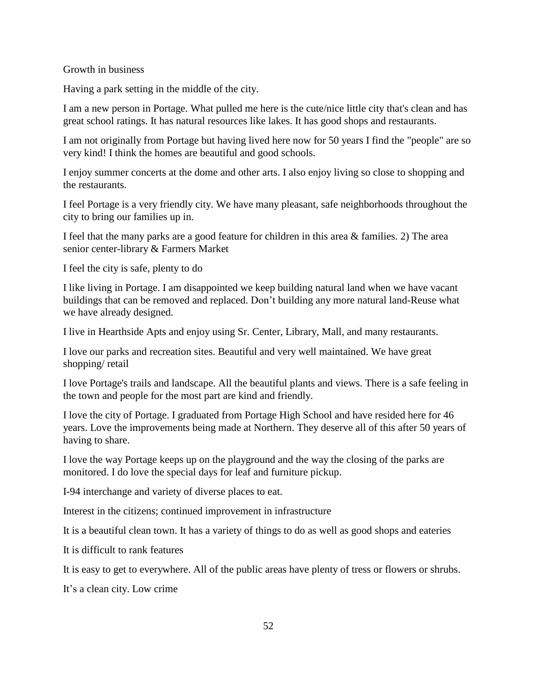Growth in business

Having a park setting in the middle of the city.

I am a new person in Portage. What pulled me here is the cute/nice little city that's clean and has great school ratings. It has natural resources like lakes. It has good shops and restaurants.

I am not originally from Portage but having lived here now for 50 years I find the "people" are so very kind! I think the homes are beautiful and good schools.

I enjoy summer concerts at the dome and other arts. I also enjoy living so close to shopping and the restaurants.

I feel Portage is a very friendly city. We have many pleasant, safe neighborhoods throughout the city to bring our families up in.

I feel that the many parks are a good feature for children in this area & families. 2) The area senior center-library & Farmers Market

I feel the city is safe, plenty to do

I like living in Portage. I am disappointed we keep building natural land when we have vacant buildings that can be removed and replaced. Don't building any more natural land-Reuse what we have already designed.

I live in Hearthside Apts and enjoy using Sr. Center, Library, Mall, and many restaurants.

I love our parks and recreation sites. Beautiful and very well maintained. We have great shopping/ retail

I love Portage's trails and landscape. All the beautiful plants and views. There is a safe feeling in the town and people for the most part are kind and friendly.

I love the city of Portage. I graduated from Portage High School and have resided here for 46 years. Love the improvements being made at Northern. They deserve all of this after 50 years of having to share.

I love the way Portage keeps up on the playground and the way the closing of the parks are monitored. I do love the special days for leaf and furniture pickup.

I-94 interchange and variety of diverse places to eat.

Interest in the citizens; continued improvement in infrastructure

It is a beautiful clean town. It has a variety of things to do as well as good shops and eateries

It is difficult to rank features

It is easy to get to everywhere. All of the public areas have plenty of tress or flowers or shrubs.

It's a clean city. Low crime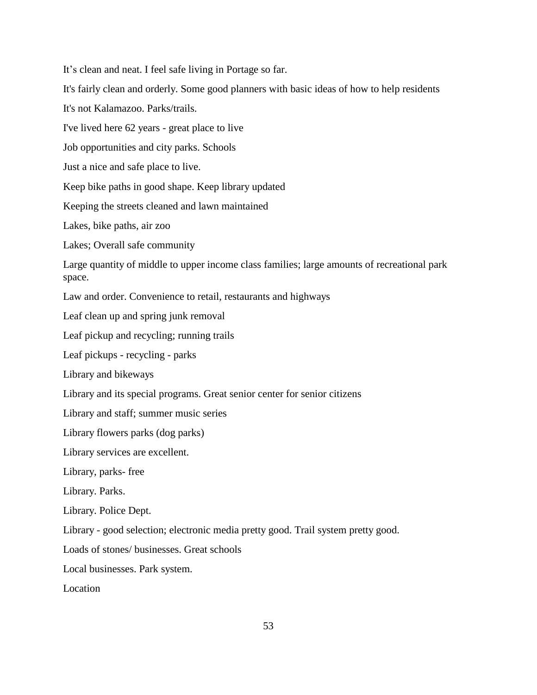It's clean and neat. I feel safe living in Portage so far.

It's fairly clean and orderly. Some good planners with basic ideas of how to help residents

It's not Kalamazoo. Parks/trails.

I've lived here 62 years - great place to live

Job opportunities and city parks. Schools

Just a nice and safe place to live.

Keep bike paths in good shape. Keep library updated

Keeping the streets cleaned and lawn maintained

Lakes, bike paths, air zoo

Lakes; Overall safe community

Large quantity of middle to upper income class families; large amounts of recreational park space.

Law and order. Convenience to retail, restaurants and highways

Leaf clean up and spring junk removal

Leaf pickup and recycling; running trails

Leaf pickups - recycling - parks

Library and bikeways

Library and its special programs. Great senior center for senior citizens

Library and staff; summer music series

Library flowers parks (dog parks)

Library services are excellent.

Library, parks- free

Library. Parks.

Library. Police Dept.

Library - good selection; electronic media pretty good. Trail system pretty good.

Loads of stones/ businesses. Great schools

Local businesses. Park system.

Location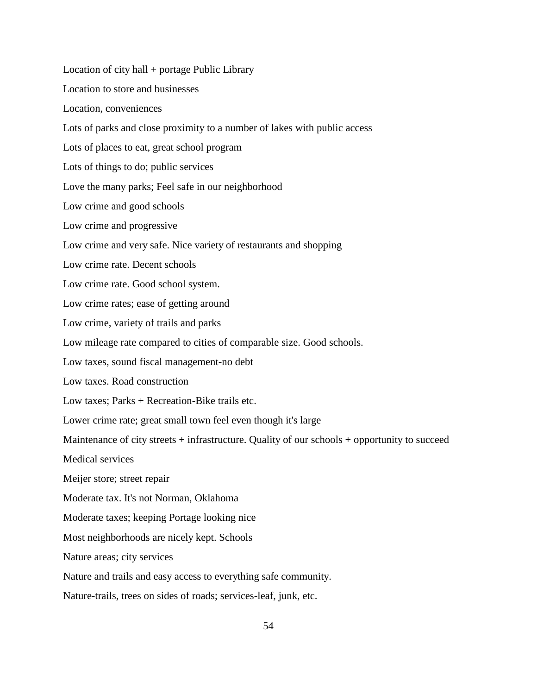Location of city hall + portage Public Library Location to store and businesses Location, conveniences Lots of parks and close proximity to a number of lakes with public access Lots of places to eat, great school program Lots of things to do; public services Love the many parks; Feel safe in our neighborhood Low crime and good schools Low crime and progressive Low crime and very safe. Nice variety of restaurants and shopping Low crime rate. Decent schools Low crime rate. Good school system. Low crime rates; ease of getting around Low crime, variety of trails and parks Low mileage rate compared to cities of comparable size. Good schools. Low taxes, sound fiscal management-no debt Low taxes. Road construction Low taxes; Parks + Recreation-Bike trails etc. Lower crime rate; great small town feel even though it's large Maintenance of city streets + infrastructure. Quality of our schools + opportunity to succeed Medical services Meijer store; street repair Moderate tax. It's not Norman, Oklahoma Moderate taxes; keeping Portage looking nice Most neighborhoods are nicely kept. Schools Nature areas; city services Nature and trails and easy access to everything safe community. Nature-trails, trees on sides of roads; services-leaf, junk, etc.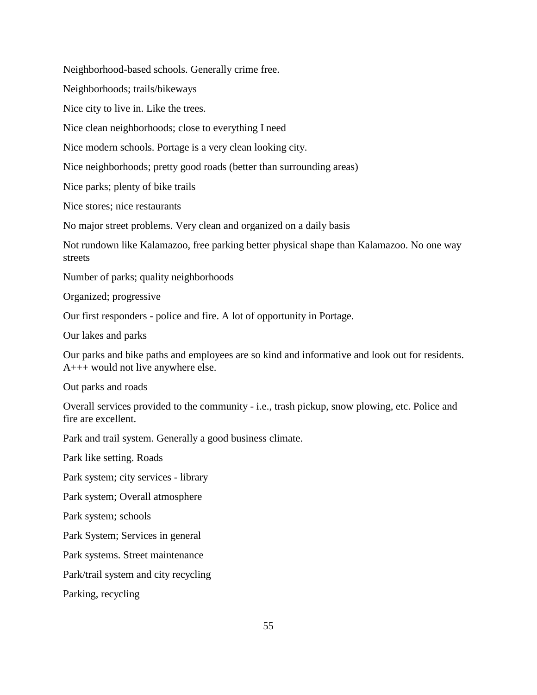Neighborhood-based schools. Generally crime free.

Neighborhoods; trails/bikeways

Nice city to live in. Like the trees.

Nice clean neighborhoods; close to everything I need

Nice modern schools. Portage is a very clean looking city.

Nice neighborhoods; pretty good roads (better than surrounding areas)

Nice parks; plenty of bike trails

Nice stores; nice restaurants

No major street problems. Very clean and organized on a daily basis

Not rundown like Kalamazoo, free parking better physical shape than Kalamazoo. No one way streets

Number of parks; quality neighborhoods

Organized; progressive

Our first responders - police and fire. A lot of opportunity in Portage.

Our lakes and parks

Our parks and bike paths and employees are so kind and informative and look out for residents. A+++ would not live anywhere else.

Out parks and roads

Overall services provided to the community - i.e., trash pickup, snow plowing, etc. Police and fire are excellent.

Park and trail system. Generally a good business climate.

Park like setting. Roads

Park system; city services - library

Park system; Overall atmosphere

Park system; schools

Park System; Services in general

Park systems. Street maintenance

Park/trail system and city recycling

Parking, recycling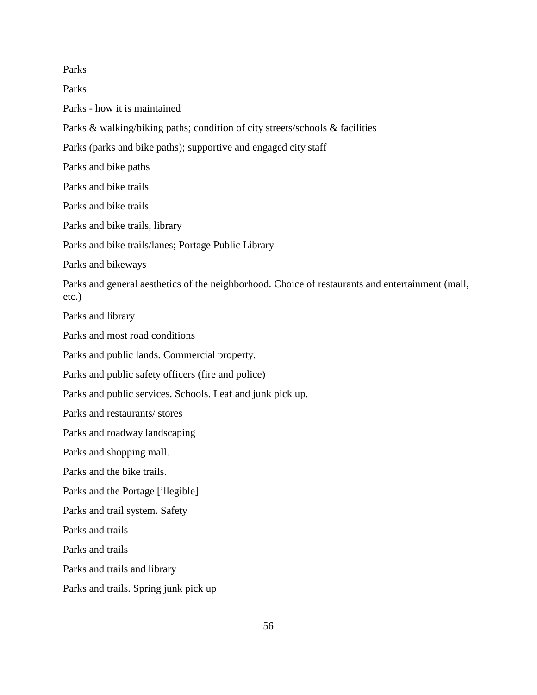Parks

Parks

Parks - how it is maintained

Parks & walking/biking paths; condition of city streets/schools & facilities

Parks (parks and bike paths); supportive and engaged city staff

Parks and bike paths

Parks and bike trails

Parks and bike trails

Parks and bike trails, library

Parks and bike trails/lanes; Portage Public Library

Parks and bikeways

Parks and general aesthetics of the neighborhood. Choice of restaurants and entertainment (mall, etc.)

Parks and library

Parks and most road conditions

Parks and public lands. Commercial property.

Parks and public safety officers (fire and police)

Parks and public services. Schools. Leaf and junk pick up.

Parks and restaurants/ stores

Parks and roadway landscaping

Parks and shopping mall.

Parks and the bike trails.

Parks and the Portage [illegible]

Parks and trail system. Safety

Parks and trails

Parks and trails

Parks and trails and library

Parks and trails. Spring junk pick up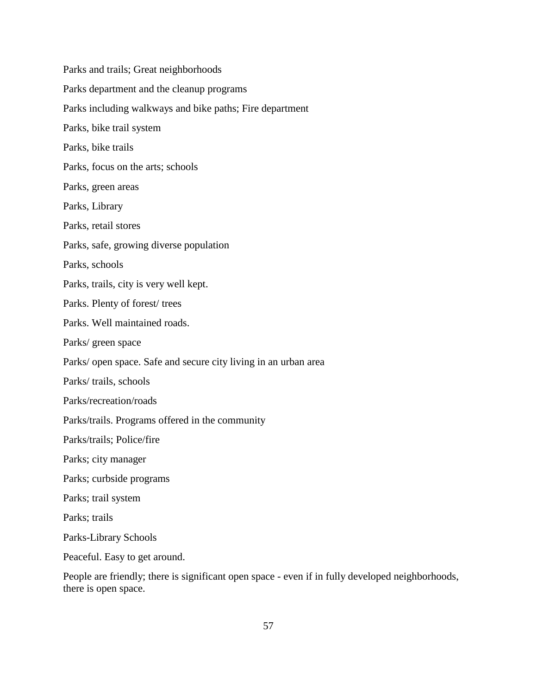Parks and trails; Great neighborhoods Parks department and the cleanup programs Parks including walkways and bike paths; Fire department Parks, bike trail system Parks, bike trails Parks, focus on the arts; schools Parks, green areas Parks, Library Parks, retail stores Parks, safe, growing diverse population Parks, schools Parks, trails, city is very well kept. Parks. Plenty of forest/ trees Parks. Well maintained roads. Parks/ green space Parks/ open space. Safe and secure city living in an urban area Parks/ trails, schools Parks/recreation/roads Parks/trails. Programs offered in the community Parks/trails; Police/fire Parks; city manager Parks; curbside programs Parks; trail system Parks; trails Parks-Library Schools

Peaceful. Easy to get around.

People are friendly; there is significant open space - even if in fully developed neighborhoods, there is open space.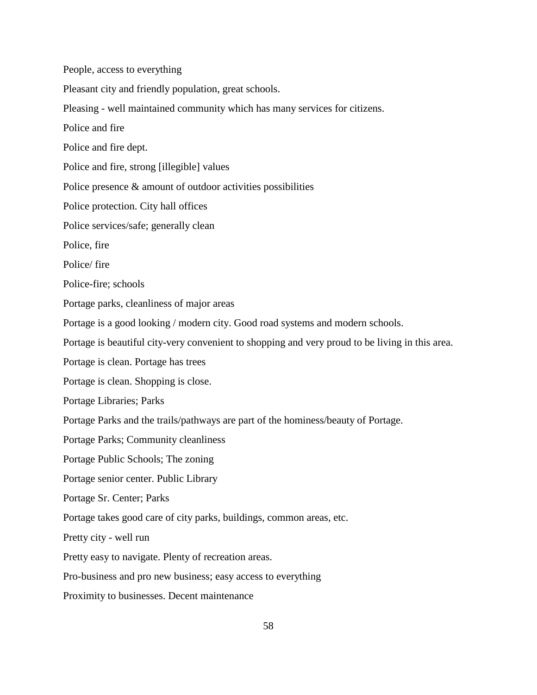People, access to everything Pleasant city and friendly population, great schools. Pleasing - well maintained community which has many services for citizens. Police and fire Police and fire dept. Police and fire, strong [illegible] values Police presence & amount of outdoor activities possibilities Police protection. City hall offices Police services/safe; generally clean Police, fire Police/ fire Police-fire; schools Portage parks, cleanliness of major areas Portage is a good looking / modern city. Good road systems and modern schools. Portage is beautiful city-very convenient to shopping and very proud to be living in this area. Portage is clean. Portage has trees Portage is clean. Shopping is close. Portage Libraries; Parks Portage Parks and the trails/pathways are part of the hominess/beauty of Portage. Portage Parks; Community cleanliness Portage Public Schools; The zoning Portage senior center. Public Library Portage Sr. Center; Parks Portage takes good care of city parks, buildings, common areas, etc. Pretty city - well run Pretty easy to navigate. Plenty of recreation areas. Pro-business and pro new business; easy access to everything

Proximity to businesses. Decent maintenance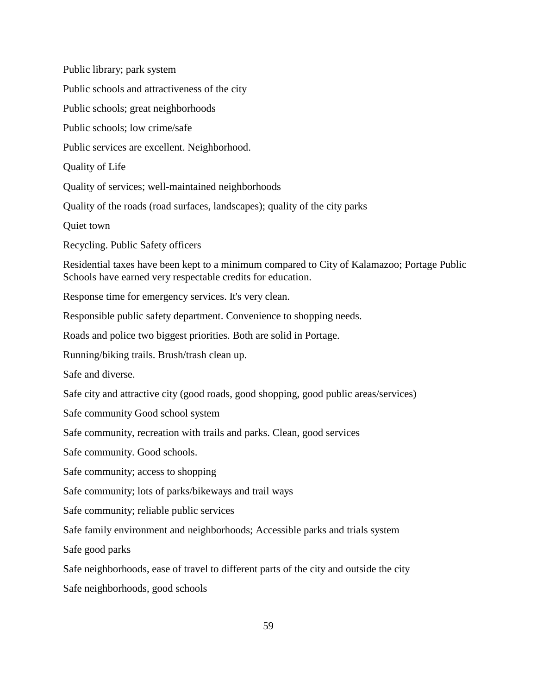Public library; park system Public schools and attractiveness of the city Public schools; great neighborhoods Public schools; low crime/safe Public services are excellent. Neighborhood. Quality of Life Quality of services; well-maintained neighborhoods Quality of the roads (road surfaces, landscapes); quality of the city parks Quiet town Recycling. Public Safety officers Residential taxes have been kept to a minimum compared to City of Kalamazoo; Portage Public Schools have earned very respectable credits for education. Response time for emergency services. It's very clean. Responsible public safety department. Convenience to shopping needs. Roads and police two biggest priorities. Both are solid in Portage. Running/biking trails. Brush/trash clean up. Safe and diverse. Safe city and attractive city (good roads, good shopping, good public areas/services) Safe community Good school system Safe community, recreation with trails and parks. Clean, good services Safe community. Good schools. Safe community; access to shopping Safe community; lots of parks/bikeways and trail ways Safe community; reliable public services Safe family environment and neighborhoods; Accessible parks and trials system Safe good parks Safe neighborhoods, ease of travel to different parts of the city and outside the city Safe neighborhoods, good schools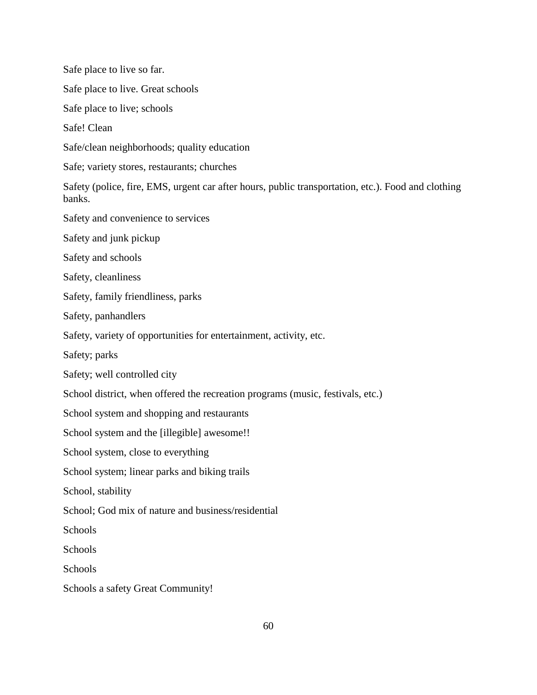Safe place to live so far. Safe place to live. Great schools Safe place to live; schools Safe! Clean Safe/clean neighborhoods; quality education Safe; variety stores, restaurants; churches Safety (police, fire, EMS, urgent car after hours, public transportation, etc.). Food and clothing banks. Safety and convenience to services Safety and junk pickup Safety and schools Safety, cleanliness Safety, family friendliness, parks Safety, panhandlers Safety, variety of opportunities for entertainment, activity, etc. Safety; parks Safety; well controlled city School district, when offered the recreation programs (music, festivals, etc.) School system and shopping and restaurants School system and the [illegible] awesome!! School system, close to everything School system; linear parks and biking trails School, stability School; God mix of nature and business/residential Schools **Schools** Schools Schools a safety Great Community!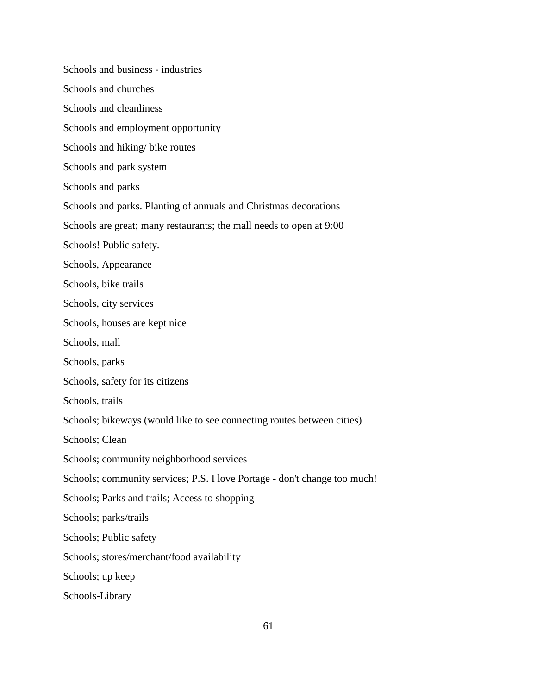Schools and business - industries Schools and churches Schools and cleanliness Schools and employment opportunity Schools and hiking/ bike routes Schools and park system Schools and parks Schools and parks. Planting of annuals and Christmas decorations Schools are great; many restaurants; the mall needs to open at 9:00 Schools! Public safety. Schools, Appearance Schools, bike trails Schools, city services Schools, houses are kept nice Schools, mall Schools, parks Schools, safety for its citizens Schools, trails Schools; bikeways (would like to see connecting routes between cities) Schools; Clean Schools; community neighborhood services Schools; community services; P.S. I love Portage - don't change too much! Schools; Parks and trails; Access to shopping Schools; parks/trails Schools; Public safety Schools; stores/merchant/food availability Schools; up keep Schools-Library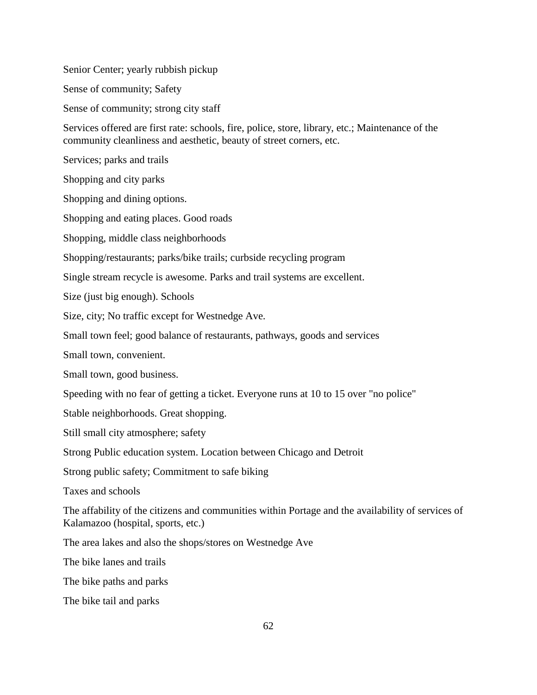Senior Center; yearly rubbish pickup Sense of community; Safety Sense of community; strong city staff Services offered are first rate: schools, fire, police, store, library, etc.; Maintenance of the community cleanliness and aesthetic, beauty of street corners, etc. Services; parks and trails Shopping and city parks Shopping and dining options. Shopping and eating places. Good roads Shopping, middle class neighborhoods Shopping/restaurants; parks/bike trails; curbside recycling program Single stream recycle is awesome. Parks and trail systems are excellent. Size (just big enough). Schools Size, city; No traffic except for Westnedge Ave. Small town feel; good balance of restaurants, pathways, goods and services Small town, convenient. Small town, good business. Speeding with no fear of getting a ticket. Everyone runs at 10 to 15 over "no police" Stable neighborhoods. Great shopping. Still small city atmosphere; safety Strong Public education system. Location between Chicago and Detroit Strong public safety; Commitment to safe biking Taxes and schools The affability of the citizens and communities within Portage and the availability of services of Kalamazoo (hospital, sports, etc.) The area lakes and also the shops/stores on Westnedge Ave The bike lanes and trails The bike paths and parks The bike tail and parks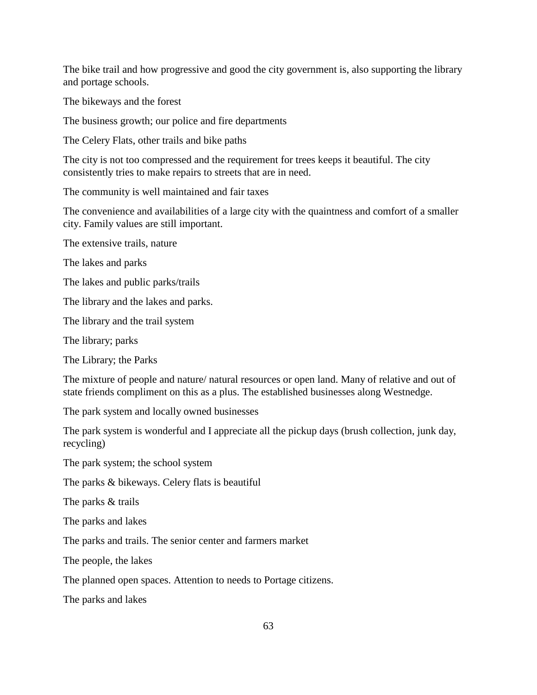The bike trail and how progressive and good the city government is, also supporting the library and portage schools.

The bikeways and the forest

The business growth; our police and fire departments

The Celery Flats, other trails and bike paths

The city is not too compressed and the requirement for trees keeps it beautiful. The city consistently tries to make repairs to streets that are in need.

The community is well maintained and fair taxes

The convenience and availabilities of a large city with the quaintness and comfort of a smaller city. Family values are still important.

The extensive trails, nature

The lakes and parks

The lakes and public parks/trails

The library and the lakes and parks.

The library and the trail system

The library; parks

The Library; the Parks

The mixture of people and nature/ natural resources or open land. Many of relative and out of state friends compliment on this as a plus. The established businesses along Westnedge.

The park system and locally owned businesses

The park system is wonderful and I appreciate all the pickup days (brush collection, junk day, recycling)

The park system; the school system

The parks & bikeways. Celery flats is beautiful

The parks & trails

The parks and lakes

The parks and trails. The senior center and farmers market

The people, the lakes

The planned open spaces. Attention to needs to Portage citizens.

The parks and lakes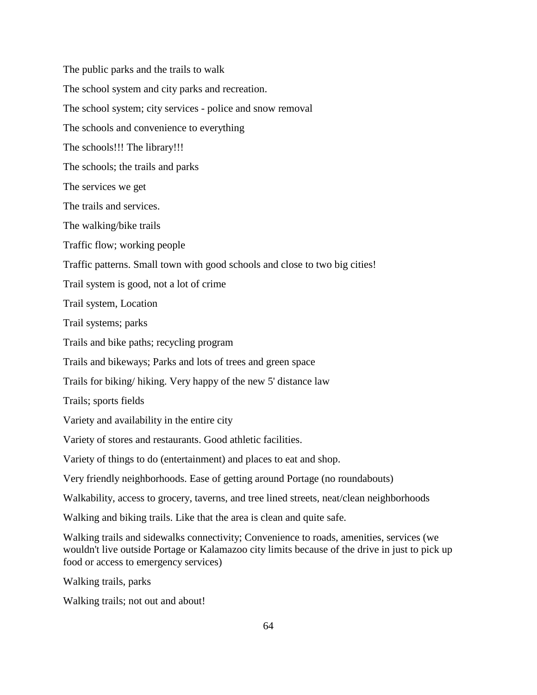The public parks and the trails to walk The school system and city parks and recreation. The school system; city services - police and snow removal The schools and convenience to everything The schools!!! The library!!! The schools; the trails and parks The services we get The trails and services. The walking/bike trails Traffic flow; working people Traffic patterns. Small town with good schools and close to two big cities! Trail system is good, not a lot of crime Trail system, Location Trail systems; parks Trails and bike paths; recycling program Trails and bikeways; Parks and lots of trees and green space Trails for biking/ hiking. Very happy of the new 5' distance law Trails; sports fields Variety and availability in the entire city Variety of stores and restaurants. Good athletic facilities. Variety of things to do (entertainment) and places to eat and shop. Very friendly neighborhoods. Ease of getting around Portage (no roundabouts) Walkability, access to grocery, taverns, and tree lined streets, neat/clean neighborhoods Walking and biking trails. Like that the area is clean and quite safe. Walking trails and sidewalks connectivity; Convenience to roads, amenities, services (we wouldn't live outside Portage or Kalamazoo city limits because of the drive in just to pick up food or access to emergency services)

Walking trails, parks

Walking trails; not out and about!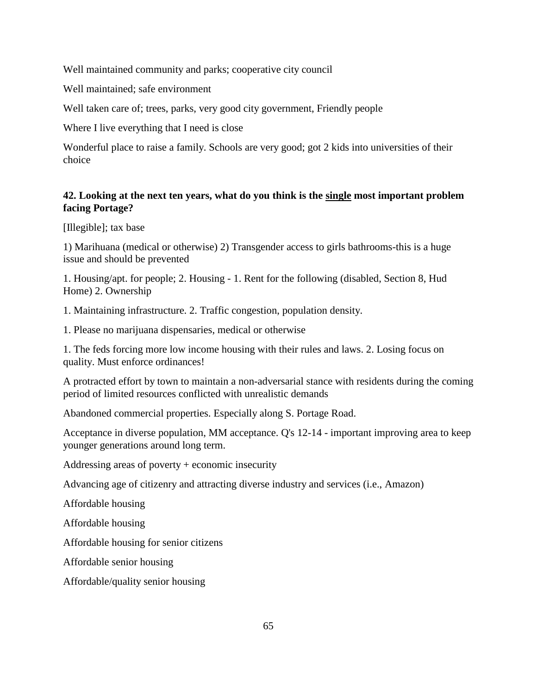Well maintained community and parks; cooperative city council

Well maintained; safe environment

Well taken care of; trees, parks, very good city government, Friendly people

Where I live everything that I need is close

Wonderful place to raise a family. Schools are very good; got 2 kids into universities of their choice

## **42. Looking at the next ten years, what do you think is the single most important problem facing Portage?**

[Illegible]; tax base

1) Marihuana (medical or otherwise) 2) Transgender access to girls bathrooms-this is a huge issue and should be prevented

1. Housing/apt. for people; 2. Housing - 1. Rent for the following (disabled, Section 8, Hud Home) 2. Ownership

1. Maintaining infrastructure. 2. Traffic congestion, population density.

1. Please no marijuana dispensaries, medical or otherwise

1. The feds forcing more low income housing with their rules and laws. 2. Losing focus on quality. Must enforce ordinances!

A protracted effort by town to maintain a non-adversarial stance with residents during the coming period of limited resources conflicted with unrealistic demands

Abandoned commercial properties. Especially along S. Portage Road.

Acceptance in diverse population, MM acceptance. Q's 12-14 - important improving area to keep younger generations around long term.

Addressing areas of poverty + economic insecurity

Advancing age of citizenry and attracting diverse industry and services (i.e., Amazon)

Affordable housing

Affordable housing

Affordable housing for senior citizens

Affordable senior housing

Affordable/quality senior housing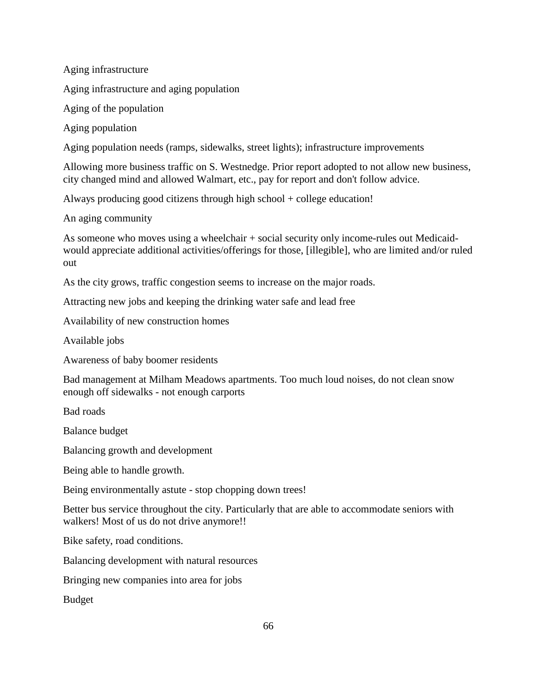Aging infrastructure

Aging infrastructure and aging population

Aging of the population

Aging population

Aging population needs (ramps, sidewalks, street lights); infrastructure improvements

Allowing more business traffic on S. Westnedge. Prior report adopted to not allow new business, city changed mind and allowed Walmart, etc., pay for report and don't follow advice.

Always producing good citizens through high school + college education!

An aging community

As someone who moves using a wheelchair + social security only income-rules out Medicaidwould appreciate additional activities/offerings for those, [illegible], who are limited and/or ruled out

As the city grows, traffic congestion seems to increase on the major roads.

Attracting new jobs and keeping the drinking water safe and lead free

Availability of new construction homes

Available jobs

Awareness of baby boomer residents

Bad management at Milham Meadows apartments. Too much loud noises, do not clean snow enough off sidewalks - not enough carports

Bad roads

Balance budget

Balancing growth and development

Being able to handle growth.

Being environmentally astute - stop chopping down trees!

Better bus service throughout the city. Particularly that are able to accommodate seniors with walkers! Most of us do not drive anymore!!

Bike safety, road conditions.

Balancing development with natural resources

Bringing new companies into area for jobs

Budget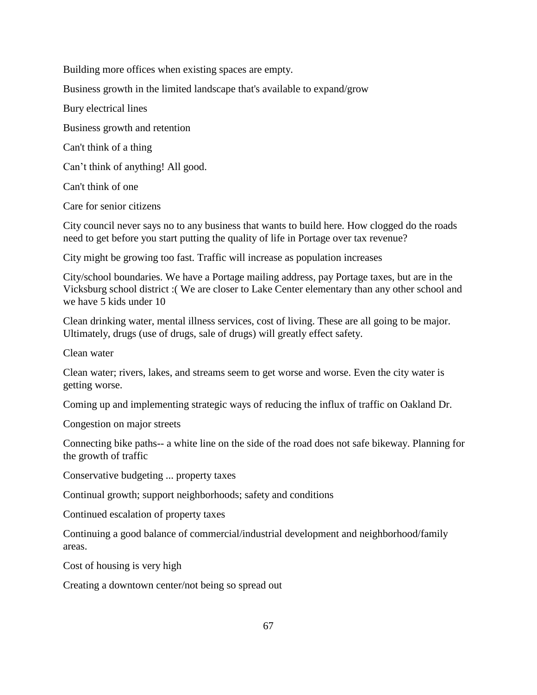Building more offices when existing spaces are empty.

Business growth in the limited landscape that's available to expand/grow

Bury electrical lines

Business growth and retention

Can't think of a thing

Can't think of anything! All good.

Can't think of one

Care for senior citizens

City council never says no to any business that wants to build here. How clogged do the roads need to get before you start putting the quality of life in Portage over tax revenue?

City might be growing too fast. Traffic will increase as population increases

City/school boundaries. We have a Portage mailing address, pay Portage taxes, but are in the Vicksburg school district :( We are closer to Lake Center elementary than any other school and we have 5 kids under 10

Clean drinking water, mental illness services, cost of living. These are all going to be major. Ultimately, drugs (use of drugs, sale of drugs) will greatly effect safety.

Clean water

Clean water; rivers, lakes, and streams seem to get worse and worse. Even the city water is getting worse.

Coming up and implementing strategic ways of reducing the influx of traffic on Oakland Dr.

Congestion on major streets

Connecting bike paths-- a white line on the side of the road does not safe bikeway. Planning for the growth of traffic

Conservative budgeting ... property taxes

Continual growth; support neighborhoods; safety and conditions

Continued escalation of property taxes

Continuing a good balance of commercial/industrial development and neighborhood/family areas.

Cost of housing is very high

Creating a downtown center/not being so spread out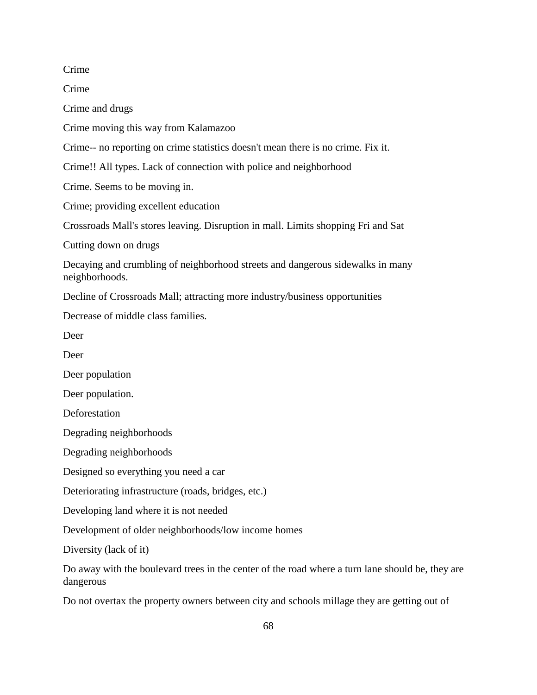Crime

Crime

Crime and drugs

Crime moving this way from Kalamazoo

Crime-- no reporting on crime statistics doesn't mean there is no crime. Fix it.

Crime!! All types. Lack of connection with police and neighborhood

Crime. Seems to be moving in.

Crime; providing excellent education

Crossroads Mall's stores leaving. Disruption in mall. Limits shopping Fri and Sat

Cutting down on drugs

Decaying and crumbling of neighborhood streets and dangerous sidewalks in many neighborhoods.

Decline of Crossroads Mall; attracting more industry/business opportunities

Decrease of middle class families.

Deer

Deer

Deer population

Deer population.

Deforestation

Degrading neighborhoods

Degrading neighborhoods

Designed so everything you need a car

Deteriorating infrastructure (roads, bridges, etc.)

Developing land where it is not needed

Development of older neighborhoods/low income homes

Diversity (lack of it)

Do away with the boulevard trees in the center of the road where a turn lane should be, they are dangerous

Do not overtax the property owners between city and schools millage they are getting out of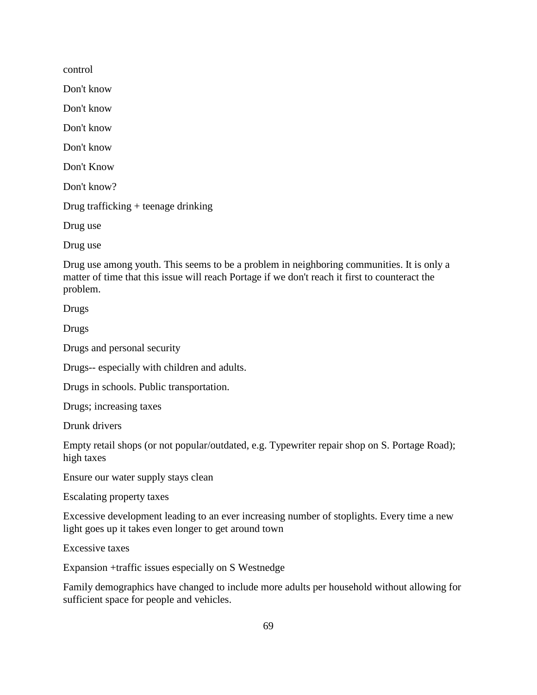control

Don't know

Don't know

Don't know

Don't know

Don't Know

Don't know?

Drug trafficking + teenage drinking

Drug use

Drug use

Drug use among youth. This seems to be a problem in neighboring communities. It is only a matter of time that this issue will reach Portage if we don't reach it first to counteract the problem.

Drugs

Drugs

Drugs and personal security

Drugs-- especially with children and adults.

Drugs in schools. Public transportation.

Drugs; increasing taxes

Drunk drivers

Empty retail shops (or not popular/outdated, e.g. Typewriter repair shop on S. Portage Road); high taxes

Ensure our water supply stays clean

Escalating property taxes

Excessive development leading to an ever increasing number of stoplights. Every time a new light goes up it takes even longer to get around town

Excessive taxes

Expansion +traffic issues especially on S Westnedge

Family demographics have changed to include more adults per household without allowing for sufficient space for people and vehicles.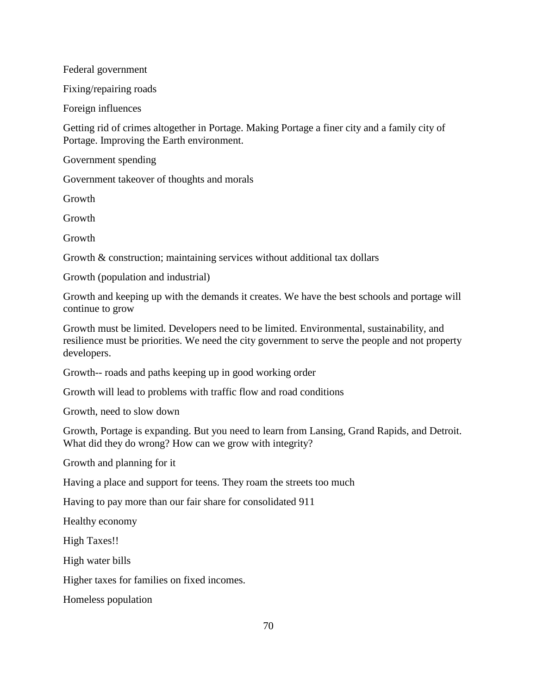Federal government

Fixing/repairing roads

Foreign influences

Getting rid of crimes altogether in Portage. Making Portage a finer city and a family city of Portage. Improving the Earth environment.

Government spending

Government takeover of thoughts and morals

Growth

Growth

Growth

Growth & construction; maintaining services without additional tax dollars

Growth (population and industrial)

Growth and keeping up with the demands it creates. We have the best schools and portage will continue to grow

Growth must be limited. Developers need to be limited. Environmental, sustainability, and resilience must be priorities. We need the city government to serve the people and not property developers.

Growth-- roads and paths keeping up in good working order

Growth will lead to problems with traffic flow and road conditions

Growth, need to slow down

Growth, Portage is expanding. But you need to learn from Lansing, Grand Rapids, and Detroit. What did they do wrong? How can we grow with integrity?

Growth and planning for it

Having a place and support for teens. They roam the streets too much

Having to pay more than our fair share for consolidated 911

Healthy economy

High Taxes!!

High water bills

Higher taxes for families on fixed incomes.

Homeless population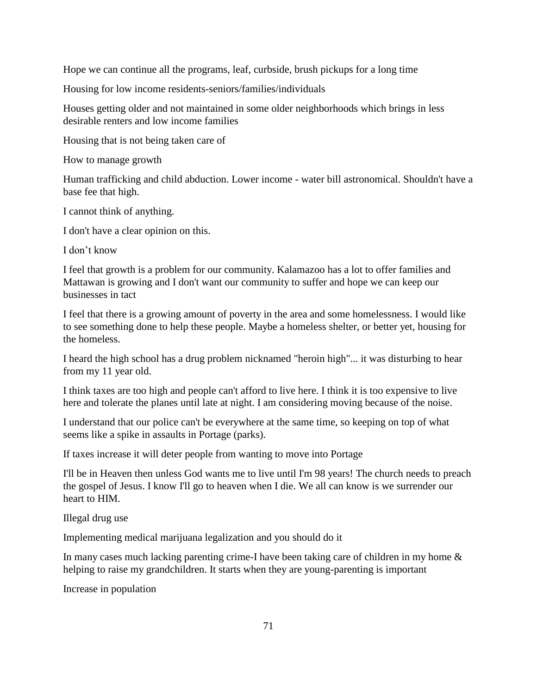Hope we can continue all the programs, leaf, curbside, brush pickups for a long time

Housing for low income residents-seniors/families/individuals

Houses getting older and not maintained in some older neighborhoods which brings in less desirable renters and low income families

Housing that is not being taken care of

How to manage growth

Human trafficking and child abduction. Lower income - water bill astronomical. Shouldn't have a base fee that high.

I cannot think of anything.

I don't have a clear opinion on this.

I don't know

I feel that growth is a problem for our community. Kalamazoo has a lot to offer families and Mattawan is growing and I don't want our community to suffer and hope we can keep our businesses in tact

I feel that there is a growing amount of poverty in the area and some homelessness. I would like to see something done to help these people. Maybe a homeless shelter, or better yet, housing for the homeless.

I heard the high school has a drug problem nicknamed "heroin high"... it was disturbing to hear from my 11 year old.

I think taxes are too high and people can't afford to live here. I think it is too expensive to live here and tolerate the planes until late at night. I am considering moving because of the noise.

I understand that our police can't be everywhere at the same time, so keeping on top of what seems like a spike in assaults in Portage (parks).

If taxes increase it will deter people from wanting to move into Portage

I'll be in Heaven then unless God wants me to live until I'm 98 years! The church needs to preach the gospel of Jesus. I know I'll go to heaven when I die. We all can know is we surrender our heart to HIM.

Illegal drug use

Implementing medical marijuana legalization and you should do it

In many cases much lacking parenting crime-I have been taking care of children in my home  $\&$ helping to raise my grandchildren. It starts when they are young-parenting is important

Increase in population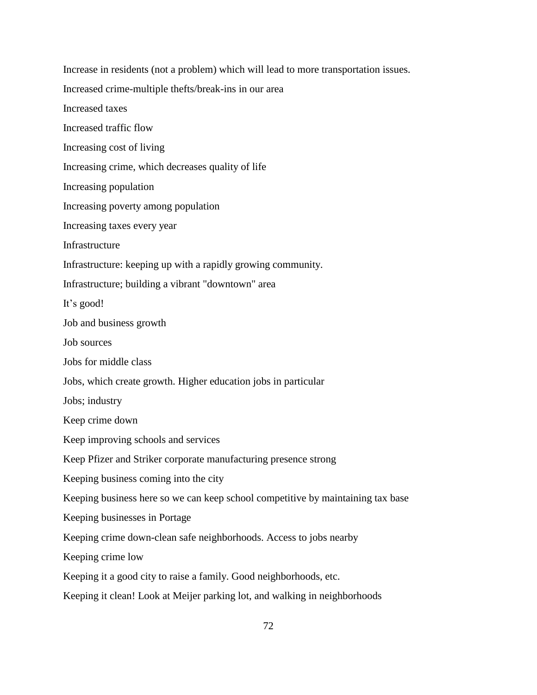Increase in residents (not a problem) which will lead to more transportation issues. Increased crime-multiple thefts/break-ins in our area Increased taxes Increased traffic flow Increasing cost of living Increasing crime, which decreases quality of life Increasing population Increasing poverty among population Increasing taxes every year Infrastructure Infrastructure: keeping up with a rapidly growing community. Infrastructure; building a vibrant "downtown" area It's good! Job and business growth Job sources Jobs for middle class Jobs, which create growth. Higher education jobs in particular Jobs; industry Keep crime down Keep improving schools and services Keep Pfizer and Striker corporate manufacturing presence strong Keeping business coming into the city Keeping business here so we can keep school competitive by maintaining tax base Keeping businesses in Portage Keeping crime down-clean safe neighborhoods. Access to jobs nearby Keeping crime low Keeping it a good city to raise a family. Good neighborhoods, etc.

Keeping it clean! Look at Meijer parking lot, and walking in neighborhoods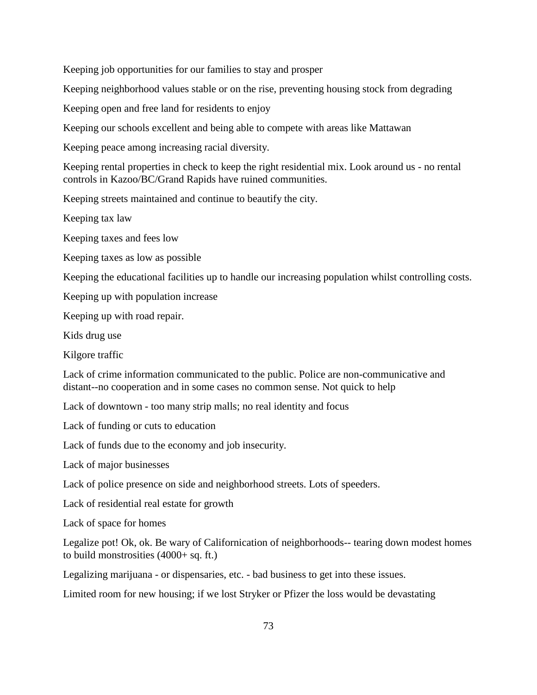Keeping job opportunities for our families to stay and prosper

Keeping neighborhood values stable or on the rise, preventing housing stock from degrading

Keeping open and free land for residents to enjoy

Keeping our schools excellent and being able to compete with areas like Mattawan

Keeping peace among increasing racial diversity.

Keeping rental properties in check to keep the right residential mix. Look around us - no rental controls in Kazoo/BC/Grand Rapids have ruined communities.

Keeping streets maintained and continue to beautify the city.

Keeping tax law

Keeping taxes and fees low

Keeping taxes as low as possible

Keeping the educational facilities up to handle our increasing population whilst controlling costs.

Keeping up with population increase

Keeping up with road repair.

Kids drug use

Kilgore traffic

Lack of crime information communicated to the public. Police are non-communicative and distant--no cooperation and in some cases no common sense. Not quick to help

Lack of downtown - too many strip malls; no real identity and focus

Lack of funding or cuts to education

Lack of funds due to the economy and job insecurity.

Lack of major businesses

Lack of police presence on side and neighborhood streets. Lots of speeders.

Lack of residential real estate for growth

Lack of space for homes

Legalize pot! Ok, ok. Be wary of Californication of neighborhoods-- tearing down modest homes to build monstrosities  $(4000 + sq. ft.)$ 

Legalizing marijuana - or dispensaries, etc. - bad business to get into these issues.

Limited room for new housing; if we lost Stryker or Pfizer the loss would be devastating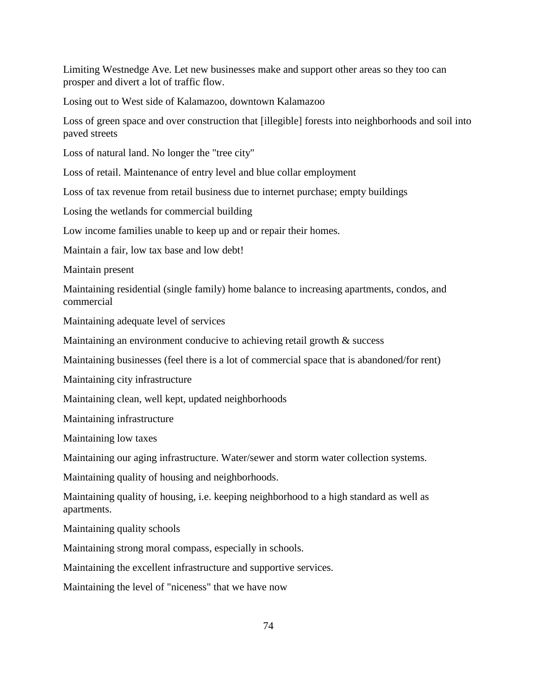Limiting Westnedge Ave. Let new businesses make and support other areas so they too can prosper and divert a lot of traffic flow.

Losing out to West side of Kalamazoo, downtown Kalamazoo

Loss of green space and over construction that [illegible] forests into neighborhoods and soil into paved streets

Loss of natural land. No longer the "tree city"

Loss of retail. Maintenance of entry level and blue collar employment

Loss of tax revenue from retail business due to internet purchase; empty buildings

Losing the wetlands for commercial building

Low income families unable to keep up and or repair their homes.

Maintain a fair, low tax base and low debt!

Maintain present

Maintaining residential (single family) home balance to increasing apartments, condos, and commercial

Maintaining adequate level of services

Maintaining an environment conducive to achieving retail growth & success

Maintaining businesses (feel there is a lot of commercial space that is abandoned/for rent)

Maintaining city infrastructure

Maintaining clean, well kept, updated neighborhoods

Maintaining infrastructure

Maintaining low taxes

Maintaining our aging infrastructure. Water/sewer and storm water collection systems.

Maintaining quality of housing and neighborhoods.

Maintaining quality of housing, i.e. keeping neighborhood to a high standard as well as apartments.

Maintaining quality schools

Maintaining strong moral compass, especially in schools.

Maintaining the excellent infrastructure and supportive services.

Maintaining the level of "niceness" that we have now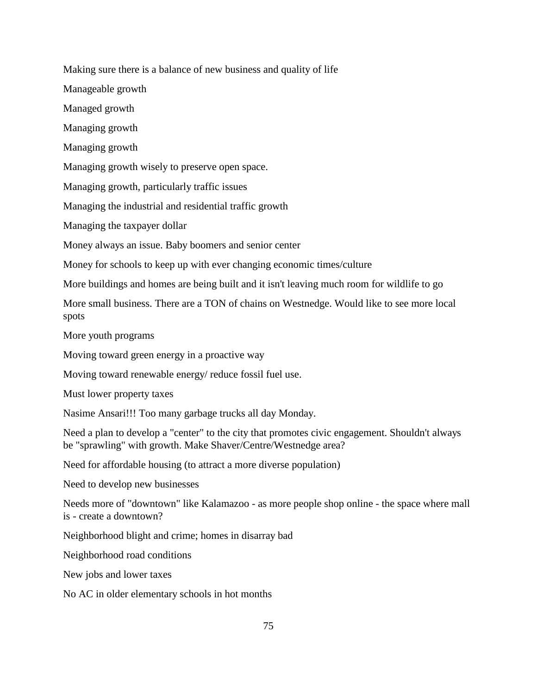Making sure there is a balance of new business and quality of life

Manageable growth

Managed growth

Managing growth

Managing growth

Managing growth wisely to preserve open space.

Managing growth, particularly traffic issues

Managing the industrial and residential traffic growth

Managing the taxpayer dollar

Money always an issue. Baby boomers and senior center

Money for schools to keep up with ever changing economic times/culture

More buildings and homes are being built and it isn't leaving much room for wildlife to go

More small business. There are a TON of chains on Westnedge. Would like to see more local spots

More youth programs

Moving toward green energy in a proactive way

Moving toward renewable energy/ reduce fossil fuel use.

Must lower property taxes

Nasime Ansari!!! Too many garbage trucks all day Monday.

Need a plan to develop a "center" to the city that promotes civic engagement. Shouldn't always be "sprawling" with growth. Make Shaver/Centre/Westnedge area?

Need for affordable housing (to attract a more diverse population)

Need to develop new businesses

Needs more of "downtown" like Kalamazoo - as more people shop online - the space where mall is - create a downtown?

Neighborhood blight and crime; homes in disarray bad

Neighborhood road conditions

New jobs and lower taxes

No AC in older elementary schools in hot months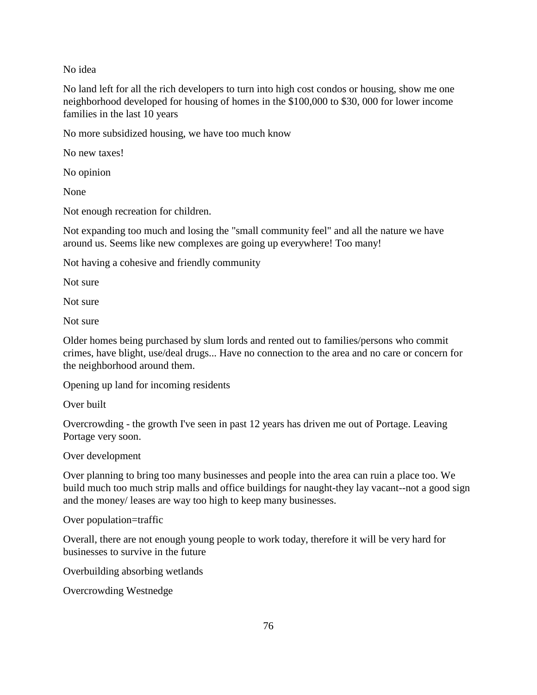No idea

No land left for all the rich developers to turn into high cost condos or housing, show me one neighborhood developed for housing of homes in the \$100,000 to \$30, 000 for lower income families in the last 10 years

No more subsidized housing, we have too much know

No new taxes!

No opinion

None

Not enough recreation for children.

Not expanding too much and losing the "small community feel" and all the nature we have around us. Seems like new complexes are going up everywhere! Too many!

Not having a cohesive and friendly community

Not sure

Not sure

Not sure

Older homes being purchased by slum lords and rented out to families/persons who commit crimes, have blight, use/deal drugs... Have no connection to the area and no care or concern for the neighborhood around them.

Opening up land for incoming residents

Over built

Overcrowding - the growth I've seen in past 12 years has driven me out of Portage. Leaving Portage very soon.

Over development

Over planning to bring too many businesses and people into the area can ruin a place too. We build much too much strip malls and office buildings for naught-they lay vacant--not a good sign and the money/ leases are way too high to keep many businesses.

Over population=traffic

Overall, there are not enough young people to work today, therefore it will be very hard for businesses to survive in the future

Overbuilding absorbing wetlands

Overcrowding Westnedge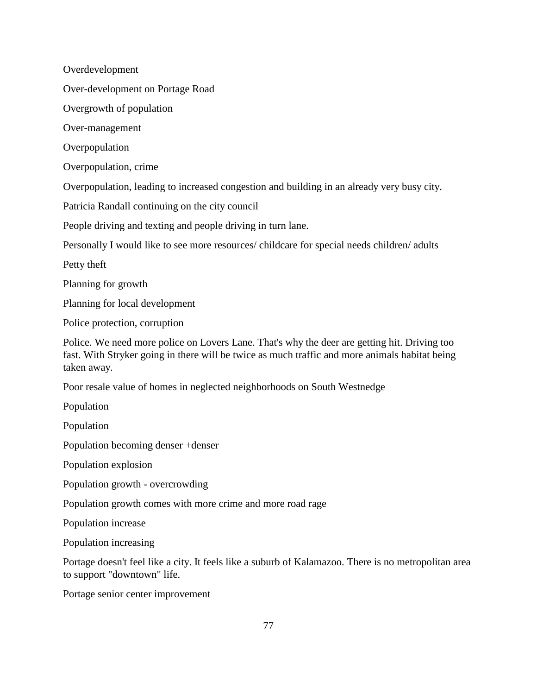Overdevelopment

Over-development on Portage Road

Overgrowth of population

Over-management

Overpopulation

Overpopulation, crime

Overpopulation, leading to increased congestion and building in an already very busy city.

Patricia Randall continuing on the city council

People driving and texting and people driving in turn lane.

Personally I would like to see more resources/ childcare for special needs children/ adults

Petty theft

Planning for growth

Planning for local development

Police protection, corruption

Police. We need more police on Lovers Lane. That's why the deer are getting hit. Driving too fast. With Stryker going in there will be twice as much traffic and more animals habitat being taken away.

Poor resale value of homes in neglected neighborhoods on South Westnedge

Population

Population

Population becoming denser +denser

Population explosion

Population growth - overcrowding

Population growth comes with more crime and more road rage

Population increase

Population increasing

Portage doesn't feel like a city. It feels like a suburb of Kalamazoo. There is no metropolitan area to support "downtown" life.

Portage senior center improvement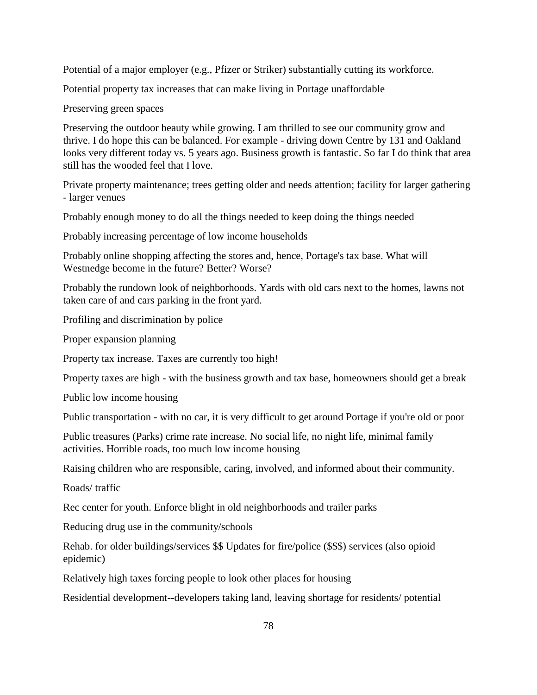Potential of a major employer (e.g., Pfizer or Striker) substantially cutting its workforce.

Potential property tax increases that can make living in Portage unaffordable

Preserving green spaces

Preserving the outdoor beauty while growing. I am thrilled to see our community grow and thrive. I do hope this can be balanced. For example - driving down Centre by 131 and Oakland looks very different today vs. 5 years ago. Business growth is fantastic. So far I do think that area still has the wooded feel that I love.

Private property maintenance; trees getting older and needs attention; facility for larger gathering - larger venues

Probably enough money to do all the things needed to keep doing the things needed

Probably increasing percentage of low income households

Probably online shopping affecting the stores and, hence, Portage's tax base. What will Westnedge become in the future? Better? Worse?

Probably the rundown look of neighborhoods. Yards with old cars next to the homes, lawns not taken care of and cars parking in the front yard.

Profiling and discrimination by police

Proper expansion planning

Property tax increase. Taxes are currently too high!

Property taxes are high - with the business growth and tax base, homeowners should get a break

Public low income housing

Public transportation - with no car, it is very difficult to get around Portage if you're old or poor

Public treasures (Parks) crime rate increase. No social life, no night life, minimal family activities. Horrible roads, too much low income housing

Raising children who are responsible, caring, involved, and informed about their community.

Roads/ traffic

Rec center for youth. Enforce blight in old neighborhoods and trailer parks

Reducing drug use in the community/schools

Rehab. for older buildings/services \$\$ Updates for fire/police (\$\$\$) services (also opioid epidemic)

Relatively high taxes forcing people to look other places for housing

Residential development--developers taking land, leaving shortage for residents/ potential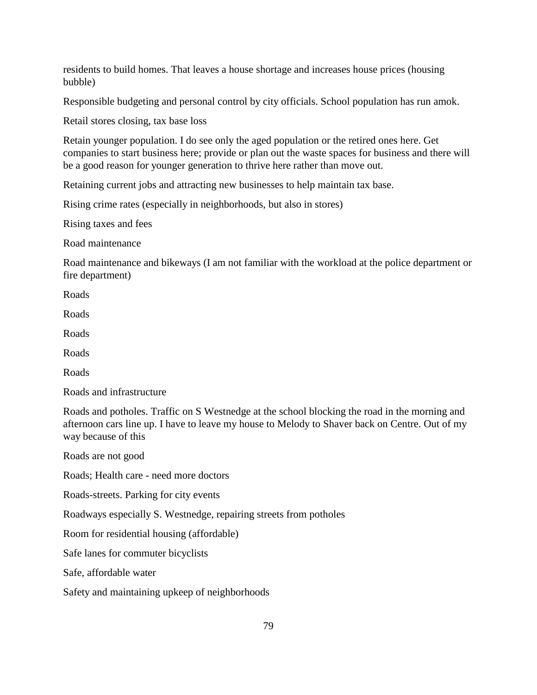residents to build homes. That leaves a house shortage and increases house prices (housing bubble)

Responsible budgeting and personal control by city officials. School population has run amok.

Retail stores closing, tax base loss

Retain younger population. I do see only the aged population or the retired ones here. Get companies to start business here; provide or plan out the waste spaces for business and there will be a good reason for younger generation to thrive here rather than move out.

Retaining current jobs and attracting new businesses to help maintain tax base.

Rising crime rates (especially in neighborhoods, but also in stores)

Rising taxes and fees

Road maintenance

Road maintenance and bikeways (I am not familiar with the workload at the police department or fire department)

Roads

Roads

Roads

Roads

Roads

Roads and infrastructure

Roads and potholes. Traffic on S Westnedge at the school blocking the road in the morning and afternoon cars line up. I have to leave my house to Melody to Shaver back on Centre. Out of my way because of this

Roads are not good

Roads; Health care - need more doctors

Roads-streets. Parking for city events

Roadways especially S. Westnedge, repairing streets from potholes

Room for residential housing (affordable)

Safe lanes for commuter bicyclists

Safe, affordable water

Safety and maintaining upkeep of neighborhoods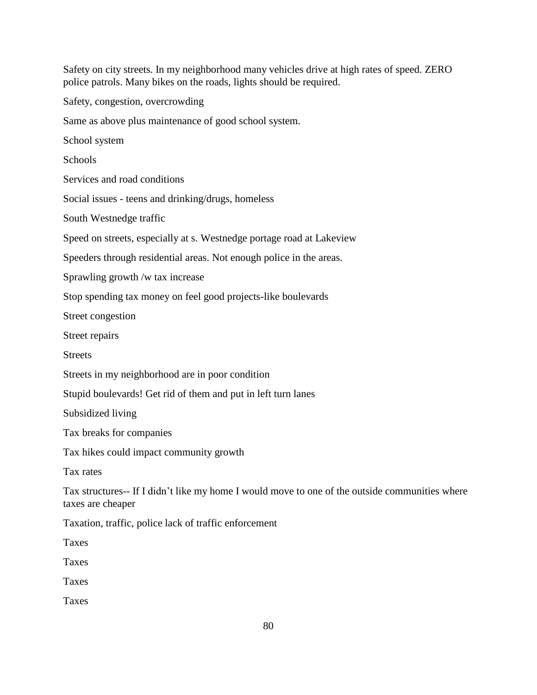Safety on city streets. In my neighborhood many vehicles drive at high rates of speed. ZERO police patrols. Many bikes on the roads, lights should be required.

Safety, congestion, overcrowding

Same as above plus maintenance of good school system.

School system

**Schools** 

Services and road conditions

Social issues - teens and drinking/drugs, homeless

South Westnedge traffic

Speed on streets, especially at s. Westnedge portage road at Lakeview

Speeders through residential areas. Not enough police in the areas.

Sprawling growth /w tax increase

Stop spending tax money on feel good projects-like boulevards

Street congestion

Street repairs

**Streets** 

Streets in my neighborhood are in poor condition

Stupid boulevards! Get rid of them and put in left turn lanes

Subsidized living

Tax breaks for companies

Tax hikes could impact community growth

Tax rates

Tax structures-- If I didn't like my home I would move to one of the outside communities where taxes are cheaper

Taxation, traffic, police lack of traffic enforcement

Taxes

Taxes

Taxes

Taxes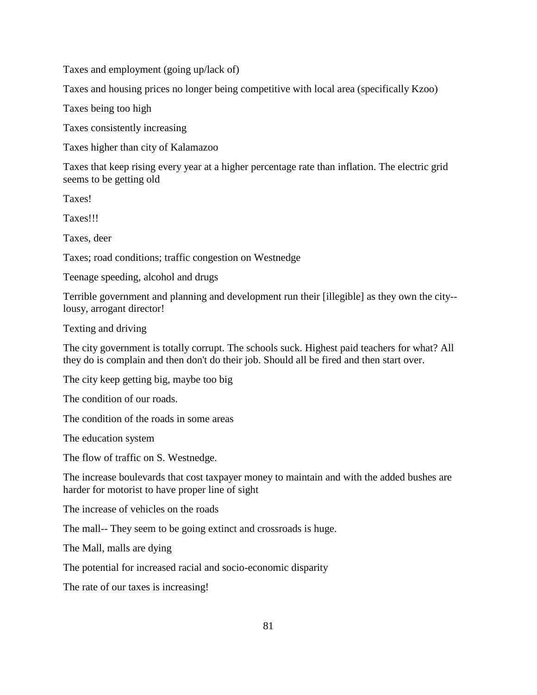Taxes and employment (going up/lack of)

Taxes and housing prices no longer being competitive with local area (specifically Kzoo)

Taxes being too high

Taxes consistently increasing

Taxes higher than city of Kalamazoo

Taxes that keep rising every year at a higher percentage rate than inflation. The electric grid seems to be getting old

Taxes!

Taxes!!!

Taxes, deer

Taxes; road conditions; traffic congestion on Westnedge

Teenage speeding, alcohol and drugs

Terrible government and planning and development run their [illegible] as they own the city- lousy, arrogant director!

Texting and driving

The city government is totally corrupt. The schools suck. Highest paid teachers for what? All they do is complain and then don't do their job. Should all be fired and then start over.

The city keep getting big, maybe too big

The condition of our roads.

The condition of the roads in some areas

The education system

The flow of traffic on S. Westnedge.

The increase boulevards that cost taxpayer money to maintain and with the added bushes are harder for motorist to have proper line of sight

The increase of vehicles on the roads

The mall-- They seem to be going extinct and crossroads is huge.

The Mall, malls are dying

The potential for increased racial and socio-economic disparity

The rate of our taxes is increasing!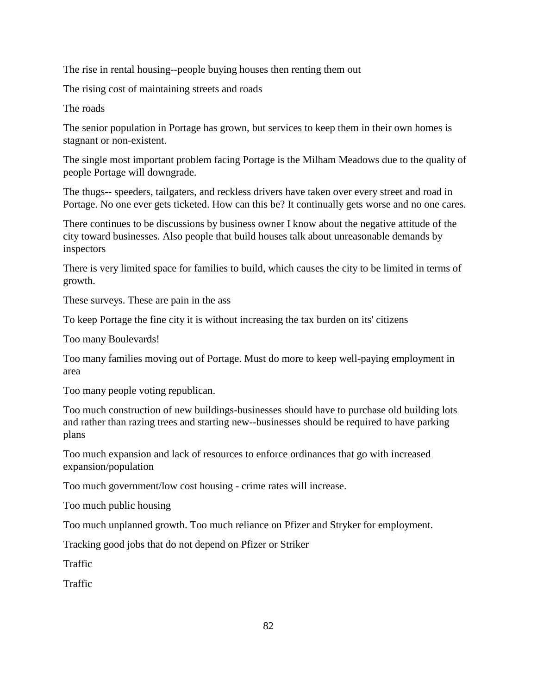The rise in rental housing--people buying houses then renting them out

The rising cost of maintaining streets and roads

The roads

The senior population in Portage has grown, but services to keep them in their own homes is stagnant or non-existent.

The single most important problem facing Portage is the Milham Meadows due to the quality of people Portage will downgrade.

The thugs-- speeders, tailgaters, and reckless drivers have taken over every street and road in Portage. No one ever gets ticketed. How can this be? It continually gets worse and no one cares.

There continues to be discussions by business owner I know about the negative attitude of the city toward businesses. Also people that build houses talk about unreasonable demands by inspectors

There is very limited space for families to build, which causes the city to be limited in terms of growth.

These surveys. These are pain in the ass

To keep Portage the fine city it is without increasing the tax burden on its' citizens

Too many Boulevards!

Too many families moving out of Portage. Must do more to keep well-paying employment in area

Too many people voting republican.

Too much construction of new buildings-businesses should have to purchase old building lots and rather than razing trees and starting new--businesses should be required to have parking plans

Too much expansion and lack of resources to enforce ordinances that go with increased expansion/population

Too much government/low cost housing - crime rates will increase.

Too much public housing

Too much unplanned growth. Too much reliance on Pfizer and Stryker for employment.

Tracking good jobs that do not depend on Pfizer or Striker

Traffic

Traffic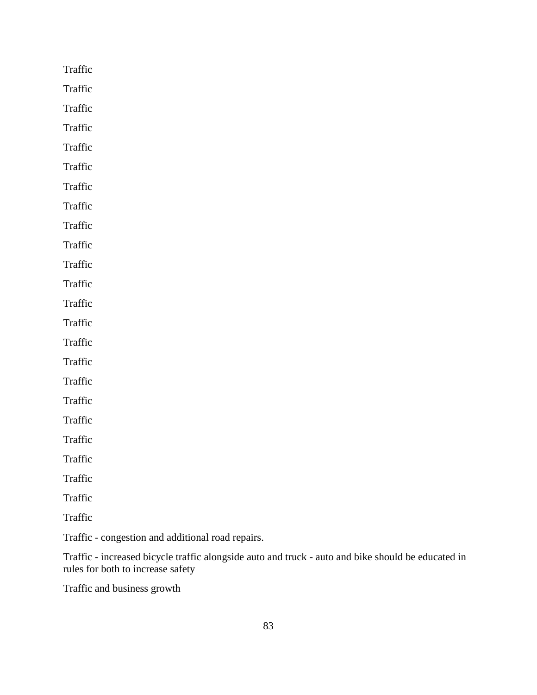Traffic Traffic Traffic Traffic Traffic Traffic Traffic Traffic Traffic Traffic Traffic Traffic Traffic Traffic Traffic Traffic Traffic Traffic Traffic Traffic Traffic Traffic Traffic Traffic

Traffic - congestion and additional road repairs.

Traffic - increased bicycle traffic alongside auto and truck - auto and bike should be educated in rules for both to increase safety

Traffic and business growth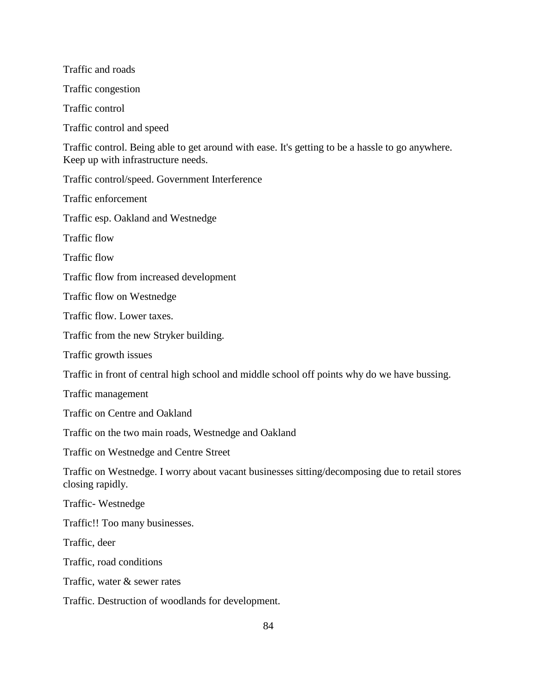Traffic and roads Traffic congestion Traffic control Traffic control and speed Traffic control. Being able to get around with ease. It's getting to be a hassle to go anywhere. Keep up with infrastructure needs. Traffic control/speed. Government Interference Traffic enforcement Traffic esp. Oakland and Westnedge Traffic flow Traffic flow Traffic flow from increased development Traffic flow on Westnedge Traffic flow. Lower taxes. Traffic from the new Stryker building. Traffic growth issues Traffic in front of central high school and middle school off points why do we have bussing. Traffic management Traffic on Centre and Oakland Traffic on the two main roads, Westnedge and Oakland Traffic on Westnedge and Centre Street Traffic on Westnedge. I worry about vacant businesses sitting/decomposing due to retail stores closing rapidly. Traffic- Westnedge Traffic!! Too many businesses. Traffic, deer Traffic, road conditions Traffic, water & sewer rates Traffic. Destruction of woodlands for development.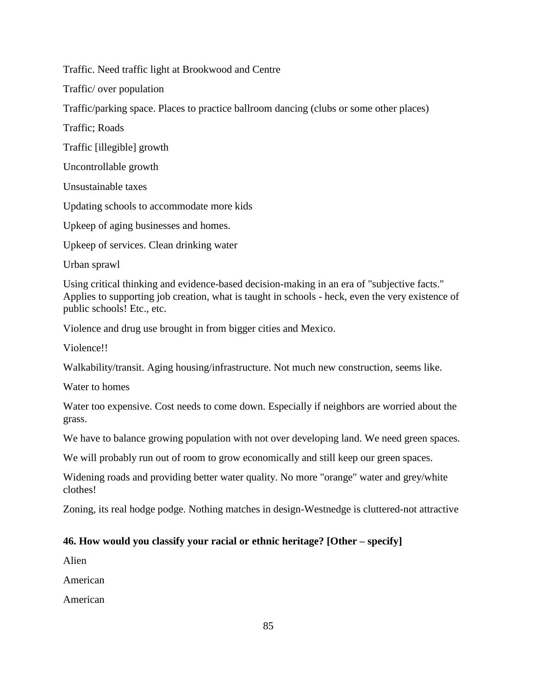Traffic. Need traffic light at Brookwood and Centre

Traffic/ over population

Traffic/parking space. Places to practice ballroom dancing (clubs or some other places)

Traffic; Roads

Traffic [illegible] growth

Uncontrollable growth

Unsustainable taxes

Updating schools to accommodate more kids

Upkeep of aging businesses and homes.

Upkeep of services. Clean drinking water

Urban sprawl

Using critical thinking and evidence-based decision-making in an era of "subjective facts." Applies to supporting job creation, what is taught in schools - heck, even the very existence of public schools! Etc., etc.

Violence and drug use brought in from bigger cities and Mexico.

Violence!!

Walkability/transit. Aging housing/infrastructure. Not much new construction, seems like.

Water to homes

Water too expensive. Cost needs to come down. Especially if neighbors are worried about the grass.

We have to balance growing population with not over developing land. We need green spaces.

We will probably run out of room to grow economically and still keep our green spaces.

Widening roads and providing better water quality. No more "orange" water and grey/white clothes!

Zoning, its real hodge podge. Nothing matches in design-Westnedge is cluttered-not attractive

## **46. How would you classify your racial or ethnic heritage? [Other – specify]**

Alien

American

American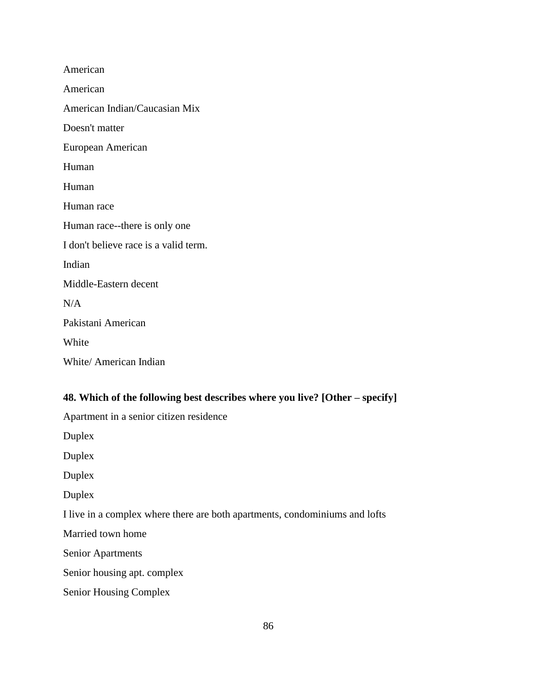American American American Indian/Caucasian Mix Doesn't matter European American Human Human Human race Human race--there is only one I don't believe race is a valid term. Indian Middle-Eastern decent  $N/A$ Pakistani American White White/ American Indian

## **48. Which of the following best describes where you live? [Other – specify]**

Apartment in a senior citizen residence Duplex Duplex Duplex Duplex I live in a complex where there are both apartments, condominiums and lofts Married town home Senior Apartments Senior housing apt. complex Senior Housing Complex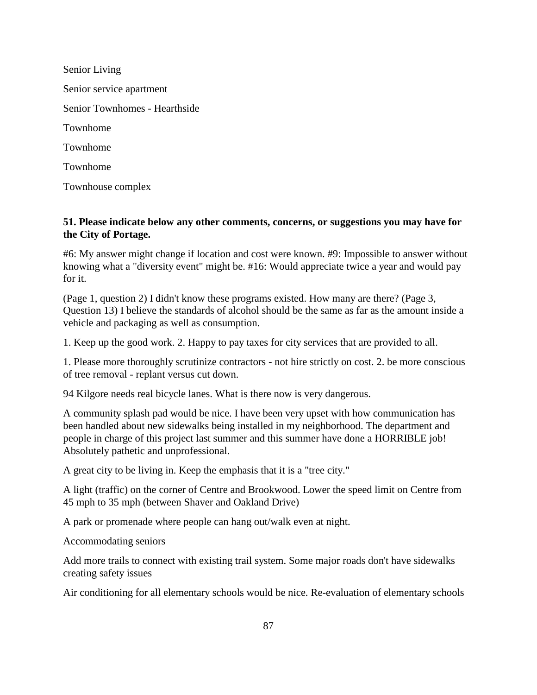Senior Living Senior service apartment Senior Townhomes - Hearthside Townhome Townhome Townhome Townhouse complex

## **51. Please indicate below any other comments, concerns, or suggestions you may have for the City of Portage.**

#6: My answer might change if location and cost were known. #9: Impossible to answer without knowing what a "diversity event" might be. #16: Would appreciate twice a year and would pay for it.

(Page 1, question 2) I didn't know these programs existed. How many are there? (Page 3, Question 13) I believe the standards of alcohol should be the same as far as the amount inside a vehicle and packaging as well as consumption.

1. Keep up the good work. 2. Happy to pay taxes for city services that are provided to all.

1. Please more thoroughly scrutinize contractors - not hire strictly on cost. 2. be more conscious of tree removal - replant versus cut down.

94 Kilgore needs real bicycle lanes. What is there now is very dangerous.

A community splash pad would be nice. I have been very upset with how communication has been handled about new sidewalks being installed in my neighborhood. The department and people in charge of this project last summer and this summer have done a HORRIBLE job! Absolutely pathetic and unprofessional.

A great city to be living in. Keep the emphasis that it is a "tree city."

A light (traffic) on the corner of Centre and Brookwood. Lower the speed limit on Centre from 45 mph to 35 mph (between Shaver and Oakland Drive)

A park or promenade where people can hang out/walk even at night.

Accommodating seniors

Add more trails to connect with existing trail system. Some major roads don't have sidewalks creating safety issues

Air conditioning for all elementary schools would be nice. Re-evaluation of elementary schools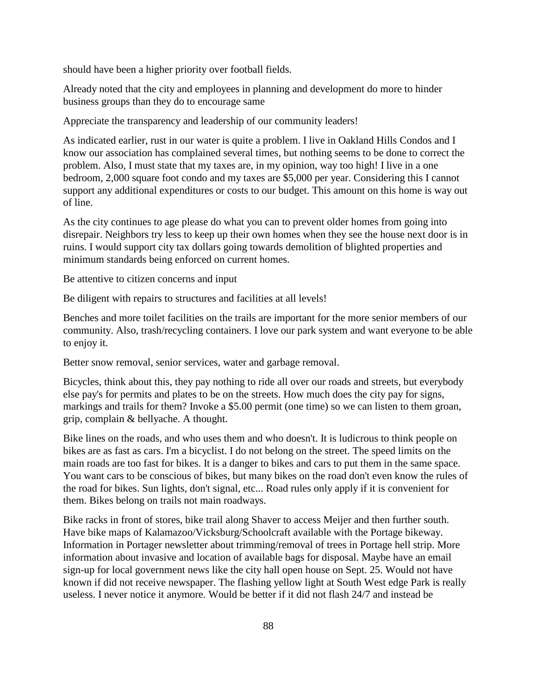should have been a higher priority over football fields.

Already noted that the city and employees in planning and development do more to hinder business groups than they do to encourage same

Appreciate the transparency and leadership of our community leaders!

As indicated earlier, rust in our water is quite a problem. I live in Oakland Hills Condos and I know our association has complained several times, but nothing seems to be done to correct the problem. Also, I must state that my taxes are, in my opinion, way too high! I live in a one bedroom, 2,000 square foot condo and my taxes are \$5,000 per year. Considering this I cannot support any additional expenditures or costs to our budget. This amount on this home is way out of line.

As the city continues to age please do what you can to prevent older homes from going into disrepair. Neighbors try less to keep up their own homes when they see the house next door is in ruins. I would support city tax dollars going towards demolition of blighted properties and minimum standards being enforced on current homes.

Be attentive to citizen concerns and input

Be diligent with repairs to structures and facilities at all levels!

Benches and more toilet facilities on the trails are important for the more senior members of our community. Also, trash/recycling containers. I love our park system and want everyone to be able to enjoy it.

Better snow removal, senior services, water and garbage removal.

Bicycles, think about this, they pay nothing to ride all over our roads and streets, but everybody else pay's for permits and plates to be on the streets. How much does the city pay for signs, markings and trails for them? Invoke a \$5.00 permit (one time) so we can listen to them groan, grip, complain & bellyache. A thought.

Bike lines on the roads, and who uses them and who doesn't. It is ludicrous to think people on bikes are as fast as cars. I'm a bicyclist. I do not belong on the street. The speed limits on the main roads are too fast for bikes. It is a danger to bikes and cars to put them in the same space. You want cars to be conscious of bikes, but many bikes on the road don't even know the rules of the road for bikes. Sun lights, don't signal, etc... Road rules only apply if it is convenient for them. Bikes belong on trails not main roadways.

Bike racks in front of stores, bike trail along Shaver to access Meijer and then further south. Have bike maps of Kalamazoo/Vicksburg/Schoolcraft available with the Portage bikeway. Information in Portager newsletter about trimming/removal of trees in Portage hell strip. More information about invasive and location of available bags for disposal. Maybe have an email sign-up for local government news like the city hall open house on Sept. 25. Would not have known if did not receive newspaper. The flashing yellow light at South West edge Park is really useless. I never notice it anymore. Would be better if it did not flash 24/7 and instead be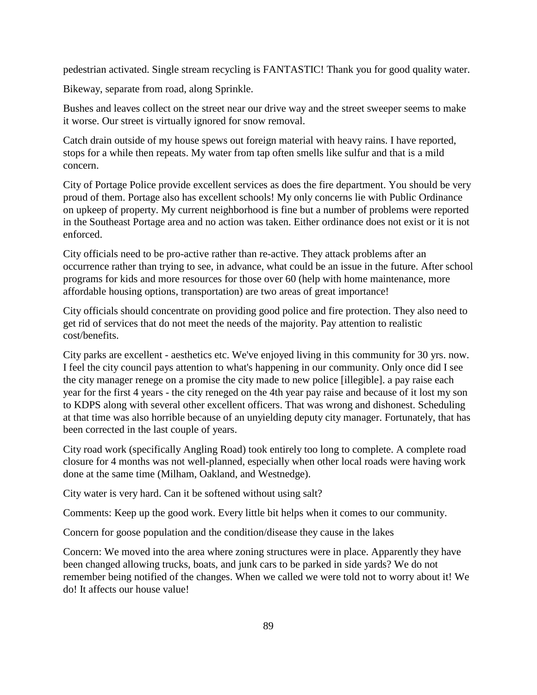pedestrian activated. Single stream recycling is FANTASTIC! Thank you for good quality water.

Bikeway, separate from road, along Sprinkle.

Bushes and leaves collect on the street near our drive way and the street sweeper seems to make it worse. Our street is virtually ignored for snow removal.

Catch drain outside of my house spews out foreign material with heavy rains. I have reported, stops for a while then repeats. My water from tap often smells like sulfur and that is a mild concern.

City of Portage Police provide excellent services as does the fire department. You should be very proud of them. Portage also has excellent schools! My only concerns lie with Public Ordinance on upkeep of property. My current neighborhood is fine but a number of problems were reported in the Southeast Portage area and no action was taken. Either ordinance does not exist or it is not enforced.

City officials need to be pro-active rather than re-active. They attack problems after an occurrence rather than trying to see, in advance, what could be an issue in the future. After school programs for kids and more resources for those over 60 (help with home maintenance, more affordable housing options, transportation) are two areas of great importance!

City officials should concentrate on providing good police and fire protection. They also need to get rid of services that do not meet the needs of the majority. Pay attention to realistic cost/benefits.

City parks are excellent - aesthetics etc. We've enjoyed living in this community for 30 yrs. now. I feel the city council pays attention to what's happening in our community. Only once did I see the city manager renege on a promise the city made to new police [illegible]. a pay raise each year for the first 4 years - the city reneged on the 4th year pay raise and because of it lost my son to KDPS along with several other excellent officers. That was wrong and dishonest. Scheduling at that time was also horrible because of an unyielding deputy city manager. Fortunately, that has been corrected in the last couple of years.

City road work (specifically Angling Road) took entirely too long to complete. A complete road closure for 4 months was not well-planned, especially when other local roads were having work done at the same time (Milham, Oakland, and Westnedge).

City water is very hard. Can it be softened without using salt?

Comments: Keep up the good work. Every little bit helps when it comes to our community.

Concern for goose population and the condition/disease they cause in the lakes

Concern: We moved into the area where zoning structures were in place. Apparently they have been changed allowing trucks, boats, and junk cars to be parked in side yards? We do not remember being notified of the changes. When we called we were told not to worry about it! We do! It affects our house value!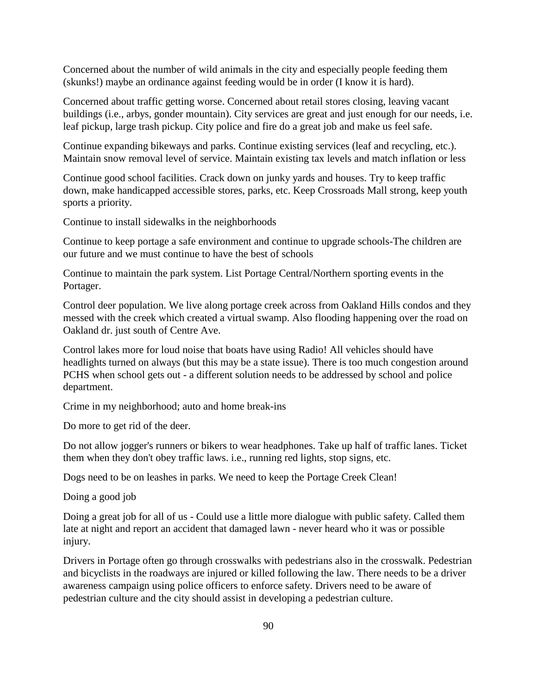Concerned about the number of wild animals in the city and especially people feeding them (skunks!) maybe an ordinance against feeding would be in order (I know it is hard).

Concerned about traffic getting worse. Concerned about retail stores closing, leaving vacant buildings (i.e., arbys, gonder mountain). City services are great and just enough for our needs, i.e. leaf pickup, large trash pickup. City police and fire do a great job and make us feel safe.

Continue expanding bikeways and parks. Continue existing services (leaf and recycling, etc.). Maintain snow removal level of service. Maintain existing tax levels and match inflation or less

Continue good school facilities. Crack down on junky yards and houses. Try to keep traffic down, make handicapped accessible stores, parks, etc. Keep Crossroads Mall strong, keep youth sports a priority.

Continue to install sidewalks in the neighborhoods

Continue to keep portage a safe environment and continue to upgrade schools-The children are our future and we must continue to have the best of schools

Continue to maintain the park system. List Portage Central/Northern sporting events in the Portager.

Control deer population. We live along portage creek across from Oakland Hills condos and they messed with the creek which created a virtual swamp. Also flooding happening over the road on Oakland dr. just south of Centre Ave.

Control lakes more for loud noise that boats have using Radio! All vehicles should have headlights turned on always (but this may be a state issue). There is too much congestion around PCHS when school gets out - a different solution needs to be addressed by school and police department.

Crime in my neighborhood; auto and home break-ins

Do more to get rid of the deer.

Do not allow jogger's runners or bikers to wear headphones. Take up half of traffic lanes. Ticket them when they don't obey traffic laws. i.e., running red lights, stop signs, etc.

Dogs need to be on leashes in parks. We need to keep the Portage Creek Clean!

Doing a good job

Doing a great job for all of us - Could use a little more dialogue with public safety. Called them late at night and report an accident that damaged lawn - never heard who it was or possible injury.

Drivers in Portage often go through crosswalks with pedestrians also in the crosswalk. Pedestrian and bicyclists in the roadways are injured or killed following the law. There needs to be a driver awareness campaign using police officers to enforce safety. Drivers need to be aware of pedestrian culture and the city should assist in developing a pedestrian culture.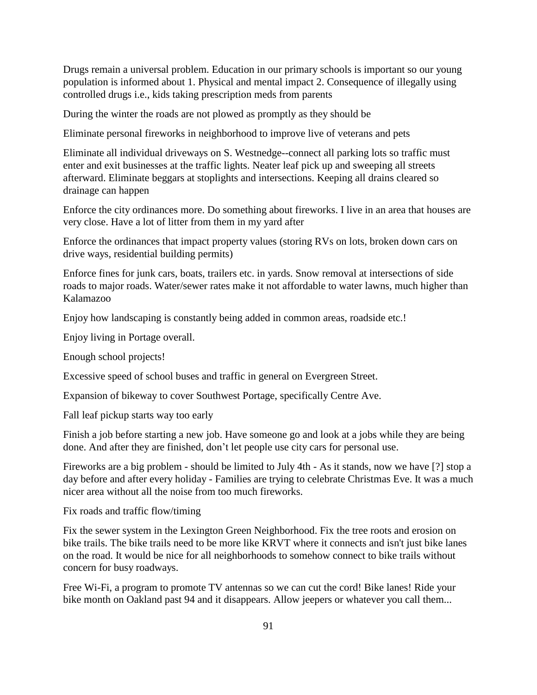Drugs remain a universal problem. Education in our primary schools is important so our young population is informed about 1. Physical and mental impact 2. Consequence of illegally using controlled drugs i.e., kids taking prescription meds from parents

During the winter the roads are not plowed as promptly as they should be

Eliminate personal fireworks in neighborhood to improve live of veterans and pets

Eliminate all individual driveways on S. Westnedge--connect all parking lots so traffic must enter and exit businesses at the traffic lights. Neater leaf pick up and sweeping all streets afterward. Eliminate beggars at stoplights and intersections. Keeping all drains cleared so drainage can happen

Enforce the city ordinances more. Do something about fireworks. I live in an area that houses are very close. Have a lot of litter from them in my yard after

Enforce the ordinances that impact property values (storing RVs on lots, broken down cars on drive ways, residential building permits)

Enforce fines for junk cars, boats, trailers etc. in yards. Snow removal at intersections of side roads to major roads. Water/sewer rates make it not affordable to water lawns, much higher than Kalamazoo

Enjoy how landscaping is constantly being added in common areas, roadside etc.!

Enjoy living in Portage overall.

Enough school projects!

Excessive speed of school buses and traffic in general on Evergreen Street.

Expansion of bikeway to cover Southwest Portage, specifically Centre Ave.

Fall leaf pickup starts way too early

Finish a job before starting a new job. Have someone go and look at a jobs while they are being done. And after they are finished, don't let people use city cars for personal use.

Fireworks are a big problem - should be limited to July 4th - As it stands, now we have [?] stop a day before and after every holiday - Families are trying to celebrate Christmas Eve. It was a much nicer area without all the noise from too much fireworks.

Fix roads and traffic flow/timing

Fix the sewer system in the Lexington Green Neighborhood. Fix the tree roots and erosion on bike trails. The bike trails need to be more like KRVT where it connects and isn't just bike lanes on the road. It would be nice for all neighborhoods to somehow connect to bike trails without concern for busy roadways.

Free Wi-Fi, a program to promote TV antennas so we can cut the cord! Bike lanes! Ride your bike month on Oakland past 94 and it disappears. Allow jeepers or whatever you call them...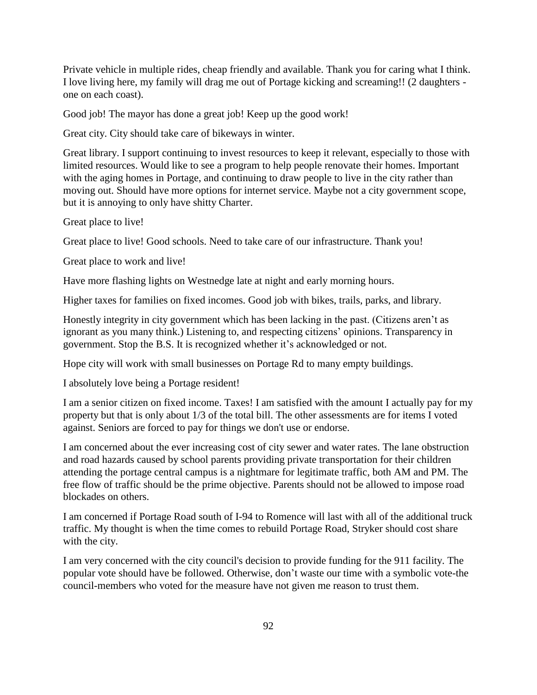Private vehicle in multiple rides, cheap friendly and available. Thank you for caring what I think. I love living here, my family will drag me out of Portage kicking and screaming!! (2 daughters one on each coast).

Good job! The mayor has done a great job! Keep up the good work!

Great city. City should take care of bikeways in winter.

Great library. I support continuing to invest resources to keep it relevant, especially to those with limited resources. Would like to see a program to help people renovate their homes. Important with the aging homes in Portage, and continuing to draw people to live in the city rather than moving out. Should have more options for internet service. Maybe not a city government scope, but it is annoying to only have shitty Charter.

Great place to live!

Great place to live! Good schools. Need to take care of our infrastructure. Thank you!

Great place to work and live!

Have more flashing lights on Westnedge late at night and early morning hours.

Higher taxes for families on fixed incomes. Good job with bikes, trails, parks, and library.

Honestly integrity in city government which has been lacking in the past. (Citizens aren't as ignorant as you many think.) Listening to, and respecting citizens' opinions. Transparency in government. Stop the B.S. It is recognized whether it's acknowledged or not.

Hope city will work with small businesses on Portage Rd to many empty buildings.

I absolutely love being a Portage resident!

I am a senior citizen on fixed income. Taxes! I am satisfied with the amount I actually pay for my property but that is only about 1/3 of the total bill. The other assessments are for items I voted against. Seniors are forced to pay for things we don't use or endorse.

I am concerned about the ever increasing cost of city sewer and water rates. The lane obstruction and road hazards caused by school parents providing private transportation for their children attending the portage central campus is a nightmare for legitimate traffic, both AM and PM. The free flow of traffic should be the prime objective. Parents should not be allowed to impose road blockades on others.

I am concerned if Portage Road south of I-94 to Romence will last with all of the additional truck traffic. My thought is when the time comes to rebuild Portage Road, Stryker should cost share with the city.

I am very concerned with the city council's decision to provide funding for the 911 facility. The popular vote should have be followed. Otherwise, don't waste our time with a symbolic vote-the council-members who voted for the measure have not given me reason to trust them.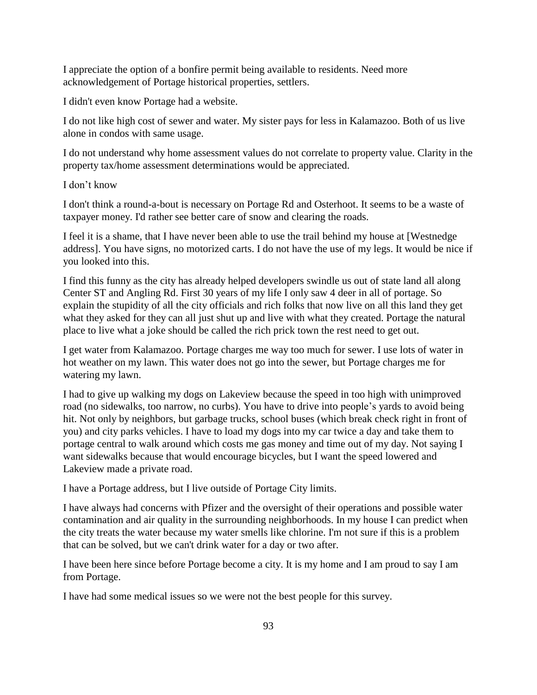I appreciate the option of a bonfire permit being available to residents. Need more acknowledgement of Portage historical properties, settlers.

I didn't even know Portage had a website.

I do not like high cost of sewer and water. My sister pays for less in Kalamazoo. Both of us live alone in condos with same usage.

I do not understand why home assessment values do not correlate to property value. Clarity in the property tax/home assessment determinations would be appreciated.

I don't know

I don't think a round-a-bout is necessary on Portage Rd and Osterhoot. It seems to be a waste of taxpayer money. I'd rather see better care of snow and clearing the roads.

I feel it is a shame, that I have never been able to use the trail behind my house at [Westnedge address]. You have signs, no motorized carts. I do not have the use of my legs. It would be nice if you looked into this.

I find this funny as the city has already helped developers swindle us out of state land all along Center ST and Angling Rd. First 30 years of my life I only saw 4 deer in all of portage. So explain the stupidity of all the city officials and rich folks that now live on all this land they get what they asked for they can all just shut up and live with what they created. Portage the natural place to live what a joke should be called the rich prick town the rest need to get out.

I get water from Kalamazoo. Portage charges me way too much for sewer. I use lots of water in hot weather on my lawn. This water does not go into the sewer, but Portage charges me for watering my lawn.

I had to give up walking my dogs on Lakeview because the speed in too high with unimproved road (no sidewalks, too narrow, no curbs). You have to drive into people's yards to avoid being hit. Not only by neighbors, but garbage trucks, school buses (which break check right in front of you) and city parks vehicles. I have to load my dogs into my car twice a day and take them to portage central to walk around which costs me gas money and time out of my day. Not saying I want sidewalks because that would encourage bicycles, but I want the speed lowered and Lakeview made a private road.

I have a Portage address, but I live outside of Portage City limits.

I have always had concerns with Pfizer and the oversight of their operations and possible water contamination and air quality in the surrounding neighborhoods. In my house I can predict when the city treats the water because my water smells like chlorine. I'm not sure if this is a problem that can be solved, but we can't drink water for a day or two after.

I have been here since before Portage become a city. It is my home and I am proud to say I am from Portage.

I have had some medical issues so we were not the best people for this survey.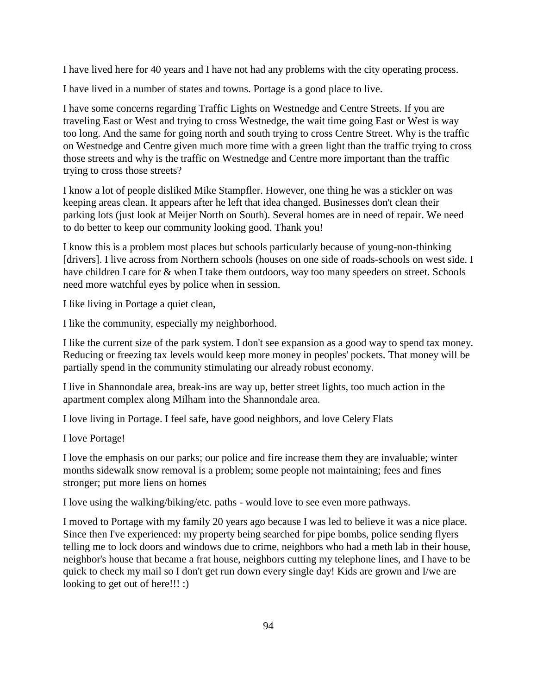I have lived here for 40 years and I have not had any problems with the city operating process.

I have lived in a number of states and towns. Portage is a good place to live.

I have some concerns regarding Traffic Lights on Westnedge and Centre Streets. If you are traveling East or West and trying to cross Westnedge, the wait time going East or West is way too long. And the same for going north and south trying to cross Centre Street. Why is the traffic on Westnedge and Centre given much more time with a green light than the traffic trying to cross those streets and why is the traffic on Westnedge and Centre more important than the traffic trying to cross those streets?

I know a lot of people disliked Mike Stampfler. However, one thing he was a stickler on was keeping areas clean. It appears after he left that idea changed. Businesses don't clean their parking lots (just look at Meijer North on South). Several homes are in need of repair. We need to do better to keep our community looking good. Thank you!

I know this is a problem most places but schools particularly because of young-non-thinking [drivers]. I live across from Northern schools (houses on one side of roads-schools on west side. I have children I care for & when I take them outdoors, way too many speeders on street. Schools need more watchful eyes by police when in session.

I like living in Portage a quiet clean,

I like the community, especially my neighborhood.

I like the current size of the park system. I don't see expansion as a good way to spend tax money. Reducing or freezing tax levels would keep more money in peoples' pockets. That money will be partially spend in the community stimulating our already robust economy.

I live in Shannondale area, break-ins are way up, better street lights, too much action in the apartment complex along Milham into the Shannondale area.

I love living in Portage. I feel safe, have good neighbors, and love Celery Flats

I love Portage!

I love the emphasis on our parks; our police and fire increase them they are invaluable; winter months sidewalk snow removal is a problem; some people not maintaining; fees and fines stronger; put more liens on homes

I love using the walking/biking/etc. paths - would love to see even more pathways.

I moved to Portage with my family 20 years ago because I was led to believe it was a nice place. Since then I've experienced: my property being searched for pipe bombs, police sending flyers telling me to lock doors and windows due to crime, neighbors who had a meth lab in their house, neighbor's house that became a frat house, neighbors cutting my telephone lines, and I have to be quick to check my mail so I don't get run down every single day! Kids are grown and I/we are looking to get out of here!!! :)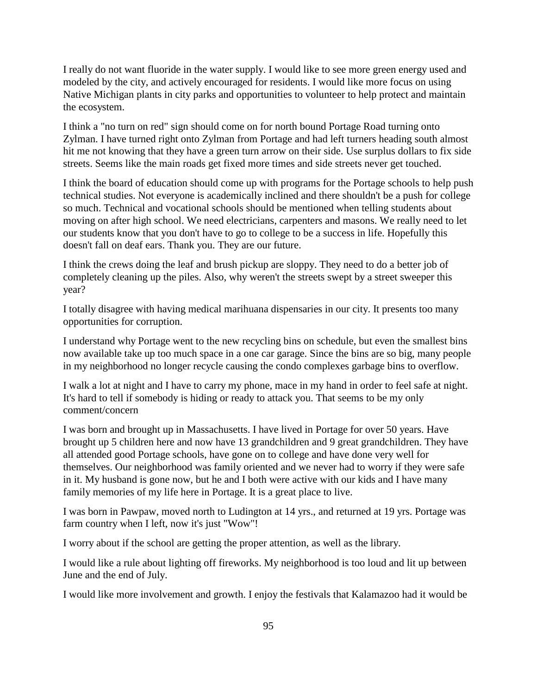I really do not want fluoride in the water supply. I would like to see more green energy used and modeled by the city, and actively encouraged for residents. I would like more focus on using Native Michigan plants in city parks and opportunities to volunteer to help protect and maintain the ecosystem.

I think a "no turn on red" sign should come on for north bound Portage Road turning onto Zylman. I have turned right onto Zylman from Portage and had left turners heading south almost hit me not knowing that they have a green turn arrow on their side. Use surplus dollars to fix side streets. Seems like the main roads get fixed more times and side streets never get touched.

I think the board of education should come up with programs for the Portage schools to help push technical studies. Not everyone is academically inclined and there shouldn't be a push for college so much. Technical and vocational schools should be mentioned when telling students about moving on after high school. We need electricians, carpenters and masons. We really need to let our students know that you don't have to go to college to be a success in life. Hopefully this doesn't fall on deaf ears. Thank you. They are our future.

I think the crews doing the leaf and brush pickup are sloppy. They need to do a better job of completely cleaning up the piles. Also, why weren't the streets swept by a street sweeper this year?

I totally disagree with having medical marihuana dispensaries in our city. It presents too many opportunities for corruption.

I understand why Portage went to the new recycling bins on schedule, but even the smallest bins now available take up too much space in a one car garage. Since the bins are so big, many people in my neighborhood no longer recycle causing the condo complexes garbage bins to overflow.

I walk a lot at night and I have to carry my phone, mace in my hand in order to feel safe at night. It's hard to tell if somebody is hiding or ready to attack you. That seems to be my only comment/concern

I was born and brought up in Massachusetts. I have lived in Portage for over 50 years. Have brought up 5 children here and now have 13 grandchildren and 9 great grandchildren. They have all attended good Portage schools, have gone on to college and have done very well for themselves. Our neighborhood was family oriented and we never had to worry if they were safe in it. My husband is gone now, but he and I both were active with our kids and I have many family memories of my life here in Portage. It is a great place to live.

I was born in Pawpaw, moved north to Ludington at 14 yrs., and returned at 19 yrs. Portage was farm country when I left, now it's just "Wow"!

I worry about if the school are getting the proper attention, as well as the library.

I would like a rule about lighting off fireworks. My neighborhood is too loud and lit up between June and the end of July.

I would like more involvement and growth. I enjoy the festivals that Kalamazoo had it would be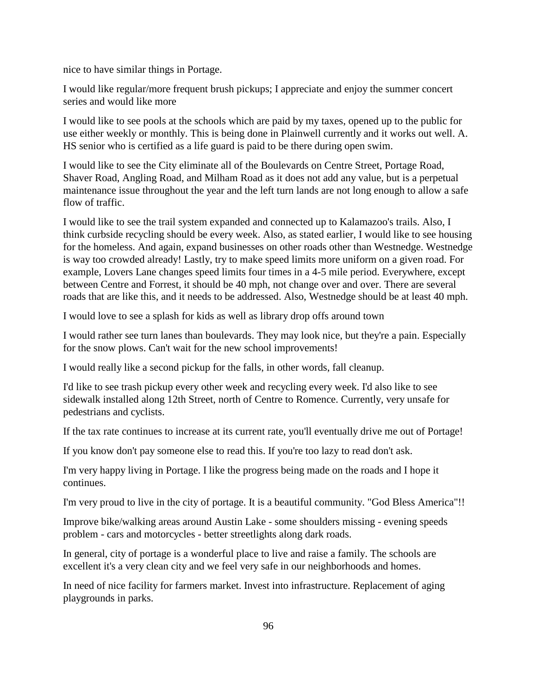nice to have similar things in Portage.

I would like regular/more frequent brush pickups; I appreciate and enjoy the summer concert series and would like more

I would like to see pools at the schools which are paid by my taxes, opened up to the public for use either weekly or monthly. This is being done in Plainwell currently and it works out well. A. HS senior who is certified as a life guard is paid to be there during open swim.

I would like to see the City eliminate all of the Boulevards on Centre Street, Portage Road, Shaver Road, Angling Road, and Milham Road as it does not add any value, but is a perpetual maintenance issue throughout the year and the left turn lands are not long enough to allow a safe flow of traffic.

I would like to see the trail system expanded and connected up to Kalamazoo's trails. Also, I think curbside recycling should be every week. Also, as stated earlier, I would like to see housing for the homeless. And again, expand businesses on other roads other than Westnedge. Westnedge is way too crowded already! Lastly, try to make speed limits more uniform on a given road. For example, Lovers Lane changes speed limits four times in a 4-5 mile period. Everywhere, except between Centre and Forrest, it should be 40 mph, not change over and over. There are several roads that are like this, and it needs to be addressed. Also, Westnedge should be at least 40 mph.

I would love to see a splash for kids as well as library drop offs around town

I would rather see turn lanes than boulevards. They may look nice, but they're a pain. Especially for the snow plows. Can't wait for the new school improvements!

I would really like a second pickup for the falls, in other words, fall cleanup.

I'd like to see trash pickup every other week and recycling every week. I'd also like to see sidewalk installed along 12th Street, north of Centre to Romence. Currently, very unsafe for pedestrians and cyclists.

If the tax rate continues to increase at its current rate, you'll eventually drive me out of Portage!

If you know don't pay someone else to read this. If you're too lazy to read don't ask.

I'm very happy living in Portage. I like the progress being made on the roads and I hope it continues.

I'm very proud to live in the city of portage. It is a beautiful community. "God Bless America"!!

Improve bike/walking areas around Austin Lake - some shoulders missing - evening speeds problem - cars and motorcycles - better streetlights along dark roads.

In general, city of portage is a wonderful place to live and raise a family. The schools are excellent it's a very clean city and we feel very safe in our neighborhoods and homes.

In need of nice facility for farmers market. Invest into infrastructure. Replacement of aging playgrounds in parks.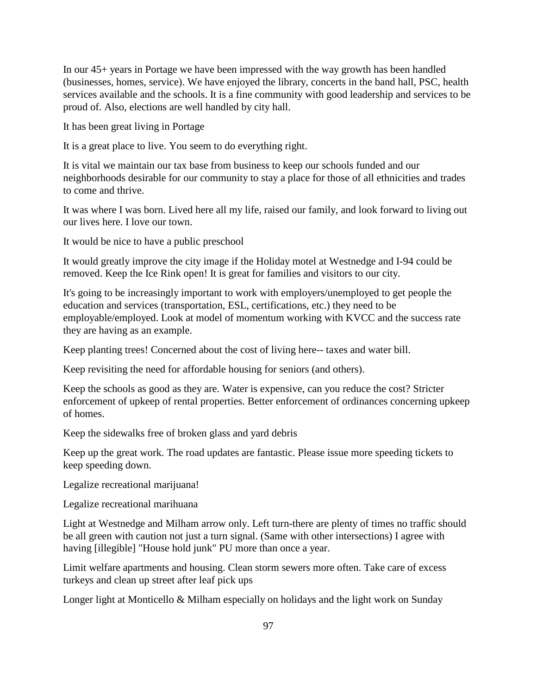In our 45+ years in Portage we have been impressed with the way growth has been handled (businesses, homes, service). We have enjoyed the library, concerts in the band hall, PSC, health services available and the schools. It is a fine community with good leadership and services to be proud of. Also, elections are well handled by city hall.

It has been great living in Portage

It is a great place to live. You seem to do everything right.

It is vital we maintain our tax base from business to keep our schools funded and our neighborhoods desirable for our community to stay a place for those of all ethnicities and trades to come and thrive.

It was where I was born. Lived here all my life, raised our family, and look forward to living out our lives here. I love our town.

It would be nice to have a public preschool

It would greatly improve the city image if the Holiday motel at Westnedge and I-94 could be removed. Keep the Ice Rink open! It is great for families and visitors to our city.

It's going to be increasingly important to work with employers/unemployed to get people the education and services (transportation, ESL, certifications, etc.) they need to be employable/employed. Look at model of momentum working with KVCC and the success rate they are having as an example.

Keep planting trees! Concerned about the cost of living here-- taxes and water bill.

Keep revisiting the need for affordable housing for seniors (and others).

Keep the schools as good as they are. Water is expensive, can you reduce the cost? Stricter enforcement of upkeep of rental properties. Better enforcement of ordinances concerning upkeep of homes.

Keep the sidewalks free of broken glass and yard debris

Keep up the great work. The road updates are fantastic. Please issue more speeding tickets to keep speeding down.

Legalize recreational marijuana!

Legalize recreational marihuana

Light at Westnedge and Milham arrow only. Left turn-there are plenty of times no traffic should be all green with caution not just a turn signal. (Same with other intersections) I agree with having [illegible] "House hold junk" PU more than once a year.

Limit welfare apartments and housing. Clean storm sewers more often. Take care of excess turkeys and clean up street after leaf pick ups

Longer light at Monticello & Milham especially on holidays and the light work on Sunday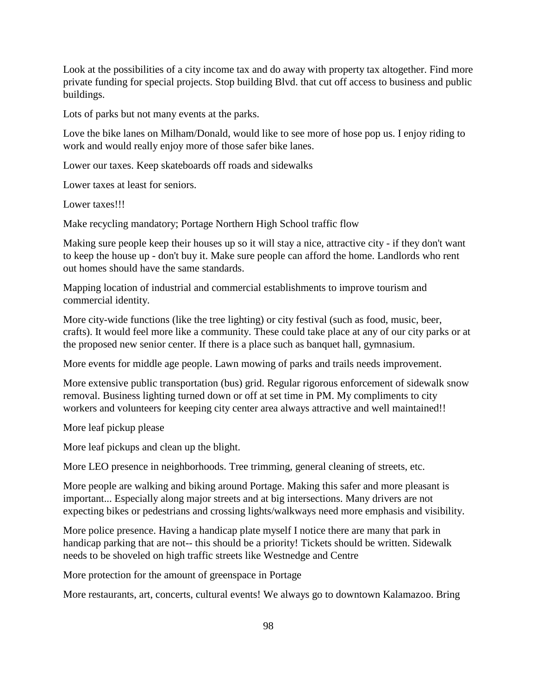Look at the possibilities of a city income tax and do away with property tax altogether. Find more private funding for special projects. Stop building Blvd. that cut off access to business and public buildings.

Lots of parks but not many events at the parks.

Love the bike lanes on Milham/Donald, would like to see more of hose pop us. I enjoy riding to work and would really enjoy more of those safer bike lanes.

Lower our taxes. Keep skateboards off roads and sidewalks

Lower taxes at least for seniors.

Lower taxes!!!

Make recycling mandatory; Portage Northern High School traffic flow

Making sure people keep their houses up so it will stay a nice, attractive city - if they don't want to keep the house up - don't buy it. Make sure people can afford the home. Landlords who rent out homes should have the same standards.

Mapping location of industrial and commercial establishments to improve tourism and commercial identity.

More city-wide functions (like the tree lighting) or city festival (such as food, music, beer, crafts). It would feel more like a community. These could take place at any of our city parks or at the proposed new senior center. If there is a place such as banquet hall, gymnasium.

More events for middle age people. Lawn mowing of parks and trails needs improvement.

More extensive public transportation (bus) grid. Regular rigorous enforcement of sidewalk snow removal. Business lighting turned down or off at set time in PM. My compliments to city workers and volunteers for keeping city center area always attractive and well maintained!!

More leaf pickup please

More leaf pickups and clean up the blight.

More LEO presence in neighborhoods. Tree trimming, general cleaning of streets, etc.

More people are walking and biking around Portage. Making this safer and more pleasant is important... Especially along major streets and at big intersections. Many drivers are not expecting bikes or pedestrians and crossing lights/walkways need more emphasis and visibility.

More police presence. Having a handicap plate myself I notice there are many that park in handicap parking that are not-- this should be a priority! Tickets should be written. Sidewalk needs to be shoveled on high traffic streets like Westnedge and Centre

More protection for the amount of greenspace in Portage

More restaurants, art, concerts, cultural events! We always go to downtown Kalamazoo. Bring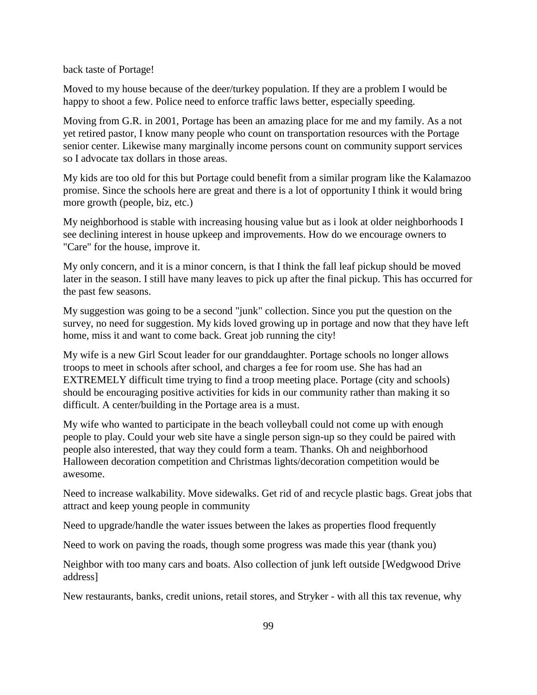back taste of Portage!

Moved to my house because of the deer/turkey population. If they are a problem I would be happy to shoot a few. Police need to enforce traffic laws better, especially speeding.

Moving from G.R. in 2001, Portage has been an amazing place for me and my family. As a not yet retired pastor, I know many people who count on transportation resources with the Portage senior center. Likewise many marginally income persons count on community support services so I advocate tax dollars in those areas.

My kids are too old for this but Portage could benefit from a similar program like the Kalamazoo promise. Since the schools here are great and there is a lot of opportunity I think it would bring more growth (people, biz, etc.)

My neighborhood is stable with increasing housing value but as i look at older neighborhoods I see declining interest in house upkeep and improvements. How do we encourage owners to "Care" for the house, improve it.

My only concern, and it is a minor concern, is that I think the fall leaf pickup should be moved later in the season. I still have many leaves to pick up after the final pickup. This has occurred for the past few seasons.

My suggestion was going to be a second "junk" collection. Since you put the question on the survey, no need for suggestion. My kids loved growing up in portage and now that they have left home, miss it and want to come back. Great job running the city!

My wife is a new Girl Scout leader for our granddaughter. Portage schools no longer allows troops to meet in schools after school, and charges a fee for room use. She has had an EXTREMELY difficult time trying to find a troop meeting place. Portage (city and schools) should be encouraging positive activities for kids in our community rather than making it so difficult. A center/building in the Portage area is a must.

My wife who wanted to participate in the beach volleyball could not come up with enough people to play. Could your web site have a single person sign-up so they could be paired with people also interested, that way they could form a team. Thanks. Oh and neighborhood Halloween decoration competition and Christmas lights/decoration competition would be awesome.

Need to increase walkability. Move sidewalks. Get rid of and recycle plastic bags. Great jobs that attract and keep young people in community

Need to upgrade/handle the water issues between the lakes as properties flood frequently

Need to work on paving the roads, though some progress was made this year (thank you)

Neighbor with too many cars and boats. Also collection of junk left outside [Wedgwood Drive address]

New restaurants, banks, credit unions, retail stores, and Stryker - with all this tax revenue, why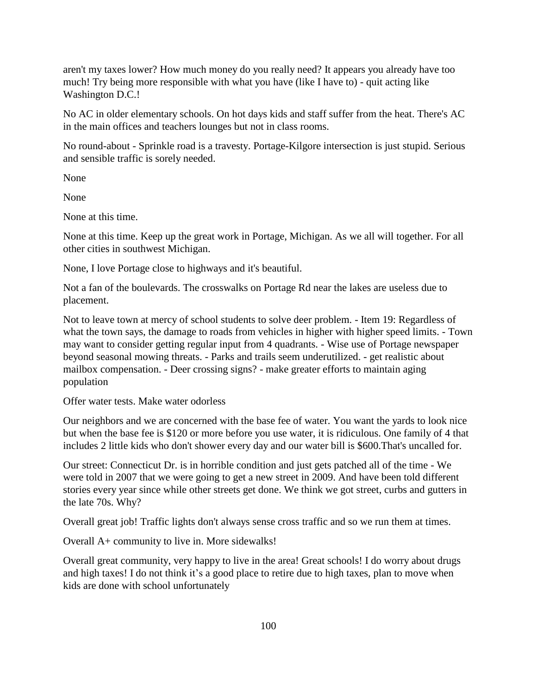aren't my taxes lower? How much money do you really need? It appears you already have too much! Try being more responsible with what you have (like I have to) - quit acting like Washington D.C.!

No AC in older elementary schools. On hot days kids and staff suffer from the heat. There's AC in the main offices and teachers lounges but not in class rooms.

No round-about - Sprinkle road is a travesty. Portage-Kilgore intersection is just stupid. Serious and sensible traffic is sorely needed.

None

None

None at this time.

None at this time. Keep up the great work in Portage, Michigan. As we all will together. For all other cities in southwest Michigan.

None, I love Portage close to highways and it's beautiful.

Not a fan of the boulevards. The crosswalks on Portage Rd near the lakes are useless due to placement.

Not to leave town at mercy of school students to solve deer problem. - Item 19: Regardless of what the town says, the damage to roads from vehicles in higher with higher speed limits. - Town may want to consider getting regular input from 4 quadrants. - Wise use of Portage newspaper beyond seasonal mowing threats. - Parks and trails seem underutilized. - get realistic about mailbox compensation. - Deer crossing signs? - make greater efforts to maintain aging population

Offer water tests. Make water odorless

Our neighbors and we are concerned with the base fee of water. You want the yards to look nice but when the base fee is \$120 or more before you use water, it is ridiculous. One family of 4 that includes 2 little kids who don't shower every day and our water bill is \$600.That's uncalled for.

Our street: Connecticut Dr. is in horrible condition and just gets patched all of the time - We were told in 2007 that we were going to get a new street in 2009. And have been told different stories every year since while other streets get done. We think we got street, curbs and gutters in the late 70s. Why?

Overall great job! Traffic lights don't always sense cross traffic and so we run them at times.

Overall A+ community to live in. More sidewalks!

Overall great community, very happy to live in the area! Great schools! I do worry about drugs and high taxes! I do not think it's a good place to retire due to high taxes, plan to move when kids are done with school unfortunately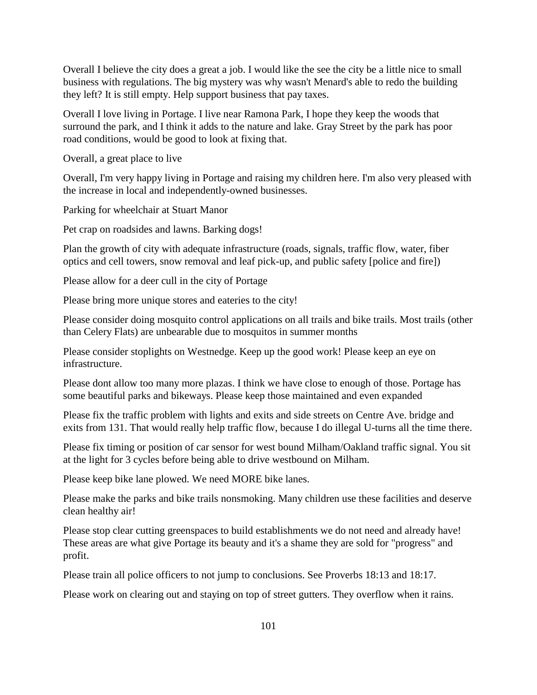Overall I believe the city does a great a job. I would like the see the city be a little nice to small business with regulations. The big mystery was why wasn't Menard's able to redo the building they left? It is still empty. Help support business that pay taxes.

Overall I love living in Portage. I live near Ramona Park, I hope they keep the woods that surround the park, and I think it adds to the nature and lake. Gray Street by the park has poor road conditions, would be good to look at fixing that.

Overall, a great place to live

Overall, I'm very happy living in Portage and raising my children here. I'm also very pleased with the increase in local and independently-owned businesses.

Parking for wheelchair at Stuart Manor

Pet crap on roadsides and lawns. Barking dogs!

Plan the growth of city with adequate infrastructure (roads, signals, traffic flow, water, fiber optics and cell towers, snow removal and leaf pick-up, and public safety [police and fire])

Please allow for a deer cull in the city of Portage

Please bring more unique stores and eateries to the city!

Please consider doing mosquito control applications on all trails and bike trails. Most trails (other than Celery Flats) are unbearable due to mosquitos in summer months

Please consider stoplights on Westnedge. Keep up the good work! Please keep an eye on infrastructure.

Please dont allow too many more plazas. I think we have close to enough of those. Portage has some beautiful parks and bikeways. Please keep those maintained and even expanded

Please fix the traffic problem with lights and exits and side streets on Centre Ave. bridge and exits from 131. That would really help traffic flow, because I do illegal U-turns all the time there.

Please fix timing or position of car sensor for west bound Milham/Oakland traffic signal. You sit at the light for 3 cycles before being able to drive westbound on Milham.

Please keep bike lane plowed. We need MORE bike lanes.

Please make the parks and bike trails nonsmoking. Many children use these facilities and deserve clean healthy air!

Please stop clear cutting greenspaces to build establishments we do not need and already have! These areas are what give Portage its beauty and it's a shame they are sold for "progress" and profit.

Please train all police officers to not jump to conclusions. See Proverbs 18:13 and 18:17.

Please work on clearing out and staying on top of street gutters. They overflow when it rains.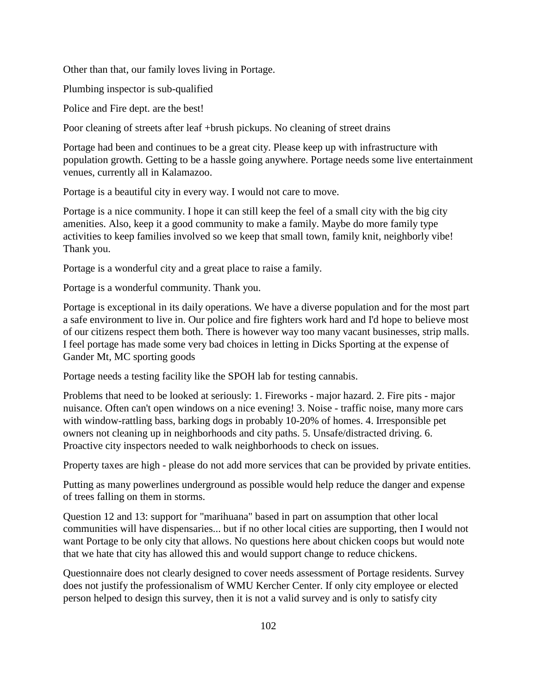Other than that, our family loves living in Portage.

Plumbing inspector is sub-qualified

Police and Fire dept. are the best!

Poor cleaning of streets after leaf +brush pickups. No cleaning of street drains

Portage had been and continues to be a great city. Please keep up with infrastructure with population growth. Getting to be a hassle going anywhere. Portage needs some live entertainment venues, currently all in Kalamazoo.

Portage is a beautiful city in every way. I would not care to move.

Portage is a nice community. I hope it can still keep the feel of a small city with the big city amenities. Also, keep it a good community to make a family. Maybe do more family type activities to keep families involved so we keep that small town, family knit, neighborly vibe! Thank you.

Portage is a wonderful city and a great place to raise a family.

Portage is a wonderful community. Thank you.

Portage is exceptional in its daily operations. We have a diverse population and for the most part a safe environment to live in. Our police and fire fighters work hard and I'd hope to believe most of our citizens respect them both. There is however way too many vacant businesses, strip malls. I feel portage has made some very bad choices in letting in Dicks Sporting at the expense of Gander Mt, MC sporting goods

Portage needs a testing facility like the SPOH lab for testing cannabis.

Problems that need to be looked at seriously: 1. Fireworks - major hazard. 2. Fire pits - major nuisance. Often can't open windows on a nice evening! 3. Noise - traffic noise, many more cars with window-rattling bass, barking dogs in probably 10-20% of homes. 4. Irresponsible pet owners not cleaning up in neighborhoods and city paths. 5. Unsafe/distracted driving. 6. Proactive city inspectors needed to walk neighborhoods to check on issues.

Property taxes are high - please do not add more services that can be provided by private entities.

Putting as many powerlines underground as possible would help reduce the danger and expense of trees falling on them in storms.

Question 12 and 13: support for "marihuana" based in part on assumption that other local communities will have dispensaries... but if no other local cities are supporting, then I would not want Portage to be only city that allows. No questions here about chicken coops but would note that we hate that city has allowed this and would support change to reduce chickens.

Questionnaire does not clearly designed to cover needs assessment of Portage residents. Survey does not justify the professionalism of WMU Kercher Center. If only city employee or elected person helped to design this survey, then it is not a valid survey and is only to satisfy city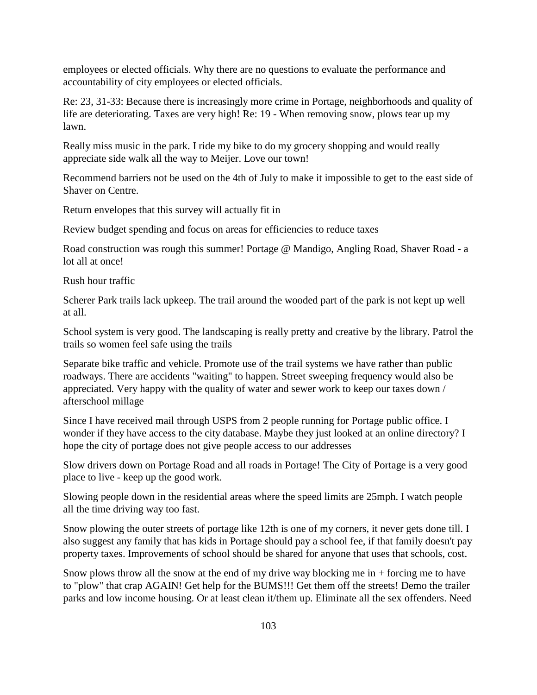employees or elected officials. Why there are no questions to evaluate the performance and accountability of city employees or elected officials.

Re: 23, 31-33: Because there is increasingly more crime in Portage, neighborhoods and quality of life are deteriorating. Taxes are very high! Re: 19 - When removing snow, plows tear up my lawn.

Really miss music in the park. I ride my bike to do my grocery shopping and would really appreciate side walk all the way to Meijer. Love our town!

Recommend barriers not be used on the 4th of July to make it impossible to get to the east side of Shaver on Centre.

Return envelopes that this survey will actually fit in

Review budget spending and focus on areas for efficiencies to reduce taxes

Road construction was rough this summer! Portage @ Mandigo, Angling Road, Shaver Road - a lot all at once!

Rush hour traffic

Scherer Park trails lack upkeep. The trail around the wooded part of the park is not kept up well at all.

School system is very good. The landscaping is really pretty and creative by the library. Patrol the trails so women feel safe using the trails

Separate bike traffic and vehicle. Promote use of the trail systems we have rather than public roadways. There are accidents "waiting" to happen. Street sweeping frequency would also be appreciated. Very happy with the quality of water and sewer work to keep our taxes down / afterschool millage

Since I have received mail through USPS from 2 people running for Portage public office. I wonder if they have access to the city database. Maybe they just looked at an online directory? I hope the city of portage does not give people access to our addresses

Slow drivers down on Portage Road and all roads in Portage! The City of Portage is a very good place to live - keep up the good work.

Slowing people down in the residential areas where the speed limits are 25mph. I watch people all the time driving way too fast.

Snow plowing the outer streets of portage like 12th is one of my corners, it never gets done till. I also suggest any family that has kids in Portage should pay a school fee, if that family doesn't pay property taxes. Improvements of school should be shared for anyone that uses that schools, cost.

Snow plows throw all the snow at the end of my drive way blocking me in + forcing me to have to "plow" that crap AGAIN! Get help for the BUMS!!! Get them off the streets! Demo the trailer parks and low income housing. Or at least clean it/them up. Eliminate all the sex offenders. Need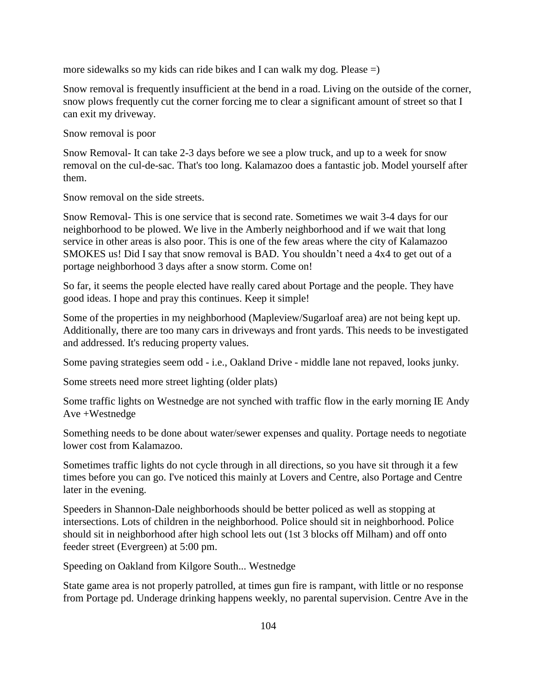more sidewalks so my kids can ride bikes and I can walk my dog. Please =)

Snow removal is frequently insufficient at the bend in a road. Living on the outside of the corner, snow plows frequently cut the corner forcing me to clear a significant amount of street so that I can exit my driveway.

Snow removal is poor

Snow Removal- It can take 2-3 days before we see a plow truck, and up to a week for snow removal on the cul-de-sac. That's too long. Kalamazoo does a fantastic job. Model yourself after them.

Snow removal on the side streets.

Snow Removal- This is one service that is second rate. Sometimes we wait 3-4 days for our neighborhood to be plowed. We live in the Amberly neighborhood and if we wait that long service in other areas is also poor. This is one of the few areas where the city of Kalamazoo SMOKES us! Did I say that snow removal is BAD. You shouldn't need a 4x4 to get out of a portage neighborhood 3 days after a snow storm. Come on!

So far, it seems the people elected have really cared about Portage and the people. They have good ideas. I hope and pray this continues. Keep it simple!

Some of the properties in my neighborhood (Mapleview/Sugarloaf area) are not being kept up. Additionally, there are too many cars in driveways and front yards. This needs to be investigated and addressed. It's reducing property values.

Some paving strategies seem odd - i.e., Oakland Drive - middle lane not repaved, looks junky.

Some streets need more street lighting (older plats)

Some traffic lights on Westnedge are not synched with traffic flow in the early morning IE Andy Ave +Westnedge

Something needs to be done about water/sewer expenses and quality. Portage needs to negotiate lower cost from Kalamazoo.

Sometimes traffic lights do not cycle through in all directions, so you have sit through it a few times before you can go. I've noticed this mainly at Lovers and Centre, also Portage and Centre later in the evening.

Speeders in Shannon-Dale neighborhoods should be better policed as well as stopping at intersections. Lots of children in the neighborhood. Police should sit in neighborhood. Police should sit in neighborhood after high school lets out (1st 3 blocks off Milham) and off onto feeder street (Evergreen) at 5:00 pm.

Speeding on Oakland from Kilgore South... Westnedge

State game area is not properly patrolled, at times gun fire is rampant, with little or no response from Portage pd. Underage drinking happens weekly, no parental supervision. Centre Ave in the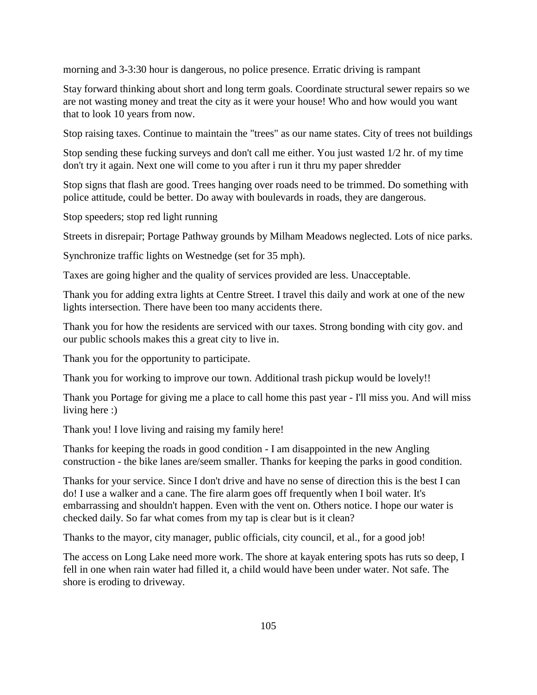morning and 3-3:30 hour is dangerous, no police presence. Erratic driving is rampant

Stay forward thinking about short and long term goals. Coordinate structural sewer repairs so we are not wasting money and treat the city as it were your house! Who and how would you want that to look 10 years from now.

Stop raising taxes. Continue to maintain the "trees" as our name states. City of trees not buildings

Stop sending these fucking surveys and don't call me either. You just wasted 1/2 hr. of my time don't try it again. Next one will come to you after i run it thru my paper shredder

Stop signs that flash are good. Trees hanging over roads need to be trimmed. Do something with police attitude, could be better. Do away with boulevards in roads, they are dangerous.

Stop speeders; stop red light running

Streets in disrepair; Portage Pathway grounds by Milham Meadows neglected. Lots of nice parks.

Synchronize traffic lights on Westnedge (set for 35 mph).

Taxes are going higher and the quality of services provided are less. Unacceptable.

Thank you for adding extra lights at Centre Street. I travel this daily and work at one of the new lights intersection. There have been too many accidents there.

Thank you for how the residents are serviced with our taxes. Strong bonding with city gov. and our public schools makes this a great city to live in.

Thank you for the opportunity to participate.

Thank you for working to improve our town. Additional trash pickup would be lovely!!

Thank you Portage for giving me a place to call home this past year - I'll miss you. And will miss living here :)

Thank you! I love living and raising my family here!

Thanks for keeping the roads in good condition - I am disappointed in the new Angling construction - the bike lanes are/seem smaller. Thanks for keeping the parks in good condition.

Thanks for your service. Since I don't drive and have no sense of direction this is the best I can do! I use a walker and a cane. The fire alarm goes off frequently when I boil water. It's embarrassing and shouldn't happen. Even with the vent on. Others notice. I hope our water is checked daily. So far what comes from my tap is clear but is it clean?

Thanks to the mayor, city manager, public officials, city council, et al., for a good job!

The access on Long Lake need more work. The shore at kayak entering spots has ruts so deep, I fell in one when rain water had filled it, a child would have been under water. Not safe. The shore is eroding to driveway.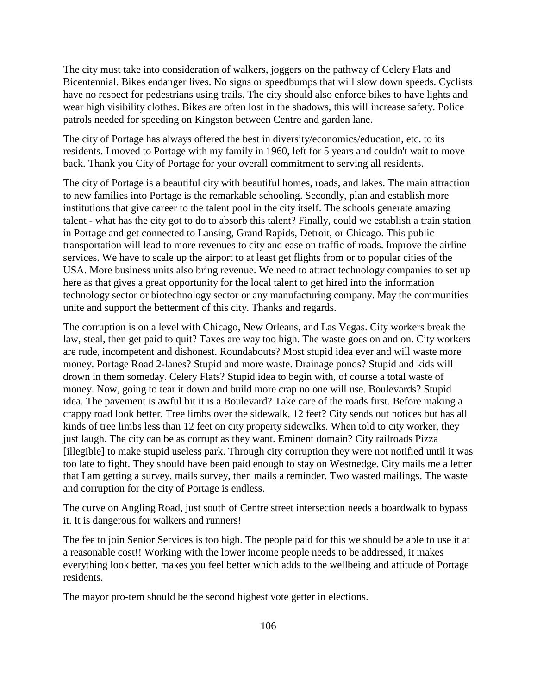The city must take into consideration of walkers, joggers on the pathway of Celery Flats and Bicentennial. Bikes endanger lives. No signs or speedbumps that will slow down speeds. Cyclists have no respect for pedestrians using trails. The city should also enforce bikes to have lights and wear high visibility clothes. Bikes are often lost in the shadows, this will increase safety. Police patrols needed for speeding on Kingston between Centre and garden lane.

The city of Portage has always offered the best in diversity/economics/education, etc. to its residents. I moved to Portage with my family in 1960, left for 5 years and couldn't wait to move back. Thank you City of Portage for your overall commitment to serving all residents.

The city of Portage is a beautiful city with beautiful homes, roads, and lakes. The main attraction to new families into Portage is the remarkable schooling. Secondly, plan and establish more institutions that give career to the talent pool in the city itself. The schools generate amazing talent - what has the city got to do to absorb this talent? Finally, could we establish a train station in Portage and get connected to Lansing, Grand Rapids, Detroit, or Chicago. This public transportation will lead to more revenues to city and ease on traffic of roads. Improve the airline services. We have to scale up the airport to at least get flights from or to popular cities of the USA. More business units also bring revenue. We need to attract technology companies to set up here as that gives a great opportunity for the local talent to get hired into the information technology sector or biotechnology sector or any manufacturing company. May the communities unite and support the betterment of this city. Thanks and regards.

The corruption is on a level with Chicago, New Orleans, and Las Vegas. City workers break the law, steal, then get paid to quit? Taxes are way too high. The waste goes on and on. City workers are rude, incompetent and dishonest. Roundabouts? Most stupid idea ever and will waste more money. Portage Road 2-lanes? Stupid and more waste. Drainage ponds? Stupid and kids will drown in them someday. Celery Flats? Stupid idea to begin with, of course a total waste of money. Now, going to tear it down and build more crap no one will use. Boulevards? Stupid idea. The pavement is awful bit it is a Boulevard? Take care of the roads first. Before making a crappy road look better. Tree limbs over the sidewalk, 12 feet? City sends out notices but has all kinds of tree limbs less than 12 feet on city property sidewalks. When told to city worker, they just laugh. The city can be as corrupt as they want. Eminent domain? City railroads Pizza [illegible] to make stupid useless park. Through city corruption they were not notified until it was too late to fight. They should have been paid enough to stay on Westnedge. City mails me a letter that I am getting a survey, mails survey, then mails a reminder. Two wasted mailings. The waste and corruption for the city of Portage is endless.

The curve on Angling Road, just south of Centre street intersection needs a boardwalk to bypass it. It is dangerous for walkers and runners!

The fee to join Senior Services is too high. The people paid for this we should be able to use it at a reasonable cost!! Working with the lower income people needs to be addressed, it makes everything look better, makes you feel better which adds to the wellbeing and attitude of Portage residents.

The mayor pro-tem should be the second highest vote getter in elections.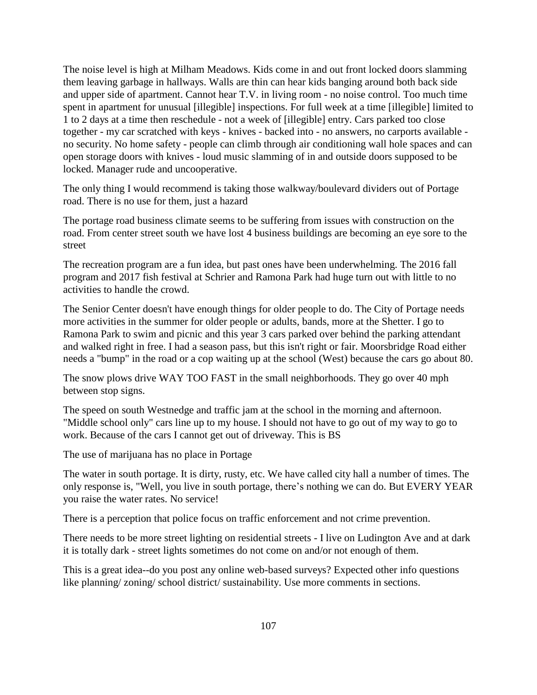The noise level is high at Milham Meadows. Kids come in and out front locked doors slamming them leaving garbage in hallways. Walls are thin can hear kids banging around both back side and upper side of apartment. Cannot hear T.V. in living room - no noise control. Too much time spent in apartment for unusual [illegible] inspections. For full week at a time [illegible] limited to 1 to 2 days at a time then reschedule - not a week of [illegible] entry. Cars parked too close together - my car scratched with keys - knives - backed into - no answers, no carports available no security. No home safety - people can climb through air conditioning wall hole spaces and can open storage doors with knives - loud music slamming of in and outside doors supposed to be locked. Manager rude and uncooperative.

The only thing I would recommend is taking those walkway/boulevard dividers out of Portage road. There is no use for them, just a hazard

The portage road business climate seems to be suffering from issues with construction on the road. From center street south we have lost 4 business buildings are becoming an eye sore to the street

The recreation program are a fun idea, but past ones have been underwhelming. The 2016 fall program and 2017 fish festival at Schrier and Ramona Park had huge turn out with little to no activities to handle the crowd.

The Senior Center doesn't have enough things for older people to do. The City of Portage needs more activities in the summer for older people or adults, bands, more at the Shetter. I go to Ramona Park to swim and picnic and this year 3 cars parked over behind the parking attendant and walked right in free. I had a season pass, but this isn't right or fair. Moorsbridge Road either needs a "bump" in the road or a cop waiting up at the school (West) because the cars go about 80.

The snow plows drive WAY TOO FAST in the small neighborhoods. They go over 40 mph between stop signs.

The speed on south Westnedge and traffic jam at the school in the morning and afternoon. "Middle school only" cars line up to my house. I should not have to go out of my way to go to work. Because of the cars I cannot get out of driveway. This is BS

The use of marijuana has no place in Portage

The water in south portage. It is dirty, rusty, etc. We have called city hall a number of times. The only response is, "Well, you live in south portage, there's nothing we can do. But EVERY YEAR you raise the water rates. No service!

There is a perception that police focus on traffic enforcement and not crime prevention.

There needs to be more street lighting on residential streets - I live on Ludington Ave and at dark it is totally dark - street lights sometimes do not come on and/or not enough of them.

This is a great idea--do you post any online web-based surveys? Expected other info questions like planning/ zoning/ school district/ sustainability. Use more comments in sections.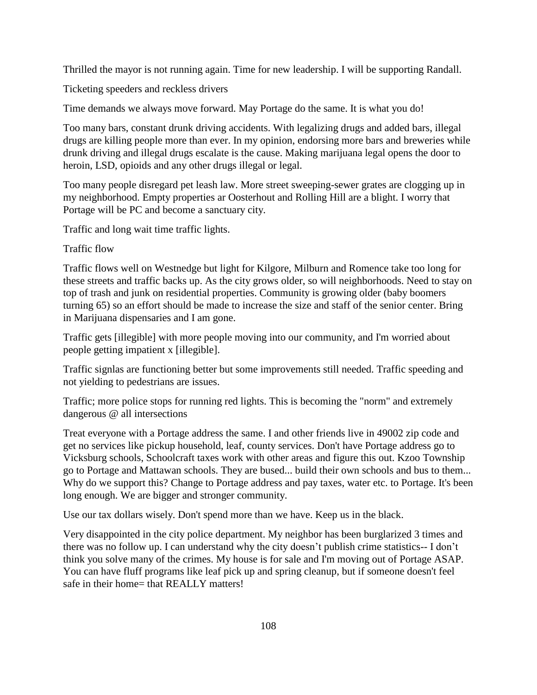Thrilled the mayor is not running again. Time for new leadership. I will be supporting Randall.

Ticketing speeders and reckless drivers

Time demands we always move forward. May Portage do the same. It is what you do!

Too many bars, constant drunk driving accidents. With legalizing drugs and added bars, illegal drugs are killing people more than ever. In my opinion, endorsing more bars and breweries while drunk driving and illegal drugs escalate is the cause. Making marijuana legal opens the door to heroin, LSD, opioids and any other drugs illegal or legal.

Too many people disregard pet leash law. More street sweeping-sewer grates are clogging up in my neighborhood. Empty properties ar Oosterhout and Rolling Hill are a blight. I worry that Portage will be PC and become a sanctuary city.

Traffic and long wait time traffic lights.

Traffic flow

Traffic flows well on Westnedge but light for Kilgore, Milburn and Romence take too long for these streets and traffic backs up. As the city grows older, so will neighborhoods. Need to stay on top of trash and junk on residential properties. Community is growing older (baby boomers turning 65) so an effort should be made to increase the size and staff of the senior center. Bring in Marijuana dispensaries and I am gone.

Traffic gets [illegible] with more people moving into our community, and I'm worried about people getting impatient x [illegible].

Traffic signlas are functioning better but some improvements still needed. Traffic speeding and not yielding to pedestrians are issues.

Traffic; more police stops for running red lights. This is becoming the "norm" and extremely dangerous @ all intersections

Treat everyone with a Portage address the same. I and other friends live in 49002 zip code and get no services like pickup household, leaf, county services. Don't have Portage address go to Vicksburg schools, Schoolcraft taxes work with other areas and figure this out. Kzoo Township go to Portage and Mattawan schools. They are bused... build their own schools and bus to them... Why do we support this? Change to Portage address and pay taxes, water etc. to Portage. It's been long enough. We are bigger and stronger community.

Use our tax dollars wisely. Don't spend more than we have. Keep us in the black.

Very disappointed in the city police department. My neighbor has been burglarized 3 times and there was no follow up. I can understand why the city doesn't publish crime statistics-- I don't think you solve many of the crimes. My house is for sale and I'm moving out of Portage ASAP. You can have fluff programs like leaf pick up and spring cleanup, but if someone doesn't feel safe in their home= that REALLY matters!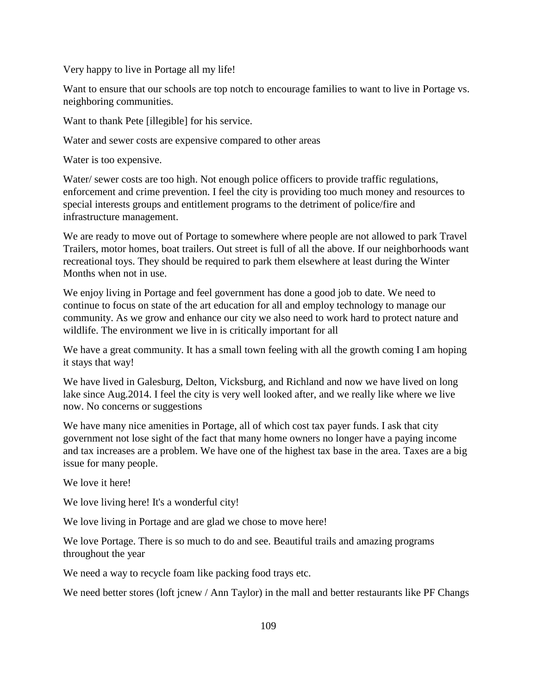Very happy to live in Portage all my life!

Want to ensure that our schools are top notch to encourage families to want to live in Portage vs. neighboring communities.

Want to thank Pete [illegible] for his service.

Water and sewer costs are expensive compared to other areas

Water is too expensive.

Water/ sewer costs are too high. Not enough police officers to provide traffic regulations, enforcement and crime prevention. I feel the city is providing too much money and resources to special interests groups and entitlement programs to the detriment of police/fire and infrastructure management.

We are ready to move out of Portage to somewhere where people are not allowed to park Travel Trailers, motor homes, boat trailers. Out street is full of all the above. If our neighborhoods want recreational toys. They should be required to park them elsewhere at least during the Winter Months when not in use.

We enjoy living in Portage and feel government has done a good job to date. We need to continue to focus on state of the art education for all and employ technology to manage our community. As we grow and enhance our city we also need to work hard to protect nature and wildlife. The environment we live in is critically important for all

We have a great community. It has a small town feeling with all the growth coming I am hoping it stays that way!

We have lived in Galesburg, Delton, Vicksburg, and Richland and now we have lived on long lake since Aug.2014. I feel the city is very well looked after, and we really like where we live now. No concerns or suggestions

We have many nice amenities in Portage, all of which cost tax payer funds. I ask that city government not lose sight of the fact that many home owners no longer have a paying income and tax increases are a problem. We have one of the highest tax base in the area. Taxes are a big issue for many people.

We love it here!

We love living here! It's a wonderful city!

We love living in Portage and are glad we chose to move here!

We love Portage. There is so much to do and see. Beautiful trails and amazing programs throughout the year

We need a way to recycle foam like packing food trays etc.

We need better stores (loft jcnew / Ann Taylor) in the mall and better restaurants like PF Changs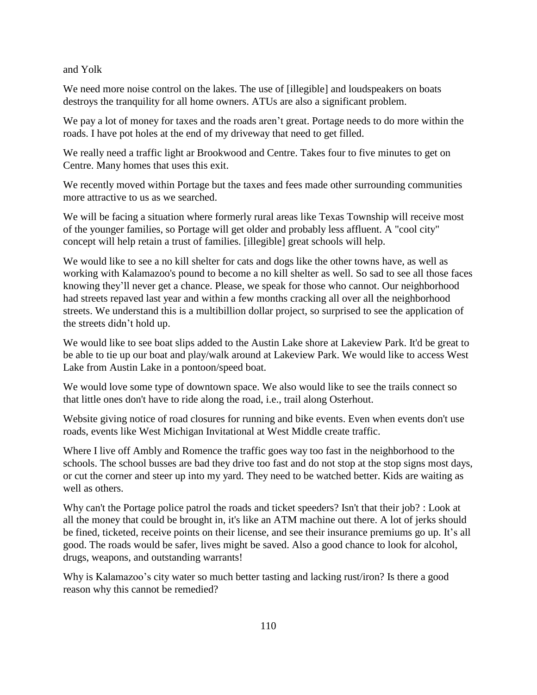#### and Yolk

We need more noise control on the lakes. The use of [illegible] and loudspeakers on boats destroys the tranquility for all home owners. ATUs are also a significant problem.

We pay a lot of money for taxes and the roads aren't great. Portage needs to do more within the roads. I have pot holes at the end of my driveway that need to get filled.

We really need a traffic light ar Brookwood and Centre. Takes four to five minutes to get on Centre. Many homes that uses this exit.

We recently moved within Portage but the taxes and fees made other surrounding communities more attractive to us as we searched.

We will be facing a situation where formerly rural areas like Texas Township will receive most of the younger families, so Portage will get older and probably less affluent. A "cool city" concept will help retain a trust of families. [illegible] great schools will help.

We would like to see a no kill shelter for cats and dogs like the other towns have, as well as working with Kalamazoo's pound to become a no kill shelter as well. So sad to see all those faces knowing they'll never get a chance. Please, we speak for those who cannot. Our neighborhood had streets repaved last year and within a few months cracking all over all the neighborhood streets. We understand this is a multibillion dollar project, so surprised to see the application of the streets didn't hold up.

We would like to see boat slips added to the Austin Lake shore at Lakeview Park. It'd be great to be able to tie up our boat and play/walk around at Lakeview Park. We would like to access West Lake from Austin Lake in a pontoon/speed boat.

We would love some type of downtown space. We also would like to see the trails connect so that little ones don't have to ride along the road, i.e., trail along Osterhout.

Website giving notice of road closures for running and bike events. Even when events don't use roads, events like West Michigan Invitational at West Middle create traffic.

Where I live off Ambly and Romence the traffic goes way too fast in the neighborhood to the schools. The school busses are bad they drive too fast and do not stop at the stop signs most days, or cut the corner and steer up into my yard. They need to be watched better. Kids are waiting as well as others.

Why can't the Portage police patrol the roads and ticket speeders? Isn't that their job? : Look at all the money that could be brought in, it's like an ATM machine out there. A lot of jerks should be fined, ticketed, receive points on their license, and see their insurance premiums go up. It's all good. The roads would be safer, lives might be saved. Also a good chance to look for alcohol, drugs, weapons, and outstanding warrants!

Why is Kalamazoo's city water so much better tasting and lacking rust/iron? Is there a good reason why this cannot be remedied?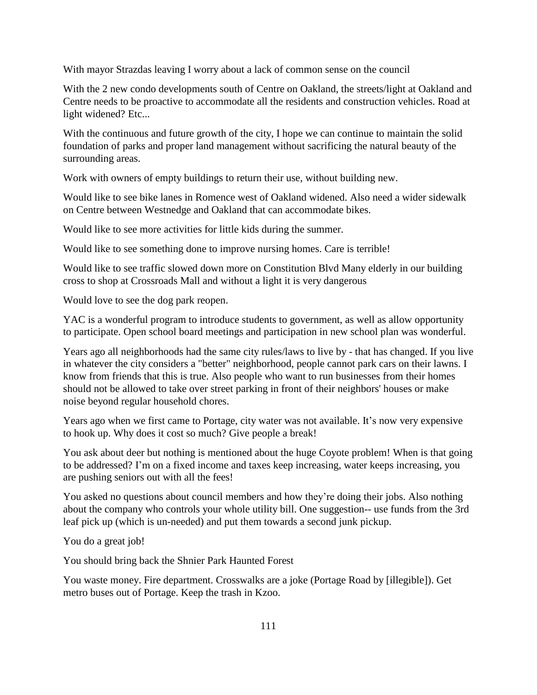With mayor Strazdas leaving I worry about a lack of common sense on the council

With the 2 new condo developments south of Centre on Oakland, the streets/light at Oakland and Centre needs to be proactive to accommodate all the residents and construction vehicles. Road at light widened? Etc...

With the continuous and future growth of the city, I hope we can continue to maintain the solid foundation of parks and proper land management without sacrificing the natural beauty of the surrounding areas.

Work with owners of empty buildings to return their use, without building new.

Would like to see bike lanes in Romence west of Oakland widened. Also need a wider sidewalk on Centre between Westnedge and Oakland that can accommodate bikes.

Would like to see more activities for little kids during the summer.

Would like to see something done to improve nursing homes. Care is terrible!

Would like to see traffic slowed down more on Constitution Blvd Many elderly in our building cross to shop at Crossroads Mall and without a light it is very dangerous

Would love to see the dog park reopen.

YAC is a wonderful program to introduce students to government, as well as allow opportunity to participate. Open school board meetings and participation in new school plan was wonderful.

Years ago all neighborhoods had the same city rules/laws to live by - that has changed. If you live in whatever the city considers a "better" neighborhood, people cannot park cars on their lawns. I know from friends that this is true. Also people who want to run businesses from their homes should not be allowed to take over street parking in front of their neighbors' houses or make noise beyond regular household chores.

Years ago when we first came to Portage, city water was not available. It's now very expensive to hook up. Why does it cost so much? Give people a break!

You ask about deer but nothing is mentioned about the huge Coyote problem! When is that going to be addressed? I'm on a fixed income and taxes keep increasing, water keeps increasing, you are pushing seniors out with all the fees!

You asked no questions about council members and how they're doing their jobs. Also nothing about the company who controls your whole utility bill. One suggestion-- use funds from the 3rd leaf pick up (which is un-needed) and put them towards a second junk pickup.

You do a great job!

You should bring back the Shnier Park Haunted Forest

You waste money. Fire department. Crosswalks are a joke (Portage Road by [illegible]). Get metro buses out of Portage. Keep the trash in Kzoo.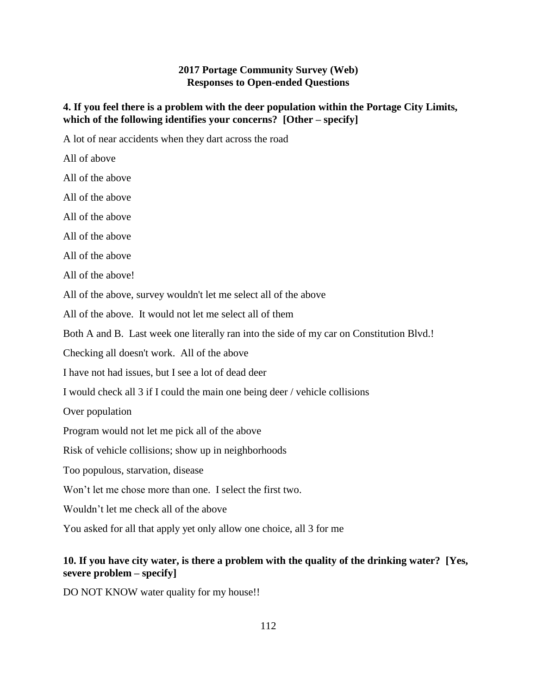### **2017 Portage Community Survey (Web) Responses to Open-ended Questions**

## **4. If you feel there is a problem with the deer population within the Portage City Limits, which of the following identifies your concerns? [Other – specify]**

A lot of near accidents when they dart across the road

All of above

All of the above

All of the above

All of the above

All of the above

All of the above

All of the above!

All of the above, survey wouldn't let me select all of the above

All of the above. It would not let me select all of them

Both A and B. Last week one literally ran into the side of my car on Constitution Blvd.!

Checking all doesn't work. All of the above

I have not had issues, but I see a lot of dead deer

I would check all 3 if I could the main one being deer / vehicle collisions

Over population

Program would not let me pick all of the above

Risk of vehicle collisions; show up in neighborhoods

Too populous, starvation, disease

Won't let me chose more than one. I select the first two.

Wouldn't let me check all of the above

You asked for all that apply yet only allow one choice, all 3 for me

# **10. If you have city water, is there a problem with the quality of the drinking water? [Yes, severe problem – specify]**

DO NOT KNOW water quality for my house!!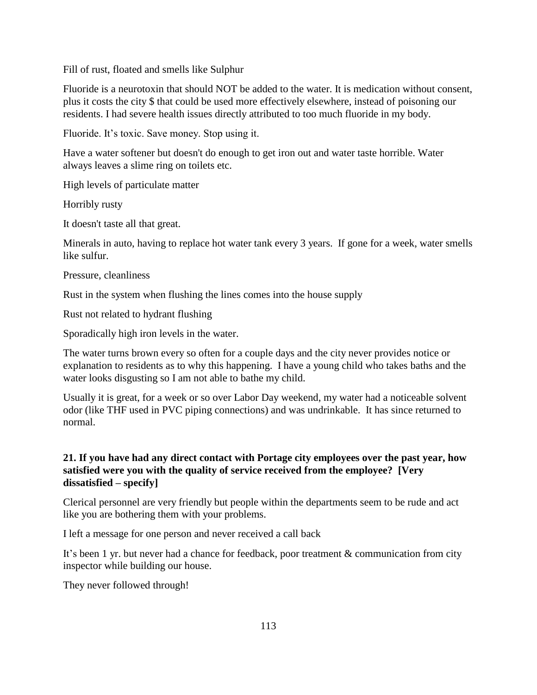Fill of rust, floated and smells like Sulphur

Fluoride is a neurotoxin that should NOT be added to the water. It is medication without consent, plus it costs the city \$ that could be used more effectively elsewhere, instead of poisoning our residents. I had severe health issues directly attributed to too much fluoride in my body.

Fluoride. It's toxic. Save money. Stop using it.

Have a water softener but doesn't do enough to get iron out and water taste horrible. Water always leaves a slime ring on toilets etc.

High levels of particulate matter

Horribly rusty

It doesn't taste all that great.

Minerals in auto, having to replace hot water tank every 3 years. If gone for a week, water smells like sulfur.

Pressure, cleanliness

Rust in the system when flushing the lines comes into the house supply

Rust not related to hydrant flushing

Sporadically high iron levels in the water.

The water turns brown every so often for a couple days and the city never provides notice or explanation to residents as to why this happening. I have a young child who takes baths and the water looks disgusting so I am not able to bathe my child.

Usually it is great, for a week or so over Labor Day weekend, my water had a noticeable solvent odor (like THF used in PVC piping connections) and was undrinkable. It has since returned to normal.

## **21. If you have had any direct contact with Portage city employees over the past year, how satisfied were you with the quality of service received from the employee? [Very dissatisfied – specify]**

Clerical personnel are very friendly but people within the departments seem to be rude and act like you are bothering them with your problems.

I left a message for one person and never received a call back

It's been 1 yr. but never had a chance for feedback, poor treatment & communication from city inspector while building our house.

They never followed through!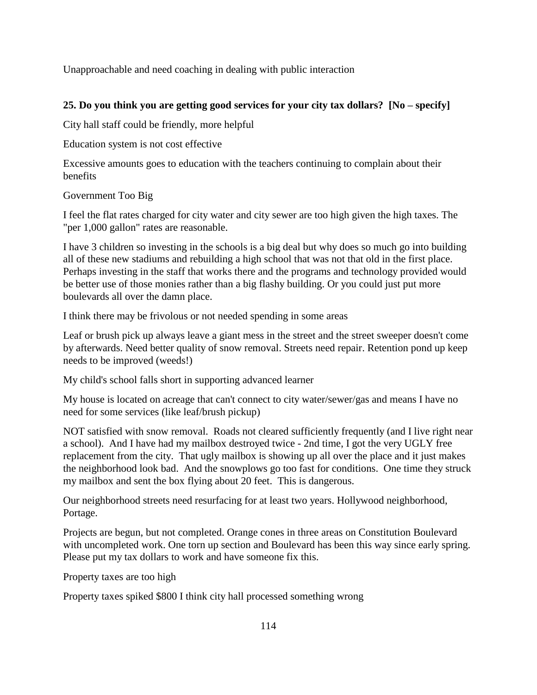Unapproachable and need coaching in dealing with public interaction

# **25. Do you think you are getting good services for your city tax dollars? [No – specify]**

City hall staff could be friendly, more helpful

Education system is not cost effective

Excessive amounts goes to education with the teachers continuing to complain about their benefits

Government Too Big

I feel the flat rates charged for city water and city sewer are too high given the high taxes. The "per 1,000 gallon" rates are reasonable.

I have 3 children so investing in the schools is a big deal but why does so much go into building all of these new stadiums and rebuilding a high school that was not that old in the first place. Perhaps investing in the staff that works there and the programs and technology provided would be better use of those monies rather than a big flashy building. Or you could just put more boulevards all over the damn place.

I think there may be frivolous or not needed spending in some areas

Leaf or brush pick up always leave a giant mess in the street and the street sweeper doesn't come by afterwards. Need better quality of snow removal. Streets need repair. Retention pond up keep needs to be improved (weeds!)

My child's school falls short in supporting advanced learner

My house is located on acreage that can't connect to city water/sewer/gas and means I have no need for some services (like leaf/brush pickup)

NOT satisfied with snow removal. Roads not cleared sufficiently frequently (and I live right near a school). And I have had my mailbox destroyed twice - 2nd time, I got the very UGLY free replacement from the city. That ugly mailbox is showing up all over the place and it just makes the neighborhood look bad. And the snowplows go too fast for conditions. One time they struck my mailbox and sent the box flying about 20 feet. This is dangerous.

Our neighborhood streets need resurfacing for at least two years. Hollywood neighborhood, Portage.

Projects are begun, but not completed. Orange cones in three areas on Constitution Boulevard with uncompleted work. One torn up section and Boulevard has been this way since early spring. Please put my tax dollars to work and have someone fix this.

Property taxes are too high

Property taxes spiked \$800 I think city hall processed something wrong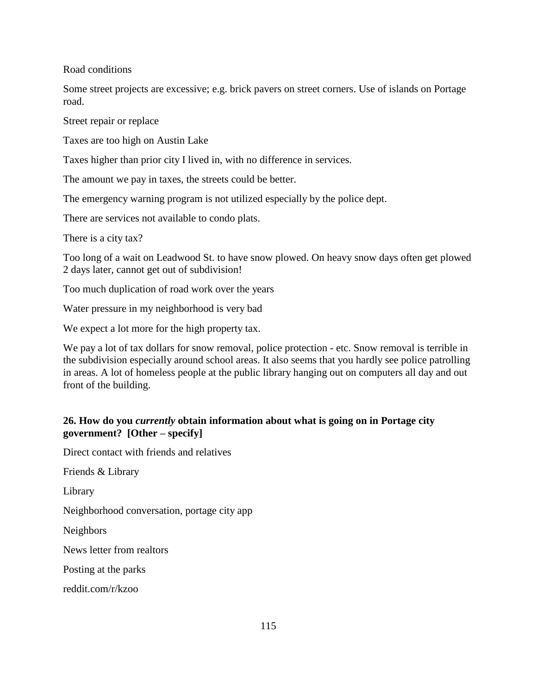Road conditions

Some street projects are excessive; e.g. brick pavers on street corners. Use of islands on Portage road.

Street repair or replace

Taxes are too high on Austin Lake

Taxes higher than prior city I lived in, with no difference in services.

The amount we pay in taxes, the streets could be better.

The emergency warning program is not utilized especially by the police dept.

There are services not available to condo plats.

There is a city tax?

Too long of a wait on Leadwood St. to have snow plowed. On heavy snow days often get plowed 2 days later, cannot get out of subdivision!

Too much duplication of road work over the years

Water pressure in my neighborhood is very bad

We expect a lot more for the high property tax.

We pay a lot of tax dollars for snow removal, police protection - etc. Snow removal is terrible in the subdivision especially around school areas. It also seems that you hardly see police patrolling in areas. A lot of homeless people at the public library hanging out on computers all day and out front of the building.

# **26. How do you** *currently* **obtain information about what is going on in Portage city government? [Other – specify]**

Direct contact with friends and relatives

Friends & Library

Library

Neighborhood conversation, portage city app

Neighbors

News letter from realtors

Posting at the parks

reddit.com/r/kzoo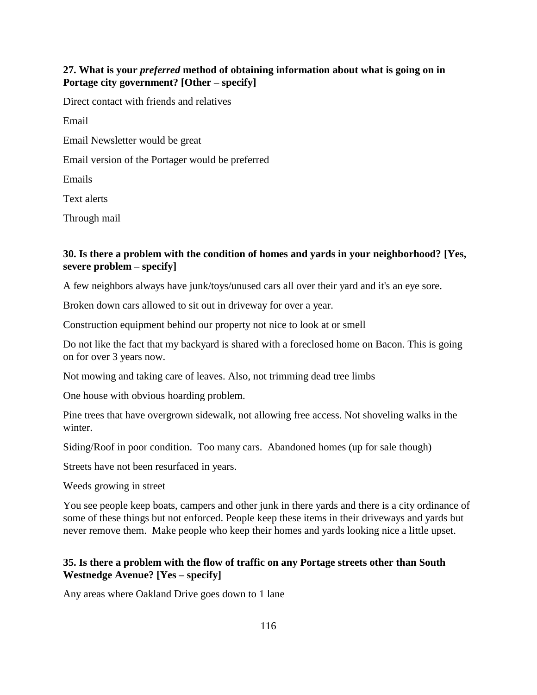# **27. What is your** *preferred* **method of obtaining information about what is going on in Portage city government? [Other – specify]**

Direct contact with friends and relatives

Email

Email Newsletter would be great

Email version of the Portager would be preferred

Emails

Text alerts

Through mail

# **30. Is there a problem with the condition of homes and yards in your neighborhood? [Yes, severe problem – specify]**

A few neighbors always have junk/toys/unused cars all over their yard and it's an eye sore.

Broken down cars allowed to sit out in driveway for over a year.

Construction equipment behind our property not nice to look at or smell

Do not like the fact that my backyard is shared with a foreclosed home on Bacon. This is going on for over 3 years now.

Not mowing and taking care of leaves. Also, not trimming dead tree limbs

One house with obvious hoarding problem.

Pine trees that have overgrown sidewalk, not allowing free access. Not shoveling walks in the winter.

Siding/Roof in poor condition. Too many cars. Abandoned homes (up for sale though)

Streets have not been resurfaced in years.

Weeds growing in street

You see people keep boats, campers and other junk in there yards and there is a city ordinance of some of these things but not enforced. People keep these items in their driveways and yards but never remove them. Make people who keep their homes and yards looking nice a little upset.

# **35. Is there a problem with the flow of traffic on any Portage streets other than South Westnedge Avenue? [Yes – specify]**

Any areas where Oakland Drive goes down to 1 lane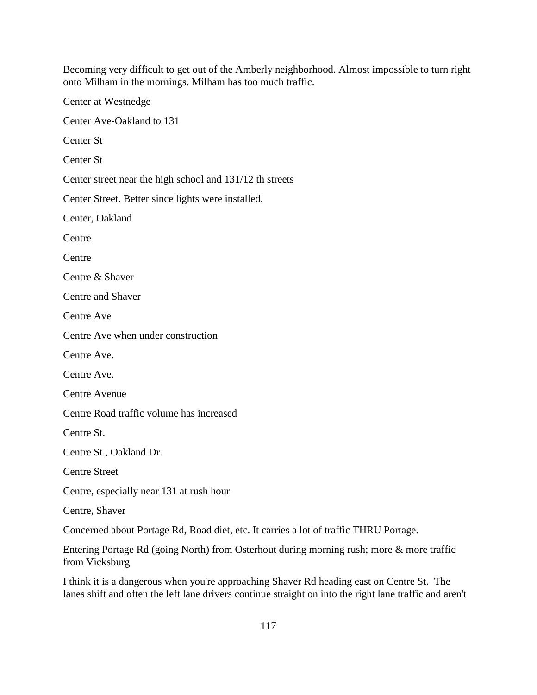Becoming very difficult to get out of the Amberly neighborhood. Almost impossible to turn right onto Milham in the mornings. Milham has too much traffic. Center at Westnedge Center Ave-Oakland to 131 Center St Center St Center street near the high school and 131/12 th streets Center Street. Better since lights were installed. Center, Oakland Centre **Centre** Centre & Shaver Centre and Shaver Centre Ave Centre Ave when under construction Centre Ave. Centre Ave. Centre Avenue Centre Road traffic volume has increased Centre St. Centre St., Oakland Dr. Centre Street Centre, especially near 131 at rush hour Centre, Shaver Concerned about Portage Rd, Road diet, etc. It carries a lot of traffic THRU Portage. Entering Portage Rd (going North) from Osterhout during morning rush; more & more traffic from Vicksburg

I think it is a dangerous when you're approaching Shaver Rd heading east on Centre St. The lanes shift and often the left lane drivers continue straight on into the right lane traffic and aren't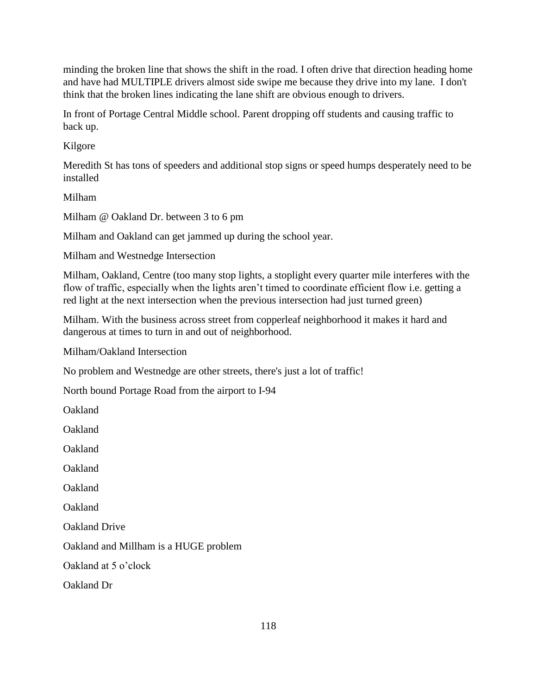minding the broken line that shows the shift in the road. I often drive that direction heading home and have had MULTIPLE drivers almost side swipe me because they drive into my lane. I don't think that the broken lines indicating the lane shift are obvious enough to drivers.

In front of Portage Central Middle school. Parent dropping off students and causing traffic to back up.

Kilgore

Meredith St has tons of speeders and additional stop signs or speed humps desperately need to be installed

Milham

Milham @ Oakland Dr. between 3 to 6 pm

Milham and Oakland can get jammed up during the school year.

Milham and Westnedge Intersection

Milham, Oakland, Centre (too many stop lights, a stoplight every quarter mile interferes with the flow of traffic, especially when the lights aren't timed to coordinate efficient flow i.e. getting a red light at the next intersection when the previous intersection had just turned green)

Milham. With the business across street from copperleaf neighborhood it makes it hard and dangerous at times to turn in and out of neighborhood.

Milham/Oakland Intersection

No problem and Westnedge are other streets, there's just a lot of traffic!

North bound Portage Road from the airport to I-94

Oakland **Oakland** Oakland Oakland Oakland Oakland Oakland Drive Oakland and Millham is a HUGE problem Oakland at 5 o'clock Oakland Dr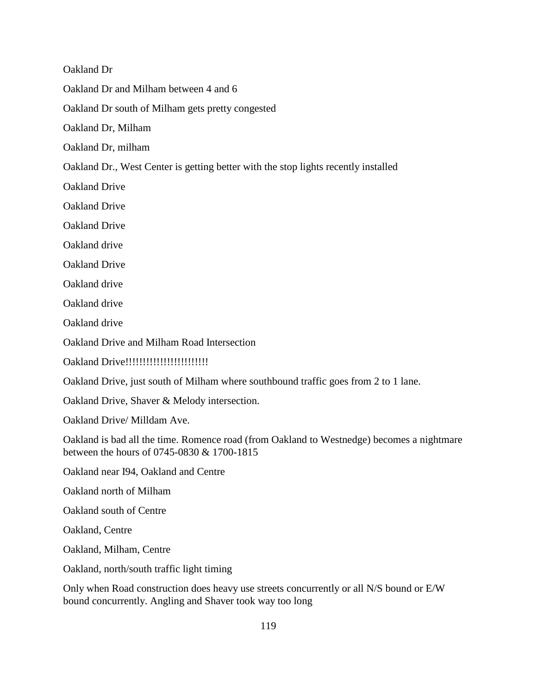Oakland Dr

Oakland Dr and Milham between 4 and 6

Oakland Dr south of Milham gets pretty congested

Oakland Dr, Milham

Oakland Dr, milham

Oakland Dr., West Center is getting better with the stop lights recently installed

Oakland Drive

Oakland Drive

Oakland Drive

Oakland drive

Oakland Drive

Oakland drive

Oakland drive

Oakland drive

Oakland Drive and Milham Road Intersection

Oakland Drive!!!!!!!!!!!!!!!!!!!!!!!!

Oakland Drive, just south of Milham where southbound traffic goes from 2 to 1 lane.

Oakland Drive, Shaver & Melody intersection.

Oakland Drive/ Milldam Ave.

Oakland is bad all the time. Romence road (from Oakland to Westnedge) becomes a nightmare between the hours of 0745-0830 & 1700-1815

Oakland near I94, Oakland and Centre

Oakland north of Milham

Oakland south of Centre

Oakland, Centre

Oakland, Milham, Centre

Oakland, north/south traffic light timing

Only when Road construction does heavy use streets concurrently or all N/S bound or E/W bound concurrently. Angling and Shaver took way too long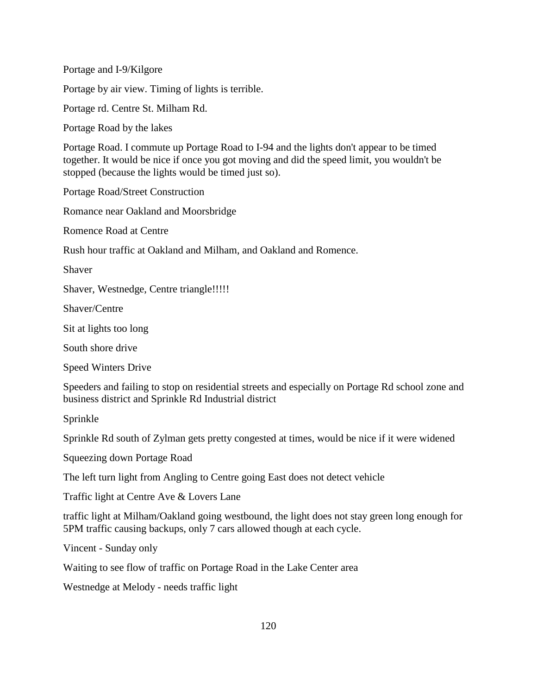Portage and I-9/Kilgore

Portage by air view. Timing of lights is terrible.

Portage rd. Centre St. Milham Rd.

Portage Road by the lakes

Portage Road. I commute up Portage Road to I-94 and the lights don't appear to be timed together. It would be nice if once you got moving and did the speed limit, you wouldn't be stopped (because the lights would be timed just so).

Portage Road/Street Construction

Romance near Oakland and Moorsbridge

Romence Road at Centre

Rush hour traffic at Oakland and Milham, and Oakland and Romence.

Shaver

Shaver, Westnedge, Centre triangle!!!!!

Shaver/Centre

Sit at lights too long

South shore drive

Speed Winters Drive

Speeders and failing to stop on residential streets and especially on Portage Rd school zone and business district and Sprinkle Rd Industrial district

Sprinkle

Sprinkle Rd south of Zylman gets pretty congested at times, would be nice if it were widened

Squeezing down Portage Road

The left turn light from Angling to Centre going East does not detect vehicle

Traffic light at Centre Ave & Lovers Lane

traffic light at Milham/Oakland going westbound, the light does not stay green long enough for 5PM traffic causing backups, only 7 cars allowed though at each cycle.

Vincent - Sunday only

Waiting to see flow of traffic on Portage Road in the Lake Center area

Westnedge at Melody - needs traffic light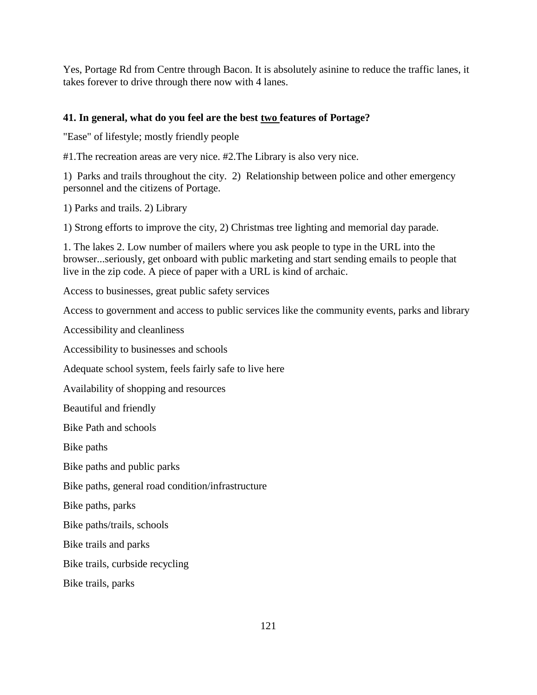Yes, Portage Rd from Centre through Bacon. It is absolutely asinine to reduce the traffic lanes, it takes forever to drive through there now with 4 lanes.

## **41. In general, what do you feel are the best two features of Portage?**

"Ease" of lifestyle; mostly friendly people

#1.The recreation areas are very nice. #2.The Library is also very nice.

1) Parks and trails throughout the city. 2) Relationship between police and other emergency personnel and the citizens of Portage.

1) Parks and trails. 2) Library

1) Strong efforts to improve the city, 2) Christmas tree lighting and memorial day parade.

1. The lakes 2. Low number of mailers where you ask people to type in the URL into the browser...seriously, get onboard with public marketing and start sending emails to people that live in the zip code. A piece of paper with a URL is kind of archaic.

Access to businesses, great public safety services

Access to government and access to public services like the community events, parks and library

Accessibility and cleanliness

Accessibility to businesses and schools

Adequate school system, feels fairly safe to live here

Availability of shopping and resources

Beautiful and friendly

Bike Path and schools

Bike paths

Bike paths and public parks

Bike paths, general road condition/infrastructure

Bike paths, parks

Bike paths/trails, schools

Bike trails and parks

Bike trails, curbside recycling

Bike trails, parks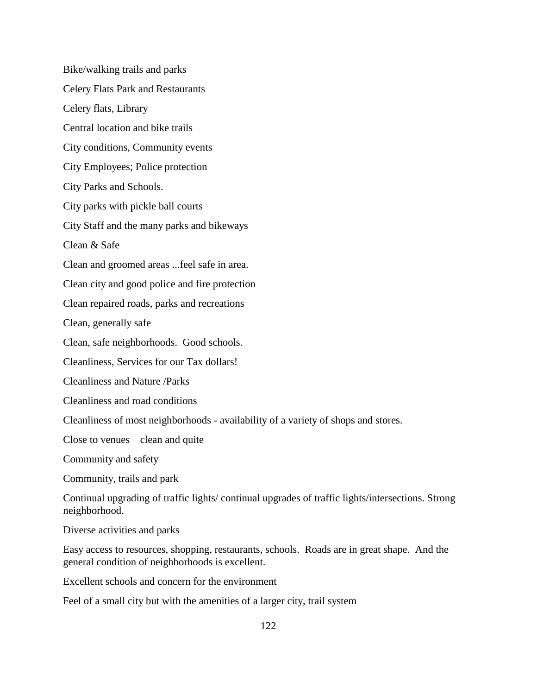Bike/walking trails and parks Celery Flats Park and Restaurants Celery flats, Library Central location and bike trails City conditions, Community events City Employees; Police protection City Parks and Schools. City parks with pickle ball courts City Staff and the many parks and bikeways Clean & Safe Clean and groomed areas ...feel safe in area. Clean city and good police and fire protection Clean repaired roads, parks and recreations Clean, generally safe Clean, safe neighborhoods. Good schools. Cleanliness, Services for our Tax dollars! Cleanliness and Nature /Parks Cleanliness and road conditions Cleanliness of most neighborhoods - availability of a variety of shops and stores. Close to venues clean and quite Community and safety Community, trails and park Continual upgrading of traffic lights/ continual upgrades of traffic lights/intersections. Strong neighborhood. Diverse activities and parks

Easy access to resources, shopping, restaurants, schools. Roads are in great shape. And the general condition of neighborhoods is excellent.

Excellent schools and concern for the environment

Feel of a small city but with the amenities of a larger city, trail system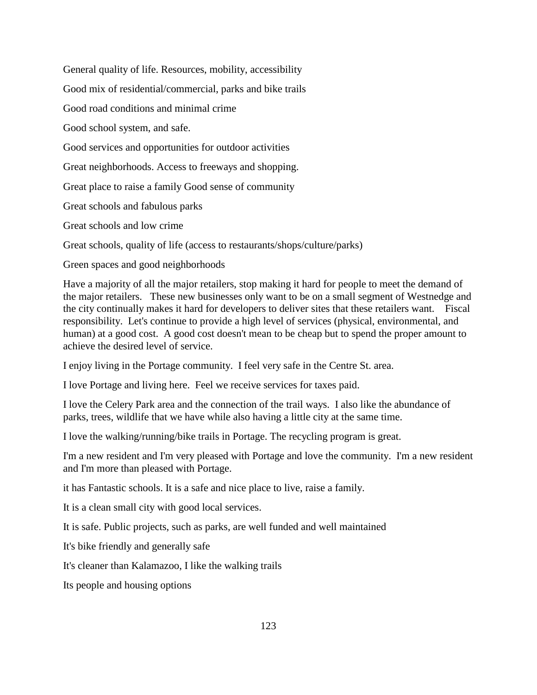General quality of life. Resources, mobility, accessibility Good mix of residential/commercial, parks and bike trails Good road conditions and minimal crime Good school system, and safe. Good services and opportunities for outdoor activities Great neighborhoods. Access to freeways and shopping. Great place to raise a family Good sense of community Great schools and fabulous parks Great schools and low crime Great schools, quality of life (access to restaurants/shops/culture/parks) Green spaces and good neighborhoods

Have a majority of all the major retailers, stop making it hard for people to meet the demand of the major retailers. These new businesses only want to be on a small segment of Westnedge and the city continually makes it hard for developers to deliver sites that these retailers want. Fiscal responsibility. Let's continue to provide a high level of services (physical, environmental, and human) at a good cost. A good cost doesn't mean to be cheap but to spend the proper amount to achieve the desired level of service.

I enjoy living in the Portage community. I feel very safe in the Centre St. area.

I love Portage and living here. Feel we receive services for taxes paid.

I love the Celery Park area and the connection of the trail ways. I also like the abundance of parks, trees, wildlife that we have while also having a little city at the same time.

I love the walking/running/bike trails in Portage. The recycling program is great.

I'm a new resident and I'm very pleased with Portage and love the community. I'm a new resident and I'm more than pleased with Portage.

it has Fantastic schools. It is a safe and nice place to live, raise a family.

It is a clean small city with good local services.

It is safe. Public projects, such as parks, are well funded and well maintained

It's bike friendly and generally safe

It's cleaner than Kalamazoo, I like the walking trails

Its people and housing options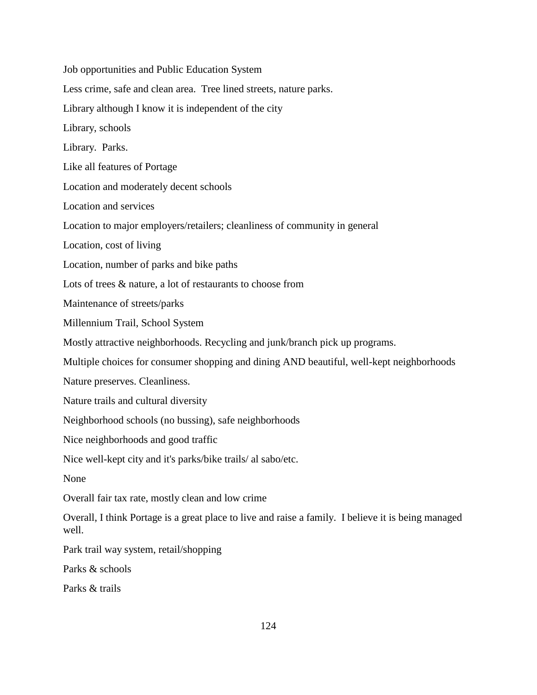Job opportunities and Public Education System Less crime, safe and clean area. Tree lined streets, nature parks. Library although I know it is independent of the city Library, schools Library. Parks. Like all features of Portage Location and moderately decent schools Location and services Location to major employers/retailers; cleanliness of community in general Location, cost of living Location, number of parks and bike paths Lots of trees & nature, a lot of restaurants to choose from Maintenance of streets/parks Millennium Trail, School System Mostly attractive neighborhoods. Recycling and junk/branch pick up programs. Multiple choices for consumer shopping and dining AND beautiful, well-kept neighborhoods Nature preserves. Cleanliness. Nature trails and cultural diversity Neighborhood schools (no bussing), safe neighborhoods Nice neighborhoods and good traffic Nice well-kept city and it's parks/bike trails/ al sabo/etc. None Overall fair tax rate, mostly clean and low crime Overall, I think Portage is a great place to live and raise a family. I believe it is being managed well. Park trail way system, retail/shopping Parks & schools Parks & trails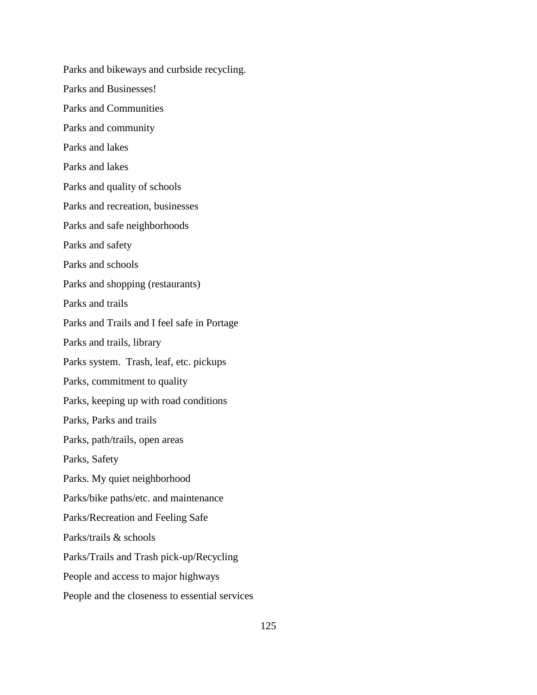Parks and bikeways and curbside recycling. Parks and Businesses! Parks and Communities Parks and community Parks and lakes Parks and lakes Parks and quality of schools Parks and recreation, businesses Parks and safe neighborhoods Parks and safety Parks and schools Parks and shopping (restaurants) Parks and trails Parks and Trails and I feel safe in Portage Parks and trails, library Parks system. Trash, leaf, etc. pickups Parks, commitment to quality Parks, keeping up with road conditions Parks, Parks and trails Parks, path/trails, open areas Parks, Safety Parks. My quiet neighborhood Parks/bike paths/etc. and maintenance Parks/Recreation and Feeling Safe Parks/trails & schools Parks/Trails and Trash pick-up/Recycling People and access to major highways People and the closeness to essential services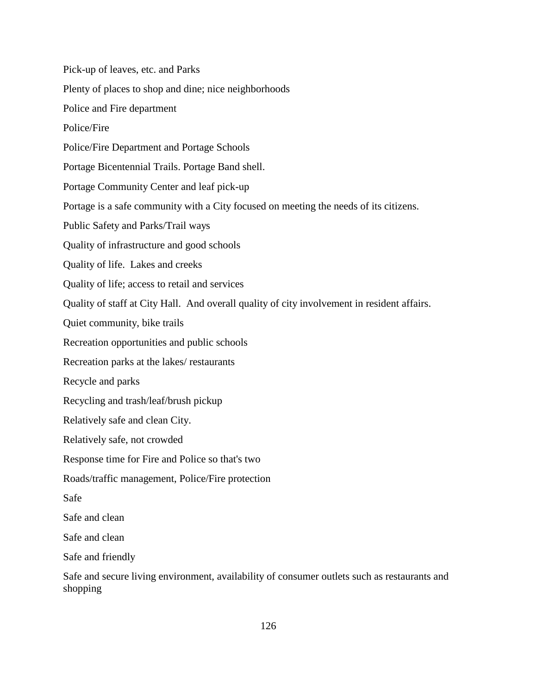Pick-up of leaves, etc. and Parks Plenty of places to shop and dine; nice neighborhoods Police and Fire department Police/Fire Police/Fire Department and Portage Schools Portage Bicentennial Trails. Portage Band shell. Portage Community Center and leaf pick-up Portage is a safe community with a City focused on meeting the needs of its citizens. Public Safety and Parks/Trail ways Quality of infrastructure and good schools Quality of life. Lakes and creeks Quality of life; access to retail and services Quality of staff at City Hall. And overall quality of city involvement in resident affairs. Quiet community, bike trails Recreation opportunities and public schools Recreation parks at the lakes/ restaurants Recycle and parks Recycling and trash/leaf/brush pickup Relatively safe and clean City. Relatively safe, not crowded Response time for Fire and Police so that's two Roads/traffic management, Police/Fire protection Safe Safe and clean Safe and clean Safe and friendly Safe and secure living environment, availability of consumer outlets such as restaurants and shopping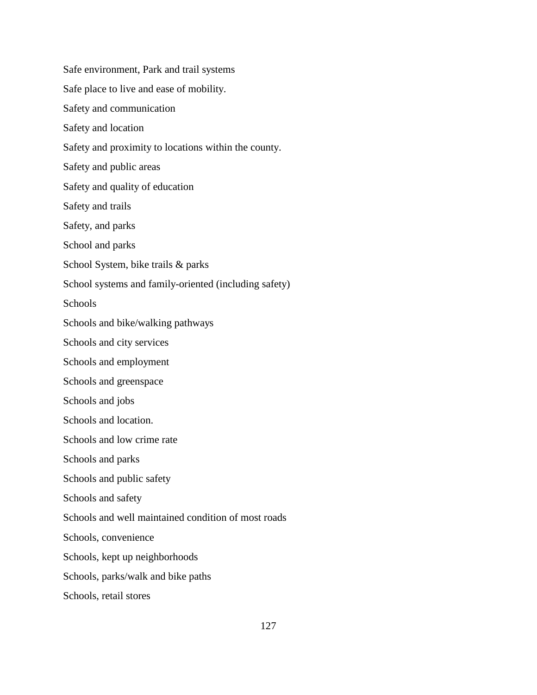Safe environment, Park and trail systems Safe place to live and ease of mobility. Safety and communication Safety and location Safety and proximity to locations within the county. Safety and public areas Safety and quality of education Safety and trails Safety, and parks School and parks School System, bike trails & parks School systems and family-oriented (including safety) **Schools** Schools and bike/walking pathways Schools and city services Schools and employment Schools and greenspace Schools and jobs Schools and location. Schools and low crime rate Schools and parks Schools and public safety Schools and safety Schools and well maintained condition of most roads Schools, convenience Schools, kept up neighborhoods Schools, parks/walk and bike paths Schools, retail stores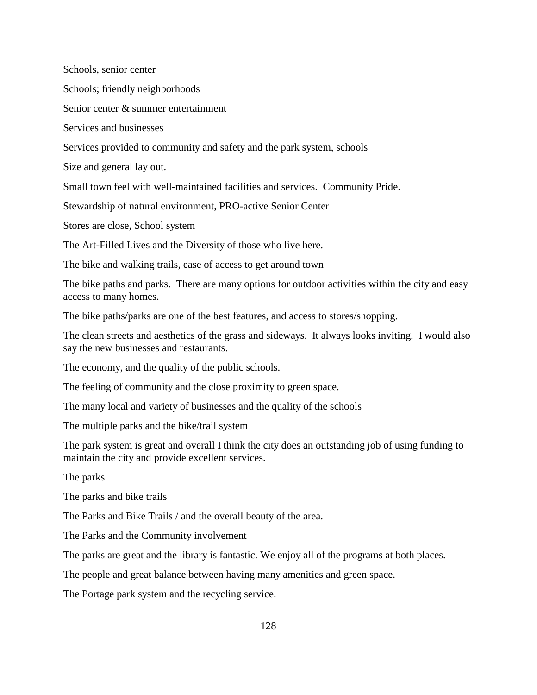Schools, senior center

Schools; friendly neighborhoods

Senior center & summer entertainment

Services and businesses

Services provided to community and safety and the park system, schools

Size and general lay out.

Small town feel with well-maintained facilities and services. Community Pride.

Stewardship of natural environment, PRO-active Senior Center

Stores are close, School system

The Art-Filled Lives and the Diversity of those who live here.

The bike and walking trails, ease of access to get around town

The bike paths and parks. There are many options for outdoor activities within the city and easy access to many homes.

The bike paths/parks are one of the best features, and access to stores/shopping.

The clean streets and aesthetics of the grass and sideways. It always looks inviting. I would also say the new businesses and restaurants.

The economy, and the quality of the public schools.

The feeling of community and the close proximity to green space.

The many local and variety of businesses and the quality of the schools

The multiple parks and the bike/trail system

The park system is great and overall I think the city does an outstanding job of using funding to maintain the city and provide excellent services.

The parks

The parks and bike trails

The Parks and Bike Trails / and the overall beauty of the area.

The Parks and the Community involvement

The parks are great and the library is fantastic. We enjoy all of the programs at both places.

The people and great balance between having many amenities and green space.

The Portage park system and the recycling service.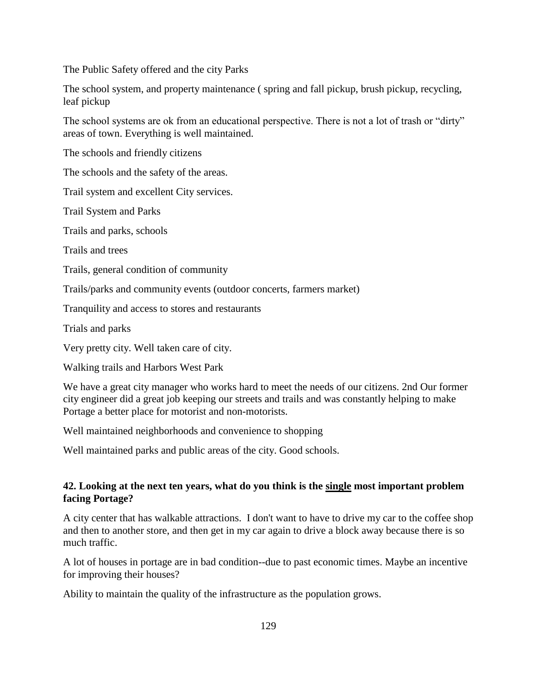The Public Safety offered and the city Parks

The school system, and property maintenance ( spring and fall pickup, brush pickup, recycling, leaf pickup

The school systems are ok from an educational perspective. There is not a lot of trash or "dirty" areas of town. Everything is well maintained.

The schools and friendly citizens

The schools and the safety of the areas.

Trail system and excellent City services.

Trail System and Parks

Trails and parks, schools

Trails and trees

Trails, general condition of community

Trails/parks and community events (outdoor concerts, farmers market)

Tranquility and access to stores and restaurants

Trials and parks

Very pretty city. Well taken care of city.

Walking trails and Harbors West Park

We have a great city manager who works hard to meet the needs of our citizens. 2nd Our former city engineer did a great job keeping our streets and trails and was constantly helping to make Portage a better place for motorist and non-motorists.

Well maintained neighborhoods and convenience to shopping

Well maintained parks and public areas of the city. Good schools.

## **42. Looking at the next ten years, what do you think is the single most important problem facing Portage?**

A city center that has walkable attractions. I don't want to have to drive my car to the coffee shop and then to another store, and then get in my car again to drive a block away because there is so much traffic.

A lot of houses in portage are in bad condition--due to past economic times. Maybe an incentive for improving their houses?

Ability to maintain the quality of the infrastructure as the population grows.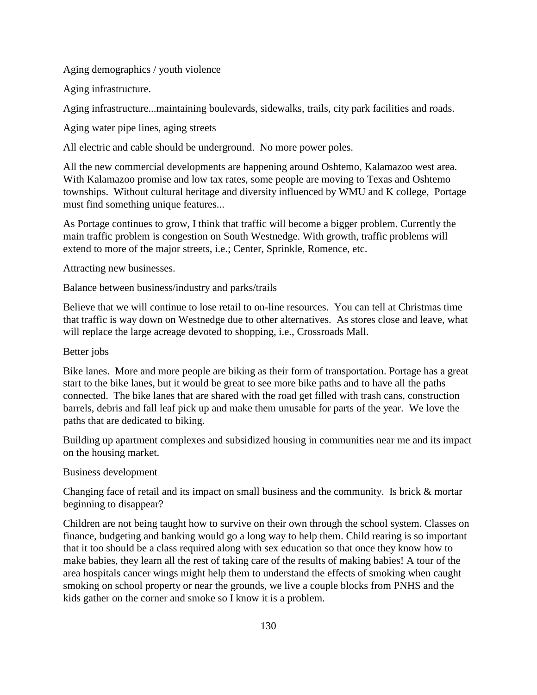Aging demographics / youth violence

Aging infrastructure.

Aging infrastructure...maintaining boulevards, sidewalks, trails, city park facilities and roads.

Aging water pipe lines, aging streets

All electric and cable should be underground. No more power poles.

All the new commercial developments are happening around Oshtemo, Kalamazoo west area. With Kalamazoo promise and low tax rates, some people are moving to Texas and Oshtemo townships. Without cultural heritage and diversity influenced by WMU and K college, Portage must find something unique features...

As Portage continues to grow, I think that traffic will become a bigger problem. Currently the main traffic problem is congestion on South Westnedge. With growth, traffic problems will extend to more of the major streets, i.e.; Center, Sprinkle, Romence, etc.

Attracting new businesses.

Balance between business/industry and parks/trails

Believe that we will continue to lose retail to on-line resources. You can tell at Christmas time that traffic is way down on Westnedge due to other alternatives. As stores close and leave, what will replace the large acreage devoted to shopping, i.e., Crossroads Mall.

#### Better jobs

Bike lanes. More and more people are biking as their form of transportation. Portage has a great start to the bike lanes, but it would be great to see more bike paths and to have all the paths connected. The bike lanes that are shared with the road get filled with trash cans, construction barrels, debris and fall leaf pick up and make them unusable for parts of the year. We love the paths that are dedicated to biking.

Building up apartment complexes and subsidized housing in communities near me and its impact on the housing market.

Business development

Changing face of retail and its impact on small business and the community. Is brick & mortar beginning to disappear?

Children are not being taught how to survive on their own through the school system. Classes on finance, budgeting and banking would go a long way to help them. Child rearing is so important that it too should be a class required along with sex education so that once they know how to make babies, they learn all the rest of taking care of the results of making babies! A tour of the area hospitals cancer wings might help them to understand the effects of smoking when caught smoking on school property or near the grounds, we live a couple blocks from PNHS and the kids gather on the corner and smoke so I know it is a problem.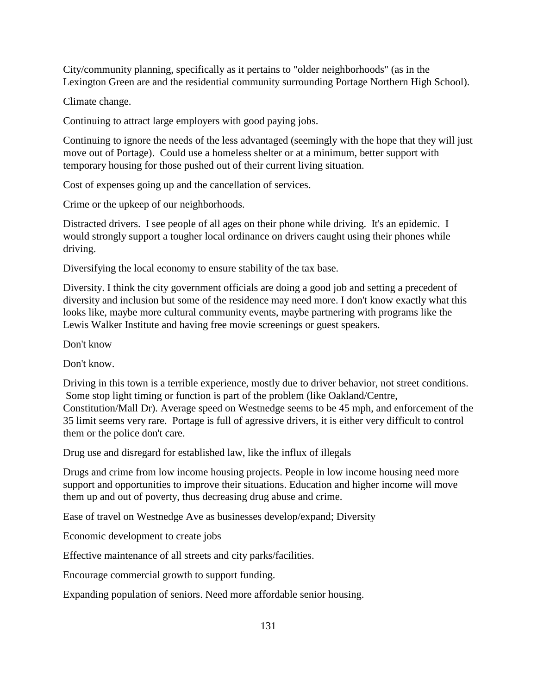City/community planning, specifically as it pertains to "older neighborhoods" (as in the Lexington Green are and the residential community surrounding Portage Northern High School).

Climate change.

Continuing to attract large employers with good paying jobs.

Continuing to ignore the needs of the less advantaged (seemingly with the hope that they will just move out of Portage). Could use a homeless shelter or at a minimum, better support with temporary housing for those pushed out of their current living situation.

Cost of expenses going up and the cancellation of services.

Crime or the upkeep of our neighborhoods.

Distracted drivers. I see people of all ages on their phone while driving. It's an epidemic. I would strongly support a tougher local ordinance on drivers caught using their phones while driving.

Diversifying the local economy to ensure stability of the tax base.

Diversity. I think the city government officials are doing a good job and setting a precedent of diversity and inclusion but some of the residence may need more. I don't know exactly what this looks like, maybe more cultural community events, maybe partnering with programs like the Lewis Walker Institute and having free movie screenings or guest speakers.

Don't know

Don't know.

Driving in this town is a terrible experience, mostly due to driver behavior, not street conditions. Some stop light timing or function is part of the problem (like Oakland/Centre, Constitution/Mall Dr). Average speed on Westnedge seems to be 45 mph, and enforcement of the 35 limit seems very rare. Portage is full of agressive drivers, it is either very difficult to control them or the police don't care.

Drug use and disregard for established law, like the influx of illegals

Drugs and crime from low income housing projects. People in low income housing need more support and opportunities to improve their situations. Education and higher income will move them up and out of poverty, thus decreasing drug abuse and crime.

Ease of travel on Westnedge Ave as businesses develop/expand; Diversity

Economic development to create jobs

Effective maintenance of all streets and city parks/facilities.

Encourage commercial growth to support funding.

Expanding population of seniors. Need more affordable senior housing.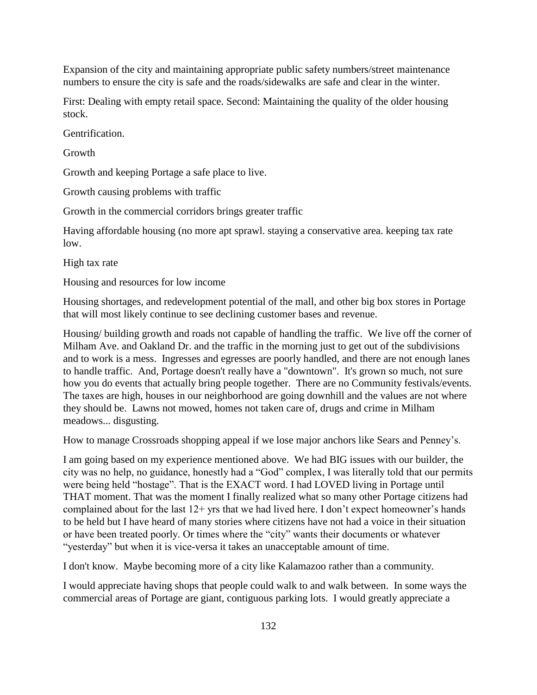Expansion of the city and maintaining appropriate public safety numbers/street maintenance numbers to ensure the city is safe and the roads/sidewalks are safe and clear in the winter.

First: Dealing with empty retail space. Second: Maintaining the quality of the older housing stock.

Gentrification.

Growth

Growth and keeping Portage a safe place to live.

Growth causing problems with traffic

Growth in the commercial corridors brings greater traffic

Having affordable housing (no more apt sprawl. staying a conservative area. keeping tax rate low.

High tax rate

Housing and resources for low income

Housing shortages, and redevelopment potential of the mall, and other big box stores in Portage that will most likely continue to see declining customer bases and revenue.

Housing/ building growth and roads not capable of handling the traffic. We live off the corner of Milham Ave. and Oakland Dr. and the traffic in the morning just to get out of the subdivisions and to work is a mess. Ingresses and egresses are poorly handled, and there are not enough lanes to handle traffic. And, Portage doesn't really have a "downtown". It's grown so much, not sure how you do events that actually bring people together. There are no Community festivals/events. The taxes are high, houses in our neighborhood are going downhill and the values are not where they should be. Lawns not mowed, homes not taken care of, drugs and crime in Milham meadows... disgusting.

How to manage Crossroads shopping appeal if we lose major anchors like Sears and Penney's.

I am going based on my experience mentioned above. We had BIG issues with our builder, the city was no help, no guidance, honestly had a "God" complex, I was literally told that our permits were being held "hostage". That is the EXACT word. I had LOVED living in Portage until THAT moment. That was the moment I finally realized what so many other Portage citizens had complained about for the last 12+ yrs that we had lived here. I don't expect homeowner's hands to be held but I have heard of many stories where citizens have not had a voice in their situation or have been treated poorly. Or times where the "city" wants their documents or whatever "yesterday" but when it is vice-versa it takes an unacceptable amount of time.

I don't know. Maybe becoming more of a city like Kalamazoo rather than a community.

I would appreciate having shops that people could walk to and walk between. In some ways the commercial areas of Portage are giant, contiguous parking lots. I would greatly appreciate a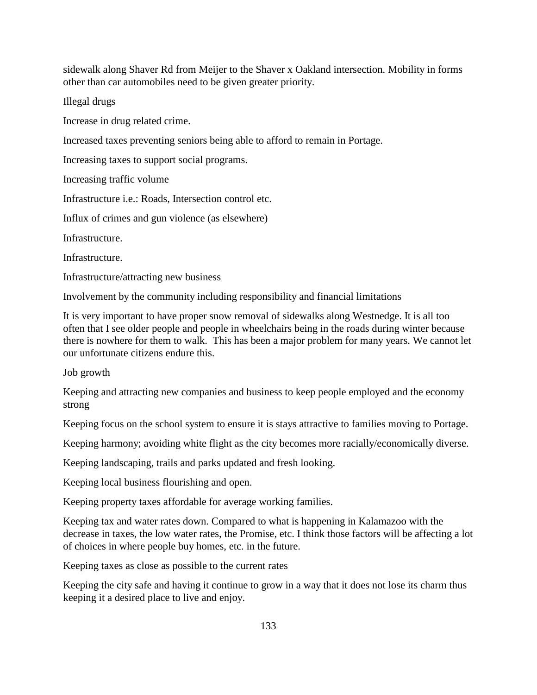sidewalk along Shaver Rd from Meijer to the Shaver x Oakland intersection. Mobility in forms other than car automobiles need to be given greater priority.

Illegal drugs

Increase in drug related crime.

Increased taxes preventing seniors being able to afford to remain in Portage.

Increasing taxes to support social programs.

Increasing traffic volume

Infrastructure i.e.: Roads, Intersection control etc.

Influx of crimes and gun violence (as elsewhere)

Infrastructure.

Infrastructure.

Infrastructure/attracting new business

Involvement by the community including responsibility and financial limitations

It is very important to have proper snow removal of sidewalks along Westnedge. It is all too often that I see older people and people in wheelchairs being in the roads during winter because there is nowhere for them to walk. This has been a major problem for many years. We cannot let our unfortunate citizens endure this.

Job growth

Keeping and attracting new companies and business to keep people employed and the economy strong

Keeping focus on the school system to ensure it is stays attractive to families moving to Portage.

Keeping harmony; avoiding white flight as the city becomes more racially/economically diverse.

Keeping landscaping, trails and parks updated and fresh looking.

Keeping local business flourishing and open.

Keeping property taxes affordable for average working families.

Keeping tax and water rates down. Compared to what is happening in Kalamazoo with the decrease in taxes, the low water rates, the Promise, etc. I think those factors will be affecting a lot of choices in where people buy homes, etc. in the future.

Keeping taxes as close as possible to the current rates

Keeping the city safe and having it continue to grow in a way that it does not lose its charm thus keeping it a desired place to live and enjoy.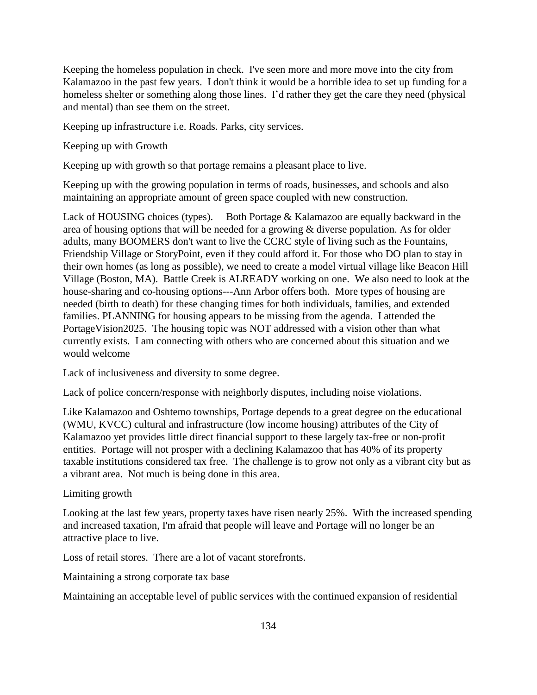Keeping the homeless population in check. I've seen more and more move into the city from Kalamazoo in the past few years. I don't think it would be a horrible idea to set up funding for a homeless shelter or something along those lines. I'd rather they get the care they need (physical and mental) than see them on the street.

Keeping up infrastructure i.e. Roads. Parks, city services.

Keeping up with Growth

Keeping up with growth so that portage remains a pleasant place to live.

Keeping up with the growing population in terms of roads, businesses, and schools and also maintaining an appropriate amount of green space coupled with new construction.

Lack of HOUSING choices (types). Both Portage  $&$  Kalamazoo are equally backward in the area of housing options that will be needed for a growing & diverse population. As for older adults, many BOOMERS don't want to live the CCRC style of living such as the Fountains, Friendship Village or StoryPoint, even if they could afford it. For those who DO plan to stay in their own homes (as long as possible), we need to create a model virtual village like Beacon Hill Village (Boston, MA). Battle Creek is ALREADY working on one. We also need to look at the house-sharing and co-housing options---Ann Arbor offers both. More types of housing are needed (birth to death) for these changing times for both individuals, families, and extended families. PLANNING for housing appears to be missing from the agenda. I attended the PortageVision2025. The housing topic was NOT addressed with a vision other than what currently exists. I am connecting with others who are concerned about this situation and we would welcome

Lack of inclusiveness and diversity to some degree.

Lack of police concern/response with neighborly disputes, including noise violations.

Like Kalamazoo and Oshtemo townships, Portage depends to a great degree on the educational (WMU, KVCC) cultural and infrastructure (low income housing) attributes of the City of Kalamazoo yet provides little direct financial support to these largely tax-free or non-profit entities. Portage will not prosper with a declining Kalamazoo that has 40% of its property taxable institutions considered tax free. The challenge is to grow not only as a vibrant city but as a vibrant area. Not much is being done in this area.

#### Limiting growth

Looking at the last few years, property taxes have risen nearly 25%. With the increased spending and increased taxation, I'm afraid that people will leave and Portage will no longer be an attractive place to live.

Loss of retail stores. There are a lot of vacant storefronts.

Maintaining a strong corporate tax base

Maintaining an acceptable level of public services with the continued expansion of residential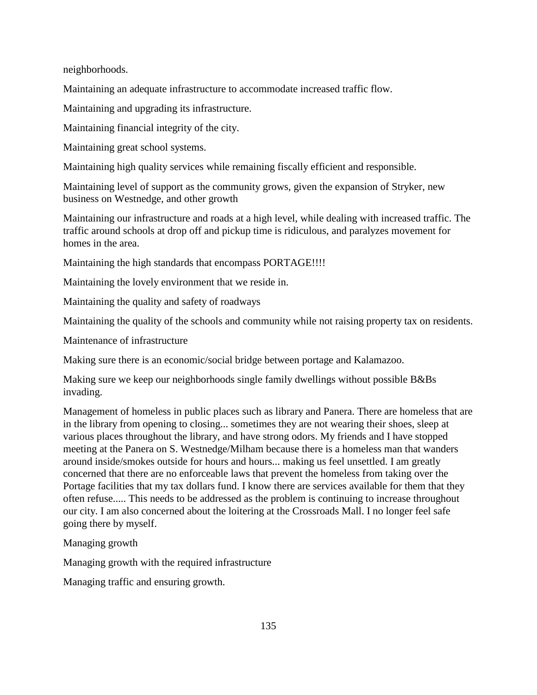neighborhoods.

Maintaining an adequate infrastructure to accommodate increased traffic flow.

Maintaining and upgrading its infrastructure.

Maintaining financial integrity of the city.

Maintaining great school systems.

Maintaining high quality services while remaining fiscally efficient and responsible.

Maintaining level of support as the community grows, given the expansion of Stryker, new business on Westnedge, and other growth

Maintaining our infrastructure and roads at a high level, while dealing with increased traffic. The traffic around schools at drop off and pickup time is ridiculous, and paralyzes movement for homes in the area.

Maintaining the high standards that encompass PORTAGE!!!!

Maintaining the lovely environment that we reside in.

Maintaining the quality and safety of roadways

Maintaining the quality of the schools and community while not raising property tax on residents.

Maintenance of infrastructure

Making sure there is an economic/social bridge between portage and Kalamazoo.

Making sure we keep our neighborhoods single family dwellings without possible B&Bs invading.

Management of homeless in public places such as library and Panera. There are homeless that are in the library from opening to closing... sometimes they are not wearing their shoes, sleep at various places throughout the library, and have strong odors. My friends and I have stopped meeting at the Panera on S. Westnedge/Milham because there is a homeless man that wanders around inside/smokes outside for hours and hours... making us feel unsettled. I am greatly concerned that there are no enforceable laws that prevent the homeless from taking over the Portage facilities that my tax dollars fund. I know there are services available for them that they often refuse..... This needs to be addressed as the problem is continuing to increase throughout our city. I am also concerned about the loitering at the Crossroads Mall. I no longer feel safe going there by myself.

Managing growth

Managing growth with the required infrastructure

Managing traffic and ensuring growth.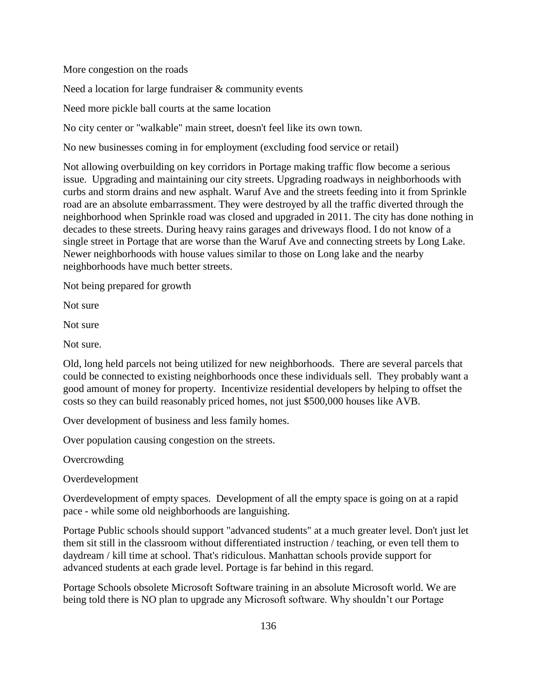More congestion on the roads

Need a location for large fundraiser & community events

Need more pickle ball courts at the same location

No city center or "walkable" main street, doesn't feel like its own town.

No new businesses coming in for employment (excluding food service or retail)

Not allowing overbuilding on key corridors in Portage making traffic flow become a serious issue. Upgrading and maintaining our city streets. Upgrading roadways in neighborhoods with curbs and storm drains and new asphalt. Waruf Ave and the streets feeding into it from Sprinkle road are an absolute embarrassment. They were destroyed by all the traffic diverted through the neighborhood when Sprinkle road was closed and upgraded in 2011. The city has done nothing in decades to these streets. During heavy rains garages and driveways flood. I do not know of a single street in Portage that are worse than the Waruf Ave and connecting streets by Long Lake. Newer neighborhoods with house values similar to those on Long lake and the nearby neighborhoods have much better streets.

Not being prepared for growth

Not sure

Not sure

Not sure.

Old, long held parcels not being utilized for new neighborhoods. There are several parcels that could be connected to existing neighborhoods once these individuals sell. They probably want a good amount of money for property. Incentivize residential developers by helping to offset the costs so they can build reasonably priced homes, not just \$500,000 houses like AVB.

Over development of business and less family homes.

Over population causing congestion on the streets.

**Overcrowding** 

Overdevelopment

Overdevelopment of empty spaces. Development of all the empty space is going on at a rapid pace - while some old neighborhoods are languishing.

Portage Public schools should support "advanced students" at a much greater level. Don't just let them sit still in the classroom without differentiated instruction / teaching, or even tell them to daydream / kill time at school. That's ridiculous. Manhattan schools provide support for advanced students at each grade level. Portage is far behind in this regard.

Portage Schools obsolete Microsoft Software training in an absolute Microsoft world. We are being told there is NO plan to upgrade any Microsoft software. Why shouldn't our Portage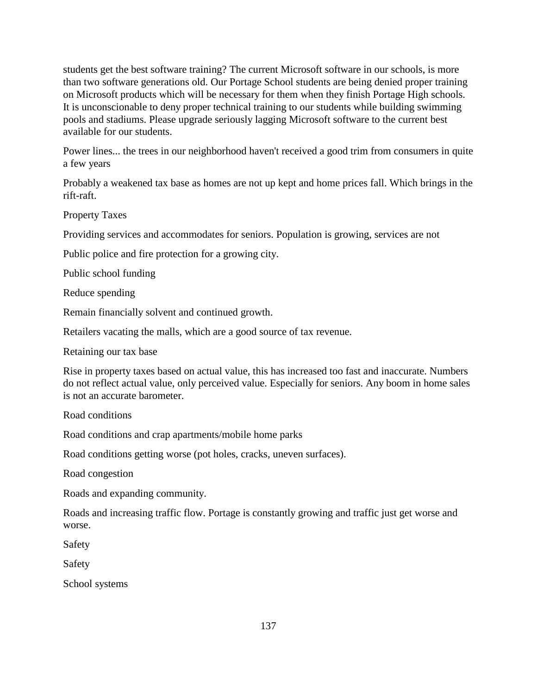students get the best software training? The current Microsoft software in our schools, is more than two software generations old. Our Portage School students are being denied proper training on Microsoft products which will be necessary for them when they finish Portage High schools. It is unconscionable to deny proper technical training to our students while building swimming pools and stadiums. Please upgrade seriously lagging Microsoft software to the current best available for our students.

Power lines... the trees in our neighborhood haven't received a good trim from consumers in quite a few years

Probably a weakened tax base as homes are not up kept and home prices fall. Which brings in the rift-raft.

Property Taxes

Providing services and accommodates for seniors. Population is growing, services are not

Public police and fire protection for a growing city.

Public school funding

Reduce spending

Remain financially solvent and continued growth.

Retailers vacating the malls, which are a good source of tax revenue.

Retaining our tax base

Rise in property taxes based on actual value, this has increased too fast and inaccurate. Numbers do not reflect actual value, only perceived value. Especially for seniors. Any boom in home sales is not an accurate barometer.

Road conditions

Road conditions and crap apartments/mobile home parks

Road conditions getting worse (pot holes, cracks, uneven surfaces).

Road congestion

Roads and expanding community.

Roads and increasing traffic flow. Portage is constantly growing and traffic just get worse and worse.

Safety

Safety

School systems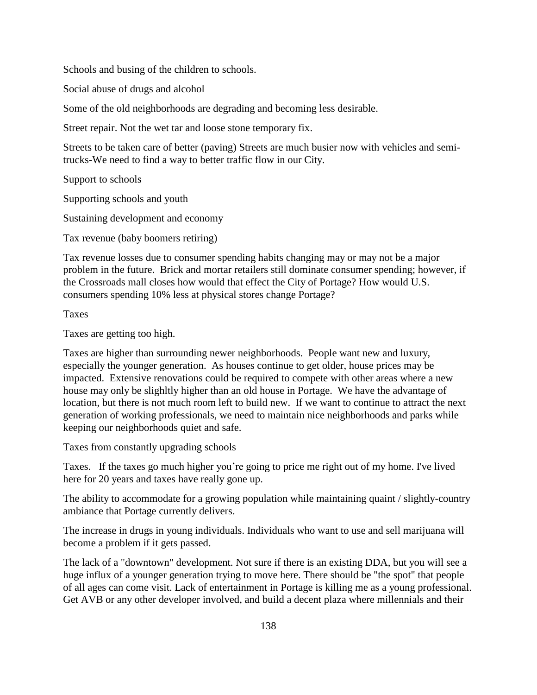Schools and busing of the children to schools.

Social abuse of drugs and alcohol

Some of the old neighborhoods are degrading and becoming less desirable.

Street repair. Not the wet tar and loose stone temporary fix.

Streets to be taken care of better (paving) Streets are much busier now with vehicles and semitrucks-We need to find a way to better traffic flow in our City.

Support to schools

Supporting schools and youth

Sustaining development and economy

Tax revenue (baby boomers retiring)

Tax revenue losses due to consumer spending habits changing may or may not be a major problem in the future. Brick and mortar retailers still dominate consumer spending; however, if the Crossroads mall closes how would that effect the City of Portage? How would U.S. consumers spending 10% less at physical stores change Portage?

#### Taxes

Taxes are getting too high.

Taxes are higher than surrounding newer neighborhoods. People want new and luxury, especially the younger generation. As houses continue to get older, house prices may be impacted. Extensive renovations could be required to compete with other areas where a new house may only be slighltly higher than an old house in Portage. We have the advantage of location, but there is not much room left to build new. If we want to continue to attract the next generation of working professionals, we need to maintain nice neighborhoods and parks while keeping our neighborhoods quiet and safe.

Taxes from constantly upgrading schools

Taxes. If the taxes go much higher you're going to price me right out of my home. I've lived here for 20 years and taxes have really gone up.

The ability to accommodate for a growing population while maintaining quaint / slightly-country ambiance that Portage currently delivers.

The increase in drugs in young individuals. Individuals who want to use and sell marijuana will become a problem if it gets passed.

The lack of a "downtown" development. Not sure if there is an existing DDA, but you will see a huge influx of a younger generation trying to move here. There should be "the spot" that people of all ages can come visit. Lack of entertainment in Portage is killing me as a young professional. Get AVB or any other developer involved, and build a decent plaza where millennials and their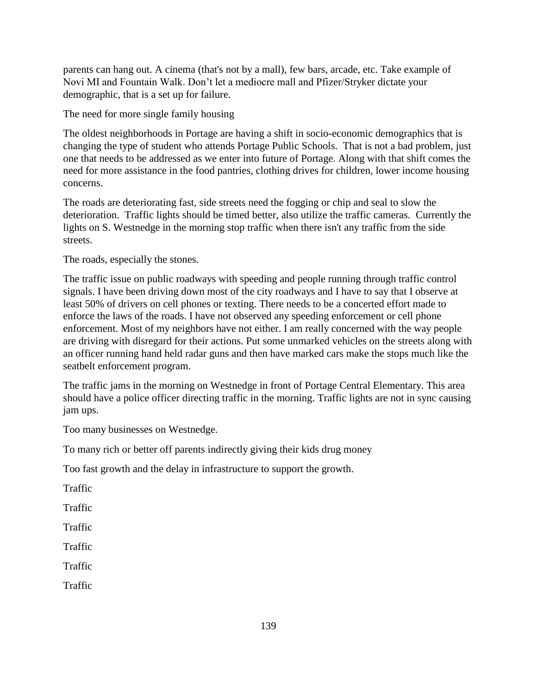parents can hang out. A cinema (that's not by a mall), few bars, arcade, etc. Take example of Novi MI and Fountain Walk. Don't let a mediocre mall and Pfizer/Stryker dictate your demographic, that is a set up for failure.

The need for more single family housing

The oldest neighborhoods in Portage are having a shift in socio-economic demographics that is changing the type of student who attends Portage Public Schools. That is not a bad problem, just one that needs to be addressed as we enter into future of Portage. Along with that shift comes the need for more assistance in the food pantries, clothing drives for children, lower income housing concerns.

The roads are deteriorating fast, side streets need the fogging or chip and seal to slow the deterioration. Traffic lights should be timed better, also utilize the traffic cameras. Currently the lights on S. Westnedge in the morning stop traffic when there isn't any traffic from the side streets.

The roads, especially the stones.

The traffic issue on public roadways with speeding and people running through traffic control signals. I have been driving down most of the city roadways and I have to say that I observe at least 50% of drivers on cell phones or texting. There needs to be a concerted effort made to enforce the laws of the roads. I have not observed any speeding enforcement or cell phone enforcement. Most of my neighbors have not either. I am really concerned with the way people are driving with disregard for their actions. Put some unmarked vehicles on the streets along with an officer running hand held radar guns and then have marked cars make the stops much like the seatbelt enforcement program.

The traffic jams in the morning on Westnedge in front of Portage Central Elementary. This area should have a police officer directing traffic in the morning. Traffic lights are not in sync causing jam ups.

Too many businesses on Westnedge.

To many rich or better off parents indirectly giving their kids drug money

Too fast growth and the delay in infrastructure to support the growth.

Traffic

Traffic

**Traffic** 

Traffic

Traffic

Traffic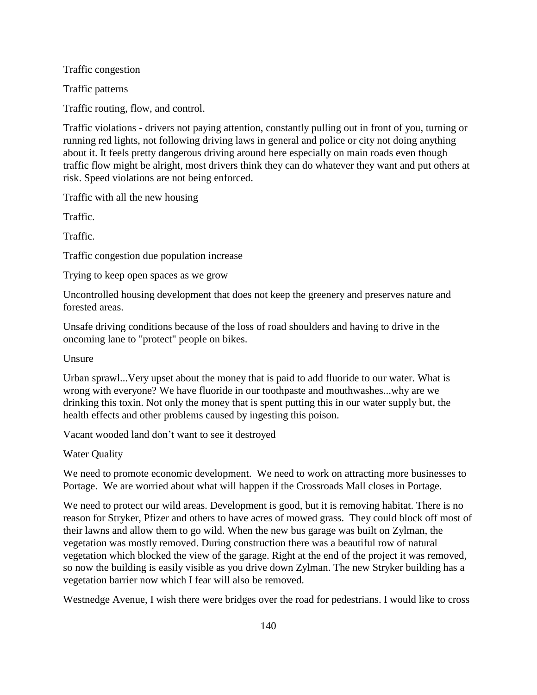Traffic congestion

Traffic patterns

Traffic routing, flow, and control.

Traffic violations - drivers not paying attention, constantly pulling out in front of you, turning or running red lights, not following driving laws in general and police or city not doing anything about it. It feels pretty dangerous driving around here especially on main roads even though traffic flow might be alright, most drivers think they can do whatever they want and put others at risk. Speed violations are not being enforced.

Traffic with all the new housing

Traffic.

Traffic.

Traffic congestion due population increase

Trying to keep open spaces as we grow

Uncontrolled housing development that does not keep the greenery and preserves nature and forested areas.

Unsafe driving conditions because of the loss of road shoulders and having to drive in the oncoming lane to "protect" people on bikes.

Unsure

Urban sprawl...Very upset about the money that is paid to add fluoride to our water. What is wrong with everyone? We have fluoride in our toothpaste and mouthwashes...why are we drinking this toxin. Not only the money that is spent putting this in our water supply but, the health effects and other problems caused by ingesting this poison.

Vacant wooded land don't want to see it destroyed

Water Quality

We need to promote economic development. We need to work on attracting more businesses to Portage. We are worried about what will happen if the Crossroads Mall closes in Portage.

We need to protect our wild areas. Development is good, but it is removing habitat. There is no reason for Stryker, Pfizer and others to have acres of mowed grass. They could block off most of their lawns and allow them to go wild. When the new bus garage was built on Zylman, the vegetation was mostly removed. During construction there was a beautiful row of natural vegetation which blocked the view of the garage. Right at the end of the project it was removed, so now the building is easily visible as you drive down Zylman. The new Stryker building has a vegetation barrier now which I fear will also be removed.

Westnedge Avenue, I wish there were bridges over the road for pedestrians. I would like to cross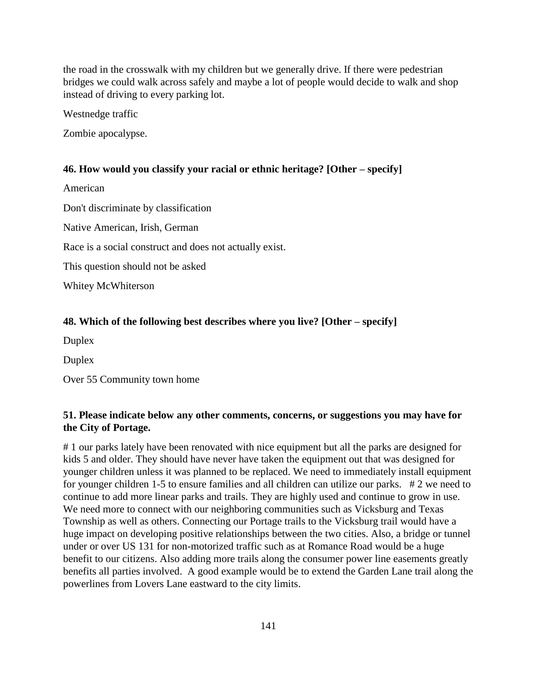the road in the crosswalk with my children but we generally drive. If there were pedestrian bridges we could walk across safely and maybe a lot of people would decide to walk and shop instead of driving to every parking lot.

Westnedge traffic

Zombie apocalypse.

#### **46. How would you classify your racial or ethnic heritage? [Other – specify]**

American Don't discriminate by classification Native American, Irish, German Race is a social construct and does not actually exist.

This question should not be asked

Whitey McWhiterson

#### **48. Which of the following best describes where you live? [Other – specify]**

Duplex

Duplex

Over 55 Community town home

## **51. Please indicate below any other comments, concerns, or suggestions you may have for the City of Portage.**

# 1 our parks lately have been renovated with nice equipment but all the parks are designed for kids 5 and older. They should have never have taken the equipment out that was designed for younger children unless it was planned to be replaced. We need to immediately install equipment for younger children 1-5 to ensure families and all children can utilize our parks. # 2 we need to continue to add more linear parks and trails. They are highly used and continue to grow in use. We need more to connect with our neighboring communities such as Vicksburg and Texas Township as well as others. Connecting our Portage trails to the Vicksburg trail would have a huge impact on developing positive relationships between the two cities. Also, a bridge or tunnel under or over US 131 for non-motorized traffic such as at Romance Road would be a huge benefit to our citizens. Also adding more trails along the consumer power line easements greatly benefits all parties involved. A good example would be to extend the Garden Lane trail along the powerlines from Lovers Lane eastward to the city limits.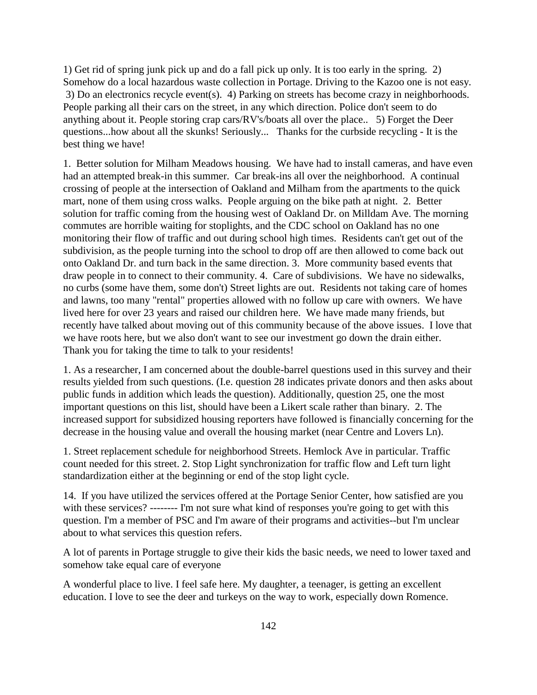1) Get rid of spring junk pick up and do a fall pick up only. It is too early in the spring. 2) Somehow do a local hazardous waste collection in Portage. Driving to the Kazoo one is not easy. 3) Do an electronics recycle event(s). 4) Parking on streets has become crazy in neighborhoods. People parking all their cars on the street, in any which direction. Police don't seem to do anything about it. People storing crap cars/RV's/boats all over the place.. 5) Forget the Deer questions...how about all the skunks! Seriously... Thanks for the curbside recycling - It is the best thing we have!

1. Better solution for Milham Meadows housing. We have had to install cameras, and have even had an attempted break-in this summer. Car break-ins all over the neighborhood. A continual crossing of people at the intersection of Oakland and Milham from the apartments to the quick mart, none of them using cross walks. People arguing on the bike path at night. 2. Better solution for traffic coming from the housing west of Oakland Dr. on Milldam Ave. The morning commutes are horrible waiting for stoplights, and the CDC school on Oakland has no one monitoring their flow of traffic and out during school high times. Residents can't get out of the subdivision, as the people turning into the school to drop off are then allowed to come back out onto Oakland Dr. and turn back in the same direction. 3. More community based events that draw people in to connect to their community. 4. Care of subdivisions. We have no sidewalks, no curbs (some have them, some don't) Street lights are out. Residents not taking care of homes and lawns, too many "rental" properties allowed with no follow up care with owners. We have lived here for over 23 years and raised our children here. We have made many friends, but recently have talked about moving out of this community because of the above issues. I love that we have roots here, but we also don't want to see our investment go down the drain either. Thank you for taking the time to talk to your residents!

1. As a researcher, I am concerned about the double-barrel questions used in this survey and their results yielded from such questions. (I.e. question 28 indicates private donors and then asks about public funds in addition which leads the question). Additionally, question 25, one the most important questions on this list, should have been a Likert scale rather than binary. 2. The increased support for subsidized housing reporters have followed is financially concerning for the decrease in the housing value and overall the housing market (near Centre and Lovers Ln).

1. Street replacement schedule for neighborhood Streets. Hemlock Ave in particular. Traffic count needed for this street. 2. Stop Light synchronization for traffic flow and Left turn light standardization either at the beginning or end of the stop light cycle.

14. If you have utilized the services offered at the Portage Senior Center, how satisfied are you with these services? -------- I'm not sure what kind of responses you're going to get with this question. I'm a member of PSC and I'm aware of their programs and activities--but I'm unclear about to what services this question refers.

A lot of parents in Portage struggle to give their kids the basic needs, we need to lower taxed and somehow take equal care of everyone

A wonderful place to live. I feel safe here. My daughter, a teenager, is getting an excellent education. I love to see the deer and turkeys on the way to work, especially down Romence.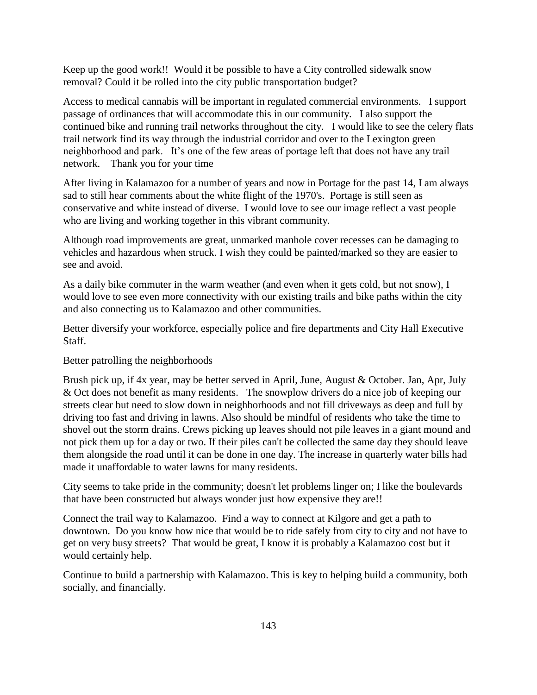Keep up the good work!! Would it be possible to have a City controlled sidewalk snow removal? Could it be rolled into the city public transportation budget?

Access to medical cannabis will be important in regulated commercial environments. I support passage of ordinances that will accommodate this in our community. I also support the continued bike and running trail networks throughout the city. I would like to see the celery flats trail network find its way through the industrial corridor and over to the Lexington green neighborhood and park. It's one of the few areas of portage left that does not have any trail network. Thank you for your time

After living in Kalamazoo for a number of years and now in Portage for the past 14, I am always sad to still hear comments about the white flight of the 1970's. Portage is still seen as conservative and white instead of diverse. I would love to see our image reflect a vast people who are living and working together in this vibrant community.

Although road improvements are great, unmarked manhole cover recesses can be damaging to vehicles and hazardous when struck. I wish they could be painted/marked so they are easier to see and avoid.

As a daily bike commuter in the warm weather (and even when it gets cold, but not snow), I would love to see even more connectivity with our existing trails and bike paths within the city and also connecting us to Kalamazoo and other communities.

Better diversify your workforce, especially police and fire departments and City Hall Executive Staff.

Better patrolling the neighborhoods

Brush pick up, if 4x year, may be better served in April, June, August & October. Jan, Apr, July & Oct does not benefit as many residents. The snowplow drivers do a nice job of keeping our streets clear but need to slow down in neighborhoods and not fill driveways as deep and full by driving too fast and driving in lawns. Also should be mindful of residents who take the time to shovel out the storm drains. Crews picking up leaves should not pile leaves in a giant mound and not pick them up for a day or two. If their piles can't be collected the same day they should leave them alongside the road until it can be done in one day. The increase in quarterly water bills had made it unaffordable to water lawns for many residents.

City seems to take pride in the community; doesn't let problems linger on; I like the boulevards that have been constructed but always wonder just how expensive they are!!

Connect the trail way to Kalamazoo. Find a way to connect at Kilgore and get a path to downtown. Do you know how nice that would be to ride safely from city to city and not have to get on very busy streets? That would be great, I know it is probably a Kalamazoo cost but it would certainly help.

Continue to build a partnership with Kalamazoo. This is key to helping build a community, both socially, and financially.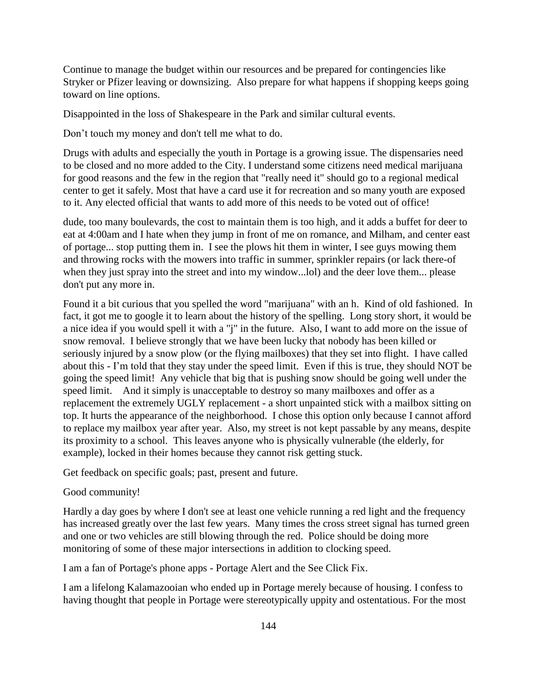Continue to manage the budget within our resources and be prepared for contingencies like Stryker or Pfizer leaving or downsizing. Also prepare for what happens if shopping keeps going toward on line options.

Disappointed in the loss of Shakespeare in the Park and similar cultural events.

Don't touch my money and don't tell me what to do.

Drugs with adults and especially the youth in Portage is a growing issue. The dispensaries need to be closed and no more added to the City. I understand some citizens need medical marijuana for good reasons and the few in the region that "really need it" should go to a regional medical center to get it safely. Most that have a card use it for recreation and so many youth are exposed to it. Any elected official that wants to add more of this needs to be voted out of office!

dude, too many boulevards, the cost to maintain them is too high, and it adds a buffet for deer to eat at 4:00am and I hate when they jump in front of me on romance, and Milham, and center east of portage... stop putting them in. I see the plows hit them in winter, I see guys mowing them and throwing rocks with the mowers into traffic in summer, sprinkler repairs (or lack there-of when they just spray into the street and into my window...lol) and the deer love them... please don't put any more in.

Found it a bit curious that you spelled the word "marijuana" with an h. Kind of old fashioned. In fact, it got me to google it to learn about the history of the spelling. Long story short, it would be a nice idea if you would spell it with a "j" in the future. Also, I want to add more on the issue of snow removal. I believe strongly that we have been lucky that nobody has been killed or seriously injured by a snow plow (or the flying mailboxes) that they set into flight. I have called about this - I'm told that they stay under the speed limit. Even if this is true, they should NOT be going the speed limit! Any vehicle that big that is pushing snow should be going well under the speed limit. And it simply is unacceptable to destroy so many mailboxes and offer as a replacement the extremely UGLY replacement - a short unpainted stick with a mailbox sitting on top. It hurts the appearance of the neighborhood. I chose this option only because I cannot afford to replace my mailbox year after year. Also, my street is not kept passable by any means, despite its proximity to a school. This leaves anyone who is physically vulnerable (the elderly, for example), locked in their homes because they cannot risk getting stuck.

Get feedback on specific goals; past, present and future.

#### Good community!

Hardly a day goes by where I don't see at least one vehicle running a red light and the frequency has increased greatly over the last few years. Many times the cross street signal has turned green and one or two vehicles are still blowing through the red. Police should be doing more monitoring of some of these major intersections in addition to clocking speed.

I am a fan of Portage's phone apps - Portage Alert and the See Click Fix.

I am a lifelong Kalamazooian who ended up in Portage merely because of housing. I confess to having thought that people in Portage were stereotypically uppity and ostentatious. For the most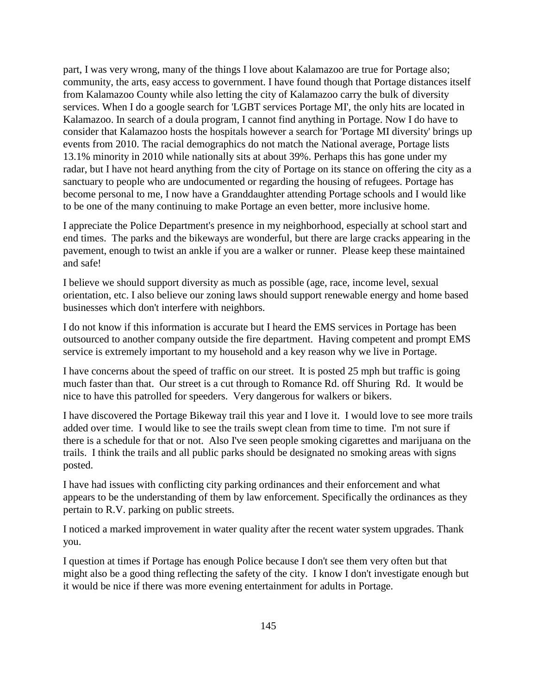part, I was very wrong, many of the things I love about Kalamazoo are true for Portage also; community, the arts, easy access to government. I have found though that Portage distances itself from Kalamazoo County while also letting the city of Kalamazoo carry the bulk of diversity services. When I do a google search for 'LGBT services Portage MI', the only hits are located in Kalamazoo. In search of a doula program, I cannot find anything in Portage. Now I do have to consider that Kalamazoo hosts the hospitals however a search for 'Portage MI diversity' brings up events from 2010. The racial demographics do not match the National average, Portage lists 13.1% minority in 2010 while nationally sits at about 39%. Perhaps this has gone under my radar, but I have not heard anything from the city of Portage on its stance on offering the city as a sanctuary to people who are undocumented or regarding the housing of refugees. Portage has become personal to me, I now have a Granddaughter attending Portage schools and I would like to be one of the many continuing to make Portage an even better, more inclusive home.

I appreciate the Police Department's presence in my neighborhood, especially at school start and end times. The parks and the bikeways are wonderful, but there are large cracks appearing in the pavement, enough to twist an ankle if you are a walker or runner. Please keep these maintained and safe!

I believe we should support diversity as much as possible (age, race, income level, sexual orientation, etc. I also believe our zoning laws should support renewable energy and home based businesses which don't interfere with neighbors.

I do not know if this information is accurate but I heard the EMS services in Portage has been outsourced to another company outside the fire department. Having competent and prompt EMS service is extremely important to my household and a key reason why we live in Portage.

I have concerns about the speed of traffic on our street. It is posted 25 mph but traffic is going much faster than that. Our street is a cut through to Romance Rd. off Shuring Rd. It would be nice to have this patrolled for speeders. Very dangerous for walkers or bikers.

I have discovered the Portage Bikeway trail this year and I love it. I would love to see more trails added over time. I would like to see the trails swept clean from time to time. I'm not sure if there is a schedule for that or not. Also I've seen people smoking cigarettes and marijuana on the trails. I think the trails and all public parks should be designated no smoking areas with signs posted.

I have had issues with conflicting city parking ordinances and their enforcement and what appears to be the understanding of them by law enforcement. Specifically the ordinances as they pertain to R.V. parking on public streets.

I noticed a marked improvement in water quality after the recent water system upgrades. Thank you.

I question at times if Portage has enough Police because I don't see them very often but that might also be a good thing reflecting the safety of the city. I know I don't investigate enough but it would be nice if there was more evening entertainment for adults in Portage.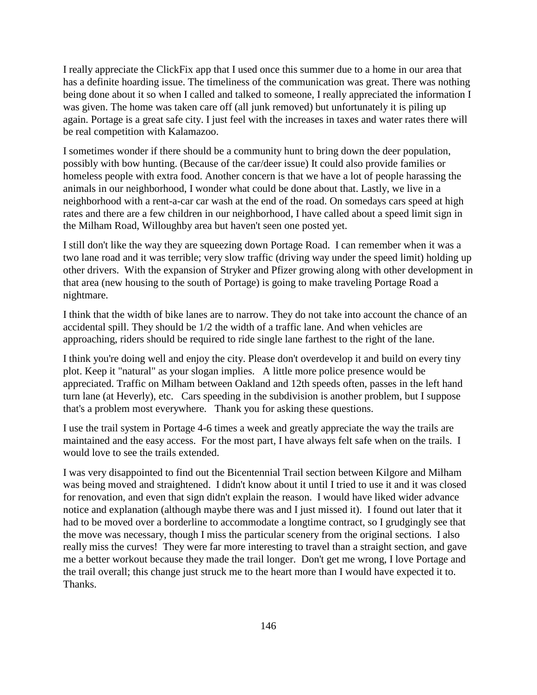I really appreciate the ClickFix app that I used once this summer due to a home in our area that has a definite hoarding issue. The timeliness of the communication was great. There was nothing being done about it so when I called and talked to someone, I really appreciated the information I was given. The home was taken care off (all junk removed) but unfortunately it is piling up again. Portage is a great safe city. I just feel with the increases in taxes and water rates there will be real competition with Kalamazoo.

I sometimes wonder if there should be a community hunt to bring down the deer population, possibly with bow hunting. (Because of the car/deer issue) It could also provide families or homeless people with extra food. Another concern is that we have a lot of people harassing the animals in our neighborhood, I wonder what could be done about that. Lastly, we live in a neighborhood with a rent-a-car car wash at the end of the road. On somedays cars speed at high rates and there are a few children in our neighborhood, I have called about a speed limit sign in the Milham Road, Willoughby area but haven't seen one posted yet.

I still don't like the way they are squeezing down Portage Road. I can remember when it was a two lane road and it was terrible; very slow traffic (driving way under the speed limit) holding up other drivers. With the expansion of Stryker and Pfizer growing along with other development in that area (new housing to the south of Portage) is going to make traveling Portage Road a nightmare.

I think that the width of bike lanes are to narrow. They do not take into account the chance of an accidental spill. They should be 1/2 the width of a traffic lane. And when vehicles are approaching, riders should be required to ride single lane farthest to the right of the lane.

I think you're doing well and enjoy the city. Please don't overdevelop it and build on every tiny plot. Keep it "natural" as your slogan implies. A little more police presence would be appreciated. Traffic on Milham between Oakland and 12th speeds often, passes in the left hand turn lane (at Heverly), etc. Cars speeding in the subdivision is another problem, but I suppose that's a problem most everywhere. Thank you for asking these questions.

I use the trail system in Portage 4-6 times a week and greatly appreciate the way the trails are maintained and the easy access. For the most part, I have always felt safe when on the trails. I would love to see the trails extended.

I was very disappointed to find out the Bicentennial Trail section between Kilgore and Milham was being moved and straightened. I didn't know about it until I tried to use it and it was closed for renovation, and even that sign didn't explain the reason. I would have liked wider advance notice and explanation (although maybe there was and I just missed it). I found out later that it had to be moved over a borderline to accommodate a longtime contract, so I grudgingly see that the move was necessary, though I miss the particular scenery from the original sections. I also really miss the curves! They were far more interesting to travel than a straight section, and gave me a better workout because they made the trail longer. Don't get me wrong, I love Portage and the trail overall; this change just struck me to the heart more than I would have expected it to. Thanks.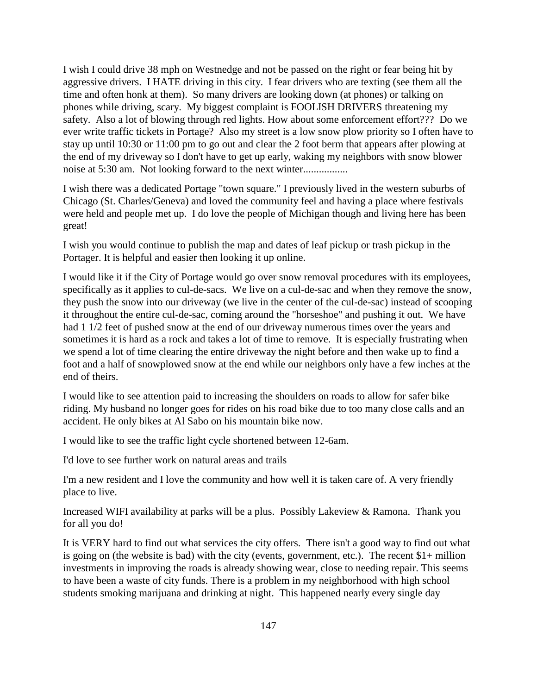I wish I could drive 38 mph on Westnedge and not be passed on the right or fear being hit by aggressive drivers. I HATE driving in this city. I fear drivers who are texting (see them all the time and often honk at them). So many drivers are looking down (at phones) or talking on phones while driving, scary. My biggest complaint is FOOLISH DRIVERS threatening my safety. Also a lot of blowing through red lights. How about some enforcement effort??? Do we ever write traffic tickets in Portage? Also my street is a low snow plow priority so I often have to stay up until 10:30 or 11:00 pm to go out and clear the 2 foot berm that appears after plowing at the end of my driveway so I don't have to get up early, waking my neighbors with snow blower noise at 5:30 am. Not looking forward to the next winter.................

I wish there was a dedicated Portage "town square." I previously lived in the western suburbs of Chicago (St. Charles/Geneva) and loved the community feel and having a place where festivals were held and people met up. I do love the people of Michigan though and living here has been great!

I wish you would continue to publish the map and dates of leaf pickup or trash pickup in the Portager. It is helpful and easier then looking it up online.

I would like it if the City of Portage would go over snow removal procedures with its employees, specifically as it applies to cul-de-sacs. We live on a cul-de-sac and when they remove the snow, they push the snow into our driveway (we live in the center of the cul-de-sac) instead of scooping it throughout the entire cul-de-sac, coming around the "horseshoe" and pushing it out. We have had 1 1/2 feet of pushed snow at the end of our driveway numerous times over the years and sometimes it is hard as a rock and takes a lot of time to remove. It is especially frustrating when we spend a lot of time clearing the entire driveway the night before and then wake up to find a foot and a half of snowplowed snow at the end while our neighbors only have a few inches at the end of theirs.

I would like to see attention paid to increasing the shoulders on roads to allow for safer bike riding. My husband no longer goes for rides on his road bike due to too many close calls and an accident. He only bikes at Al Sabo on his mountain bike now.

I would like to see the traffic light cycle shortened between 12-6am.

I'd love to see further work on natural areas and trails

I'm a new resident and I love the community and how well it is taken care of. A very friendly place to live.

Increased WIFI availability at parks will be a plus. Possibly Lakeview & Ramona. Thank you for all you do!

It is VERY hard to find out what services the city offers. There isn't a good way to find out what is going on (the website is bad) with the city (events, government, etc.). The recent  $$1+$  million investments in improving the roads is already showing wear, close to needing repair. This seems to have been a waste of city funds. There is a problem in my neighborhood with high school students smoking marijuana and drinking at night. This happened nearly every single day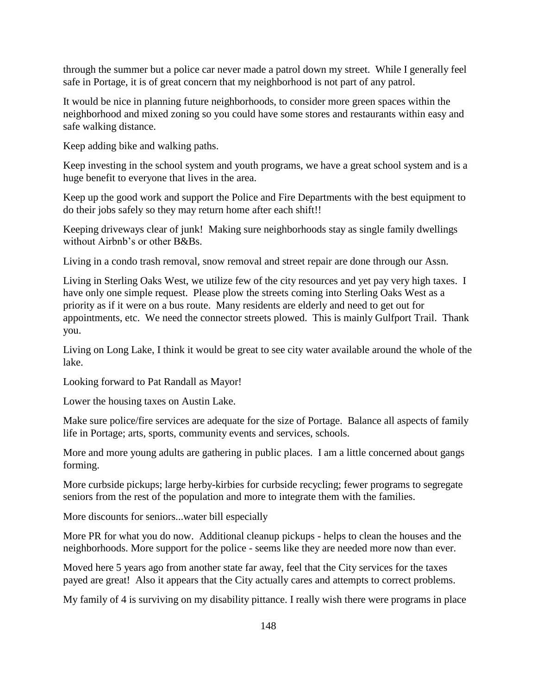through the summer but a police car never made a patrol down my street. While I generally feel safe in Portage, it is of great concern that my neighborhood is not part of any patrol.

It would be nice in planning future neighborhoods, to consider more green spaces within the neighborhood and mixed zoning so you could have some stores and restaurants within easy and safe walking distance.

Keep adding bike and walking paths.

Keep investing in the school system and youth programs, we have a great school system and is a huge benefit to everyone that lives in the area.

Keep up the good work and support the Police and Fire Departments with the best equipment to do their jobs safely so they may return home after each shift!!

Keeping driveways clear of junk! Making sure neighborhoods stay as single family dwellings without Airbnb's or other B&Bs.

Living in a condo trash removal, snow removal and street repair are done through our Assn.

Living in Sterling Oaks West, we utilize few of the city resources and yet pay very high taxes. I have only one simple request. Please plow the streets coming into Sterling Oaks West as a priority as if it were on a bus route. Many residents are elderly and need to get out for appointments, etc. We need the connector streets plowed. This is mainly Gulfport Trail. Thank you.

Living on Long Lake, I think it would be great to see city water available around the whole of the lake.

Looking forward to Pat Randall as Mayor!

Lower the housing taxes on Austin Lake.

Make sure police/fire services are adequate for the size of Portage. Balance all aspects of family life in Portage; arts, sports, community events and services, schools.

More and more young adults are gathering in public places. I am a little concerned about gangs forming.

More curbside pickups; large herby-kirbies for curbside recycling; fewer programs to segregate seniors from the rest of the population and more to integrate them with the families.

More discounts for seniors...water bill especially

More PR for what you do now. Additional cleanup pickups - helps to clean the houses and the neighborhoods. More support for the police - seems like they are needed more now than ever.

Moved here 5 years ago from another state far away, feel that the City services for the taxes payed are great! Also it appears that the City actually cares and attempts to correct problems.

My family of 4 is surviving on my disability pittance. I really wish there were programs in place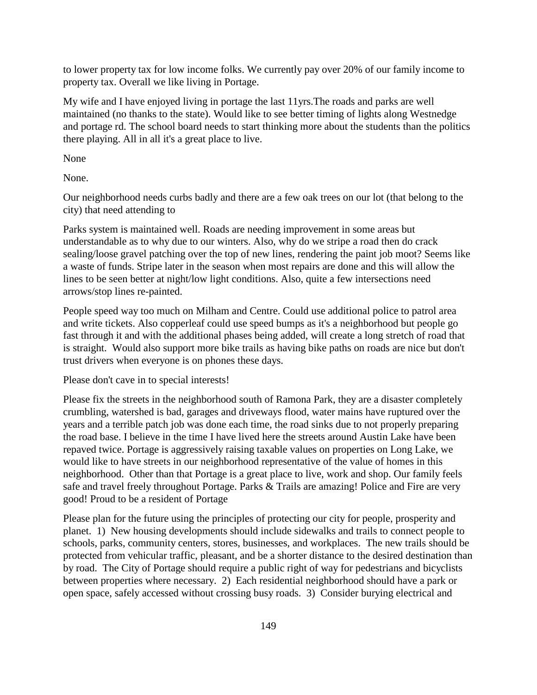to lower property tax for low income folks. We currently pay over 20% of our family income to property tax. Overall we like living in Portage.

My wife and I have enjoyed living in portage the last 11yrs.The roads and parks are well maintained (no thanks to the state). Would like to see better timing of lights along Westnedge and portage rd. The school board needs to start thinking more about the students than the politics there playing. All in all it's a great place to live.

None

None.

Our neighborhood needs curbs badly and there are a few oak trees on our lot (that belong to the city) that need attending to

Parks system is maintained well. Roads are needing improvement in some areas but understandable as to why due to our winters. Also, why do we stripe a road then do crack sealing/loose gravel patching over the top of new lines, rendering the paint job moot? Seems like a waste of funds. Stripe later in the season when most repairs are done and this will allow the lines to be seen better at night/low light conditions. Also, quite a few intersections need arrows/stop lines re-painted.

People speed way too much on Milham and Centre. Could use additional police to patrol area and write tickets. Also copperleaf could use speed bumps as it's a neighborhood but people go fast through it and with the additional phases being added, will create a long stretch of road that is straight. Would also support more bike trails as having bike paths on roads are nice but don't trust drivers when everyone is on phones these days.

Please don't cave in to special interests!

Please fix the streets in the neighborhood south of Ramona Park, they are a disaster completely crumbling, watershed is bad, garages and driveways flood, water mains have ruptured over the years and a terrible patch job was done each time, the road sinks due to not properly preparing the road base. I believe in the time I have lived here the streets around Austin Lake have been repaved twice. Portage is aggressively raising taxable values on properties on Long Lake, we would like to have streets in our neighborhood representative of the value of homes in this neighborhood. Other than that Portage is a great place to live, work and shop. Our family feels safe and travel freely throughout Portage. Parks & Trails are amazing! Police and Fire are very good! Proud to be a resident of Portage

Please plan for the future using the principles of protecting our city for people, prosperity and planet. 1) New housing developments should include sidewalks and trails to connect people to schools, parks, community centers, stores, businesses, and workplaces. The new trails should be protected from vehicular traffic, pleasant, and be a shorter distance to the desired destination than by road. The City of Portage should require a public right of way for pedestrians and bicyclists between properties where necessary. 2) Each residential neighborhood should have a park or open space, safely accessed without crossing busy roads. 3) Consider burying electrical and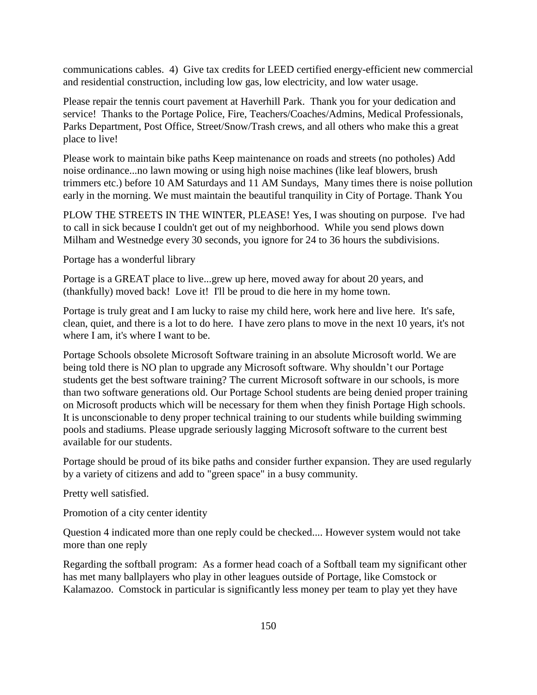communications cables. 4) Give tax credits for LEED certified energy-efficient new commercial and residential construction, including low gas, low electricity, and low water usage.

Please repair the tennis court pavement at Haverhill Park. Thank you for your dedication and service! Thanks to the Portage Police, Fire, Teachers/Coaches/Admins, Medical Professionals, Parks Department, Post Office, Street/Snow/Trash crews, and all others who make this a great place to live!

Please work to maintain bike paths Keep maintenance on roads and streets (no potholes) Add noise ordinance...no lawn mowing or using high noise machines (like leaf blowers, brush trimmers etc.) before 10 AM Saturdays and 11 AM Sundays, Many times there is noise pollution early in the morning. We must maintain the beautiful tranquility in City of Portage. Thank You

PLOW THE STREETS IN THE WINTER, PLEASE! Yes, I was shouting on purpose. I've had to call in sick because I couldn't get out of my neighborhood. While you send plows down Milham and Westnedge every 30 seconds, you ignore for 24 to 36 hours the subdivisions.

Portage has a wonderful library

Portage is a GREAT place to live...grew up here, moved away for about 20 years, and (thankfully) moved back! Love it! I'll be proud to die here in my home town.

Portage is truly great and I am lucky to raise my child here, work here and live here. It's safe, clean, quiet, and there is a lot to do here. I have zero plans to move in the next 10 years, it's not where I am, it's where I want to be.

Portage Schools obsolete Microsoft Software training in an absolute Microsoft world. We are being told there is NO plan to upgrade any Microsoft software. Why shouldn't our Portage students get the best software training? The current Microsoft software in our schools, is more than two software generations old. Our Portage School students are being denied proper training on Microsoft products which will be necessary for them when they finish Portage High schools. It is unconscionable to deny proper technical training to our students while building swimming pools and stadiums. Please upgrade seriously lagging Microsoft software to the current best available for our students.

Portage should be proud of its bike paths and consider further expansion. They are used regularly by a variety of citizens and add to "green space" in a busy community.

Pretty well satisfied.

Promotion of a city center identity

Question 4 indicated more than one reply could be checked.... However system would not take more than one reply

Regarding the softball program: As a former head coach of a Softball team my significant other has met many ballplayers who play in other leagues outside of Portage, like Comstock or Kalamazoo. Comstock in particular is significantly less money per team to play yet they have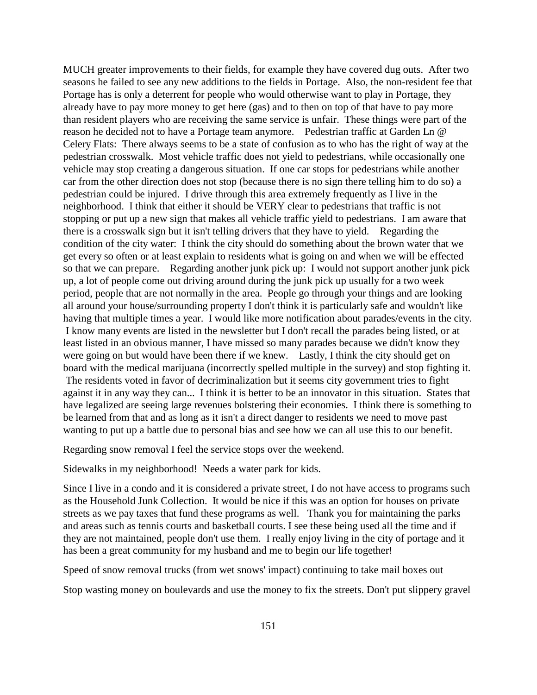MUCH greater improvements to their fields, for example they have covered dug outs. After two seasons he failed to see any new additions to the fields in Portage. Also, the non-resident fee that Portage has is only a deterrent for people who would otherwise want to play in Portage, they already have to pay more money to get here (gas) and to then on top of that have to pay more than resident players who are receiving the same service is unfair. These things were part of the reason he decided not to have a Portage team anymore. Pedestrian traffic at Garden Ln @ Celery Flats: There always seems to be a state of confusion as to who has the right of way at the pedestrian crosswalk. Most vehicle traffic does not yield to pedestrians, while occasionally one vehicle may stop creating a dangerous situation. If one car stops for pedestrians while another car from the other direction does not stop (because there is no sign there telling him to do so) a pedestrian could be injured. I drive through this area extremely frequently as I live in the neighborhood. I think that either it should be VERY clear to pedestrians that traffic is not stopping or put up a new sign that makes all vehicle traffic yield to pedestrians. I am aware that there is a crosswalk sign but it isn't telling drivers that they have to yield. Regarding the condition of the city water: I think the city should do something about the brown water that we get every so often or at least explain to residents what is going on and when we will be effected so that we can prepare. Regarding another junk pick up: I would not support another junk pick up, a lot of people come out driving around during the junk pick up usually for a two week period, people that are not normally in the area. People go through your things and are looking all around your house/surrounding property I don't think it is particularly safe and wouldn't like having that multiple times a year. I would like more notification about parades/events in the city. I know many events are listed in the newsletter but I don't recall the parades being listed, or at least listed in an obvious manner, I have missed so many parades because we didn't know they were going on but would have been there if we knew. Lastly, I think the city should get on board with the medical marijuana (incorrectly spelled multiple in the survey) and stop fighting it. The residents voted in favor of decriminalization but it seems city government tries to fight against it in any way they can... I think it is better to be an innovator in this situation. States that have legalized are seeing large revenues bolstering their economies. I think there is something to be learned from that and as long as it isn't a direct danger to residents we need to move past wanting to put up a battle due to personal bias and see how we can all use this to our benefit.

Regarding snow removal I feel the service stops over the weekend.

Sidewalks in my neighborhood! Needs a water park for kids.

Since I live in a condo and it is considered a private street, I do not have access to programs such as the Household Junk Collection. It would be nice if this was an option for houses on private streets as we pay taxes that fund these programs as well. Thank you for maintaining the parks and areas such as tennis courts and basketball courts. I see these being used all the time and if they are not maintained, people don't use them. I really enjoy living in the city of portage and it has been a great community for my husband and me to begin our life together!

Speed of snow removal trucks (from wet snows' impact) continuing to take mail boxes out

Stop wasting money on boulevards and use the money to fix the streets. Don't put slippery gravel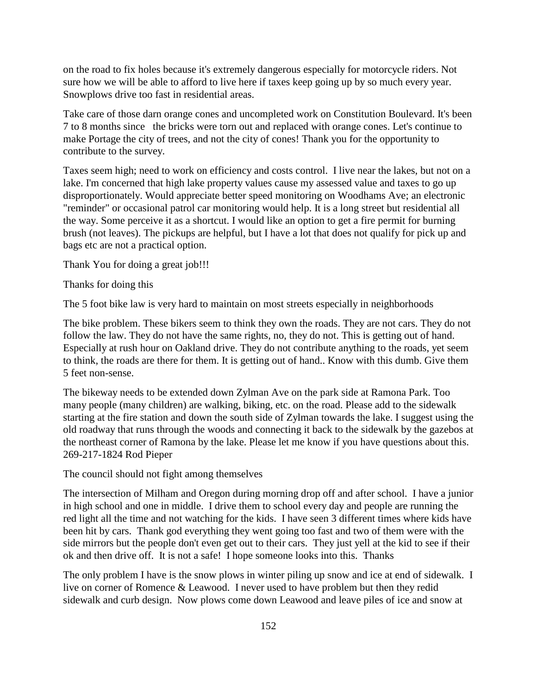on the road to fix holes because it's extremely dangerous especially for motorcycle riders. Not sure how we will be able to afford to live here if taxes keep going up by so much every year. Snowplows drive too fast in residential areas.

Take care of those darn orange cones and uncompleted work on Constitution Boulevard. It's been 7 to 8 months since the bricks were torn out and replaced with orange cones. Let's continue to make Portage the city of trees, and not the city of cones! Thank you for the opportunity to contribute to the survey.

Taxes seem high; need to work on efficiency and costs control. I live near the lakes, but not on a lake. I'm concerned that high lake property values cause my assessed value and taxes to go up disproportionately. Would appreciate better speed monitoring on Woodhams Ave; an electronic "reminder" or occasional patrol car monitoring would help. It is a long street but residential all the way. Some perceive it as a shortcut. I would like an option to get a fire permit for burning brush (not leaves). The pickups are helpful, but I have a lot that does not qualify for pick up and bags etc are not a practical option.

Thank You for doing a great job!!!

Thanks for doing this

The 5 foot bike law is very hard to maintain on most streets especially in neighborhoods

The bike problem. These bikers seem to think they own the roads. They are not cars. They do not follow the law. They do not have the same rights, no, they do not. This is getting out of hand. Especially at rush hour on Oakland drive. They do not contribute anything to the roads, yet seem to think, the roads are there for them. It is getting out of hand.. Know with this dumb. Give them 5 feet non-sense.

The bikeway needs to be extended down Zylman Ave on the park side at Ramona Park. Too many people (many children) are walking, biking, etc. on the road. Please add to the sidewalk starting at the fire station and down the south side of Zylman towards the lake. I suggest using the old roadway that runs through the woods and connecting it back to the sidewalk by the gazebos at the northeast corner of Ramona by the lake. Please let me know if you have questions about this. 269-217-1824 Rod Pieper

The council should not fight among themselves

The intersection of Milham and Oregon during morning drop off and after school. I have a junior in high school and one in middle. I drive them to school every day and people are running the red light all the time and not watching for the kids. I have seen 3 different times where kids have been hit by cars. Thank god everything they went going too fast and two of them were with the side mirrors but the people don't even get out to their cars. They just yell at the kid to see if their ok and then drive off. It is not a safe! I hope someone looks into this. Thanks

The only problem I have is the snow plows in winter piling up snow and ice at end of sidewalk. I live on corner of Romence & Leawood. I never used to have problem but then they redid sidewalk and curb design. Now plows come down Leawood and leave piles of ice and snow at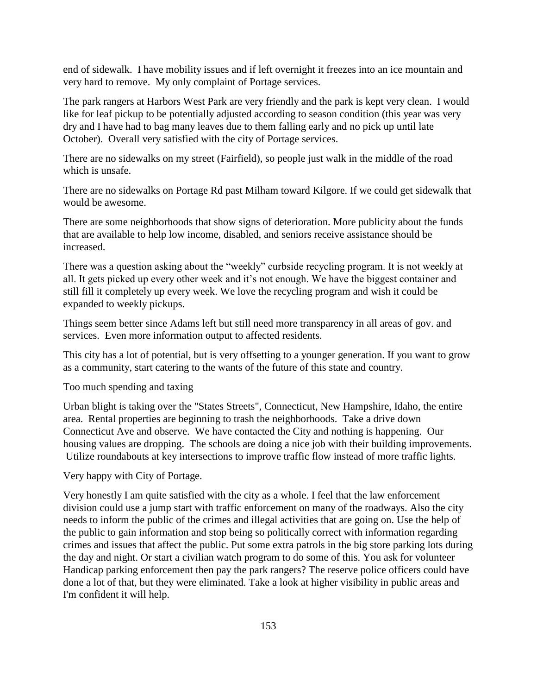end of sidewalk. I have mobility issues and if left overnight it freezes into an ice mountain and very hard to remove. My only complaint of Portage services.

The park rangers at Harbors West Park are very friendly and the park is kept very clean. I would like for leaf pickup to be potentially adjusted according to season condition (this year was very dry and I have had to bag many leaves due to them falling early and no pick up until late October). Overall very satisfied with the city of Portage services.

There are no sidewalks on my street (Fairfield), so people just walk in the middle of the road which is unsafe.

There are no sidewalks on Portage Rd past Milham toward Kilgore. If we could get sidewalk that would be awesome.

There are some neighborhoods that show signs of deterioration. More publicity about the funds that are available to help low income, disabled, and seniors receive assistance should be increased.

There was a question asking about the "weekly" curbside recycling program. It is not weekly at all. It gets picked up every other week and it's not enough. We have the biggest container and still fill it completely up every week. We love the recycling program and wish it could be expanded to weekly pickups.

Things seem better since Adams left but still need more transparency in all areas of gov. and services. Even more information output to affected residents.

This city has a lot of potential, but is very offsetting to a younger generation. If you want to grow as a community, start catering to the wants of the future of this state and country.

Too much spending and taxing

Urban blight is taking over the "States Streets", Connecticut, New Hampshire, Idaho, the entire area. Rental properties are beginning to trash the neighborhoods. Take a drive down Connecticut Ave and observe. We have contacted the City and nothing is happening. Our housing values are dropping. The schools are doing a nice job with their building improvements. Utilize roundabouts at key intersections to improve traffic flow instead of more traffic lights.

Very happy with City of Portage.

Very honestly I am quite satisfied with the city as a whole. I feel that the law enforcement division could use a jump start with traffic enforcement on many of the roadways. Also the city needs to inform the public of the crimes and illegal activities that are going on. Use the help of the public to gain information and stop being so politically correct with information regarding crimes and issues that affect the public. Put some extra patrols in the big store parking lots during the day and night. Or start a civilian watch program to do some of this. You ask for volunteer Handicap parking enforcement then pay the park rangers? The reserve police officers could have done a lot of that, but they were eliminated. Take a look at higher visibility in public areas and I'm confident it will help.